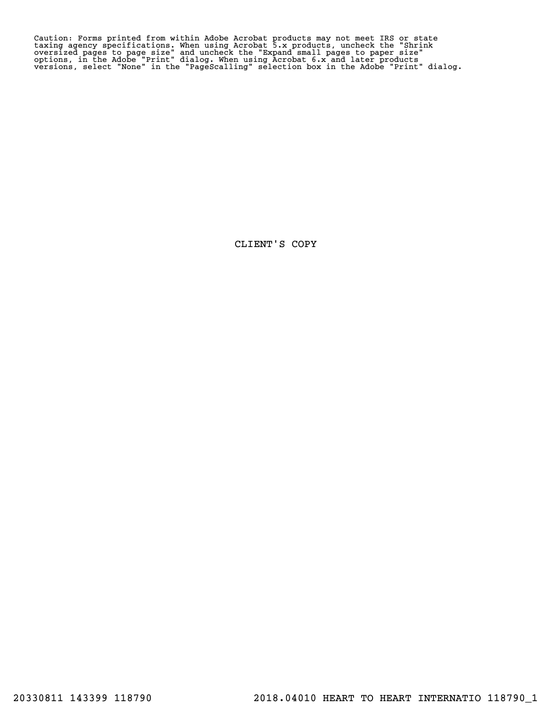Caution: Forms printed from within Adobe Acrobat products may not meet IRS or state<br>taxing agency specifications. When using Acrobat 5.x products, uncheck the "Shrink<br>oversized pages to page size" and uncheck the "Expand s

CLIENT'S COPY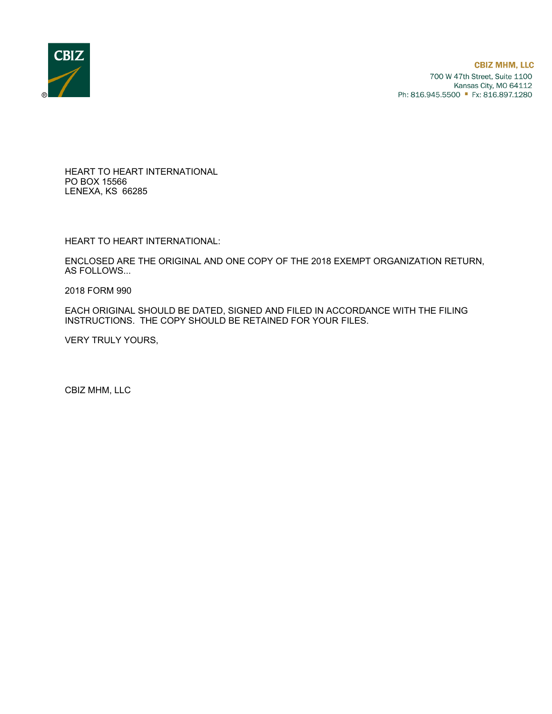

HEART TO HEART INTERNATIONAL PO BOX 15566 LENEXA, KS 66285

HEART TO HEART INTERNATIONAL:

ENCLOSED ARE THE ORIGINAL AND ONE COPY OF THE 2018 EXEMPT ORGANIZATION RETURN, AS FOLLOWS...

2018 FORM 990

EACH ORIGINAL SHOULD BE DATED, SIGNED AND FILED IN ACCORDANCE WITH THE FILING INSTRUCTIONS. THE COPY SHOULD BE RETAINED FOR YOUR FILES.

VERY TRULY YOURS,

CBIZ MHM, LLC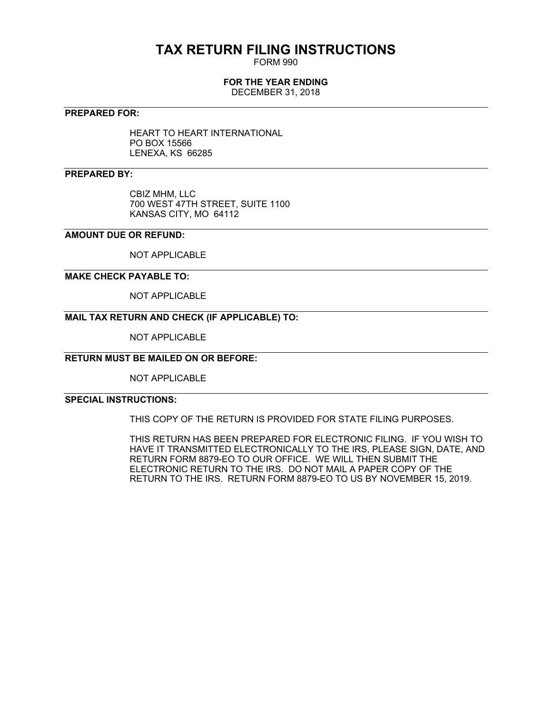# **TAX RETURN FILING INSTRUCTIONS**

FORM 990

# **FOR THE YEAR ENDING**

DECEMBER 31, 2018

### **PREPARED FOR:**

HEART TO HEART INTERNATIONAL PO BOX 15566 LENEXA, KS 66285

## **PREPARED BY:**

CBIZ MHM, LLC 700 WEST 47TH STREET, SUITE 1100 KANSAS CITY, MO 64112

## **AMOUNT DUE OR REFUND:**

NOT APPLICABLE

### **MAKE CHECK PAYABLE TO:**

NOT APPLICABLE

# **MAIL TAX RETURN AND CHECK (IF APPLICABLE) TO:**

NOT APPLICABLE

# **RETURN MUST BE MAILED ON OR BEFORE:**

NOT APPLICABLE

# **SPECIAL INSTRUCTIONS:**

THIS COPY OF THE RETURN IS PROVIDED FOR STATE FILING PURPOSES.

THIS RETURN HAS BEEN PREPARED FOR ELECTRONIC FILING. IF YOU WISH TO HAVE IT TRANSMITTED ELECTRONICALLY TO THE IRS, PLEASE SIGN, DATE, AND RETURN FORM 8879-EO TO OUR OFFICE. WE WILL THEN SUBMIT THE ELECTRONIC RETURN TO THE IRS. DO NOT MAIL A PAPER COPY OF THE RETURN TO THE IRS. RETURN FORM 8879-EO TO US BY NOVEMBER 15, 2019.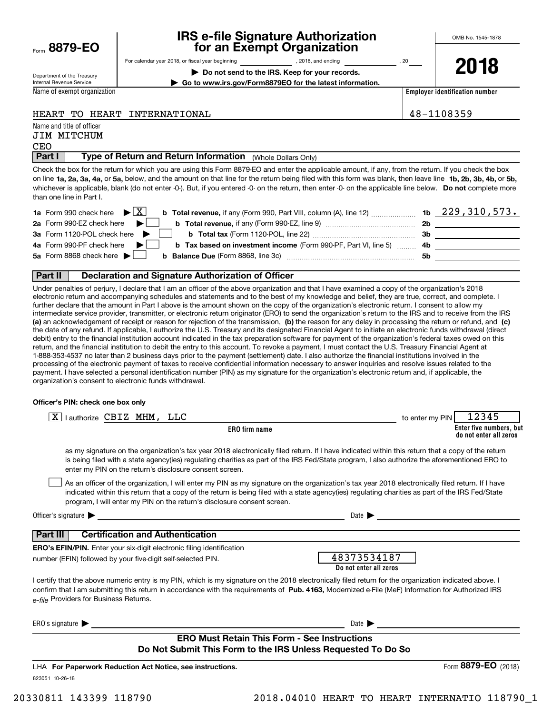| Form 8879-EO |  |
|--------------|--|
|              |  |

# **IRS e-file Signature Authorization for an Exempt Organization**

**2018**

Department of the Treasury Internal Revenue Service

For calendar year 2018, or fiscal year beginning and the state of the state of 2018, and ending calendary pear of 20 **| Do not send to the IRS. Keep for your records.**

**| Go to www.irs.gov/Form8879EO for the latest information.**

Name of exempt organization

**Employer identification number**

## HEART TO HEART INTERNATIONAL 48-1108359

Name and title of officer JIM MITCHUM

#### **Part I** | Type of Return and Return Information (Whole Dollars Only) CEO

on line **1a, 2a, 3a, 4a,** or **5a,** below, and the amount on that line for the return being filed with this form was blank, then leave line **1b, 2b, 3b, 4b,** or **5b,** whichever is applicable, blank (do not enter -0-). But, if you entered -0- on the return, then enter -0- on the applicable line below. **Do not** complete more Check the box for the return for which you are using this Form 8879-EO and enter the applicable amount, if any, from the return. If you check the box than one line in Part I.

| <b>1a</b> Form 990 check here $\triangleright$ $\boxed{X}$                                                                   |    | $1b$ 229, 310, 573. |
|------------------------------------------------------------------------------------------------------------------------------|----|---------------------|
| 2a Form 990-EZ check here $\blacktriangleright$                                                                              | 2b |                     |
| 3a Form 1120-POL check here                                                                                                  | Зb |                     |
| 4a Form 990-PF check here $\blacktriangleright$<br><b>b</b> Tax based on investment income (Form 990-PF, Part VI, line 5) 4b |    |                     |
| 5a Form 8868 check here $\blacktriangleright$<br><b>b</b> Balance Due (Form 8868, line 3c)                                   | 5b |                     |
|                                                                                                                              |    |                     |

#### **Part II Declaration and Signature Authorization of Officer**

**(a)** an acknowledgement of receipt or reason for rejection of the transmission, (b) the reason for any delay in processing the return or refund, and (c) Under penalties of perjury, I declare that I am an officer of the above organization and that I have examined a copy of the organization's 2018 electronic return and accompanying schedules and statements and to the best of my knowledge and belief, they are true, correct, and complete. I further declare that the amount in Part I above is the amount shown on the copy of the organization's electronic return. I consent to allow my intermediate service provider, transmitter, or electronic return originator (ERO) to send the organization's return to the IRS and to receive from the IRS the date of any refund. If applicable, I authorize the U.S. Treasury and its designated Financial Agent to initiate an electronic funds withdrawal (direct debit) entry to the financial institution account indicated in the tax preparation software for payment of the organization's federal taxes owed on this return, and the financial institution to debit the entry to this account. To revoke a payment, I must contact the U.S. Treasury Financial Agent at 1-888-353-4537 no later than 2 business days prior to the payment (settlement) date. I also authorize the financial institutions involved in the processing of the electronic payment of taxes to receive confidential information necessary to answer inquiries and resolve issues related to the payment. I have selected a personal identification number (PIN) as my signature for the organization's electronic return and, if applicable, the organization's consent to electronic funds withdrawal.

#### **Officer's PIN: check one box only**

| lauthorize CBIZ MHM, LLC<br>x                                                                                                                                                                                                                                                                                                                          | 12345<br>to enter my PIN                                                                                                                                                                                                                                                                              |
|--------------------------------------------------------------------------------------------------------------------------------------------------------------------------------------------------------------------------------------------------------------------------------------------------------------------------------------------------------|-------------------------------------------------------------------------------------------------------------------------------------------------------------------------------------------------------------------------------------------------------------------------------------------------------|
| <b>ERO</b> firm name                                                                                                                                                                                                                                                                                                                                   | Enter five numbers, but<br>do not enter all zeros                                                                                                                                                                                                                                                     |
| enter my PIN on the return's disclosure consent screen.                                                                                                                                                                                                                                                                                                | as my signature on the organization's tax year 2018 electronically filed return. If I have indicated within this return that a copy of the return<br>is being filed with a state agency(ies) regulating charities as part of the IRS Fed/State program, I also authorize the aforementioned ERO to    |
| program, I will enter my PIN on the return's disclosure consent screen.                                                                                                                                                                                                                                                                                | As an officer of the organization, I will enter my PIN as my signature on the organization's tax year 2018 electronically filed return. If I have<br>indicated within this return that a copy of the return is being filed with a state agency(ies) regulating charities as part of the IRS Fed/State |
| Officer's signature $\blacktriangleright$<br><u> 1989 - Johann Stein, mars an de Frankrik en fan de Frankrik fan de Frankrik fan de Frankrik fan de Frankrik</u>                                                                                                                                                                                       | Date 1                                                                                                                                                                                                                                                                                                |
| <b>Certification and Authentication</b><br>Part III I                                                                                                                                                                                                                                                                                                  |                                                                                                                                                                                                                                                                                                       |
| <b>ERO's EFIN/PIN.</b> Enter your six-digit electronic filing identification                                                                                                                                                                                                                                                                           |                                                                                                                                                                                                                                                                                                       |
| number (EFIN) followed by your five-digit self-selected PIN.                                                                                                                                                                                                                                                                                           | 48373534187<br>Do not enter all zeros                                                                                                                                                                                                                                                                 |
| I certify that the above numeric entry is my PIN, which is my signature on the 2018 electronically filed return for the organization indicated above. I<br>confirm that I am submitting this return in accordance with the requirements of Pub. 4163, Modernized e-File (MeF) Information for Authorized IRS<br>e-file Providers for Business Returns. |                                                                                                                                                                                                                                                                                                       |
| ERO's signature $\blacktriangleright$                                                                                                                                                                                                                                                                                                                  | Date $\blacktriangleright$                                                                                                                                                                                                                                                                            |
| <b>ERO Must Retain This Form - See Instructions</b>                                                                                                                                                                                                                                                                                                    |                                                                                                                                                                                                                                                                                                       |
| Do Not Submit This Form to the IRS Unless Requested To Do So                                                                                                                                                                                                                                                                                           |                                                                                                                                                                                                                                                                                                       |
| LHA For Paperwork Reduction Act Notice, see instructions.                                                                                                                                                                                                                                                                                              | Form 8879-EO<br>(2018)                                                                                                                                                                                                                                                                                |
| 823051 10-26-18                                                                                                                                                                                                                                                                                                                                        |                                                                                                                                                                                                                                                                                                       |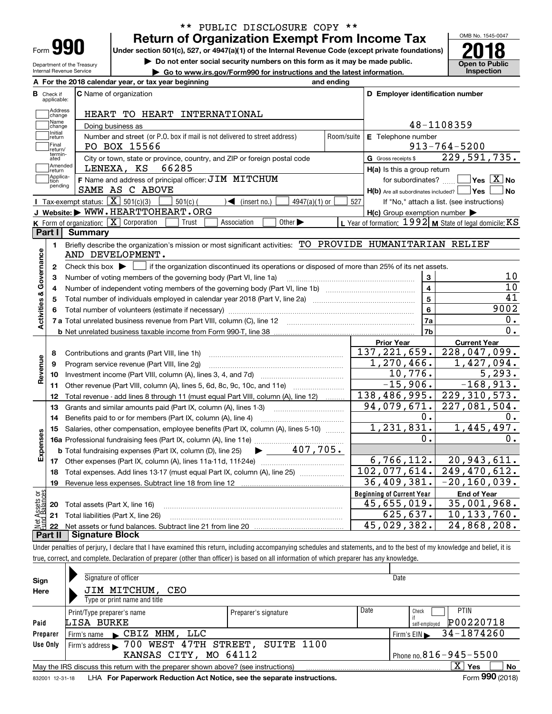| Form |  |
|------|--|

Department of the Treasury Internal Revenue Service

# **Return of Organization Exempt From Income Tax** \*\* PUBLIC DISCLOSURE COPY \*\*

Under section 501(c), 527, or 4947(a)(1) of the Internal Revenue Code (except private foundations) **2018** 

**| Do not enter social security numbers on this form as it may be made public.**

**| Go to www.irs.gov/Form990 for instructions and the latest information. Inspection**



|                         |                         | A For the 2018 calendar year, or tax year beginning                                                                                                                       | and ending |                                                     |                                                           |
|-------------------------|-------------------------|---------------------------------------------------------------------------------------------------------------------------------------------------------------------------|------------|-----------------------------------------------------|-----------------------------------------------------------|
| В                       | Check if<br>applicable: | <b>C</b> Name of organization                                                                                                                                             |            | D Employer identification number                    |                                                           |
|                         | Address<br>change       | HEART TO HEART INTERNATIONAL                                                                                                                                              |            |                                                     |                                                           |
|                         | Name<br>change          | Doing business as                                                                                                                                                         |            |                                                     | 48-1108359                                                |
|                         | Initial<br>]return      | Number and street (or P.O. box if mail is not delivered to street address)                                                                                                | Room/suite | E Telephone number                                  |                                                           |
|                         | Final<br>return/        | PO BOX 15566                                                                                                                                                              |            |                                                     | $913 - 764 - 5200$                                        |
|                         | termin-<br>ated         | City or town, state or province, country, and ZIP or foreign postal code                                                                                                  |            | G Gross receipts \$                                 | 229,591,735.                                              |
|                         | Amended<br>return       | LENEXA, KS<br>66285                                                                                                                                                       |            | $H(a)$ is this a group return                       |                                                           |
|                         | Applica-<br>tion        | F Name and address of principal officer: JIM MITCHUM                                                                                                                      |            | for subordinates?                                   | $\overline{\ }$ Yes $\overline{\phantom{X}}$ No           |
|                         | pending                 | SAME AS C ABOVE                                                                                                                                                           |            | $H(b)$ Are all subordinates included? $\Box$ Yes    | l No                                                      |
|                         |                         | <b>I</b> Tax-exempt status: $\overline{X}$ 501(c)(3)<br>$501(c)$ (<br>$\sqrt{\bullet}$ (insert no.)<br>$4947(a)(1)$ or                                                    | 527        |                                                     | If "No," attach a list. (see instructions)                |
|                         |                         | J Website: WWW.HEARTTOHEART.ORG                                                                                                                                           |            | $H(c)$ Group exemption number $\blacktriangleright$ |                                                           |
|                         |                         | K Form of organization: X Corporation<br>Other $\blacktriangleright$<br>Trust<br>Association                                                                              |            |                                                     | L Year of formation: $1992$ M State of legal domicile: KS |
|                         | Part I                  | Summary                                                                                                                                                                   |            |                                                     |                                                           |
|                         | 1.                      | Briefly describe the organization's mission or most significant activities: TO PROVIDE HUMANITARIAN RELIEF                                                                |            |                                                     |                                                           |
|                         |                         | AND DEVELOPMENT.                                                                                                                                                          |            |                                                     |                                                           |
|                         | 2                       | Check this box $\blacktriangleright$ $\Box$ if the organization discontinued its operations or disposed of more than 25% of its net assets.                               |            |                                                     |                                                           |
|                         | з                       | Number of voting members of the governing body (Part VI, line 1a)                                                                                                         |            | 3                                                   | 10                                                        |
|                         | 4                       |                                                                                                                                                                           |            | $\overline{4}$                                      | 10                                                        |
|                         | 5                       |                                                                                                                                                                           |            | $\overline{5}$                                      | $\overline{41}$                                           |
|                         | 6                       |                                                                                                                                                                           |            | 6                                                   | 9002                                                      |
|                         |                         |                                                                                                                                                                           |            | 7a                                                  | 0.                                                        |
| Activities & Governance |                         |                                                                                                                                                                           |            | 7b                                                  | 0.                                                        |
|                         |                         |                                                                                                                                                                           |            | Prior Year                                          | <b>Current Year</b>                                       |
|                         | 8                       | Contributions and grants (Part VIII, line 1h)                                                                                                                             |            | 137, 221, 659.                                      | $\overline{228,047,099}$ .                                |
|                         | 9                       | Program service revenue (Part VIII, line 2g)                                                                                                                              |            | $\overline{1,270,466}$ .                            | 1,427,094.                                                |
| Revenue                 | 10                      |                                                                                                                                                                           |            | 10,776.                                             | 5, 293.                                                   |
|                         | 11                      | Other revenue (Part VIII, column (A), lines 5, 6d, 8c, 9c, 10c, and 11e)                                                                                                  |            | $-15,906.$                                          | $-168,913.$                                               |
|                         | 12                      | Total revenue - add lines 8 through 11 (must equal Part VIII, column (A), line 12)                                                                                        |            | 138,486,995.                                        | 229, 310, 573.                                            |
|                         | 13                      | Grants and similar amounts paid (Part IX, column (A), lines 1-3)                                                                                                          |            | 94,079,671.                                         | $\overline{227}$ , 081, 504.                              |
|                         | 14                      | Benefits paid to or for members (Part IX, column (A), line 4)                                                                                                             |            | 0.                                                  | 0.                                                        |
|                         | 15                      | Salaries, other compensation, employee benefits (Part IX, column (A), lines 5-10)                                                                                         |            | 1, 231, 831.                                        | 1,445,497.                                                |
|                         |                         |                                                                                                                                                                           |            | Ο.                                                  | 0.                                                        |
| Expenses                |                         | $\blacktriangleright$ 407,705.<br><b>b</b> Total fundraising expenses (Part IX, column (D), line 25)                                                                      |            |                                                     |                                                           |
|                         |                         |                                                                                                                                                                           |            | 6, 766, 112.                                        | 20,943,611.                                               |
|                         | 18                      | Total expenses. Add lines 13-17 (must equal Part IX, column (A), line 25)                                                                                                 |            | 102,077,614.                                        | 249,470,612.                                              |
|                         | 19                      |                                                                                                                                                                           |            | 36,409,381.                                         | $-20, 160, 039.$                                          |
| ăğ                      |                         |                                                                                                                                                                           |            | <b>Beginning of Current Year</b>                    | <b>End of Year</b>                                        |
| Assets<br>Ralano        | 20                      | Total assets (Part X, line 16)                                                                                                                                            |            | 45,655,019.                                         | 35,001,968.                                               |
|                         |                         | 21 Total liabilities (Part X, line 26)                                                                                                                                    |            | 625,637.                                            | 10, 133, 760.                                             |
|                         | 22                      |                                                                                                                                                                           |            | 45,029,382.                                         | 24,868,208.                                               |
|                         |                         | Part II   Signature Block                                                                                                                                                 |            |                                                     |                                                           |
|                         |                         | Under negotion of nexture. I declare that I have avamined this return, including eccompanying sehedules and otatements, and to the heat of my knowledge and helief, it is |            |                                                     |                                                           |

Under penalties of perjury, I declare that I have examined this return, including accompanying schedules and statements, and to the best of my knowledge and belief, it is true, correct, and complete. Declaration of preparer (other than officer) is based on all information of which preparer has any knowledge.

| Sign                                                  | Signature of officer                                                                                         |                      |      | Date                       |  |  |  |  |
|-------------------------------------------------------|--------------------------------------------------------------------------------------------------------------|----------------------|------|----------------------------|--|--|--|--|
| Here                                                  | JIM MITCHUM,<br>CEO                                                                                          |                      |      |                            |  |  |  |  |
|                                                       | Type or print name and title                                                                                 |                      |      |                            |  |  |  |  |
|                                                       | Print/Type preparer's name                                                                                   | Preparer's signature | Date | <b>PTIN</b><br>Check       |  |  |  |  |
| Paid                                                  | LISA BURKE                                                                                                   |                      |      | P00220718<br>self-emploved |  |  |  |  |
| Preparer                                              | Firm's name CBIZ MHM, LLC                                                                                    |                      |      | 34-1874260<br>Firm's $EIN$ |  |  |  |  |
| Use Only                                              | Firm's address > 700 WEST 47TH STREET, SUITE 1100                                                            |                      |      |                            |  |  |  |  |
| Phone no. $816 - 945 - 5500$<br>KANSAS CITY, MO 64112 |                                                                                                              |                      |      |                            |  |  |  |  |
|                                                       | May the IRS discuss this return with the preparer shown above? (see instructions)                            |                      |      | $X \vert Y$ es<br>No       |  |  |  |  |
|                                                       | Form 990 (2018)<br>LHA For Paperwork Reduction Act Notice, see the separate instructions.<br>832001 12-31-18 |                      |      |                            |  |  |  |  |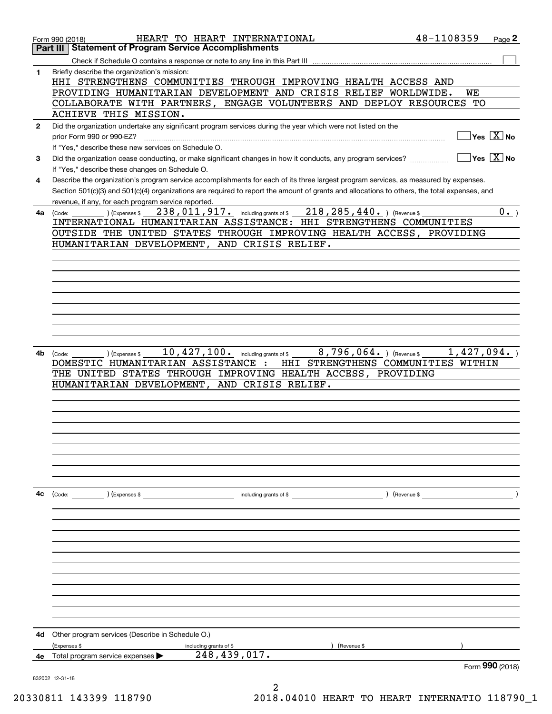|              | HEART TO HEART INTERNATIONAL<br>Form 990 (2018)                                                                                              | 48-1108359 | Page 2                                 |
|--------------|----------------------------------------------------------------------------------------------------------------------------------------------|------------|----------------------------------------|
|              | <b>Statement of Program Service Accomplishments</b><br>Part III                                                                              |            |                                        |
|              |                                                                                                                                              |            |                                        |
| 1            | Briefly describe the organization's mission:<br>HHI STRENGTHENS COMMUNITIES THROUGH IMPROVING HEALTH ACCESS AND                              |            |                                        |
|              | PROVIDING HUMANITARIAN DEVELOPMENT AND CRISIS RELIEF WORLDWIDE.                                                                              |            | WE                                     |
|              | COLLABORATE WITH PARTNERS, ENGAGE VOLUNTEERS AND DEPLOY RESOURCES                                                                            |            | TО                                     |
|              | ACHIEVE THIS MISSION.<br>Did the organization undertake any significant program services during the year which were not listed on the        |            |                                        |
| $\mathbf{2}$ | prior Form 990 or 990-EZ?                                                                                                                    |            | $\sqrt{}$ Yes $\sqrt{}$ X $\sqrt{}$ No |
|              | If "Yes," describe these new services on Schedule O.                                                                                         |            |                                        |
| 3            | Did the organization cease conducting, or make significant changes in how it conducts, any program services?                                 |            | $\sqrt{}$ Yes $\sqrt{}$ X $\sqrt{}$ No |
|              | If "Yes," describe these changes on Schedule O.                                                                                              |            |                                        |
| 4            | Describe the organization's program service accomplishments for each of its three largest program services, as measured by expenses.         |            |                                        |
|              | Section 501(c)(3) and 501(c)(4) organizations are required to report the amount of grants and allocations to others, the total expenses, and |            |                                        |
|              | revenue, if any, for each program service reported.                                                                                          |            |                                        |
|              | 238, 011, 917. including grants of \$218, 285, 440. ) (Revenue \$<br>(Expenses \$<br>$4a$ (Code:                                             |            | $0 \cdot$                              |
|              | INTERNATIONAL HUMANITARIAN ASSISTANCE: HHI STRENGTHENS COMMUNITIES                                                                           |            |                                        |
|              | OUTSIDE THE UNITED STATES THROUGH IMPROVING HEALTH ACCESS, PROVIDING                                                                         |            |                                        |
|              | HUMANITARIAN DEVELOPMENT, AND CRISIS RELIEF.                                                                                                 |            |                                        |
|              |                                                                                                                                              |            |                                        |
|              |                                                                                                                                              |            |                                        |
|              |                                                                                                                                              |            |                                        |
|              |                                                                                                                                              |            |                                        |
|              |                                                                                                                                              |            |                                        |
|              |                                                                                                                                              |            |                                        |
|              |                                                                                                                                              |            |                                        |
|              |                                                                                                                                              |            |                                        |
| 4b           | 10, 427, 100. including grants of \$<br>$8,796,064.$ ) (Revenue \$<br>(Expenses \$<br>(Code:                                                 |            | 1,427,094.                             |
|              | DOMESTIC HUMANITARIAN ASSISTANCE :<br>HHI STRENGTHENS COMMUNITIES WITHIN                                                                     |            |                                        |
|              | THE UNITED STATES THROUGH IMPROVING HEALTH ACCESS, PROVIDING                                                                                 |            |                                        |
|              | HUMANITARIAN DEVELOPMENT, AND CRISIS RELIEF.                                                                                                 |            |                                        |
|              |                                                                                                                                              |            |                                        |
|              |                                                                                                                                              |            |                                        |
|              |                                                                                                                                              |            |                                        |
|              |                                                                                                                                              |            |                                        |
|              |                                                                                                                                              |            |                                        |
|              |                                                                                                                                              |            |                                        |
|              |                                                                                                                                              |            |                                        |
|              |                                                                                                                                              |            |                                        |
| 4с           | (Code: ) (Expenses \$                                                                                                                        |            |                                        |
|              |                                                                                                                                              |            |                                        |
|              |                                                                                                                                              |            |                                        |
|              |                                                                                                                                              |            |                                        |
|              |                                                                                                                                              |            |                                        |
|              |                                                                                                                                              |            |                                        |
|              |                                                                                                                                              |            |                                        |
|              |                                                                                                                                              |            |                                        |
|              |                                                                                                                                              |            |                                        |
|              |                                                                                                                                              |            |                                        |
|              |                                                                                                                                              |            |                                        |
|              |                                                                                                                                              |            |                                        |
|              |                                                                                                                                              |            |                                        |
| 4d           | Other program services (Describe in Schedule O.)<br>(Expenses \$<br>(Revenue \$                                                              |            |                                        |
| 4е           | including grants of \$<br>248, 439, 017.<br>Total program service expenses                                                                   |            |                                        |
|              |                                                                                                                                              |            | Form 990 (2018)                        |
|              | 832002 12-31-18                                                                                                                              |            |                                        |
|              |                                                                                                                                              |            |                                        |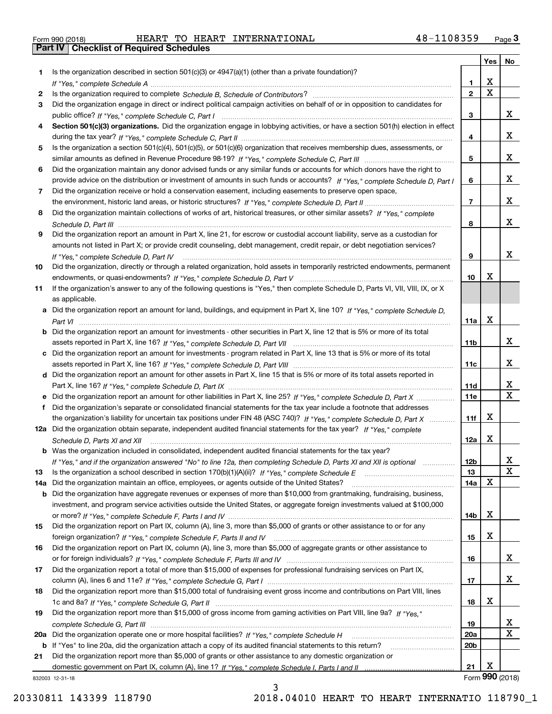| Form 990 (2018) |  |  |
|-----------------|--|--|

Form 990 (2018) Page **3Part IV Checklist of Required Schedules** HEART TO HEART INTERNATIONAL 48-1108359

|     |                                                                                                                                                                                                                                                   |                               | Yes         | No                |
|-----|---------------------------------------------------------------------------------------------------------------------------------------------------------------------------------------------------------------------------------------------------|-------------------------------|-------------|-------------------|
| 1.  | Is the organization described in section $501(c)(3)$ or $4947(a)(1)$ (other than a private foundation)?                                                                                                                                           |                               |             |                   |
|     |                                                                                                                                                                                                                                                   | 1                             | X           |                   |
| 2   |                                                                                                                                                                                                                                                   | $\overline{2}$                | $\mathbf X$ |                   |
| 3   | Did the organization engage in direct or indirect political campaign activities on behalf of or in opposition to candidates for                                                                                                                   |                               |             |                   |
|     |                                                                                                                                                                                                                                                   | 3                             |             | x                 |
| 4   | Section 501(c)(3) organizations. Did the organization engage in lobbying activities, or have a section 501(h) election in effect                                                                                                                  |                               |             | x                 |
|     | Is the organization a section 501(c)(4), 501(c)(5), or 501(c)(6) organization that receives membership dues, assessments, or                                                                                                                      | 4                             |             |                   |
| 5   |                                                                                                                                                                                                                                                   | 5                             |             | x                 |
| 6   | Did the organization maintain any donor advised funds or any similar funds or accounts for which donors have the right to                                                                                                                         |                               |             |                   |
|     | provide advice on the distribution or investment of amounts in such funds or accounts? If "Yes," complete Schedule D, Part I                                                                                                                      | 6                             |             | x                 |
| 7   | Did the organization receive or hold a conservation easement, including easements to preserve open space,                                                                                                                                         |                               |             |                   |
|     |                                                                                                                                                                                                                                                   | $\overline{7}$                |             | x                 |
| 8   | Did the organization maintain collections of works of art, historical treasures, or other similar assets? If "Yes," complete                                                                                                                      |                               |             |                   |
|     |                                                                                                                                                                                                                                                   | 8                             |             | x                 |
| 9   | Did the organization report an amount in Part X, line 21, for escrow or custodial account liability, serve as a custodian for                                                                                                                     |                               |             |                   |
|     | amounts not listed in Part X; or provide credit counseling, debt management, credit repair, or debt negotiation services?                                                                                                                         |                               |             |                   |
|     | If "Yes," complete Schedule D, Part IV                                                                                                                                                                                                            | 9                             |             | x                 |
| 10  | Did the organization, directly or through a related organization, hold assets in temporarily restricted endowments, permanent                                                                                                                     |                               |             |                   |
|     |                                                                                                                                                                                                                                                   | 10                            | x           |                   |
| 11  | If the organization's answer to any of the following questions is "Yes," then complete Schedule D, Parts VI, VII, VIII, IX, or X                                                                                                                  |                               |             |                   |
|     | as applicable.                                                                                                                                                                                                                                    |                               |             |                   |
|     | a Did the organization report an amount for land, buildings, and equipment in Part X, line 10? If "Yes," complete Schedule D,                                                                                                                     |                               |             |                   |
|     |                                                                                                                                                                                                                                                   | 11a                           | X           |                   |
|     | <b>b</b> Did the organization report an amount for investments - other securities in Part X, line 12 that is 5% or more of its total                                                                                                              |                               |             |                   |
|     |                                                                                                                                                                                                                                                   | 11 <sub>b</sub>               |             | x                 |
|     | c Did the organization report an amount for investments - program related in Part X, line 13 that is 5% or more of its total                                                                                                                      |                               |             |                   |
|     |                                                                                                                                                                                                                                                   | 11c                           |             | X.                |
|     | d Did the organization report an amount for other assets in Part X, line 15 that is 5% or more of its total assets reported in                                                                                                                    |                               |             |                   |
|     |                                                                                                                                                                                                                                                   | 11d                           |             | х<br>$\mathbf{x}$ |
|     |                                                                                                                                                                                                                                                   | 11e                           |             |                   |
|     | Did the organization's separate or consolidated financial statements for the tax year include a footnote that addresses<br>the organization's liability for uncertain tax positions under FIN 48 (ASC 740)? If "Yes," complete Schedule D, Part X | 11f                           | X           |                   |
|     | 12a Did the organization obtain separate, independent audited financial statements for the tax year? If "Yes," complete                                                                                                                           |                               |             |                   |
|     | Schedule D, Parts XI and XII                                                                                                                                                                                                                      | 12a                           | X           |                   |
|     | b Was the organization included in consolidated, independent audited financial statements for the tax year?                                                                                                                                       |                               |             |                   |
|     | If "Yes," and if the organization answered "No" to line 12a, then completing Schedule D, Parts XI and XII is optional                                                                                                                             | 12b                           |             | ᅀ                 |
| 13  |                                                                                                                                                                                                                                                   | 13                            |             | х                 |
| 14a | Did the organization maintain an office, employees, or agents outside of the United States?                                                                                                                                                       | 14a                           | X           |                   |
| b   | Did the organization have aggregate revenues or expenses of more than \$10,000 from grantmaking, fundraising, business,                                                                                                                           |                               |             |                   |
|     | investment, and program service activities outside the United States, or aggregate foreign investments valued at \$100,000                                                                                                                        |                               |             |                   |
|     |                                                                                                                                                                                                                                                   | 14b                           | х           |                   |
| 15  | Did the organization report on Part IX, column (A), line 3, more than \$5,000 of grants or other assistance to or for any                                                                                                                         |                               |             |                   |
|     |                                                                                                                                                                                                                                                   | 15                            | x           |                   |
| 16  | Did the organization report on Part IX, column (A), line 3, more than \$5,000 of aggregate grants or other assistance to                                                                                                                          |                               |             |                   |
|     |                                                                                                                                                                                                                                                   | 16                            |             | x                 |
| 17  | Did the organization report a total of more than \$15,000 of expenses for professional fundraising services on Part IX,                                                                                                                           |                               |             |                   |
|     |                                                                                                                                                                                                                                                   | 17                            |             | x                 |
| 18  | Did the organization report more than \$15,000 total of fundraising event gross income and contributions on Part VIII, lines                                                                                                                      |                               |             |                   |
|     |                                                                                                                                                                                                                                                   | 18                            | х           |                   |
| 19  | Did the organization report more than \$15,000 of gross income from gaming activities on Part VIII, line 9a? If "Yes."                                                                                                                            |                               |             |                   |
|     |                                                                                                                                                                                                                                                   | 19                            |             | X<br>x            |
| 20a |                                                                                                                                                                                                                                                   | <b>20a</b><br>20 <sub>b</sub> |             |                   |
| 21  | b If "Yes" to line 20a, did the organization attach a copy of its audited financial statements to this return?<br>Did the organization report more than \$5,000 of grants or other assistance to any domestic organization or                     |                               |             |                   |
|     |                                                                                                                                                                                                                                                   | 21                            | х           |                   |
|     | 832003 12-31-18                                                                                                                                                                                                                                   |                               |             | Form 990 (2018)   |

832003 12-31-18

3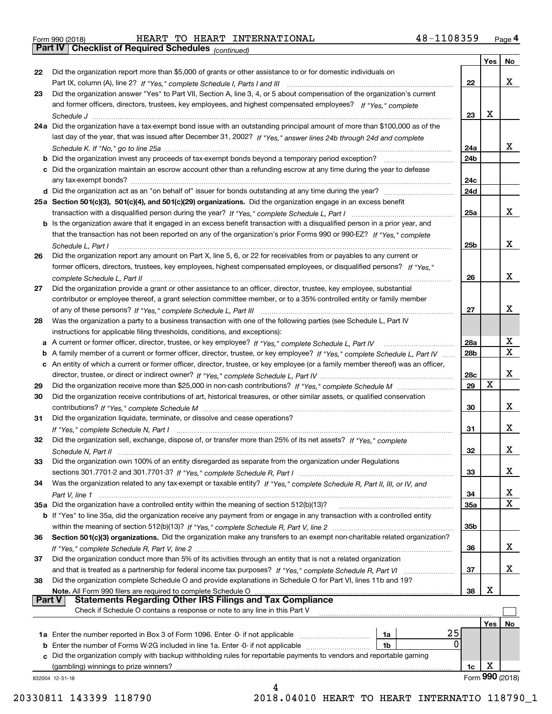| Form 990 (2018) |  |  |
|-----------------|--|--|

Form 990 (2018) HEART TO HEART INTERNATIONAL 4 8-1108359 <sub>Page</sub> 4<br>**Part IV | Checklist of Required Schedules** <sub>(continued)</sub>

*(continued)*

|          |                                                                                                                                                                             |                 | Yes | No              |
|----------|-----------------------------------------------------------------------------------------------------------------------------------------------------------------------------|-----------------|-----|-----------------|
| 22       | Did the organization report more than \$5,000 of grants or other assistance to or for domestic individuals on                                                               |                 |     |                 |
|          | Part IX, column (A), line 2? If "Yes," complete Schedule I, Parts I and III [11] [11] [12] [12] Part IX, column (A), line 2? If "Yes," complete Schedule I, Parts I and III | 22              |     | x               |
| 23       | Did the organization answer "Yes" to Part VII, Section A, line 3, 4, or 5 about compensation of the organization's current                                                  |                 |     |                 |
|          | and former officers, directors, trustees, key employees, and highest compensated employees? If "Yes," complete                                                              |                 |     |                 |
|          |                                                                                                                                                                             | 23              | x   |                 |
|          | 24a Did the organization have a tax-exempt bond issue with an outstanding principal amount of more than \$100,000 as of the                                                 |                 |     |                 |
|          | last day of the year, that was issued after December 31, 2002? If "Yes," answer lines 24b through 24d and complete                                                          |                 |     |                 |
|          |                                                                                                                                                                             | 24a             |     | x               |
|          |                                                                                                                                                                             |                 |     |                 |
|          | b Did the organization invest any proceeds of tax-exempt bonds beyond a temporary period exception?                                                                         | 24b             |     |                 |
|          | c Did the organization maintain an escrow account other than a refunding escrow at any time during the year to defease                                                      |                 |     |                 |
|          |                                                                                                                                                                             | 24c             |     |                 |
|          |                                                                                                                                                                             | 24d             |     |                 |
|          | 25a Section 501(c)(3), 501(c)(4), and 501(c)(29) organizations. Did the organization engage in an excess benefit                                                            |                 |     |                 |
|          |                                                                                                                                                                             | 25a             |     | x               |
|          | b Is the organization aware that it engaged in an excess benefit transaction with a disqualified person in a prior year, and                                                |                 |     |                 |
|          | that the transaction has not been reported on any of the organization's prior Forms 990 or 990-EZ? If "Yes," complete                                                       |                 |     |                 |
|          | Schedule L, Part I                                                                                                                                                          | 25b             |     | x               |
| 26       | Did the organization report any amount on Part X, line 5, 6, or 22 for receivables from or payables to any current or                                                       |                 |     |                 |
|          | former officers, directors, trustees, key employees, highest compensated employees, or disqualified persons? If "Yes."                                                      |                 |     |                 |
|          | complete Schedule L. Part II manufactured and complete Schedule L. Part II manufactured and complete Schedule L. Part II                                                    | 26              |     | x               |
| 27       | Did the organization provide a grant or other assistance to an officer, director, trustee, key employee, substantial                                                        |                 |     |                 |
|          |                                                                                                                                                                             |                 |     |                 |
|          | contributor or employee thereof, a grant selection committee member, or to a 35% controlled entity or family member                                                         |                 |     | х               |
|          |                                                                                                                                                                             | 27              |     |                 |
| 28       | Was the organization a party to a business transaction with one of the following parties (see Schedule L, Part IV                                                           |                 |     |                 |
|          | instructions for applicable filing thresholds, conditions, and exceptions):                                                                                                 |                 |     |                 |
|          | a A current or former officer, director, trustee, or key employee? If "Yes," complete Schedule L, Part IV                                                                   | 28a             |     | x               |
|          | b A family member of a current or former officer, director, trustee, or key employee? If "Yes," complete Schedule L, Part IV                                                | 28 <sub>b</sub> |     | $\mathbf X$     |
|          | c An entity of which a current or former officer, director, trustee, or key employee (or a family member thereof) was an officer,                                           |                 |     |                 |
|          |                                                                                                                                                                             | 28c             |     | х               |
| 29       |                                                                                                                                                                             | 29              | X   |                 |
| 30       | Did the organization receive contributions of art, historical treasures, or other similar assets, or qualified conservation                                                 |                 |     |                 |
|          |                                                                                                                                                                             | 30              |     | x               |
| 31       | Did the organization liquidate, terminate, or dissolve and cease operations?                                                                                                |                 |     |                 |
|          |                                                                                                                                                                             | 31              |     | х               |
| 32       | Did the organization sell, exchange, dispose of, or transfer more than 25% of its net assets? If "Yes," complete                                                            |                 |     |                 |
|          |                                                                                                                                                                             |                 |     | х               |
|          |                                                                                                                                                                             | 32              |     |                 |
| 33       | Did the organization own 100% of an entity disregarded as separate from the organization under Regulations                                                                  |                 |     |                 |
|          |                                                                                                                                                                             | 33              |     | х               |
| 34       | Was the organization related to any tax-exempt or taxable entity? If "Yes," complete Schedule R, Part II, III, or IV, and                                                   |                 |     |                 |
|          |                                                                                                                                                                             | 34              |     | X               |
|          | 35a Did the organization have a controlled entity within the meaning of section 512(b)(13)?                                                                                 | 35a             |     | X               |
|          | b If "Yes" to line 35a, did the organization receive any payment from or engage in any transaction with a controlled entity                                                 |                 |     |                 |
|          |                                                                                                                                                                             | 35b             |     |                 |
| 36       | Section 501(c)(3) organizations. Did the organization make any transfers to an exempt non-charitable related organization?                                                  |                 |     |                 |
|          |                                                                                                                                                                             | 36              |     | x               |
| 37       | Did the organization conduct more than 5% of its activities through an entity that is not a related organization                                                            |                 |     |                 |
|          | and that is treated as a partnership for federal income tax purposes? If "Yes," complete Schedule R, Part VI                                                                | 37              |     | x               |
| 38       | Did the organization complete Schedule O and provide explanations in Schedule O for Part VI, lines 11b and 19?                                                              |                 |     |                 |
|          |                                                                                                                                                                             | 38              | х   |                 |
| ∣ Part V | Note. All Form 990 filers are required to complete Schedule O<br><b>Statements Regarding Other IRS Filings and Tax Compliance</b>                                           |                 |     |                 |
|          | Check if Schedule O contains a response or note to any line in this Part V                                                                                                  |                 |     |                 |
|          |                                                                                                                                                                             |                 |     |                 |
|          |                                                                                                                                                                             |                 | Yes | No              |
|          | 25<br>1a Enter the number reported in Box 3 of Form 1096. Enter -0- if not applicable<br>1a                                                                                 |                 |     |                 |
|          | 0<br><b>b</b> Enter the number of Forms W-2G included in line 1a. Enter -0- if not applicable<br>1b                                                                         |                 |     |                 |
|          | Did the organization comply with backup withholding rules for reportable payments to vendors and reportable gaming                                                          |                 |     |                 |
|          | (gambling) winnings to prize winners?                                                                                                                                       | 1c              | х   |                 |
|          | 832004 12-31-18                                                                                                                                                             |                 |     | Form 990 (2018) |
|          |                                                                                                                                                                             |                 |     |                 |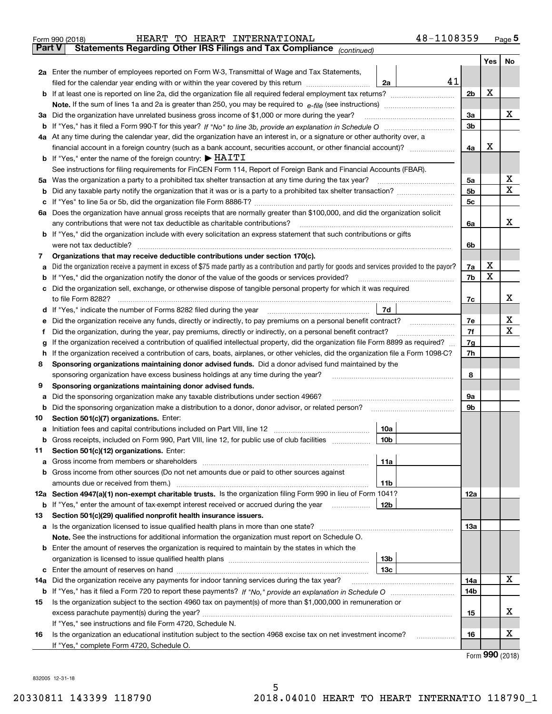|               | 48-1108359<br>HEART TO HEART INTERNATIONAL<br>Form 990 (2018)                                                                                                                                                                           |     |     | $_{\text{Page}}$ 5 |
|---------------|-----------------------------------------------------------------------------------------------------------------------------------------------------------------------------------------------------------------------------------------|-----|-----|--------------------|
| <b>Part V</b> | Statements Regarding Other IRS Filings and Tax Compliance (continued)                                                                                                                                                                   |     |     |                    |
|               |                                                                                                                                                                                                                                         |     | Yes | No                 |
|               | 2a Enter the number of employees reported on Form W-3, Transmittal of Wage and Tax Statements,                                                                                                                                          |     |     |                    |
|               | 41<br>filed for the calendar year ending with or within the year covered by this return<br>2a                                                                                                                                           |     |     |                    |
|               |                                                                                                                                                                                                                                         | 2b  | х   |                    |
|               |                                                                                                                                                                                                                                         |     |     |                    |
|               | 3a Did the organization have unrelated business gross income of \$1,000 or more during the year?                                                                                                                                        | 3a  |     | х                  |
|               |                                                                                                                                                                                                                                         | 3b  |     |                    |
|               | 4a At any time during the calendar year, did the organization have an interest in, or a signature or other authority over, a                                                                                                            |     |     |                    |
|               | financial account in a foreign country (such as a bank account, securities account, or other financial account)?                                                                                                                        | 4a  | х   |                    |
|               | <b>b</b> If "Yes," enter the name of the foreign country: $\blacktriangleright$ HAITI                                                                                                                                                   |     |     |                    |
|               | See instructions for filing requirements for FinCEN Form 114, Report of Foreign Bank and Financial Accounts (FBAR).                                                                                                                     |     |     |                    |
|               |                                                                                                                                                                                                                                         | 5a  |     | х                  |
| b             |                                                                                                                                                                                                                                         | 5b  |     | X                  |
| c             |                                                                                                                                                                                                                                         | 5c  |     |                    |
|               | 6a Does the organization have annual gross receipts that are normally greater than \$100,000, and did the organization solicit                                                                                                          |     |     |                    |
|               |                                                                                                                                                                                                                                         | 6a  |     | х                  |
|               | <b>b</b> If "Yes," did the organization include with every solicitation an express statement that such contributions or gifts                                                                                                           |     |     |                    |
|               | were not tax deductible?                                                                                                                                                                                                                | 6b  |     |                    |
| 7             | Organizations that may receive deductible contributions under section 170(c).                                                                                                                                                           |     |     |                    |
| а             | Did the organization receive a payment in excess of \$75 made partly as a contribution and partly for goods and services provided to the payor?                                                                                         | 7a  | х   |                    |
| b             | If "Yes," did the organization notify the donor of the value of the goods or services provided?                                                                                                                                         | 7b  | х   |                    |
|               | c Did the organization sell, exchange, or otherwise dispose of tangible personal property for which it was required                                                                                                                     |     |     |                    |
|               |                                                                                                                                                                                                                                         | 7c  |     | х                  |
|               | 7d  <br>d If "Yes," indicate the number of Forms 8282 filed during the year [11] [11] No. 2010 [12] Henry Manuscover, 1                                                                                                                 |     |     |                    |
| е             | Did the organization receive any funds, directly or indirectly, to pay premiums on a personal benefit contract?                                                                                                                         | 7e  |     | х                  |
| f             | Did the organization, during the year, pay premiums, directly or indirectly, on a personal benefit contract?                                                                                                                            | 7f  |     | х                  |
|               | If the organization received a contribution of qualified intellectual property, did the organization file Form 8899 as required?                                                                                                        | 7g  |     |                    |
| g             | If the organization received a contribution of cars, boats, airplanes, or other vehicles, did the organization file a Form 1098-C?<br>h.                                                                                                |     |     |                    |
| 8             | Sponsoring organizations maintaining donor advised funds. Did a donor advised fund maintained by the                                                                                                                                    | 7h  |     |                    |
|               | sponsoring organization have excess business holdings at any time during the year?                                                                                                                                                      | 8   |     |                    |
| 9             | Sponsoring organizations maintaining donor advised funds.                                                                                                                                                                               |     |     |                    |
|               | Did the sponsoring organization make any taxable distributions under section 4966?                                                                                                                                                      | 9а  |     |                    |
| а<br>b        | Did the sponsoring organization make a distribution to a donor, donor advisor, or related person?                                                                                                                                       | 9b  |     |                    |
| 10            | Section 501(c)(7) organizations. Enter:                                                                                                                                                                                                 |     |     |                    |
|               | 10a<br>a Initiation fees and capital contributions included on Part VIII, line 12 [111] [11] [11] Initiation fees and capital contributions included on Part VIII, line 12                                                              |     |     |                    |
|               | 10 <sub>b</sub>  <br>Gross receipts, included on Form 990, Part VIII, line 12, for public use of club facilities                                                                                                                        |     |     |                    |
|               |                                                                                                                                                                                                                                         |     |     |                    |
| 11            | Section 501(c)(12) organizations. Enter:                                                                                                                                                                                                |     |     |                    |
| a             | 11a<br>b Gross income from other sources (Do not net amounts due or paid to other sources against                                                                                                                                       |     |     |                    |
|               | <b>11b</b>                                                                                                                                                                                                                              |     |     |                    |
|               | 12a Section 4947(a)(1) non-exempt charitable trusts. Is the organization filing Form 990 in lieu of Form 1041?                                                                                                                          | 12a |     |                    |
|               | 12b                                                                                                                                                                                                                                     |     |     |                    |
|               | <b>b</b> If "Yes," enter the amount of tax-exempt interest received or accrued during the year <i>manument</i> of the set of the set of the set of the set of the set of the set of the set of the set of the set of the set of the set |     |     |                    |
| 13            | Section 501(c)(29) qualified nonprofit health insurance issuers.                                                                                                                                                                        | 13a |     |                    |
|               | a Is the organization licensed to issue qualified health plans in more than one state?                                                                                                                                                  |     |     |                    |
|               | Note. See the instructions for additional information the organization must report on Schedule O.                                                                                                                                       |     |     |                    |
|               | <b>b</b> Enter the amount of reserves the organization is required to maintain by the states in which the                                                                                                                               |     |     |                    |
|               | 13b                                                                                                                                                                                                                                     |     |     |                    |
|               | 13 <sub>c</sub>                                                                                                                                                                                                                         |     |     | х                  |
| 14a           | Did the organization receive any payments for indoor tanning services during the tax year?                                                                                                                                              | 14a |     |                    |
|               |                                                                                                                                                                                                                                         | 14b |     |                    |
| 15            | Is the organization subject to the section 4960 tax on payment(s) of more than \$1,000,000 in remuneration or                                                                                                                           |     |     | x                  |
|               |                                                                                                                                                                                                                                         | 15  |     |                    |
|               | If "Yes," see instructions and file Form 4720, Schedule N.                                                                                                                                                                              |     |     | х                  |
| 16            | Is the organization an educational institution subject to the section 4968 excise tax on net investment income?                                                                                                                         | 16  |     |                    |
|               | If "Yes," complete Form 4720, Schedule O.                                                                                                                                                                                               |     |     |                    |

5

Form (2018) **990**

832005 12-31-18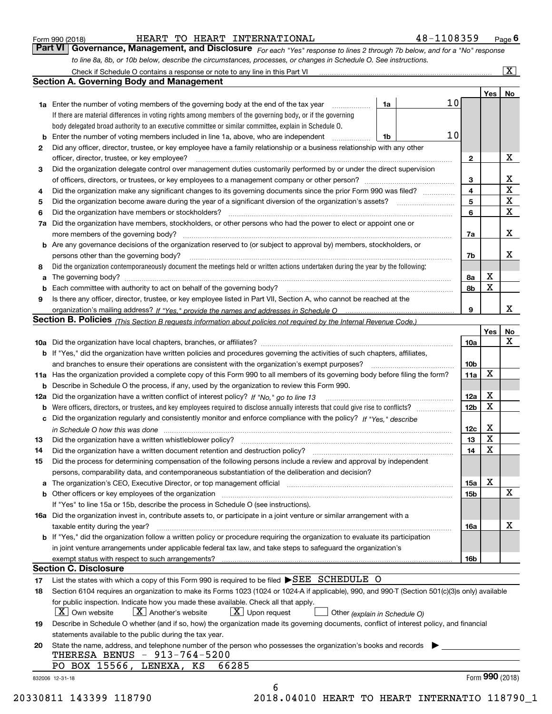|  | Form 990 (2018) |
|--|-----------------|
|  |                 |

HEART TO HEART INTERNATIONAL 48-1108359

*For each "Yes" response to lines 2 through 7b below, and for a "No" response to line 8a, 8b, or 10b below, describe the circumstances, processes, or changes in Schedule O. See instructions.* Form 990 (2018) **Form 990 (2018)** HEART TO HEART INTERNATIONAL 48-1108359 Page 6<br>**Part VI Governance, Management, and Disclosure** For each "Yes" response to lines 2 through 7b below, and for a "No" response

|                 |                                                                                                                                                                                                                                |                               |    |                         | Yes <sub>1</sub> | No           |
|-----------------|--------------------------------------------------------------------------------------------------------------------------------------------------------------------------------------------------------------------------------|-------------------------------|----|-------------------------|------------------|--------------|
|                 | <b>1a</b> Enter the number of voting members of the governing body at the end of the tax year <i>manumum</i>                                                                                                                   | 1a                            | 10 |                         |                  |              |
|                 | If there are material differences in voting rights among members of the governing body, or if the governing                                                                                                                    |                               |    |                         |                  |              |
|                 | body delegated broad authority to an executive committee or similar committee, explain in Schedule O.                                                                                                                          |                               |    |                         |                  |              |
|                 | Enter the number of voting members included in line 1a, above, who are independent                                                                                                                                             | 1b                            | 10 |                         |                  |              |
| 2               | Did any officer, director, trustee, or key employee have a family relationship or a business relationship with any other                                                                                                       |                               |    |                         |                  |              |
|                 | officer, director, trustee, or key employee?                                                                                                                                                                                   |                               |    | $\overline{2}$          |                  | х            |
| 3               | Did the organization delegate control over management duties customarily performed by or under the direct supervision                                                                                                          |                               |    |                         |                  |              |
|                 |                                                                                                                                                                                                                                |                               |    | 3                       |                  | х            |
| 4               | Did the organization make any significant changes to its governing documents since the prior Form 990 was filed?                                                                                                               |                               |    | $\overline{\mathbf{4}}$ |                  | $\mathbf X$  |
| 5               |                                                                                                                                                                                                                                |                               |    | 5                       |                  | $\mathbf X$  |
| 6               |                                                                                                                                                                                                                                |                               |    | 6                       |                  | $\mathbf{x}$ |
| 7a              | Did the organization have members, stockholders, or other persons who had the power to elect or appoint one or                                                                                                                 |                               |    |                         |                  |              |
|                 |                                                                                                                                                                                                                                |                               |    | 7a                      |                  | х            |
|                 | <b>b</b> Are any governance decisions of the organization reserved to (or subject to approval by) members, stockholders, or                                                                                                    |                               |    |                         |                  |              |
|                 | persons other than the governing body?                                                                                                                                                                                         |                               |    | 7b                      |                  | x            |
| 8               | Did the organization contemporaneously document the meetings held or written actions undertaken during the year by the following:                                                                                              |                               |    |                         |                  |              |
| a               |                                                                                                                                                                                                                                |                               |    | 8a                      | х                |              |
|                 |                                                                                                                                                                                                                                |                               |    | 8b                      | X                |              |
| 9               | Is there any officer, director, trustee, or key employee listed in Part VII, Section A, who cannot be reached at the                                                                                                           |                               |    |                         |                  |              |
|                 |                                                                                                                                                                                                                                |                               |    | 9                       |                  | х            |
|                 | Section B. Policies (This Section B requests information about policies not required by the Internal Revenue Code.)                                                                                                            |                               |    |                         |                  |              |
|                 |                                                                                                                                                                                                                                |                               |    |                         | Yes              | No           |
|                 |                                                                                                                                                                                                                                |                               |    | 10a                     |                  | X            |
|                 | <b>b</b> If "Yes," did the organization have written policies and procedures governing the activities of such chapters, affiliates,                                                                                            |                               |    |                         |                  |              |
|                 |                                                                                                                                                                                                                                |                               |    | 10 <sub>b</sub>         |                  |              |
|                 | 11a Has the organization provided a complete copy of this Form 990 to all members of its governing body before filing the form?                                                                                                |                               |    | 11a                     | X                |              |
|                 | <b>b</b> Describe in Schedule O the process, if any, used by the organization to review this Form 990.                                                                                                                         |                               |    |                         |                  |              |
| 12a             |                                                                                                                                                                                                                                |                               |    | <b>12a</b>              | х                |              |
| b               |                                                                                                                                                                                                                                |                               |    | 12b                     | X                |              |
|                 | c Did the organization regularly and consistently monitor and enforce compliance with the policy? If "Yes," describe                                                                                                           |                               |    |                         |                  |              |
|                 | in Schedule O how this was done measured and contained a strategie of the state of the state of the strategie o                                                                                                                |                               |    | 12c                     | х                |              |
| 13              | Did the organization have a written whistleblower policy?<br>The content of the content of the content of the content of the content of the content of the content of the c                                                    |                               |    | 13                      | X                |              |
| 14              | Did the organization have a written document retention and destruction policy? manufactured and the organization have a written document retention and destruction policy?                                                     |                               |    | 14                      | X                |              |
| 15              | Did the process for determining compensation of the following persons include a review and approval by independent                                                                                                             |                               |    |                         |                  |              |
|                 | persons, comparability data, and contemporaneous substantiation of the deliberation and decision?                                                                                                                              |                               |    |                         |                  |              |
|                 | a The organization's CEO, Executive Director, or top management official [11] [12] The organization's CEO, Executive Director, or top management official [12] [12] [12] [12] The organization's CEO, Executive Director, or t |                               |    | 15a                     | х                |              |
|                 | <b>b</b> Other officers or key employees of the organization entering contained and the organization of the organization                                                                                                       |                               |    | 15 <sub>b</sub>         |                  | Х            |
|                 | If "Yes" to line 15a or 15b, describe the process in Schedule O (see instructions).                                                                                                                                            |                               |    |                         |                  |              |
|                 | 16a Did the organization invest in, contribute assets to, or participate in a joint venture or similar arrangement with a                                                                                                      |                               |    |                         |                  |              |
|                 | taxable entity during the year?                                                                                                                                                                                                |                               |    | 16a                     |                  | х            |
|                 | b If "Yes," did the organization follow a written policy or procedure requiring the organization to evaluate its participation                                                                                                 |                               |    |                         |                  |              |
|                 | in joint venture arrangements under applicable federal tax law, and take steps to safeguard the organization's                                                                                                                 |                               |    |                         |                  |              |
|                 |                                                                                                                                                                                                                                |                               |    | 16b                     |                  |              |
|                 | <b>Section C. Disclosure</b>                                                                                                                                                                                                   |                               |    |                         |                  |              |
| 17              | List the states with which a copy of this Form 990 is required to be filed SEE SCHEDULE O                                                                                                                                      |                               |    |                         |                  |              |
| 18              | Section 6104 requires an organization to make its Forms 1023 (1024 or 1024-A if applicable), 990, and 990-T (Section 501(c)(3)s only) available                                                                                |                               |    |                         |                  |              |
|                 | for public inspection. Indicate how you made these available. Check all that apply.                                                                                                                                            |                               |    |                         |                  |              |
|                 | $ X $ Own website<br>$X$ Another's website<br>$X$ Upon request                                                                                                                                                                 | Other (explain in Schedule O) |    |                         |                  |              |
| 19              | Describe in Schedule O whether (and if so, how) the organization made its governing documents, conflict of interest policy, and financial                                                                                      |                               |    |                         |                  |              |
|                 | statements available to the public during the tax year.                                                                                                                                                                        |                               |    |                         |                  |              |
| 20              | State the name, address, and telephone number of the person who possesses the organization's books and records                                                                                                                 |                               |    |                         |                  |              |
|                 | THERESA BENUS - 913-764-5200                                                                                                                                                                                                   |                               |    |                         |                  |              |
|                 | PO BOX 15566, LENEXA, KS<br>66285                                                                                                                                                                                              |                               |    |                         |                  |              |
| 832006 12-31-18 |                                                                                                                                                                                                                                |                               |    |                         | Form 990 (2018)  |              |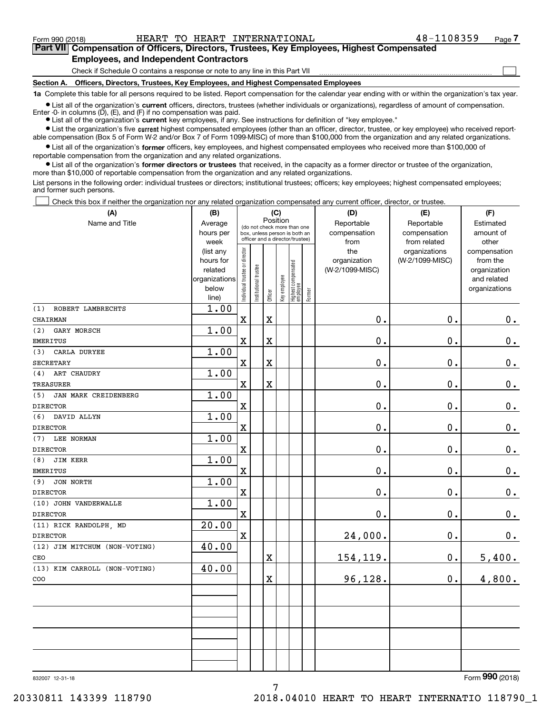**(A)**

Form 990 (2018) HEART TO HEART INTERNATIONAL 48-1108359 Page

 $\mathcal{L}^{\text{max}}$ 

# **7Part VII Compensation of Officers, Directors, Trustees, Key Employees, Highest Compensated Employees, and Independent Contractors**

Check if Schedule O contains a response or note to any line in this Part VII

**Section A. Officers, Directors, Trustees, Key Employees, and Highest Compensated Employees**

**1a**  Complete this table for all persons required to be listed. Report compensation for the calendar year ending with or within the organization's tax year.

**•** List all of the organization's current officers, directors, trustees (whether individuals or organizations), regardless of amount of compensation.

● List all of the organization's **current** key employees, if any. See instructions for definition of "key employee." Enter -0- in columns  $(D)$ ,  $(E)$ , and  $(F)$  if no compensation was paid.

**•** List the organization's five current highest compensated employees (other than an officer, director, trustee, or key employee) who received reportable compensation (Box 5 of Form W-2 and/or Box 7 of Form 1099-MISC) of more than \$100,000 from the organization and any related organizations.

 $\bullet$  List all of the organization's **former** officers, key employees, and highest compensated employees who received more than \$100,000 of reportable compensation from the organization and any related organizations.

**•** List all of the organization's former directors or trustees that received, in the capacity as a former director or trustee of the organization, more than \$10,000 of reportable compensation from the organization and any related organizations.

List persons in the following order: individual trustees or directors; institutional trustees; officers; key employees; highest compensated employees; and former such persons.

Check this box if neither the organization nor any related organization compensated any current officer, director, or trustee.  $\mathcal{L}^{\text{max}}$ 

| (A)                           | (B)                                                                  |                                |                                                                                                 | (C)         |              |                                  |        | (D)                                    | (E)                                        | (F)                                                                      |
|-------------------------------|----------------------------------------------------------------------|--------------------------------|-------------------------------------------------------------------------------------------------|-------------|--------------|----------------------------------|--------|----------------------------------------|--------------------------------------------|--------------------------------------------------------------------------|
| Name and Title                | Average<br>hours per<br>week                                         |                                | (do not check more than one<br>box, unless person is both an<br>officer and a director/trustee) | Position    |              |                                  |        | Reportable<br>compensation<br>from     | Reportable<br>compensation<br>from related | Estimated<br>amount of<br>other                                          |
|                               | (list any<br>hours for<br>related<br>organizations<br>below<br>line) | Individual trustee or director | Institutional trustee                                                                           | Officer     | Key employee | Highest compensated<br> employee | Former | the<br>organization<br>(W-2/1099-MISC) | organizations<br>(W-2/1099-MISC)           | compensation<br>from the<br>organization<br>and related<br>organizations |
| ROBERT LAMBRECHTS<br>(1)      | 1.00                                                                 |                                |                                                                                                 |             |              |                                  |        |                                        |                                            |                                                                          |
| CHAIRMAN                      |                                                                      | $\mathbf x$                    |                                                                                                 | X           |              |                                  |        | 0.                                     | 0.                                         | 0.                                                                       |
| GARY MORSCH<br>(2)            | 1.00                                                                 |                                |                                                                                                 |             |              |                                  |        |                                        |                                            |                                                                          |
| <b>EMERITUS</b>               |                                                                      | $\mathbf X$                    |                                                                                                 | X           |              |                                  |        | 0.                                     | 0.                                         | $\mathbf 0$ .                                                            |
| (3)<br>CARLA DURYEE           | 1.00                                                                 |                                |                                                                                                 |             |              |                                  |        |                                        |                                            |                                                                          |
| <b>SECRETARY</b>              |                                                                      | $\mathbf x$                    |                                                                                                 | X           |              |                                  |        | 0.                                     | 0.                                         | $\mathbf 0$ .                                                            |
| ART CHAUDRY<br>(4)            | 1.00                                                                 |                                |                                                                                                 |             |              |                                  |        |                                        |                                            |                                                                          |
| <b>TREASURER</b>              |                                                                      | $\mathbf x$                    |                                                                                                 | X           |              |                                  |        | 0.                                     | 0.                                         | $\mathbf 0$ .                                                            |
| (5)<br>JAN MARK CREIDENBERG   | 1.00                                                                 |                                |                                                                                                 |             |              |                                  |        |                                        |                                            |                                                                          |
| <b>DIRECTOR</b>               |                                                                      | $\mathbf X$                    |                                                                                                 |             |              |                                  |        | 0.                                     | 0.                                         | $0_{.}$                                                                  |
| DAVID ALLYN<br>(6)            | 1.00                                                                 |                                |                                                                                                 |             |              |                                  |        |                                        |                                            |                                                                          |
| <b>DIRECTOR</b>               |                                                                      | $\mathbf x$                    |                                                                                                 |             |              |                                  |        | $\mathbf 0$ .                          | 0.                                         | $\mathbf 0$ .                                                            |
| LEE NORMAN<br>(7)             | 1.00                                                                 |                                |                                                                                                 |             |              |                                  |        |                                        |                                            |                                                                          |
| <b>DIRECTOR</b>               |                                                                      | $\mathbf X$                    |                                                                                                 |             |              |                                  |        | $\mathbf 0$ .                          | 0.                                         | $0_{.}$                                                                  |
| <b>JIM KERR</b><br>(8)        | 1.00                                                                 |                                |                                                                                                 |             |              |                                  |        |                                        |                                            |                                                                          |
| <b>EMERITUS</b>               |                                                                      | $\mathbf X$                    |                                                                                                 |             |              |                                  |        | 0.                                     | 0.                                         | $\mathbf 0$ .                                                            |
| JON NORTH<br>(9)              | 1.00                                                                 |                                |                                                                                                 |             |              |                                  |        |                                        |                                            |                                                                          |
| <b>DIRECTOR</b>               |                                                                      | $\mathbf X$                    |                                                                                                 |             |              |                                  |        | 0.                                     | 0.                                         | $\mathbf 0$ .                                                            |
| (10) JOHN VANDERWALLE         | 1.00                                                                 |                                |                                                                                                 |             |              |                                  |        |                                        |                                            |                                                                          |
| <b>DIRECTOR</b>               |                                                                      | $\mathbf x$                    |                                                                                                 |             |              |                                  |        | 0.                                     | 0.                                         | $\mathbf 0$ .                                                            |
| (11) RICK RANDOLPH, MD        | 20.00                                                                |                                |                                                                                                 |             |              |                                  |        |                                        |                                            |                                                                          |
| <b>DIRECTOR</b>               |                                                                      | $\mathbf X$                    |                                                                                                 |             |              |                                  |        | 24,000.                                | 0.                                         | 0.                                                                       |
| (12) JIM MITCHUM (NON-VOTING) | 40.00                                                                |                                |                                                                                                 |             |              |                                  |        |                                        |                                            |                                                                          |
| CEO                           |                                                                      |                                |                                                                                                 | $\mathbf X$ |              |                                  |        | 154,119.                               | 0.                                         | 5,400.                                                                   |
| (13) KIM CARROLL (NON-VOTING) | 40.00                                                                |                                |                                                                                                 |             |              |                                  |        |                                        |                                            |                                                                          |
| COO                           |                                                                      |                                |                                                                                                 | X           |              |                                  |        | 96,128.                                | 0.                                         | 4,800.                                                                   |
|                               |                                                                      |                                |                                                                                                 |             |              |                                  |        |                                        |                                            |                                                                          |
|                               |                                                                      |                                |                                                                                                 |             |              |                                  |        |                                        |                                            |                                                                          |
|                               |                                                                      |                                |                                                                                                 |             |              |                                  |        |                                        |                                            |                                                                          |
|                               |                                                                      |                                |                                                                                                 |             |              |                                  |        |                                        |                                            |                                                                          |
|                               |                                                                      |                                |                                                                                                 |             |              |                                  |        |                                        |                                            |                                                                          |
|                               |                                                                      |                                |                                                                                                 |             |              |                                  |        |                                        |                                            |                                                                          |
|                               |                                                                      |                                |                                                                                                 |             |              |                                  |        |                                        |                                            |                                                                          |
|                               |                                                                      |                                |                                                                                                 |             |              |                                  |        |                                        |                                            |                                                                          |
|                               |                                                                      |                                |                                                                                                 |             |              |                                  |        |                                        |                                            | $\Omega$                                                                 |

832007 12-31-18

Form (2018) **990**

20330811 143399 118790 2018.04010 HEART TO HEART INTERNATIO 118790\_1

7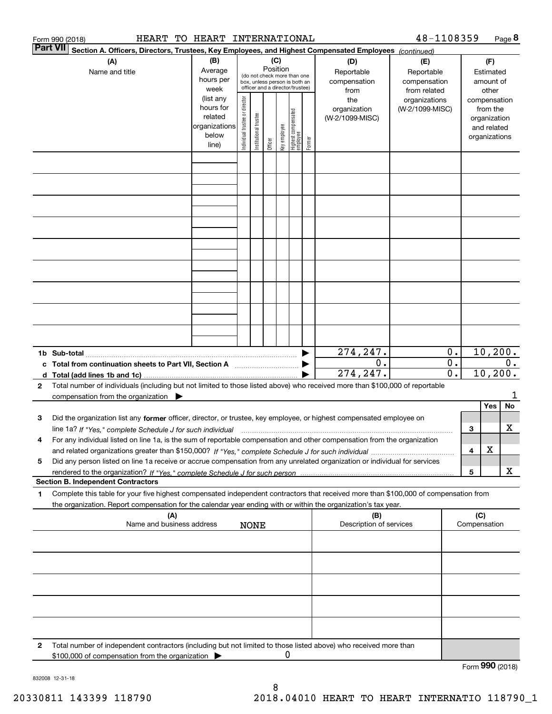|        | Form 990 (2018)                                                                                                                                                                                                                                        | HEART TO HEART INTERNATIONAL                            |                                |                       |                                                                                                                    |              |                                  |        |                                                  | 48-1108359                                                         |                           |                                           | Page 8            |
|--------|--------------------------------------------------------------------------------------------------------------------------------------------------------------------------------------------------------------------------------------------------------|---------------------------------------------------------|--------------------------------|-----------------------|--------------------------------------------------------------------------------------------------------------------|--------------|----------------------------------|--------|--------------------------------------------------|--------------------------------------------------------------------|---------------------------|-------------------------------------------|-------------------|
|        | Part VII<br>Section A. Officers, Directors, Trustees, Key Employees, and Highest Compensated Employees (continued)                                                                                                                                     |                                                         |                                |                       |                                                                                                                    |              |                                  |        |                                                  |                                                                    |                           |                                           |                   |
|        | (A)<br>Name and title                                                                                                                                                                                                                                  | (B)<br>Average<br>hours per<br>week<br>(list any        |                                |                       | (C)<br>Position<br>(do not check more than one<br>box, unless person is both an<br>officer and a director/trustee) |              |                                  |        | (D)<br>Reportable<br>compensation<br>from<br>the | (E)<br>Reportable<br>compensation<br>from related<br>organizations |                           | (F)<br>Estimated<br>other<br>compensation | amount of         |
|        |                                                                                                                                                                                                                                                        | hours for<br>related<br>organizations<br>below<br>line) | Individual trustee or director | Institutional trustee | Officer                                                                                                            | Key employee | Highest compensated<br> employee | Former | organization<br>(W-2/1099-MISC)                  | (W-2/1099-MISC)                                                    |                           | from the<br>and related<br>organizations  | organization      |
|        |                                                                                                                                                                                                                                                        |                                                         |                                |                       |                                                                                                                    |              |                                  |        |                                                  |                                                                    |                           |                                           |                   |
|        |                                                                                                                                                                                                                                                        |                                                         |                                |                       |                                                                                                                    |              |                                  |        |                                                  |                                                                    |                           |                                           |                   |
|        |                                                                                                                                                                                                                                                        |                                                         |                                |                       |                                                                                                                    |              |                                  |        |                                                  |                                                                    |                           |                                           |                   |
|        |                                                                                                                                                                                                                                                        |                                                         |                                |                       |                                                                                                                    |              |                                  |        |                                                  |                                                                    |                           |                                           |                   |
|        |                                                                                                                                                                                                                                                        |                                                         |                                |                       |                                                                                                                    |              |                                  |        |                                                  |                                                                    |                           |                                           |                   |
|        |                                                                                                                                                                                                                                                        |                                                         |                                |                       |                                                                                                                    |              |                                  |        | 274,247.                                         |                                                                    | $0$ .                     |                                           | 10, 200.          |
|        | c Total from continuation sheets to Part VII, Section A<br>d Total (add lines 1b and 1c)                                                                                                                                                               |                                                         |                                |                       |                                                                                                                    |              |                                  |        | 0.<br>274,247.                                   |                                                                    | $0$ .<br>$\overline{0}$ . |                                           | $0$ .<br>10, 200. |
| 2      | Total number of individuals (including but not limited to those listed above) who received more than \$100,000 of reportable<br>compensation from the organization $\blacktriangleright$                                                               |                                                         |                                |                       |                                                                                                                    |              |                                  |        |                                                  |                                                                    |                           |                                           | No                |
| з      | Did the organization list any former officer, director, or trustee, key employee, or highest compensated employee on<br>line 1a? If "Yes," complete Schedule J for such individual                                                                     |                                                         |                                |                       |                                                                                                                    |              |                                  |        |                                                  |                                                                    |                           | Yes<br>3                                  | X                 |
| 4<br>5 | For any individual listed on line 1a, is the sum of reportable compensation and other compensation from the organization<br>Did any person listed on line 1a receive or accrue compensation from any unrelated organization or individual for services |                                                         |                                |                       |                                                                                                                    |              |                                  |        |                                                  |                                                                    |                           | х<br>4                                    |                   |
|        | <b>Section B. Independent Contractors</b>                                                                                                                                                                                                              |                                                         |                                |                       |                                                                                                                    |              |                                  |        |                                                  |                                                                    |                           | 5                                         | X                 |
| 1      | Complete this table for your five highest compensated independent contractors that received more than \$100,000 of compensation from<br>the organization. Report compensation for the calendar year ending with or within the organization's tax year. |                                                         |                                |                       |                                                                                                                    |              |                                  |        |                                                  |                                                                    |                           |                                           |                   |
|        | (A)<br>Name and business address                                                                                                                                                                                                                       |                                                         |                                | <b>NONE</b>           |                                                                                                                    |              |                                  |        | (B)<br>Description of services                   |                                                                    |                           | (C)<br>Compensation                       |                   |
|        |                                                                                                                                                                                                                                                        |                                                         |                                |                       |                                                                                                                    |              |                                  |        |                                                  |                                                                    |                           |                                           |                   |
|        |                                                                                                                                                                                                                                                        |                                                         |                                |                       |                                                                                                                    |              |                                  |        |                                                  |                                                                    |                           |                                           |                   |
|        |                                                                                                                                                                                                                                                        |                                                         |                                |                       |                                                                                                                    |              |                                  |        |                                                  |                                                                    |                           |                                           |                   |
| 2      | Total number of independent contractors (including but not limited to those listed above) who received more than<br>\$100,000 of compensation from the organization                                                                                    |                                                         |                                |                       |                                                                                                                    |              |                                  |        |                                                  |                                                                    |                           |                                           | Form 990 (2018)   |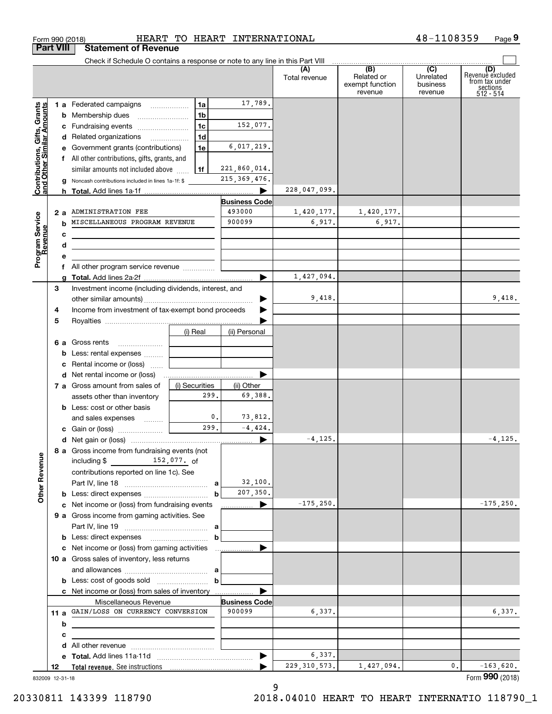|                                                           |                 | Check if Schedule O contains a response or note to any line in this Part VIII                  |  |                        |                      |                |                                                              |                                         |                                                                    |
|-----------------------------------------------------------|-----------------|------------------------------------------------------------------------------------------------|--|------------------------|----------------------|----------------|--------------------------------------------------------------|-----------------------------------------|--------------------------------------------------------------------|
|                                                           |                 |                                                                                                |  |                        |                      | Total revenue  | $\overline{(B)}$<br>Related or<br>exempt function<br>revenue | (C)<br>Unrelated<br>business<br>revenue | (D)<br>Revenuè excluded<br>from tax under<br>sections<br>512 - 514 |
|                                                           |                 | 1 a Federated campaigns                                                                        |  | 1a                     | 17,789.              |                |                                                              |                                         |                                                                    |
| Contributions, Gifts, Grants<br>and Other Similar Amounts |                 | <b>b</b> Membership dues                                                                       |  | 1b                     |                      |                |                                                              |                                         |                                                                    |
|                                                           |                 | c Fundraising events                                                                           |  | 1 <sub>c</sub>         | 152,077.             |                |                                                              |                                         |                                                                    |
|                                                           |                 | d Related organizations                                                                        |  | 1 <sub>d</sub>         |                      |                |                                                              |                                         |                                                                    |
|                                                           |                 | e Government grants (contributions)                                                            |  | 1e                     | 6,017,219.           |                |                                                              |                                         |                                                                    |
|                                                           |                 | f All other contributions, gifts, grants, and                                                  |  |                        |                      |                |                                                              |                                         |                                                                    |
|                                                           |                 | similar amounts not included above                                                             |  | 1f                     | 221,860,014.         |                |                                                              |                                         |                                                                    |
|                                                           |                 | Noncash contributions included in lines 1a-1f: \$                                              |  |                        | 215, 369, 476.       |                |                                                              |                                         |                                                                    |
|                                                           |                 |                                                                                                |  |                        |                      | 228,047,099.   |                                                              |                                         |                                                                    |
|                                                           |                 |                                                                                                |  |                        | <b>Business Code</b> |                |                                                              |                                         |                                                                    |
|                                                           | 2a              | ADMINISTRATION FEE                                                                             |  |                        | 493000               | 1,420,177.     | 1,420,177.                                                   |                                         |                                                                    |
|                                                           | b               | MISCELLANEOUS PROGRAM REVENUE                                                                  |  |                        | 900099               | 6,917.         | 6,917.                                                       |                                         |                                                                    |
| Program Service<br>Revenue                                | c               |                                                                                                |  |                        |                      |                |                                                              |                                         |                                                                    |
|                                                           | d               |                                                                                                |  |                        |                      |                |                                                              |                                         |                                                                    |
|                                                           | е               |                                                                                                |  |                        |                      |                |                                                              |                                         |                                                                    |
|                                                           |                 | f All other program service revenue                                                            |  |                        |                      |                |                                                              |                                         |                                                                    |
|                                                           |                 |                                                                                                |  |                        |                      | 1,427,094.     |                                                              |                                         |                                                                    |
|                                                           | З               | Investment income (including dividends, interest, and                                          |  |                        |                      |                |                                                              |                                         |                                                                    |
|                                                           |                 |                                                                                                |  |                        |                      | 9,418.         |                                                              |                                         | 9,418.                                                             |
|                                                           | 4               | Income from investment of tax-exempt bond proceeds                                             |  |                        |                      |                |                                                              |                                         |                                                                    |
|                                                           | 5               |                                                                                                |  |                        |                      |                |                                                              |                                         |                                                                    |
|                                                           |                 |                                                                                                |  | (i) Real               | (ii) Personal        |                |                                                              |                                         |                                                                    |
|                                                           |                 | <b>6 a</b> Gross rents                                                                         |  |                        |                      |                |                                                              |                                         |                                                                    |
|                                                           |                 | <b>b</b> Less: rental expenses  [                                                              |  |                        |                      |                |                                                              |                                         |                                                                    |
|                                                           |                 | c Rental income or (loss)                                                                      |  |                        |                      |                |                                                              |                                         |                                                                    |
|                                                           |                 |                                                                                                |  |                        |                      |                |                                                              |                                         |                                                                    |
|                                                           |                 | 7 a Gross amount from sales of                                                                 |  | (i) Securities         | (ii) Other           |                |                                                              |                                         |                                                                    |
|                                                           |                 | assets other than inventory                                                                    |  | 299.                   | 69,388.              |                |                                                              |                                         |                                                                    |
|                                                           |                 | <b>b</b> Less: cost or other basis                                                             |  |                        |                      |                |                                                              |                                         |                                                                    |
|                                                           |                 | and sales expenses                                                                             |  | $\mathbf{0}$ .<br>299. | 73,812.              |                |                                                              |                                         |                                                                    |
|                                                           |                 |                                                                                                |  |                        | $-4,424.$            |                |                                                              |                                         | $-4, 125.$                                                         |
|                                                           |                 |                                                                                                |  |                        | ▶                    | $-4, 125.$     |                                                              |                                         |                                                                    |
| g                                                         |                 | 8 a Gross income from fundraising events (not<br>including $$ 152,077.$ of                     |  |                        |                      |                |                                                              |                                         |                                                                    |
| Other Reven                                               |                 |                                                                                                |  |                        |                      |                |                                                              |                                         |                                                                    |
|                                                           |                 | contributions reported on line 1c). See                                                        |  |                        | 32,100.              |                |                                                              |                                         |                                                                    |
|                                                           |                 |                                                                                                |  | $\mathbf b$            | 207,350.             |                |                                                              |                                         |                                                                    |
|                                                           |                 | <b>b</b> Less: direct expenses <i></i>                                                         |  |                        |                      | $-175, 250.$   |                                                              |                                         | $-175, 250.$                                                       |
|                                                           |                 | c Net income or (loss) from fundraising events<br>9 a Gross income from gaming activities. See |  |                        | ___________ ▶        |                |                                                              |                                         |                                                                    |
|                                                           |                 |                                                                                                |  |                        |                      |                |                                                              |                                         |                                                                    |
|                                                           |                 |                                                                                                |  | b                      |                      |                |                                                              |                                         |                                                                    |
|                                                           |                 |                                                                                                |  |                        |                      |                |                                                              |                                         |                                                                    |
|                                                           |                 | 10 a Gross sales of inventory, less returns                                                    |  |                        |                      |                |                                                              |                                         |                                                                    |
|                                                           |                 |                                                                                                |  |                        |                      |                |                                                              |                                         |                                                                    |
|                                                           |                 |                                                                                                |  | b                      |                      |                |                                                              |                                         |                                                                    |
|                                                           |                 |                                                                                                |  |                        |                      |                |                                                              |                                         |                                                                    |
|                                                           |                 | Miscellaneous Revenue                                                                          |  |                        | <b>Business Code</b> |                |                                                              |                                         |                                                                    |
|                                                           |                 | 11 a GAIN/LOSS ON CURRENCY CONVERSION                                                          |  |                        | 900099               | 6,337.         |                                                              |                                         | 6,337.                                                             |
|                                                           | b               |                                                                                                |  |                        |                      |                |                                                              |                                         |                                                                    |
|                                                           | c               |                                                                                                |  |                        |                      |                |                                                              |                                         |                                                                    |
|                                                           | d               |                                                                                                |  |                        |                      |                |                                                              |                                         |                                                                    |
|                                                           |                 |                                                                                                |  |                        |                      | 6,337.         |                                                              |                                         |                                                                    |
|                                                           | 12              |                                                                                                |  |                        |                      | 229, 310, 573. | 1,427,094.                                                   | 0.                                      | $-163,620.$                                                        |
|                                                           | 832009 12-31-18 |                                                                                                |  |                        |                      |                |                                                              |                                         | Form 990 (2018)                                                    |

Form 990 (2018) HEART TO HEART INTERNATIONAL 4 8-110 8 3 5 9 Page

**9**

48-1108359

**Part VIII Statement of Revenue**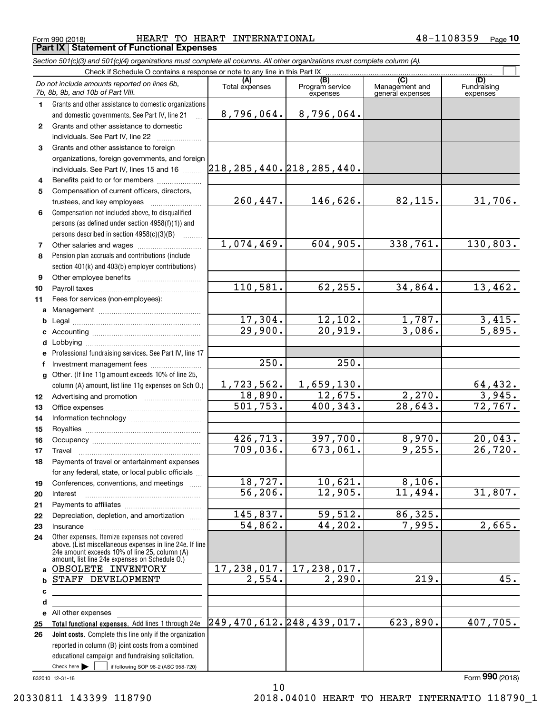Form 990 (2018) HEART TO HEART INTERNATIONAL 4 8-1108359 <sub>Page</sub> **Part IX Statement of Functional Expenses**

*Section 501(c)(3) and 501(c)(4) organizations must complete all columns. All other organizations must complete column (A).*

|                 | Check if Schedule O contains a response or note to any line in this Part IX                                                                                                                                 |                               |                                    |                           |                                    |                                |
|-----------------|-------------------------------------------------------------------------------------------------------------------------------------------------------------------------------------------------------------|-------------------------------|------------------------------------|---------------------------|------------------------------------|--------------------------------|
|                 | Do not include amounts reported on lines 6b,<br>7b, 8b, 9b, and 10b of Part VIII.                                                                                                                           | Total expenses                | (B)<br>Program service<br>expenses |                           | Management and<br>general expenses | (D)<br>Fundraising<br>expenses |
| 1.              | Grants and other assistance to domestic organizations                                                                                                                                                       |                               |                                    |                           |                                    |                                |
|                 | and domestic governments. See Part IV, line 21                                                                                                                                                              | 8,796,064.                    | 8,796,064.                         |                           |                                    |                                |
| $\mathbf{2}$    | Grants and other assistance to domestic                                                                                                                                                                     |                               |                                    |                           |                                    |                                |
|                 | individuals. See Part IV, line 22                                                                                                                                                                           |                               |                                    |                           |                                    |                                |
| 3               | Grants and other assistance to foreign                                                                                                                                                                      |                               |                                    |                           |                                    |                                |
|                 | organizations, foreign governments, and foreign                                                                                                                                                             |                               |                                    |                           |                                    |                                |
|                 | individuals. See Part IV, lines 15 and 16                                                                                                                                                                   | 218, 285, 440. 218, 285, 440. |                                    |                           |                                    |                                |
| 4               | Benefits paid to or for members                                                                                                                                                                             |                               |                                    |                           |                                    |                                |
| 5               | Compensation of current officers, directors,                                                                                                                                                                |                               |                                    |                           |                                    |                                |
|                 |                                                                                                                                                                                                             | 260,447.                      | 146,626.                           |                           | 82,115.                            | 31,706.                        |
| 6               | Compensation not included above, to disqualified                                                                                                                                                            |                               |                                    |                           |                                    |                                |
|                 | persons (as defined under section 4958(f)(1)) and                                                                                                                                                           |                               |                                    |                           |                                    |                                |
|                 | persons described in section 4958(c)(3)(B)                                                                                                                                                                  |                               |                                    |                           |                                    |                                |
| 7               |                                                                                                                                                                                                             | 1,074,469.                    |                                    | 604,905.                  | 338,761.                           | 130,803.                       |
| 8               | Pension plan accruals and contributions (include                                                                                                                                                            |                               |                                    |                           |                                    |                                |
|                 | section 401(k) and 403(b) employer contributions)                                                                                                                                                           |                               |                                    |                           |                                    |                                |
| 9               |                                                                                                                                                                                                             | 110,581.                      |                                    | 62, 255.                  | 34,864.                            | 13,462.                        |
| 10              |                                                                                                                                                                                                             |                               |                                    |                           |                                    |                                |
| 11              | Fees for services (non-employees):                                                                                                                                                                          |                               |                                    |                           |                                    |                                |
| a               |                                                                                                                                                                                                             |                               |                                    |                           | 1,787.                             |                                |
| b<br>c          |                                                                                                                                                                                                             | $\frac{17,304.}{29,900.}$     |                                    | $\frac{12,102.}{20,919.}$ | 3,086.                             | $\frac{3,415}{5,895}$ .        |
| d               |                                                                                                                                                                                                             |                               |                                    |                           |                                    |                                |
| e               | Professional fundraising services. See Part IV, line 17                                                                                                                                                     |                               |                                    |                           |                                    |                                |
| f               | Investment management fees                                                                                                                                                                                  | 250.                          |                                    | 250.                      |                                    |                                |
| a               | Other. (If line 11g amount exceeds 10% of line 25,                                                                                                                                                          |                               |                                    |                           |                                    |                                |
|                 | column (A) amount, list line 11g expenses on Sch 0.)                                                                                                                                                        | 1,723,562.                    | 1,659,130.                         |                           |                                    |                                |
| 12 <sup>°</sup> |                                                                                                                                                                                                             | 18,890.                       |                                    | 12,675.                   | 2,270.                             | $\frac{64,432}{3,945}$         |
| 13              |                                                                                                                                                                                                             | 501, 753.                     | 400, 343.                          |                           | $\overline{28,643}$ .              | 72, 767.                       |
| 14              |                                                                                                                                                                                                             |                               |                                    |                           |                                    |                                |
| 15              |                                                                                                                                                                                                             |                               |                                    |                           |                                    |                                |
| 16              |                                                                                                                                                                                                             | 426,713.                      |                                    | 397,700.                  | 8,970.                             | 20,043.                        |
| 17              | Travel                                                                                                                                                                                                      | 709,036.                      | 673,061.                           |                           | 9,255.                             | 26,720.                        |
| 18              | Payments of travel or entertainment expenses                                                                                                                                                                |                               |                                    |                           |                                    |                                |
|                 | for any federal, state, or local public officials                                                                                                                                                           |                               |                                    |                           |                                    |                                |
| 19              | Conferences, conventions, and meetings                                                                                                                                                                      | 18,727.                       |                                    | 10,621.                   | 8,106.                             |                                |
| 20              | Interest                                                                                                                                                                                                    | 56, 206.                      |                                    | 12,905.                   | 11,494.                            | 31,807.                        |
| 21              |                                                                                                                                                                                                             |                               |                                    |                           |                                    |                                |
| 22              | Depreciation, depletion, and amortization                                                                                                                                                                   | 145,837.                      |                                    | 59,512.                   | 86, 325.                           |                                |
| 23              | Insurance                                                                                                                                                                                                   | 54,862.                       |                                    | 44,202.                   | 7,995.                             | 2,665.                         |
| 24              | Other expenses. Itemize expenses not covered<br>above. (List miscellaneous expenses in line 24e. If line<br>24e amount exceeds 10% of line 25, column (A)<br>amount, list line 24e expenses on Schedule O.) |                               |                                    |                           |                                    |                                |
| a               | OBSOLETE INVENTORY                                                                                                                                                                                          | 17,238,017.                   | 17,238,017.                        |                           |                                    |                                |
| b               | STAFF DEVELOPMENT                                                                                                                                                                                           | 2,554.                        |                                    | 2,290.                    | 219.                               | 45.                            |
| c               |                                                                                                                                                                                                             |                               |                                    |                           |                                    |                                |
| d               |                                                                                                                                                                                                             |                               |                                    |                           |                                    |                                |
| е               | All other expenses                                                                                                                                                                                          |                               |                                    |                           |                                    |                                |
| 25              | Total functional expenses. Add lines 1 through 24e                                                                                                                                                          | 249, 470, 612. 248, 439, 017. |                                    |                           | 623,890.                           | 407,705.                       |
| 26              | Joint costs. Complete this line only if the organization                                                                                                                                                    |                               |                                    |                           |                                    |                                |
|                 | reported in column (B) joint costs from a combined                                                                                                                                                          |                               |                                    |                           |                                    |                                |
|                 | educational campaign and fundraising solicitation.                                                                                                                                                          |                               |                                    |                           |                                    |                                |
|                 | Check here $\blacktriangleright$<br>if following SOP 98-2 (ASC 958-720)                                                                                                                                     |                               |                                    |                           |                                    | $\sim$                         |

832010 12-31-18

Form (2018) **990**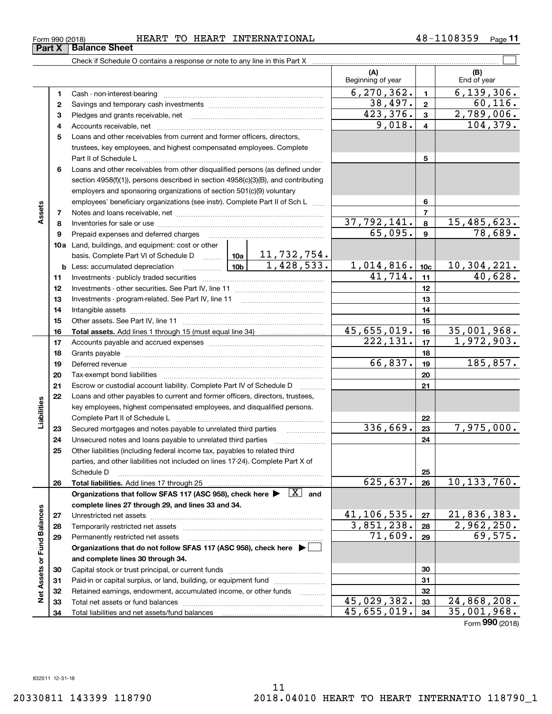**34**

Total liabilities and net assets/fund balances

**Net Assets or Fund Balances**

**Net Assets or Fund Balances** 

**34**

 $45,655,019.$   $34 \mid 35,001,968.$ 

Form (2018) **990**

| Form 990 (2018) |                       | <b>HEART</b> | TO. | HEART | INTERNATIONAL | 108359<br>48– | Page |
|-----------------|-----------------------|--------------|-----|-------|---------------|---------------|------|
| <b>Part X</b>   | <b>∣Balance Sheet</b> |              |     |       |               |               |      |

Check if Schedule O contains a response or note to any line in this Part X

**(A) (B) 123** Pledges and grants receivable, net  $\ldots$  **multimes contained and grants receivable**, net **multimes contained and grants receivable**, net **multimes contained and grants receivable 45678910a**Land, buildings, and equipment: cost or other **111213141516171819202122232425262728293031323312345678910c11121314151617181920212223242526b** Less: accumulated depreciation \_\_\_\_\_\_\_\_\_\_\_\_\_\_\_ Lub basis. Complete Part VI of Schedule D will aller **Total assets.**  Add lines 1 through 15 (must equal line 34) **Total liabilities.**  Add lines 17 through 25 Organizations that follow SFAS 117 (ASC 958), check here  $\blacktriangleright$   $\boxed{\text{X}}$  and **complete lines 27 through 29, and lines 33 and 34. 272829Organizations that do not follow SFAS 117 (ASC 958), check here** | **and complete lines 30 through 34. 30313233**Beginning of year | | End of year Cash - non-interest-bearing ~~~~~~~~~~~~~~~~~~~~~~~~~ Savings and temporary cash investments ~~~~~~~~~~~~~~~~~~Accounts receivable, net ~~~~~~~~~~~~~~~~~~~~~~~~~~ Loans and other receivables from current and former officers, directors, trustees, key employees, and highest compensated employees. Complete Part II of Schedule L ~~~~~~~~~~~~~~~~~~~~~~~~~~~~ Loans and other receivables from other disqualified persons (as defined under section 4958(f)(1)), persons described in section 4958(c)(3)(B), and contributing employers and sponsoring organizations of section 501(c)(9) voluntary employees' beneficiary organizations (see instr). Complete Part II of Sch L Notes and loans receivable, net ~~~~~~~~~~~~~~~~~~~~~~~ Inventories for sale or use ~~~~~~~~~~~~~~~~~~~~~~~~~~ Prepaid expenses and deferred charges Investments - publicly traded securities ~~~~~~~~~~~~~~~~~~~ Investments - other securities. See Part IV, line 11 ~~~~~~~~~~~~~~Investments - program-related. See Part IV, line 11 Intangible assets …………………………………………………………………………………… Other assets. See Part IV, line 11 ~~~~~~~~~~~~~~~~~~~~~~ Accounts payable and accrued expenses ~~~~~~~~~~~~~~~~~~Grants payable ~~~~~~~~~~~~~~~~~~~~~~~~~~~~~~~ Deferred revenue et al. **Deferred** revenue et al. **Deferred** revenue et al. **Deferred** revenue Tax-exempt bond liabilities …………………………………………………………… Escrow or custodial account liability. Complete Part IV of Schedule D Loans and other payables to current and former officers, directors, trustees, key employees, highest compensated employees, and disqualified persons. Complete Part II of Schedule L <sub>…………………………………………………………</sub> Secured mortgages and notes payable to unrelated third parties Unsecured notes and loans payable to unrelated third parties ~~~~~~~~~~~~~~~~~~~~ Other liabilities (including federal income tax, payables to related third parties, and other liabilities not included on lines 17-24). Complete Part X of Schedule D ~~~~~~~~~~~~~~~~~~~~~~~~~~~~~~~~ Unrestricted net assets ~~~~~~~~~~~~~~~~~~~~~~~~~~~ Temporarily restricted net assets ~~~~~~~~~~~~~~~~~~~~~~ Permanently restricted net assets …………………………………………………… Capital stock or trust principal, or current funds ~~~~~~~~~~~~~~~ Paid-in or capital surplus, or land, building, or equipment fund will concurred. Retained earnings, endowment, accumulated income, or other funds www.com Total net assets or fund balances ~~~~~~~~~~~~~~~~~~~~~~  $6,270,362.$   $1$  6,139,306.  $9,018. | 4 | 104,379.$  $423,376.$   $3 \mid 2,789,006.$  $37,792,141. | 8 | 15,485,623.$ 65,095. 78,689.  $41,714.$   $11$   $40,628.$ 11,732,754. 1,428,533. 1,014,816. 10,304,221.  $45,655,019.$   $16 \mid 35,001,968.$  $38,497. | 2 | 60,116.$  $222,131.$  17 1,972,903.  $66,837.$  19 185,857.  $336,669.$  23 7,975,000.  $625,637. |26 | 10,133,760.$  $41, 106, 535.$  27  $21, 836, 383.$  $3,851,238. |28 | 2,962,250.$  $71,609.$  29 69,575. 45,029,382. 24,868,208.

 $\mathcal{L}^{\text{max}}$ 

**Assets**

**Liabilities**

Liabilities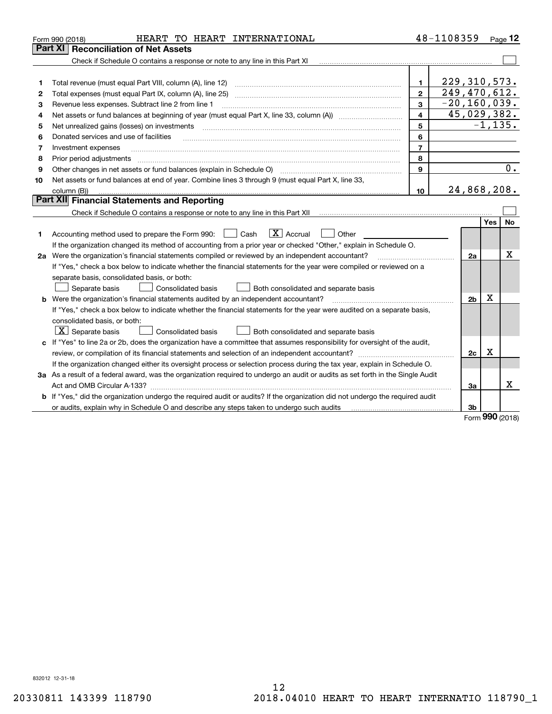|    | HEART TO HEART INTERNATIONAL<br>Form 990 (2018)                                                                                 |                | 48-1108359 |                              |         | Page $12$ |  |  |  |  |
|----|---------------------------------------------------------------------------------------------------------------------------------|----------------|------------|------------------------------|---------|-----------|--|--|--|--|
|    | Part XI<br><b>Reconciliation of Net Assets</b>                                                                                  |                |            |                              |         |           |  |  |  |  |
|    | Check if Schedule O contains a response or note to any line in this Part XI                                                     |                |            |                              |         |           |  |  |  |  |
|    |                                                                                                                                 |                |            |                              |         |           |  |  |  |  |
| 1  |                                                                                                                                 | $\mathbf{1}$   |            | 229, 310, 573.               |         |           |  |  |  |  |
| 2  | Total expenses (must equal Part IX, column (A), line 25)                                                                        | $\overline{2}$ |            | 249,470,612.                 |         |           |  |  |  |  |
| з  | Revenue less expenses. Subtract line 2 from line 1                                                                              | 3              |            | $\overline{-20}$ , 160, 039. |         |           |  |  |  |  |
| 4  | 45,029,382.<br>4                                                                                                                |                |            |                              |         |           |  |  |  |  |
| 5  | Net unrealized gains (losses) on investments                                                                                    |                |            | $-1, 135.$                   |         |           |  |  |  |  |
| 6  | Donated services and use of facilities                                                                                          | 6              |            |                              |         |           |  |  |  |  |
| 7  | Investment expenses                                                                                                             | $\overline{7}$ |            |                              |         |           |  |  |  |  |
| 8  | Prior period adjustments                                                                                                        | 8              |            |                              |         |           |  |  |  |  |
| 9  | Other changes in net assets or fund balances (explain in Schedule O)                                                            | 9              |            |                              |         | 0.        |  |  |  |  |
| 10 | Net assets or fund balances at end of year. Combine lines 3 through 9 (must equal Part X, line 33,                              |                |            |                              |         |           |  |  |  |  |
|    | column (B))                                                                                                                     | 10             |            | 24,868,208.                  |         |           |  |  |  |  |
|    | Part XII Financial Statements and Reporting                                                                                     |                |            |                              |         |           |  |  |  |  |
|    |                                                                                                                                 |                |            |                              |         |           |  |  |  |  |
|    |                                                                                                                                 |                |            |                              | Yes     | No        |  |  |  |  |
| 1  | $\boxed{\text{X}}$ Accrual<br>Accounting method used to prepare the Form 990: <u>I</u> Cash<br>Other                            |                |            |                              |         |           |  |  |  |  |
|    | If the organization changed its method of accounting from a prior year or checked "Other," explain in Schedule O.               |                |            |                              |         |           |  |  |  |  |
|    | 2a Were the organization's financial statements compiled or reviewed by an independent accountant?                              |                |            | 2a                           |         | х         |  |  |  |  |
|    | If "Yes," check a box below to indicate whether the financial statements for the year were compiled or reviewed on a            |                |            |                              |         |           |  |  |  |  |
|    | separate basis, consolidated basis, or both:                                                                                    |                |            |                              |         |           |  |  |  |  |
|    | Separate basis<br>Consolidated basis<br>Both consolidated and separate basis                                                    |                |            |                              |         |           |  |  |  |  |
|    | <b>b</b> Were the organization's financial statements audited by an independent accountant?                                     |                |            | 2 <sub>b</sub>               | x       |           |  |  |  |  |
|    | If "Yes," check a box below to indicate whether the financial statements for the year were audited on a separate basis,         |                |            |                              |         |           |  |  |  |  |
|    | consolidated basis, or both:                                                                                                    |                |            |                              |         |           |  |  |  |  |
|    | $ \mathbf{X} $ Separate basis<br>Consolidated basis<br>Both consolidated and separate basis                                     |                |            |                              |         |           |  |  |  |  |
|    | c If "Yes" to line 2a or 2b, does the organization have a committee that assumes responsibility for oversight of the audit,     |                |            |                              |         |           |  |  |  |  |
|    |                                                                                                                                 |                |            | 2c                           | Х       |           |  |  |  |  |
|    | If the organization changed either its oversight process or selection process during the tax year, explain in Schedule O.       |                |            |                              |         |           |  |  |  |  |
|    | 3a As a result of a federal award, was the organization required to undergo an audit or audits as set forth in the Single Audit |                |            |                              |         |           |  |  |  |  |
|    |                                                                                                                                 |                |            | 3a                           |         | x         |  |  |  |  |
|    | b If "Yes," did the organization undergo the required audit or audits? If the organization did not undergo the required audit   |                |            |                              |         |           |  |  |  |  |
|    |                                                                                                                                 |                |            | 3b                           | $000 -$ |           |  |  |  |  |

Form (2018) **990**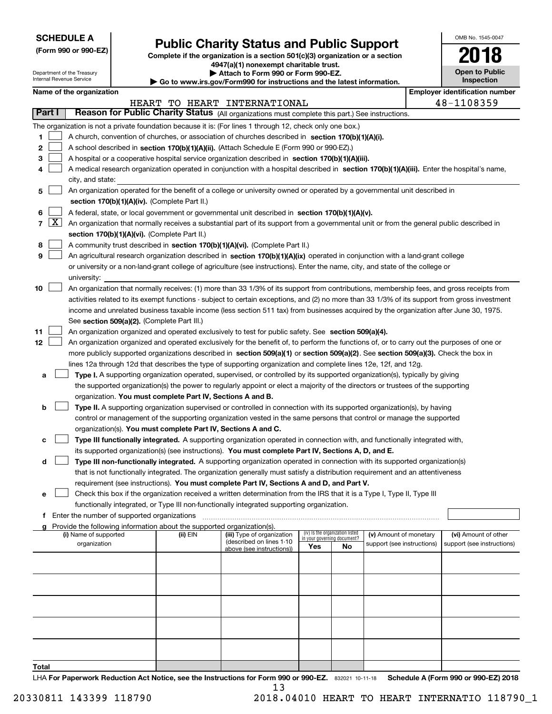| <b>SCHEDULE A</b> |
|-------------------|
|-------------------|

Department of the Treasury Internal Revenue Service

**(Form 990 or 990-EZ)**

# **Public Charity Status and Public Support**

**Complete if the organization is a section 501(c)(3) organization or a section 4947(a)(1) nonexempt charitable trust.**

**| Attach to Form 990 or Form 990-EZ.** 

**| Go to www.irs.gov/Form990 for instructions and the latest information.**

| OMB No. 1545-0047                   |
|-------------------------------------|
| 11<br>ı                             |
| <b>Open to Public</b><br>Inspection |

|                | Name of the organization<br><b>Employer identification number</b> |                                                                                                                                               |          |                                                       |     |                                                                |                            |  |                            |  |  |  |  |
|----------------|-------------------------------------------------------------------|-----------------------------------------------------------------------------------------------------------------------------------------------|----------|-------------------------------------------------------|-----|----------------------------------------------------------------|----------------------------|--|----------------------------|--|--|--|--|
|                |                                                                   |                                                                                                                                               |          | HEART TO HEART INTERNATIONAL                          |     |                                                                |                            |  | 48-1108359                 |  |  |  |  |
|                | Part I                                                            | Reason for Public Charity Status (All organizations must complete this part.) See instructions.                                               |          |                                                       |     |                                                                |                            |  |                            |  |  |  |  |
|                |                                                                   | The organization is not a private foundation because it is: (For lines 1 through 12, check only one box.)                                     |          |                                                       |     |                                                                |                            |  |                            |  |  |  |  |
| 1              |                                                                   | A church, convention of churches, or association of churches described in section 170(b)(1)(A)(i).                                            |          |                                                       |     |                                                                |                            |  |                            |  |  |  |  |
| 2              |                                                                   | A school described in section 170(b)(1)(A)(ii). (Attach Schedule E (Form 990 or 990-EZ).)                                                     |          |                                                       |     |                                                                |                            |  |                            |  |  |  |  |
| 3              |                                                                   | A hospital or a cooperative hospital service organization described in section 170(b)(1)(A)(iii).                                             |          |                                                       |     |                                                                |                            |  |                            |  |  |  |  |
| 4              |                                                                   | A medical research organization operated in conjunction with a hospital described in section 170(b)(1)(A)(iii). Enter the hospital's name,    |          |                                                       |     |                                                                |                            |  |                            |  |  |  |  |
|                |                                                                   | city, and state:                                                                                                                              |          |                                                       |     |                                                                |                            |  |                            |  |  |  |  |
|                |                                                                   | An organization operated for the benefit of a college or university owned or operated by a governmental unit described in                     |          |                                                       |     |                                                                |                            |  |                            |  |  |  |  |
| 5              |                                                                   |                                                                                                                                               |          |                                                       |     |                                                                |                            |  |                            |  |  |  |  |
|                |                                                                   | section 170(b)(1)(A)(iv). (Complete Part II.)                                                                                                 |          |                                                       |     |                                                                |                            |  |                            |  |  |  |  |
| 6              |                                                                   | A federal, state, or local government or governmental unit described in section 170(b)(1)(A)(v).                                              |          |                                                       |     |                                                                |                            |  |                            |  |  |  |  |
| $\overline{7}$ | $\sqrt{\text{X}}$                                                 | An organization that normally receives a substantial part of its support from a governmental unit or from the general public described in     |          |                                                       |     |                                                                |                            |  |                            |  |  |  |  |
|                |                                                                   | section 170(b)(1)(A)(vi). (Complete Part II.)                                                                                                 |          |                                                       |     |                                                                |                            |  |                            |  |  |  |  |
| 8              |                                                                   | A community trust described in section 170(b)(1)(A)(vi). (Complete Part II.)                                                                  |          |                                                       |     |                                                                |                            |  |                            |  |  |  |  |
| 9              |                                                                   | An agricultural research organization described in section 170(b)(1)(A)(ix) operated in conjunction with a land-grant college                 |          |                                                       |     |                                                                |                            |  |                            |  |  |  |  |
|                |                                                                   | or university or a non-land-grant college of agriculture (see instructions). Enter the name, city, and state of the college or                |          |                                                       |     |                                                                |                            |  |                            |  |  |  |  |
|                |                                                                   | university:                                                                                                                                   |          |                                                       |     |                                                                |                            |  |                            |  |  |  |  |
| 10             |                                                                   | An organization that normally receives: (1) more than 33 1/3% of its support from contributions, membership fees, and gross receipts from     |          |                                                       |     |                                                                |                            |  |                            |  |  |  |  |
|                |                                                                   | activities related to its exempt functions - subject to certain exceptions, and (2) no more than 33 1/3% of its support from gross investment |          |                                                       |     |                                                                |                            |  |                            |  |  |  |  |
|                |                                                                   | income and unrelated business taxable income (less section 511 tax) from businesses acquired by the organization after June 30, 1975.         |          |                                                       |     |                                                                |                            |  |                            |  |  |  |  |
|                |                                                                   | See section 509(a)(2). (Complete Part III.)                                                                                                   |          |                                                       |     |                                                                |                            |  |                            |  |  |  |  |
| 11             |                                                                   | An organization organized and operated exclusively to test for public safety. See section 509(a)(4).                                          |          |                                                       |     |                                                                |                            |  |                            |  |  |  |  |
| 12             |                                                                   | An organization organized and operated exclusively for the benefit of, to perform the functions of, or to carry out the purposes of one or    |          |                                                       |     |                                                                |                            |  |                            |  |  |  |  |
|                |                                                                   | more publicly supported organizations described in section 509(a)(1) or section 509(a)(2). See section 509(a)(3). Check the box in            |          |                                                       |     |                                                                |                            |  |                            |  |  |  |  |
|                |                                                                   | lines 12a through 12d that describes the type of supporting organization and complete lines 12e, 12f, and 12g.                                |          |                                                       |     |                                                                |                            |  |                            |  |  |  |  |
| а              |                                                                   | Type I. A supporting organization operated, supervised, or controlled by its supported organization(s), typically by giving                   |          |                                                       |     |                                                                |                            |  |                            |  |  |  |  |
|                |                                                                   | the supported organization(s) the power to regularly appoint or elect a majority of the directors or trustees of the supporting               |          |                                                       |     |                                                                |                            |  |                            |  |  |  |  |
|                |                                                                   | organization. You must complete Part IV, Sections A and B.                                                                                    |          |                                                       |     |                                                                |                            |  |                            |  |  |  |  |
| b              |                                                                   | Type II. A supporting organization supervised or controlled in connection with its supported organization(s), by having                       |          |                                                       |     |                                                                |                            |  |                            |  |  |  |  |
|                |                                                                   | control or management of the supporting organization vested in the same persons that control or manage the supported                          |          |                                                       |     |                                                                |                            |  |                            |  |  |  |  |
|                |                                                                   | organization(s). You must complete Part IV, Sections A and C.                                                                                 |          |                                                       |     |                                                                |                            |  |                            |  |  |  |  |
| с              |                                                                   | Type III functionally integrated. A supporting organization operated in connection with, and functionally integrated with,                    |          |                                                       |     |                                                                |                            |  |                            |  |  |  |  |
|                |                                                                   | its supported organization(s) (see instructions). You must complete Part IV, Sections A, D, and E.                                            |          |                                                       |     |                                                                |                            |  |                            |  |  |  |  |
| d              |                                                                   | Type III non-functionally integrated. A supporting organization operated in connection with its supported organization(s)                     |          |                                                       |     |                                                                |                            |  |                            |  |  |  |  |
|                |                                                                   | that is not functionally integrated. The organization generally must satisfy a distribution requirement and an attentiveness                  |          |                                                       |     |                                                                |                            |  |                            |  |  |  |  |
|                |                                                                   | requirement (see instructions). You must complete Part IV, Sections A and D, and Part V.                                                      |          |                                                       |     |                                                                |                            |  |                            |  |  |  |  |
| е              |                                                                   | Check this box if the organization received a written determination from the IRS that it is a Type I, Type II, Type III                       |          |                                                       |     |                                                                |                            |  |                            |  |  |  |  |
|                |                                                                   | functionally integrated, or Type III non-functionally integrated supporting organization.                                                     |          |                                                       |     |                                                                |                            |  |                            |  |  |  |  |
|                |                                                                   | f Enter the number of supported organizations                                                                                                 |          |                                                       |     |                                                                |                            |  |                            |  |  |  |  |
| a              |                                                                   | Provide the following information about the supported organization(s).                                                                        |          |                                                       |     |                                                                |                            |  |                            |  |  |  |  |
|                |                                                                   | (i) Name of supported                                                                                                                         | (ii) EIN | (iii) Type of organization                            |     | (iv) Is the organization listed<br>in your governing document? | (v) Amount of monetary     |  | (vi) Amount of other       |  |  |  |  |
|                |                                                                   | organization                                                                                                                                  |          | (described on lines 1-10<br>above (see instructions)) | Yes | No                                                             | support (see instructions) |  | support (see instructions) |  |  |  |  |
|                |                                                                   |                                                                                                                                               |          |                                                       |     |                                                                |                            |  |                            |  |  |  |  |
|                |                                                                   |                                                                                                                                               |          |                                                       |     |                                                                |                            |  |                            |  |  |  |  |
|                |                                                                   |                                                                                                                                               |          |                                                       |     |                                                                |                            |  |                            |  |  |  |  |
|                |                                                                   |                                                                                                                                               |          |                                                       |     |                                                                |                            |  |                            |  |  |  |  |
|                |                                                                   |                                                                                                                                               |          |                                                       |     |                                                                |                            |  |                            |  |  |  |  |
|                |                                                                   |                                                                                                                                               |          |                                                       |     |                                                                |                            |  |                            |  |  |  |  |
|                |                                                                   |                                                                                                                                               |          |                                                       |     |                                                                |                            |  |                            |  |  |  |  |
|                |                                                                   |                                                                                                                                               |          |                                                       |     |                                                                |                            |  |                            |  |  |  |  |
|                |                                                                   |                                                                                                                                               |          |                                                       |     |                                                                |                            |  |                            |  |  |  |  |

LHA For Paperwork Reduction Act Notice, see the Instructions for Form 990 or 990-EZ. 832021 10-11-18 Schedule A (Form 990 or 990-EZ) 2018 **Total** 13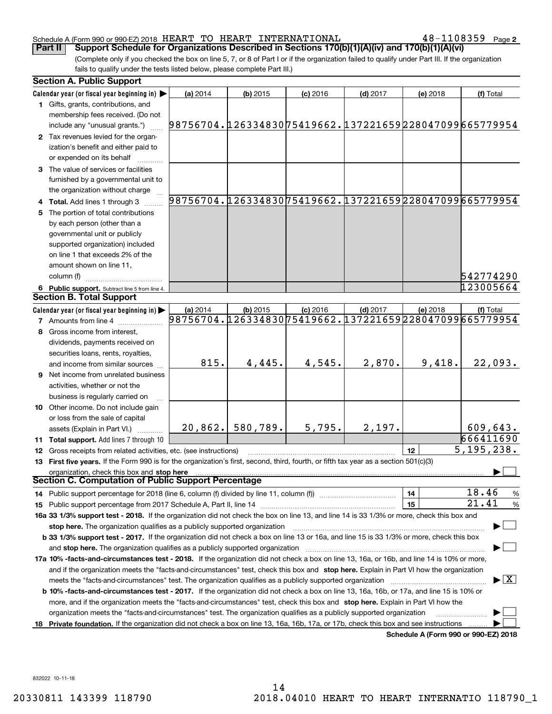#### Schedule A (Form 990 or 990-EZ) 2018  $\rm{HEART\_TO}$   $\rm{HEART\_INTERNATIONAL}$   $\rm{48-1108359}$   $\rm{Page}$

 $48 - 1108359$  Page 2

(Complete only if you checked the box on line 5, 7, or 8 of Part I or if the organization failed to qualify under Part III. If the organization fails to qualify under the tests listed below, please complete Part III.) **Part II** | Support Schedule for Organizations Described in Sections 170(b)(1)(A)(iv) and 170(b)(1)(A)(vi)

|    | <b>Section A. Public Support</b>                                                                                                                                                                                               |                                                                    |            |            |            |          |                                          |
|----|--------------------------------------------------------------------------------------------------------------------------------------------------------------------------------------------------------------------------------|--------------------------------------------------------------------|------------|------------|------------|----------|------------------------------------------|
|    | Calendar year (or fiscal year beginning in)                                                                                                                                                                                    | (a) 2014                                                           | $(b)$ 2015 | $(c)$ 2016 | $(d)$ 2017 | (e) 2018 | (f) Total                                |
|    | 1 Gifts, grants, contributions, and<br>membership fees received. (Do not                                                                                                                                                       |                                                                    |            |            |            |          |                                          |
|    | include any "unusual grants.")                                                                                                                                                                                                 | 98756704.12633483075419662.137221659228047099665779954             |            |            |            |          |                                          |
|    | 2 Tax revenues levied for the organ-<br>ization's benefit and either paid to                                                                                                                                                   |                                                                    |            |            |            |          |                                          |
|    | or expended on its behalf                                                                                                                                                                                                      |                                                                    |            |            |            |          |                                          |
|    | 3 The value of services or facilities                                                                                                                                                                                          |                                                                    |            |            |            |          |                                          |
|    | furnished by a governmental unit to                                                                                                                                                                                            |                                                                    |            |            |            |          |                                          |
|    | the organization without charge                                                                                                                                                                                                | 98756704.12633483075419662.137221659228047099665779954             |            |            |            |          |                                          |
|    | 4 Total. Add lines 1 through 3                                                                                                                                                                                                 |                                                                    |            |            |            |          |                                          |
| 5  | The portion of total contributions                                                                                                                                                                                             |                                                                    |            |            |            |          |                                          |
|    | by each person (other than a                                                                                                                                                                                                   |                                                                    |            |            |            |          |                                          |
|    | governmental unit or publicly                                                                                                                                                                                                  |                                                                    |            |            |            |          |                                          |
|    | supported organization) included                                                                                                                                                                                               |                                                                    |            |            |            |          |                                          |
|    | on line 1 that exceeds 2% of the                                                                                                                                                                                               |                                                                    |            |            |            |          |                                          |
|    | amount shown on line 11,                                                                                                                                                                                                       |                                                                    |            |            |            |          |                                          |
|    | column (f)                                                                                                                                                                                                                     |                                                                    |            |            |            |          | 542774290                                |
|    | 6 Public support. Subtract line 5 from line 4.<br><b>Section B. Total Support</b>                                                                                                                                              |                                                                    |            |            |            |          | 123005664                                |
|    |                                                                                                                                                                                                                                |                                                                    |            |            |            |          |                                          |
|    | Calendar year (or fiscal year beginning in)                                                                                                                                                                                    | (a) 2014<br>98756704.12633483075419662.137221659228047099665779954 | $(b)$ 2015 | $(c)$ 2016 | $(d)$ 2017 | (e) 2018 | (f) Total                                |
|    | <b>7</b> Amounts from line 4                                                                                                                                                                                                   |                                                                    |            |            |            |          |                                          |
|    | Gross income from interest,                                                                                                                                                                                                    |                                                                    |            |            |            |          |                                          |
|    | dividends, payments received on                                                                                                                                                                                                |                                                                    |            |            |            |          |                                          |
|    | securities loans, rents, royalties,                                                                                                                                                                                            |                                                                    |            |            |            |          |                                          |
|    | and income from similar sources                                                                                                                                                                                                | 815.                                                               | 4,445.     | 4,545.     | 2,870.     | 9,418.   | 22,093.                                  |
|    | 9 Net income from unrelated business                                                                                                                                                                                           |                                                                    |            |            |            |          |                                          |
|    | activities, whether or not the                                                                                                                                                                                                 |                                                                    |            |            |            |          |                                          |
|    | business is regularly carried on                                                                                                                                                                                               |                                                                    |            |            |            |          |                                          |
|    | 10 Other income. Do not include gain                                                                                                                                                                                           |                                                                    |            |            |            |          |                                          |
|    | or loss from the sale of capital                                                                                                                                                                                               |                                                                    |            |            |            |          |                                          |
|    | assets (Explain in Part VI.)                                                                                                                                                                                                   | 20,862.                                                            | 580,789.   | 5,795.     | 2,197.     |          | 609,643.                                 |
|    | 11 Total support. Add lines 7 through 10                                                                                                                                                                                       |                                                                    |            |            |            |          | 666411690                                |
|    | 12 Gross receipts from related activities, etc. (see instructions)                                                                                                                                                             |                                                                    |            |            |            | 12       | 5, 195, 238.                             |
|    | 13 First five years. If the Form 990 is for the organization's first, second, third, fourth, or fifth tax year as a section 501(c)(3)                                                                                          |                                                                    |            |            |            |          |                                          |
|    | organization, check this box and stop here<br>Section C. Computation of Public Support Percentage                                                                                                                              |                                                                    |            |            |            |          |                                          |
|    | 14 Public support percentage for 2018 (line 6, column (f) divided by line 11, column (f) <i></i>                                                                                                                               |                                                                    |            |            |            | 14       | 18.46<br>$\frac{9}{6}$                   |
|    |                                                                                                                                                                                                                                |                                                                    |            |            |            | 15       | 21.41<br>$\%$                            |
|    | 16a 33 1/3% support test - 2018. If the organization did not check the box on line 13, and line 14 is 33 1/3% or more, check this box and                                                                                      |                                                                    |            |            |            |          |                                          |
|    | stop here. The organization qualifies as a publicly supported organization                                                                                                                                                     |                                                                    |            |            |            |          |                                          |
|    | b 33 1/3% support test - 2017. If the organization did not check a box on line 13 or 16a, and line 15 is 33 1/3% or more, check this box                                                                                       |                                                                    |            |            |            |          |                                          |
|    | and stop here. The organization qualifies as a publicly supported organization [11] manuscription manuscription manuscription manuscription manuscription manuscription manuscription manuscription manuscription manuscriptio |                                                                    |            |            |            |          |                                          |
|    | 17a 10% -facts-and-circumstances test - 2018. If the organization did not check a box on line 13, 16a, or 16b, and line 14 is 10% or more,                                                                                     |                                                                    |            |            |            |          |                                          |
|    | and if the organization meets the "facts-and-circumstances" test, check this box and stop here. Explain in Part VI how the organization                                                                                        |                                                                    |            |            |            |          |                                          |
|    | meets the "facts-and-circumstances" test. The organization qualifies as a publicly supported organization                                                                                                                      |                                                                    |            |            |            |          | $\blacktriangleright$ $\boxed{\text{X}}$ |
|    | <b>b 10% -facts-and-circumstances test - 2017.</b> If the organization did not check a box on line 13, 16a, 16b, or 17a, and line 15 is 10% or                                                                                 |                                                                    |            |            |            |          |                                          |
|    | more, and if the organization meets the "facts-and-circumstances" test, check this box and stop here. Explain in Part VI how the                                                                                               |                                                                    |            |            |            |          |                                          |
|    | organization meets the "facts-and-circumstances" test. The organization qualifies as a publicly supported organization                                                                                                         |                                                                    |            |            |            |          |                                          |
| 18 | Private foundation. If the organization did not check a box on line 13, 16a, 16b, 17a, or 17b, check this box and see instructions                                                                                             |                                                                    |            |            |            |          |                                          |
|    |                                                                                                                                                                                                                                |                                                                    |            |            |            |          | Schedule A (Form 990 or 990-EZ) 2018     |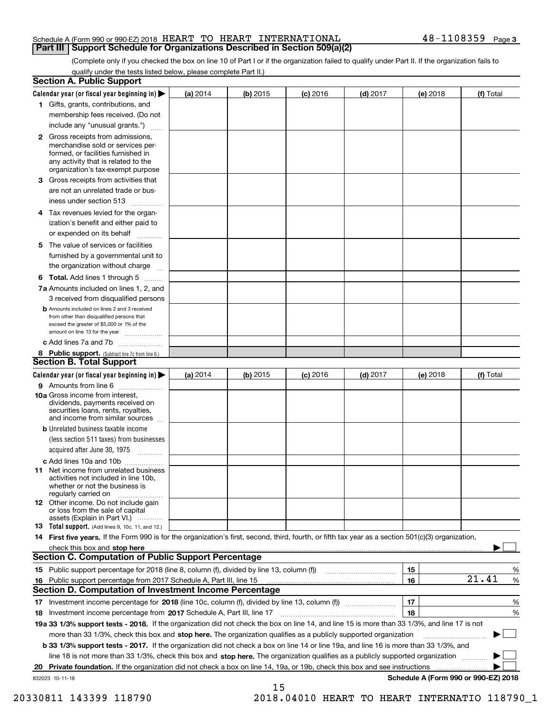#### Schedule A (Form 990 or 990-EZ) 2018  $\rm{HEART\_TO}$   $\rm{HEART\_INTERNATIONAL}$   $\rm{48-1108359}$   $\rm{Page}$ **Part III Support Schedule for Organizations Described in Section 509(a)(2)**

(Complete only if you checked the box on line 10 of Part I or if the organization failed to qualify under Part II. If the organization fails to qualify under the tests listed below, please complete Part II.)

|    | <b>Section A. Public Support</b>                                                                                                                                                         |            |            |            |            |          |                                      |
|----|------------------------------------------------------------------------------------------------------------------------------------------------------------------------------------------|------------|------------|------------|------------|----------|--------------------------------------|
|    | Calendar year (or fiscal year beginning in) $\blacktriangleright$                                                                                                                        | (a) 2014   | $(b)$ 2015 | $(c)$ 2016 | $(d)$ 2017 | (e) 2018 | (f) Total                            |
|    | 1 Gifts, grants, contributions, and                                                                                                                                                      |            |            |            |            |          |                                      |
|    | membership fees received. (Do not                                                                                                                                                        |            |            |            |            |          |                                      |
|    | include any "unusual grants.")                                                                                                                                                           |            |            |            |            |          |                                      |
|    | 2 Gross receipts from admissions,<br>merchandise sold or services per-<br>formed, or facilities furnished in<br>any activity that is related to the<br>organization's tax-exempt purpose |            |            |            |            |          |                                      |
|    | 3 Gross receipts from activities that                                                                                                                                                    |            |            |            |            |          |                                      |
|    | are not an unrelated trade or bus-                                                                                                                                                       |            |            |            |            |          |                                      |
|    | iness under section 513                                                                                                                                                                  |            |            |            |            |          |                                      |
|    | 4 Tax revenues levied for the organ-                                                                                                                                                     |            |            |            |            |          |                                      |
|    | ization's benefit and either paid to                                                                                                                                                     |            |            |            |            |          |                                      |
|    | or expended on its behalf<br>.                                                                                                                                                           |            |            |            |            |          |                                      |
|    | 5 The value of services or facilities<br>furnished by a governmental unit to                                                                                                             |            |            |            |            |          |                                      |
|    | the organization without charge                                                                                                                                                          |            |            |            |            |          |                                      |
|    |                                                                                                                                                                                          |            |            |            |            |          |                                      |
|    | <b>6 Total.</b> Add lines 1 through 5                                                                                                                                                    |            |            |            |            |          |                                      |
|    | 7a Amounts included on lines 1, 2, and<br>3 received from disqualified persons                                                                                                           |            |            |            |            |          |                                      |
|    | <b>b</b> Amounts included on lines 2 and 3 received<br>from other than disqualified persons that<br>exceed the greater of \$5,000 or 1% of the<br>amount on line 13 for the year         |            |            |            |            |          |                                      |
|    | c Add lines 7a and 7b                                                                                                                                                                    |            |            |            |            |          |                                      |
|    | 8 Public support. (Subtract line 7c from line 6.)                                                                                                                                        |            |            |            |            |          |                                      |
|    | <b>Section B. Total Support</b>                                                                                                                                                          |            |            |            |            |          |                                      |
|    | Calendar year (or fiscal year beginning in) $\blacktriangleright$                                                                                                                        | (a) $2014$ | $(b)$ 2015 | $(c)$ 2016 | $(d)$ 2017 | (e) 2018 | (f) Total                            |
|    | 9 Amounts from line 6                                                                                                                                                                    |            |            |            |            |          |                                      |
|    | 10a Gross income from interest,<br>dividends, payments received on<br>securities loans, rents, royalties,<br>and income from similar sources                                             |            |            |            |            |          |                                      |
|    | <b>b</b> Unrelated business taxable income                                                                                                                                               |            |            |            |            |          |                                      |
|    | (less section 511 taxes) from businesses                                                                                                                                                 |            |            |            |            |          |                                      |
|    | acquired after June 30, 1975                                                                                                                                                             |            |            |            |            |          |                                      |
|    | c Add lines 10a and 10b<br>11 Net income from unrelated business<br>activities not included in line 10b,<br>whether or not the business is<br>regularly carried on                       |            |            |            |            |          |                                      |
|    | 12 Other income. Do not include gain<br>or loss from the sale of capital<br>assets (Explain in Part VI.)                                                                                 |            |            |            |            |          |                                      |
|    | <b>13</b> Total support. (Add lines 9, 10c, 11, and 12.)                                                                                                                                 |            |            |            |            |          |                                      |
|    | 14 First five years. If the Form 990 is for the organization's first, second, third, fourth, or fifth tax year as a section 501(c)(3) organization,                                      |            |            |            |            |          |                                      |
|    | check this box and stop here measurements are constructed as the state of the state of the state of the state o                                                                          |            |            |            |            |          |                                      |
|    | Section C. Computation of Public Support Percentage                                                                                                                                      |            |            |            |            |          |                                      |
|    | 15 Public support percentage for 2018 (line 8, column (f), divided by line 13, column (f))                                                                                               |            |            |            |            | 15       | %                                    |
|    | 16 Public support percentage from 2017 Schedule A, Part III, line 15                                                                                                                     |            |            |            |            | 16       | 21.41<br>%                           |
|    | <b>Section D. Computation of Investment Income Percentage</b>                                                                                                                            |            |            |            |            |          |                                      |
|    | 17 Investment income percentage for 2018 (line 10c, column (f), divided by line 13, column (f))                                                                                          |            |            |            |            | 17       | %                                    |
|    | <b>18</b> Investment income percentage from <b>2017</b> Schedule A, Part III, line 17                                                                                                    |            |            |            |            | 18       | %                                    |
|    | 19a 33 1/3% support tests - 2018. If the organization did not check the box on line 14, and line 15 is more than 33 1/3%, and line 17 is not                                             |            |            |            |            |          |                                      |
|    | more than 33 1/3%, check this box and stop here. The organization qualifies as a publicly supported organization                                                                         |            |            |            |            |          | ▶                                    |
|    | b 33 1/3% support tests - 2017. If the organization did not check a box on line 14 or line 19a, and line 16 is more than 33 1/3%, and                                                    |            |            |            |            |          |                                      |
|    | line 18 is not more than 33 1/3%, check this box and stop here. The organization qualifies as a publicly supported organization                                                          |            |            |            |            |          |                                      |
| 20 | <b>Private foundation.</b> If the organization did not check a box on line 14, 19a, or 19b, check this box and see instructions                                                          |            |            |            |            |          |                                      |
|    | 832023 10-11-18                                                                                                                                                                          |            |            |            |            |          | Schedule A (Form 990 or 990-EZ) 2018 |
|    |                                                                                                                                                                                          |            | 15         |            |            |          |                                      |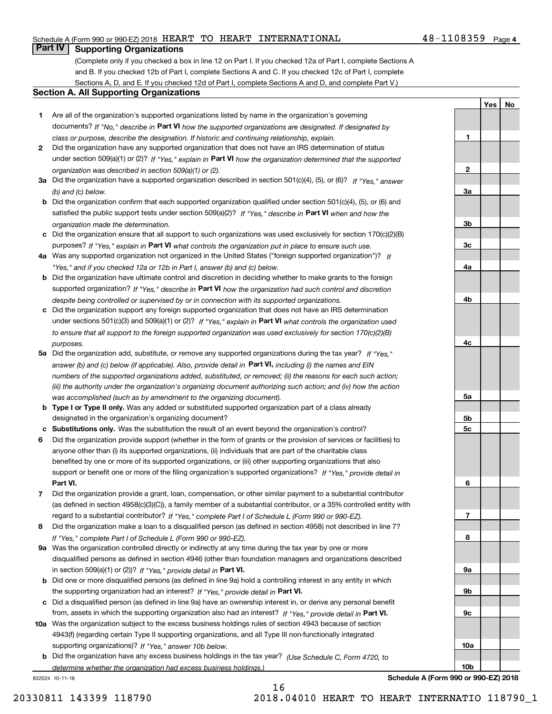### Schedule A (Form 990 or 990-EZ) 2018  $\rm{HEART\_TO}$   $\rm{HEART\_INTERNATIONAL}$   $\rm{48-1108359}$   $\rm{Page}$

# **Part IV Supporting Organizations**

(Complete only if you checked a box in line 12 on Part I. If you checked 12a of Part I, complete Sections A and B. If you checked 12b of Part I, complete Sections A and C. If you checked 12c of Part I, complete Sections A, D, and E. If you checked 12d of Part I, complete Sections A and D, and complete Part V.)

#### **Section A. All Supporting Organizations**

- **1** Are all of the organization's supported organizations listed by name in the organization's governing documents? If "No," describe in **Part VI** how the supported organizations are designated. If designated by *class or purpose, describe the designation. If historic and continuing relationship, explain.*
- **2** Did the organization have any supported organization that does not have an IRS determination of status under section 509(a)(1) or (2)? If "Yes," explain in Part VI how the organization determined that the supported *organization was described in section 509(a)(1) or (2).*
- **3a** Did the organization have a supported organization described in section 501(c)(4), (5), or (6)? If "Yes," answer *(b) and (c) below.*
- **b** Did the organization confirm that each supported organization qualified under section 501(c)(4), (5), or (6) and satisfied the public support tests under section 509(a)(2)? If "Yes," describe in **Part VI** when and how the *organization made the determination.*
- **c**Did the organization ensure that all support to such organizations was used exclusively for section 170(c)(2)(B) purposes? If "Yes," explain in **Part VI** what controls the organization put in place to ensure such use.
- **4a***If* Was any supported organization not organized in the United States ("foreign supported organization")? *"Yes," and if you checked 12a or 12b in Part I, answer (b) and (c) below.*
- **b** Did the organization have ultimate control and discretion in deciding whether to make grants to the foreign supported organization? If "Yes," describe in **Part VI** how the organization had such control and discretion *despite being controlled or supervised by or in connection with its supported organizations.*
- **c** Did the organization support any foreign supported organization that does not have an IRS determination under sections 501(c)(3) and 509(a)(1) or (2)? If "Yes," explain in **Part VI** what controls the organization used *to ensure that all support to the foreign supported organization was used exclusively for section 170(c)(2)(B) purposes.*
- **5a** Did the organization add, substitute, or remove any supported organizations during the tax year? If "Yes," answer (b) and (c) below (if applicable). Also, provide detail in **Part VI,** including (i) the names and EIN *numbers of the supported organizations added, substituted, or removed; (ii) the reasons for each such action; (iii) the authority under the organization's organizing document authorizing such action; and (iv) how the action was accomplished (such as by amendment to the organizing document).*
- **b** Type I or Type II only. Was any added or substituted supported organization part of a class already designated in the organization's organizing document?
- **cSubstitutions only.**  Was the substitution the result of an event beyond the organization's control?
- **6** Did the organization provide support (whether in the form of grants or the provision of services or facilities) to **Part VI.** *If "Yes," provide detail in* support or benefit one or more of the filing organization's supported organizations? anyone other than (i) its supported organizations, (ii) individuals that are part of the charitable class benefited by one or more of its supported organizations, or (iii) other supporting organizations that also
- **7**Did the organization provide a grant, loan, compensation, or other similar payment to a substantial contributor *If "Yes," complete Part I of Schedule L (Form 990 or 990-EZ).* regard to a substantial contributor? (as defined in section 4958(c)(3)(C)), a family member of a substantial contributor, or a 35% controlled entity with
- **8** Did the organization make a loan to a disqualified person (as defined in section 4958) not described in line 7? *If "Yes," complete Part I of Schedule L (Form 990 or 990-EZ).*
- **9a** Was the organization controlled directly or indirectly at any time during the tax year by one or more in section 509(a)(1) or (2))? If "Yes," *provide detail in* <code>Part VI.</code> disqualified persons as defined in section 4946 (other than foundation managers and organizations described
- **b** Did one or more disqualified persons (as defined in line 9a) hold a controlling interest in any entity in which the supporting organization had an interest? If "Yes," provide detail in P**art VI**.
- **c**Did a disqualified person (as defined in line 9a) have an ownership interest in, or derive any personal benefit from, assets in which the supporting organization also had an interest? If "Yes," provide detail in P**art VI.**
- **10a** Was the organization subject to the excess business holdings rules of section 4943 because of section supporting organizations)? If "Yes," answer 10b below. 4943(f) (regarding certain Type II supporting organizations, and all Type III non-functionally integrated
- **b** Did the organization have any excess business holdings in the tax year? (Use Schedule C, Form 4720, to *determine whether the organization had excess business holdings.)*

832024 10-11-18

**3a3b3c4a4b4c5a 5b5c6789a 9b9c10a**

**Schedule A (Form 990 or 990-EZ) 2018**

**10b**

**1**

**2**

**YesNo**

16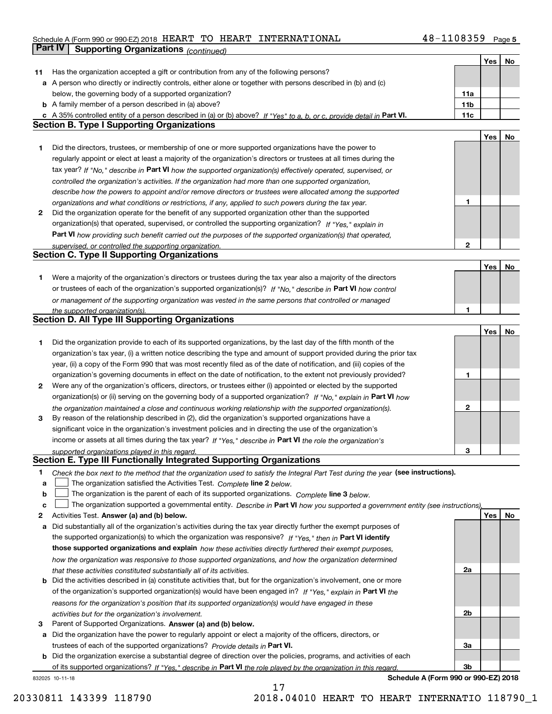### Schedule A (Form 990 or 990-EZ) 2018  $\rm{HEART\_TO}$   $\rm{HEART\_INTERNATIONAL}$   $\rm{48-1108359}$   $\rm{Page}$ **Part IV Supporting Organizations** *(continued)*

|    |                                                                                                                                                                                                                      |              | Yes | No |
|----|----------------------------------------------------------------------------------------------------------------------------------------------------------------------------------------------------------------------|--------------|-----|----|
| 11 | Has the organization accepted a gift or contribution from any of the following persons?                                                                                                                              |              |     |    |
|    | a A person who directly or indirectly controls, either alone or together with persons described in (b) and (c)                                                                                                       |              |     |    |
|    | below, the governing body of a supported organization?                                                                                                                                                               | 11a          |     |    |
|    | <b>b</b> A family member of a person described in (a) above?                                                                                                                                                         | 11b          |     |    |
|    | c A 35% controlled entity of a person described in (a) or (b) above? If "Yes" to a, b, or c, provide detail in Part VI.                                                                                              | 11c          |     |    |
|    | <b>Section B. Type I Supporting Organizations</b>                                                                                                                                                                    |              |     |    |
|    |                                                                                                                                                                                                                      |              | Yes | No |
| 1  | Did the directors, trustees, or membership of one or more supported organizations have the power to                                                                                                                  |              |     |    |
|    | regularly appoint or elect at least a majority of the organization's directors or trustees at all times during the                                                                                                   |              |     |    |
|    |                                                                                                                                                                                                                      |              |     |    |
|    | tax year? If "No," describe in Part VI how the supported organization(s) effectively operated, supervised, or                                                                                                        |              |     |    |
|    | controlled the organization's activities. If the organization had more than one supported organization,                                                                                                              |              |     |    |
|    | describe how the powers to appoint and/or remove directors or trustees were allocated among the supported                                                                                                            |              |     |    |
|    | organizations and what conditions or restrictions, if any, applied to such powers during the tax year.                                                                                                               | 1            |     |    |
| 2  | Did the organization operate for the benefit of any supported organization other than the supported                                                                                                                  |              |     |    |
|    | organization(s) that operated, supervised, or controlled the supporting organization? If "Yes," explain in                                                                                                           |              |     |    |
|    | Part VI how providing such benefit carried out the purposes of the supported organization(s) that operated,                                                                                                          |              |     |    |
|    | supervised, or controlled the supporting organization.                                                                                                                                                               | $\mathbf{2}$ |     |    |
|    | <b>Section C. Type II Supporting Organizations</b>                                                                                                                                                                   |              |     |    |
|    |                                                                                                                                                                                                                      |              | Yes | No |
| 1  | Were a majority of the organization's directors or trustees during the tax year also a majority of the directors                                                                                                     |              |     |    |
|    | or trustees of each of the organization's supported organization(s)? If "No," describe in Part VI how control                                                                                                        |              |     |    |
|    | or management of the supporting organization was vested in the same persons that controlled or managed                                                                                                               |              |     |    |
|    | the supported organization(s).                                                                                                                                                                                       | 1            |     |    |
|    | Section D. All Type III Supporting Organizations                                                                                                                                                                     |              |     |    |
|    |                                                                                                                                                                                                                      |              | Yes | No |
| 1  | Did the organization provide to each of its supported organizations, by the last day of the fifth month of the                                                                                                       |              |     |    |
|    | organization's tax year, (i) a written notice describing the type and amount of support provided during the prior tax                                                                                                |              |     |    |
|    | year, (ii) a copy of the Form 990 that was most recently filed as of the date of notification, and (iii) copies of the                                                                                               |              |     |    |
|    | organization's governing documents in effect on the date of notification, to the extent not previously provided?                                                                                                     | 1            |     |    |
|    | Were any of the organization's officers, directors, or trustees either (i) appointed or elected by the supported                                                                                                     |              |     |    |
| 2  |                                                                                                                                                                                                                      |              |     |    |
|    | organization(s) or (ii) serving on the governing body of a supported organization? If "No," explain in Part VI how                                                                                                   |              |     |    |
| 3  | the organization maintained a close and continuous working relationship with the supported organization(s).<br>By reason of the relationship described in (2), did the organization's supported organizations have a | 2            |     |    |
|    | significant voice in the organization's investment policies and in directing the use of the organization's                                                                                                           |              |     |    |
|    | income or assets at all times during the tax year? If "Yes," describe in Part VI the role the organization's                                                                                                         |              |     |    |
|    | supported organizations played in this regard.                                                                                                                                                                       | З            |     |    |
|    | Section E. Type III Functionally Integrated Supporting Organizations                                                                                                                                                 |              |     |    |
| 1  | Check the box next to the method that the organization used to satisfy the Integral Part Test during the year (see instructions).                                                                                    |              |     |    |
| a  | The organization satisfied the Activities Test. Complete line 2 below.                                                                                                                                               |              |     |    |
| b  | The organization is the parent of each of its supported organizations. Complete line 3 below.                                                                                                                        |              |     |    |
| c  | The organization supported a governmental entity. Describe in Part VI how you supported a government entity (see instructions),                                                                                      |              |     |    |
| 2  | Activities Test. Answer (a) and (b) below.                                                                                                                                                                           |              | Yes | No |
| a  | Did substantially all of the organization's activities during the tax year directly further the exempt purposes of                                                                                                   |              |     |    |
|    | the supported organization(s) to which the organization was responsive? If "Yes," then in Part VI identify                                                                                                           |              |     |    |
|    | those supported organizations and explain how these activities directly furthered their exempt purposes,                                                                                                             |              |     |    |
|    | how the organization was responsive to those supported organizations, and how the organization determined                                                                                                            |              |     |    |
|    |                                                                                                                                                                                                                      | 2a           |     |    |
|    | that these activities constituted substantially all of its activities.<br><b>b</b> Did the activities described in (a) constitute activities that, but for the organization's involvement, one or more               |              |     |    |
|    |                                                                                                                                                                                                                      |              |     |    |
|    | of the organization's supported organization(s) would have been engaged in? If "Yes," explain in Part VI the                                                                                                         |              |     |    |
|    | reasons for the organization's position that its supported organization(s) would have engaged in these                                                                                                               |              |     |    |
|    | activities but for the organization's involvement.                                                                                                                                                                   | 2b           |     |    |
| 3  | Parent of Supported Organizations. Answer (a) and (b) below.                                                                                                                                                         |              |     |    |
| a  | Did the organization have the power to regularly appoint or elect a majority of the officers, directors, or                                                                                                          |              |     |    |
|    | trustees of each of the supported organizations? Provide details in Part VI.                                                                                                                                         | За           |     |    |
|    | <b>b</b> Did the organization exercise a substantial degree of direction over the policies, programs, and activities of each                                                                                         |              |     |    |
|    | of its supported organizations? If "Yes," describe in Part VI the role played by the organization in this regard                                                                                                     | 3b           |     |    |
|    | Schedule A (Form 990 or 990-EZ) 2018<br>832025 10-11-18                                                                                                                                                              |              |     |    |

17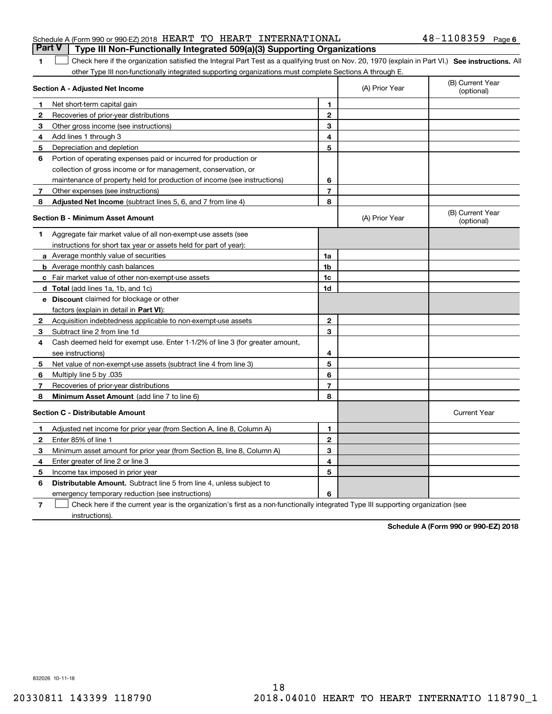|  |  | Part V   Type III Non-Functionally Integrated 509(a)(3) Supporting Organizations |                       |  |
|--|--|----------------------------------------------------------------------------------|-----------------------|--|
|  |  | Schedule A (Form 990 or 990-EZ) 2018 HEART TO HEART INTERNATIONAL                | $48 - 1108359$ Page 6 |  |

## 1 Check here if the organization satisfied the Integral Part Test as a qualifying trust on Nov. 20, 1970 (explain in Part VI.) See instructions. All other Type III non-functionally integrated supporting organizations must complete Sections A through E.

|              | Section A - Adjusted Net Income                                                                                                   |                | (A) Prior Year | (B) Current Year<br>(optional) |
|--------------|-----------------------------------------------------------------------------------------------------------------------------------|----------------|----------------|--------------------------------|
| 1.           | Net short-term capital gain                                                                                                       | 1.             |                |                                |
| $\mathbf{2}$ | Recoveries of prior-year distributions                                                                                            | $\overline{2}$ |                |                                |
| 3            | Other gross income (see instructions)                                                                                             | 3              |                |                                |
| 4            | Add lines 1 through 3                                                                                                             | 4              |                |                                |
| 5            | Depreciation and depletion                                                                                                        | 5              |                |                                |
| 6            | Portion of operating expenses paid or incurred for production or                                                                  |                |                |                                |
|              | collection of gross income or for management, conservation, or                                                                    |                |                |                                |
|              | maintenance of property held for production of income (see instructions)                                                          | 6              |                |                                |
| 7            | Other expenses (see instructions)                                                                                                 | $\overline{7}$ |                |                                |
| 8            | Adjusted Net Income (subtract lines 5, 6, and 7 from line 4)                                                                      | 8              |                |                                |
|              | <b>Section B - Minimum Asset Amount</b>                                                                                           |                | (A) Prior Year | (B) Current Year<br>(optional) |
| 1            | Aggregate fair market value of all non-exempt-use assets (see                                                                     |                |                |                                |
|              | instructions for short tax year or assets held for part of year):                                                                 |                |                |                                |
|              | a Average monthly value of securities                                                                                             | 1a             |                |                                |
|              | <b>b</b> Average monthly cash balances                                                                                            | 1 <sub>b</sub> |                |                                |
|              | c Fair market value of other non-exempt-use assets                                                                                | 1c             |                |                                |
|              | d Total (add lines 1a, 1b, and 1c)                                                                                                | 1d             |                |                                |
|              | e Discount claimed for blockage or other                                                                                          |                |                |                                |
|              | factors (explain in detail in Part VI):                                                                                           |                |                |                                |
| $\mathbf{2}$ | Acquisition indebtedness applicable to non-exempt-use assets                                                                      | $\mathbf{2}$   |                |                                |
| 3            | Subtract line 2 from line 1d                                                                                                      | 3              |                |                                |
| 4            | Cash deemed held for exempt use. Enter 1-1/2% of line 3 (for greater amount,                                                      |                |                |                                |
|              | see instructions)                                                                                                                 | 4              |                |                                |
| 5            | Net value of non-exempt-use assets (subtract line 4 from line 3)                                                                  | 5              |                |                                |
| 6            | Multiply line 5 by .035                                                                                                           | 6              |                |                                |
| 7            | Recoveries of prior-year distributions                                                                                            | $\overline{7}$ |                |                                |
| 8            | Minimum Asset Amount (add line 7 to line 6)                                                                                       | 8              |                |                                |
|              | <b>Section C - Distributable Amount</b>                                                                                           |                |                | <b>Current Year</b>            |
| 1.           | Adjusted net income for prior year (from Section A, line 8, Column A)                                                             | 1              |                |                                |
| 2            | Enter 85% of line 1                                                                                                               | $\overline{2}$ |                |                                |
| 3            | Minimum asset amount for prior year (from Section B, line 8, Column A)                                                            | 3              |                |                                |
| 4            | Enter greater of line 2 or line 3                                                                                                 | 4              |                |                                |
| 5            | Income tax imposed in prior year                                                                                                  | 5              |                |                                |
| 6            | <b>Distributable Amount.</b> Subtract line 5 from line 4, unless subject to                                                       |                |                |                                |
|              | emergency temporary reduction (see instructions)                                                                                  | 6              |                |                                |
| 7            | Check here if the current year is the organization's first as a non-functionally integrated Type III supporting organization (see |                |                |                                |

instructions).

**1**

**Schedule A (Form 990 or 990-EZ) 2018**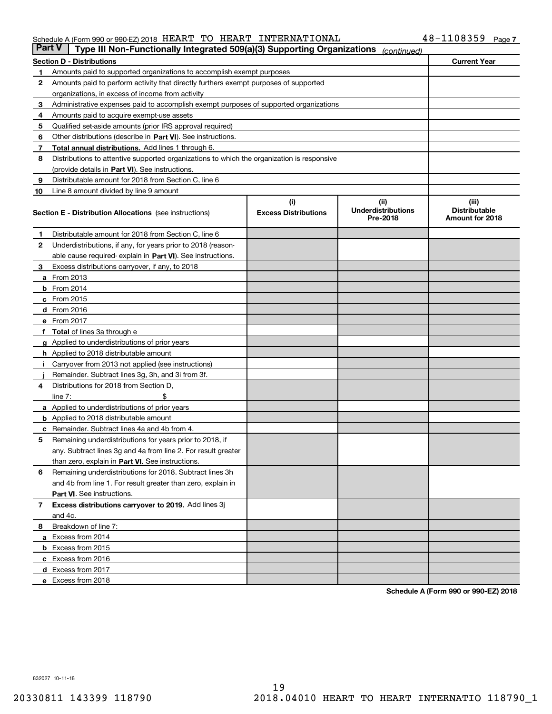#### Schedule A (Form 990 or 990-EZ) 2018  $\rm{HEART\_TO}$   $\rm{HEART\_INTERNATIONAL}$   $\rm{48-1108359}$   $\rm{Page}$

| <b>Part V</b> | Type III Non-Functionally Integrated 509(a)(3) Supporting Organizations                    |                             | (continued)                           |                                         |  |  |  |  |  |
|---------------|--------------------------------------------------------------------------------------------|-----------------------------|---------------------------------------|-----------------------------------------|--|--|--|--|--|
|               | <b>Section D - Distributions</b>                                                           |                             |                                       | <b>Current Year</b>                     |  |  |  |  |  |
| 1             | Amounts paid to supported organizations to accomplish exempt purposes                      |                             |                                       |                                         |  |  |  |  |  |
| 2             | Amounts paid to perform activity that directly furthers exempt purposes of supported       |                             |                                       |                                         |  |  |  |  |  |
|               | organizations, in excess of income from activity                                           |                             |                                       |                                         |  |  |  |  |  |
| з             | Administrative expenses paid to accomplish exempt purposes of supported organizations      |                             |                                       |                                         |  |  |  |  |  |
| 4             | Amounts paid to acquire exempt-use assets                                                  |                             |                                       |                                         |  |  |  |  |  |
| 5             | Qualified set-aside amounts (prior IRS approval required)                                  |                             |                                       |                                         |  |  |  |  |  |
| 6             | Other distributions (describe in Part VI). See instructions.                               |                             |                                       |                                         |  |  |  |  |  |
| 7             | Total annual distributions. Add lines 1 through 6.                                         |                             |                                       |                                         |  |  |  |  |  |
| 8             | Distributions to attentive supported organizations to which the organization is responsive |                             |                                       |                                         |  |  |  |  |  |
|               | (provide details in Part VI). See instructions.                                            |                             |                                       |                                         |  |  |  |  |  |
| 9             | Distributable amount for 2018 from Section C, line 6                                       |                             |                                       |                                         |  |  |  |  |  |
| 10            | Line 8 amount divided by line 9 amount                                                     |                             |                                       |                                         |  |  |  |  |  |
|               |                                                                                            | (i)                         | (iii)                                 | (iii)                                   |  |  |  |  |  |
|               | <b>Section E - Distribution Allocations</b> (see instructions)                             | <b>Excess Distributions</b> | <b>Underdistributions</b><br>Pre-2018 | <b>Distributable</b><br>Amount for 2018 |  |  |  |  |  |
| 1             | Distributable amount for 2018 from Section C, line 6                                       |                             |                                       |                                         |  |  |  |  |  |
| 2             | Underdistributions, if any, for years prior to 2018 (reason-                               |                             |                                       |                                         |  |  |  |  |  |
|               | able cause required- explain in Part VI). See instructions.                                |                             |                                       |                                         |  |  |  |  |  |
| з             | Excess distributions carryover, if any, to 2018                                            |                             |                                       |                                         |  |  |  |  |  |
|               | <b>a</b> From 2013                                                                         |                             |                                       |                                         |  |  |  |  |  |
|               | <b>b</b> From $2014$                                                                       |                             |                                       |                                         |  |  |  |  |  |
|               | $c$ From 2015                                                                              |                             |                                       |                                         |  |  |  |  |  |
|               | <b>d</b> From 2016                                                                         |                             |                                       |                                         |  |  |  |  |  |
|               | e From 2017                                                                                |                             |                                       |                                         |  |  |  |  |  |
|               | Total of lines 3a through e                                                                |                             |                                       |                                         |  |  |  |  |  |
|               | <b>g</b> Applied to underdistributions of prior years                                      |                             |                                       |                                         |  |  |  |  |  |
|               | <b>h</b> Applied to 2018 distributable amount                                              |                             |                                       |                                         |  |  |  |  |  |
|               | Carryover from 2013 not applied (see instructions)                                         |                             |                                       |                                         |  |  |  |  |  |
|               | Remainder. Subtract lines 3g, 3h, and 3i from 3f.                                          |                             |                                       |                                         |  |  |  |  |  |
| 4             | Distributions for 2018 from Section D,                                                     |                             |                                       |                                         |  |  |  |  |  |
|               | line $7:$                                                                                  |                             |                                       |                                         |  |  |  |  |  |
|               | <b>a</b> Applied to underdistributions of prior years                                      |                             |                                       |                                         |  |  |  |  |  |
|               | <b>b</b> Applied to 2018 distributable amount                                              |                             |                                       |                                         |  |  |  |  |  |
| c             | Remainder. Subtract lines 4a and 4b from 4.                                                |                             |                                       |                                         |  |  |  |  |  |
| 5             | Remaining underdistributions for years prior to 2018, if                                   |                             |                                       |                                         |  |  |  |  |  |
|               | any. Subtract lines 3g and 4a from line 2. For result greater                              |                             |                                       |                                         |  |  |  |  |  |
|               | than zero, explain in Part VI. See instructions.                                           |                             |                                       |                                         |  |  |  |  |  |
| 6             | Remaining underdistributions for 2018. Subtract lines 3h                                   |                             |                                       |                                         |  |  |  |  |  |
|               | and 4b from line 1. For result greater than zero, explain in                               |                             |                                       |                                         |  |  |  |  |  |
|               | Part VI. See instructions.                                                                 |                             |                                       |                                         |  |  |  |  |  |
| 7             | Excess distributions carryover to 2019. Add lines 3j                                       |                             |                                       |                                         |  |  |  |  |  |
|               | and 4c.                                                                                    |                             |                                       |                                         |  |  |  |  |  |
| 8             | Breakdown of line 7:                                                                       |                             |                                       |                                         |  |  |  |  |  |
|               | a Excess from 2014                                                                         |                             |                                       |                                         |  |  |  |  |  |
|               | <b>b</b> Excess from 2015                                                                  |                             |                                       |                                         |  |  |  |  |  |
|               | c Excess from 2016                                                                         |                             |                                       |                                         |  |  |  |  |  |
|               | d Excess from 2017                                                                         |                             |                                       |                                         |  |  |  |  |  |
|               | e Excess from 2018                                                                         |                             |                                       |                                         |  |  |  |  |  |

**Schedule A (Form 990 or 990-EZ) 2018**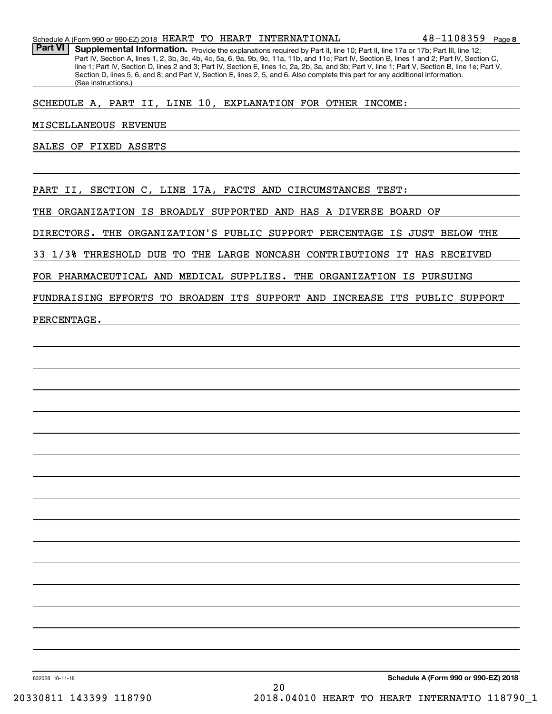Part VI | Supplemental Information. Provide the explanations required by Part II, line 10; Part II, line 17a or 17b; Part III, line 12; Part IV, Section A, lines 1, 2, 3b, 3c, 4b, 4c, 5a, 6, 9a, 9b, 9c, 11a, 11b, and 11c; Part IV, Section B, lines 1 and 2; Part IV, Section C, line 1; Part IV, Section D, lines 2 and 3; Part IV, Section E, lines 1c, 2a, 2b, 3a, and 3b; Part V, line 1; Part V, Section B, line 1e; Part V, Section D, lines 5, 6, and 8; and Part V, Section E, lines 2, 5, and 6. Also complete this part for any additional information. (See instructions.)

SCHEDULE A, PART II, LINE 10, EXPLANATION FOR OTHER INCOME:

MISCELLANEOUS REVENUE

SALES OF FIXED ASSETS

PART II, SECTION C, LINE 17A, FACTS AND CIRCUMSTANCES TEST:

THE ORGANIZATION IS BROADLY SUPPORTED AND HAS A DIVERSE BOARD OF

DIRECTORS. THE ORGANIZATION'S PUBLIC SUPPORT PERCENTAGE IS JUST BELOW THE

33 1/3% THRESHOLD DUE TO THE LARGE NONCASH CONTRIBUTIONS IT HAS RECEIVED

FOR PHARMACEUTICAL AND MEDICAL SUPPLIES. THE ORGANIZATION IS PURSUING

FUNDRAISING EFFORTS TO BROADEN ITS SUPPORT AND INCREASE ITS PUBLIC SUPPORT

PERCENTAGE.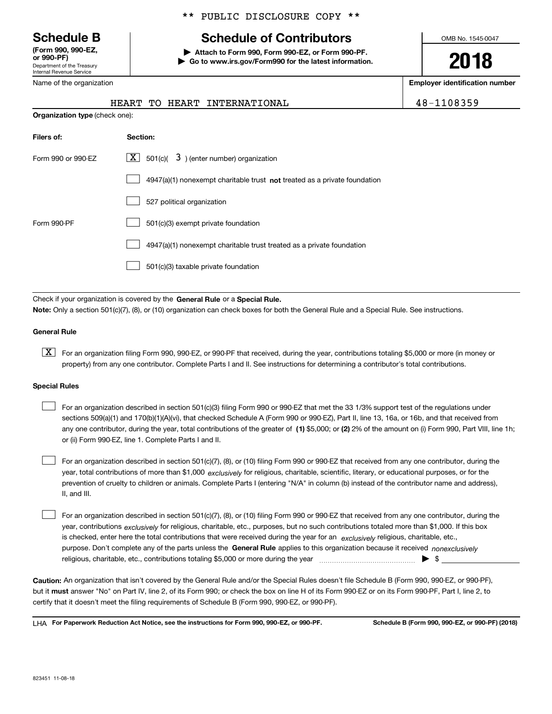Department of the Treasury Internal Revenue Service **(Form 990, 990-EZ, or 990-PF)**

Name of the organization

## \*\* PUBLIC DISCLOSURE COPY \*\*

# **Schedule B Schedule of Contributors**

**| Attach to Form 990, Form 990-EZ, or Form 990-PF. | Go to www.irs.gov/Form990 for the latest information.** OMB No. 1545-0047

**2018**

**Employer identification number**

|  |  | 18-1108359 |  |  |  |
|--|--|------------|--|--|--|
|  |  |            |  |  |  |

|                                       |  |  |  | HEART TO HEART INTERNATIONAL |  | 48-1108359 |
|---------------------------------------|--|--|--|------------------------------|--|------------|
| <b>Organization type (check one):</b> |  |  |  |                              |  |            |

| Filers of:         | Section:                                                                    |
|--------------------|-----------------------------------------------------------------------------|
| Form 990 or 990-EZ | $\lfloor X \rfloor$ 501(c)( 3) (enter number) organization                  |
|                    | $4947(a)(1)$ nonexempt charitable trust not treated as a private foundation |
|                    | 527 political organization                                                  |
| Form 990-PF        | 501(c)(3) exempt private foundation                                         |
|                    | 4947(a)(1) nonexempt charitable trust treated as a private foundation       |
|                    | 501(c)(3) taxable private foundation                                        |

Check if your organization is covered by the **General Rule** or a **Special Rule. Note:**  Only a section 501(c)(7), (8), or (10) organization can check boxes for both the General Rule and a Special Rule. See instructions.

#### **General Rule**

 $\boxed{\textbf{X}}$  For an organization filing Form 990, 990-EZ, or 990-PF that received, during the year, contributions totaling \$5,000 or more (in money or property) from any one contributor. Complete Parts I and II. See instructions for determining a contributor's total contributions.

#### **Special Rules**

| For an organization described in section 501(c)(3) filing Form 990 or 990-EZ that met the 33 1/3% support test of the regulations under               |
|-------------------------------------------------------------------------------------------------------------------------------------------------------|
| sections 509(a)(1) and 170(b)(1)(A)(vi), that checked Schedule A (Form 990 or 990-EZ), Part II, line 13, 16a, or 16b, and that received from          |
| any one contributor, during the year, total contributions of the greater of (1) \$5,000; or (2) 2% of the amount on (i) Form 990, Part VIII, line 1h; |
| or (ii) Form 990-EZ, line 1. Complete Parts I and II.                                                                                                 |

year, total contributions of more than \$1,000 *exclusively* for religious, charitable, scientific, literary, or educational purposes, or for the For an organization described in section 501(c)(7), (8), or (10) filing Form 990 or 990-EZ that received from any one contributor, during the prevention of cruelty to children or animals. Complete Parts I (entering "N/A" in column (b) instead of the contributor name and address), II, and III.  $\mathcal{L}^{\text{max}}$ 

purpose. Don't complete any of the parts unless the **General Rule** applies to this organization because it received *nonexclusively* year, contributions <sub>exclusively</sub> for religious, charitable, etc., purposes, but no such contributions totaled more than \$1,000. If this box is checked, enter here the total contributions that were received during the year for an  $\;$ exclusively religious, charitable, etc., For an organization described in section 501(c)(7), (8), or (10) filing Form 990 or 990-EZ that received from any one contributor, during the religious, charitable, etc., contributions totaling \$5,000 or more during the year  $\Box$ — $\Box$  =  $\Box$  $\mathcal{L}^{\text{max}}$ 

**Caution:**  An organization that isn't covered by the General Rule and/or the Special Rules doesn't file Schedule B (Form 990, 990-EZ, or 990-PF),  **must** but it answer "No" on Part IV, line 2, of its Form 990; or check the box on line H of its Form 990-EZ or on its Form 990-PF, Part I, line 2, to certify that it doesn't meet the filing requirements of Schedule B (Form 990, 990-EZ, or 990-PF).

**For Paperwork Reduction Act Notice, see the instructions for Form 990, 990-EZ, or 990-PF. Schedule B (Form 990, 990-EZ, or 990-PF) (2018)** LHA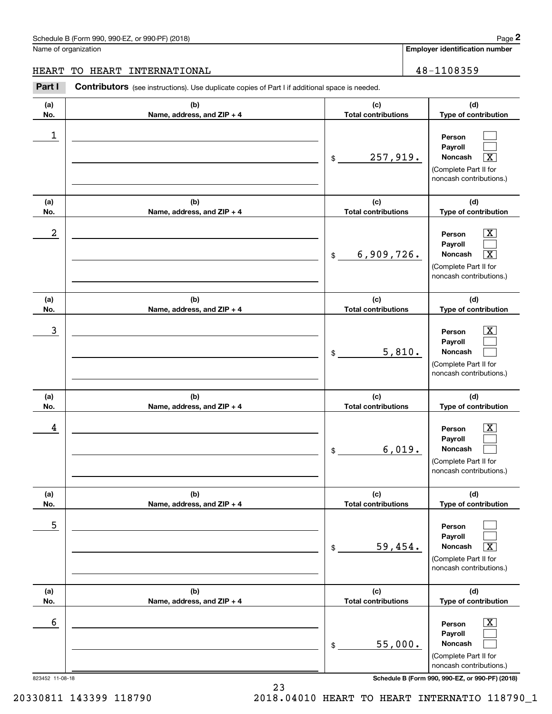# Schedule B (Form 990, 990-EZ, or 990-PF) (2018) **Page 2** Page 2

Name of organization

**Employer identification number**

**(d) Type of contribution**

### HEART TO HEART INTERNATIONAL 28-1108359

**(a) No.(b) Name, address, and ZIP + 4 (c) Total contributions Contributors** (see instructions). Use duplicate copies of Part I if additional space is needed. Chedule B (Form 990, 990-EZ, or 990-PF) (2018)<br>Iame of organization<br>**IEART TO HEART INTERNATIONAL**<br>**Part I** Contributors (see instructions). Use duplicate copies of Part I if additional space is needed.<br>**Part I** Contributo

| NO.                  | Name, address, and $\mathsf{ZIP}$ + 4 | <b>TOTAL CONTRIBUTIONS</b>                  | Type or contribution                                                                                                                                         |
|----------------------|---------------------------------------|---------------------------------------------|--------------------------------------------------------------------------------------------------------------------------------------------------------------|
| 1                    |                                       | 257,919.<br>$\$\$                           | Person<br>Payroll<br>Noncash<br>$\overline{\mathbf{X}}$<br>(Complete Part II for<br>noncash contributions.)                                                  |
| (a)                  | (b)                                   | (c)<br><b>Total contributions</b>           | (d)                                                                                                                                                          |
| No.<br>2             | Name, address, and ZIP + 4            | 6,909,726.<br>$\mathfrak{S}$                | Type of contribution<br>$\boxed{\text{X}}$<br>Person<br>Payroll<br>Noncash<br>$\overline{\mathbf{X}}$<br>(Complete Part II for<br>noncash contributions.)    |
| (a)                  | (b)                                   | (c)                                         | (d)                                                                                                                                                          |
| No.                  | Name, address, and ZIP + 4            | <b>Total contributions</b>                  | Type of contribution                                                                                                                                         |
| 3                    |                                       | 5,810.<br>$\mathsf{\$}$                     | $\overline{\mathbf{X}}$<br>Person<br>Payroll<br>Noncash<br>(Complete Part II for<br>noncash contributions.)                                                  |
| (a)                  | (b)                                   | (c)                                         | (d)                                                                                                                                                          |
| No.                  | Name, address, and ZIP + 4            | <b>Total contributions</b>                  | Type of contribution                                                                                                                                         |
| 4                    |                                       | 6,019.<br>$\mathsf{\$}$                     | $\overline{\mathbf{x}}$<br>Person<br>Payroll<br>Noncash<br>(Complete Part II for<br>noncash contributions.)                                                  |
| (a)                  | (b)                                   | (c)                                         | (d)                                                                                                                                                          |
| No.<br>5             | Name, address, and ZIP + 4            | <b>Total contributions</b><br>59,454.<br>\$ | Type of contribution<br>Person<br>Payroll<br>$\overline{\text{X}}$<br>Noncash<br>(Complete Part II for<br>noncash contributions.)                            |
| (a)<br>No.           | (b)<br>Name, address, and ZIP + 4     | (c)<br><b>Total contributions</b>           | (d)<br>Type of contribution                                                                                                                                  |
| 6<br>823452 11-08-18 |                                       | 55,000.<br>\$                               | $\overline{\text{X}}$<br>Person<br>Payroll<br>Noncash<br>(Complete Part II for<br>noncash contributions.)<br>Schedule B (Form 990, 990-EZ, or 990-PF) (2018) |

20330811 143399 118790 2018.04010 HEART TO HEART INTERNATIO 118790\_1

23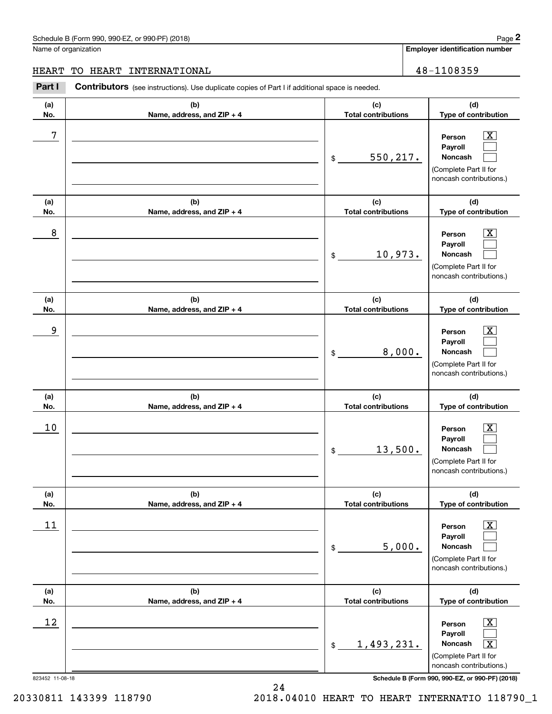$\boxed{\text{X}}$  $\mathcal{L}^{\text{max}}$  $\mathcal{L}^{\text{max}}$ 

 $\boxed{\text{X}}$  $\mathcal{L}^{\text{max}}$  $\mathcal{L}^{\text{max}}$ 

 $|X|$  $\mathcal{L}^{\text{max}}$  $\mathcal{L}^{\text{max}}$ 

 $\boxed{\text{X}}$  $\mathcal{L}^{\text{max}}$  $\mathcal{L}^{\text{max}}$ 

**(d)**

**Employer identification number (a)No.(b)Name, address, and ZIP + 4 (c)Total contributions (d)Type of contribution PersonPayrollNoncash (a)No.(b)Name, address, and ZIP + 4 (c)Total contributions (d)Type of contribution PersonPayrollNoncash (a)No.(b)Name, address, and ZIP + 4 (c)Total contributions (d)Type of contribution PersonPayrollNoncash (a) No.(b) Name, address, and ZIP + 4 (c) Total contributions Type of contribution PersonPayrollNoncash (a)No.(b)(c)**Schedule B (Form 990, 990-EZ, or 990-PF) (2018) **Page 2** Page 1 and the state of the state of the state of the state of the state of the state of the state of the state of the state of the state of the state of the state o Name of organization Contributors (see instructions). Use duplicate copies of Part I if additional space is needed. \$(Complete Part II for noncash contributions.) \$(Complete Part II for noncash contributions.) \$(Complete Part II for noncash contributions.) \$(Complete Part II for noncash contributions.) Chedule B (Form 990, 990-EZ, or 990-PF) (2018)<br>Iame of organization<br>**IEART TO HEART INTERNATIONAL**<br>**Part I** Contributors (see instructions). Use duplicate copies of Part I if additional space is needed.<br>**Part I** Contributo 7 X 550,217. 8 X 10,973. end to the second state of the second state of the second state of the second state of the second state of the second state of the second state of the second state of the second state of the second state of the second stat 8,000.  $10$  Person  $\overline{\text{X}}$ 13,500. HEART TO HEART INTERNATIONAL 48-1108359

| (a) | (b)                          | (c)                        | (d)                                                                                                                                           |
|-----|------------------------------|----------------------------|-----------------------------------------------------------------------------------------------------------------------------------------------|
| No. | Name, address, and $ZIP + 4$ | <b>Total contributions</b> | <b>Type of contribution</b>                                                                                                                   |
| 11  |                              | 5,000.<br>\$               | $\overline{\mathbf{X}}$<br>Person<br><b>Payroll</b><br>Noncash<br>(Complete Part II for<br>noncash contributions.)                            |
| (a) | (b)                          | (c)                        | (d)                                                                                                                                           |
| No. | Name, address, and $ZIP + 4$ | <b>Total contributions</b> | Type of contribution                                                                                                                          |
| 12  |                              | 1,493,231.<br>\$           | $\overline{\mathbf{X}}$<br>Person<br><b>Payroll</b><br>$\overline{\mathbf{x}}$<br>Noncash<br>(Complete Part II for<br>noncash contributions.) |

823452 11-08-18 **Schedule B (Form 990, 990-EZ, or 990-PF) (2018)**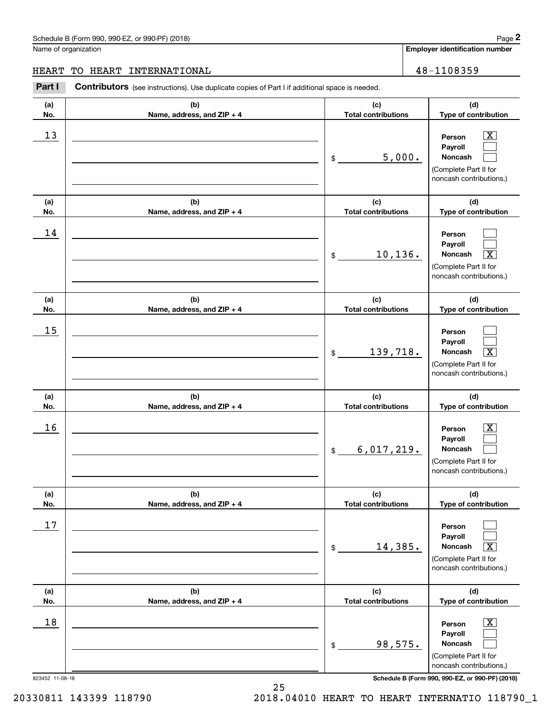# Schedule B (Form 990, 990-EZ, or 990-PF) (2018) **Page 2** Page 2

Name of organization

**Employer identification number**

**(d)**

 $\boxed{\text{X}}$  $\mathcal{L}^{\text{max}}$  $\mathcal{L}^{\text{max}}$ 

 $\mathcal{L}_{\text{max}}$ 

**(d)**

**(a) No.(b) Name, address, and ZIP + 4 (c) Total contributions Type of contribution Person PayrollNoncash (a) No.(b) Name, address, and ZIP + 4 (c) Total contributions Type of contribution Person(a)(b)(c)**Contributors (see instructions). Use duplicate copies of Part I if additional space is needed. \$(Complete Part II for noncash contributions.) \$Chedule B (Form 990, 990-EZ, or 990-PF) (2018)<br>Iame of organization<br>**IEART TO HEART INTERNATIONAL**<br>**Part I** Contributors (see instructions). Use duplicate copies of Part I if additional space is needed.<br>**Part I** Contributo  $13$  Person X 5,000. 14 HEART TO HEART INTERNATIONAL 48-1108359

|                 |                                   | 10, 136.<br>$$\mathbb{S}$$        | Payroll<br>$\overline{\textbf{x}}$<br><b>Noncash</b><br>(Complete Part II for<br>noncash contributions.)    |
|-----------------|-----------------------------------|-----------------------------------|-------------------------------------------------------------------------------------------------------------|
| (a)<br>No.      | (b)<br>Name, address, and ZIP + 4 | (c)<br><b>Total contributions</b> | (d)<br>Type of contribution                                                                                 |
| 15              |                                   | 139,718.<br>\$                    | Person<br>Payroll<br>Noncash<br>$\overline{\mathbf{x}}$<br>(Complete Part II for<br>noncash contributions.) |
| (a)<br>No.      | (b)<br>Name, address, and ZIP + 4 | (c)<br><b>Total contributions</b> | (d)<br>Type of contribution                                                                                 |
| 16              |                                   | 6,017,219.<br>$$^{\circ}$         | X<br>Person<br>Payroll<br>Noncash<br>(Complete Part II for<br>noncash contributions.)                       |
| (a)<br>No.      | (b)<br>Name, address, and ZIP + 4 | (c)<br><b>Total contributions</b> | (d)<br>Type of contribution                                                                                 |
| 17              |                                   | 14,385.<br>$\frac{1}{2}$          | Person<br>Payroll<br>$\overline{\mathbf{X}}$<br>Noncash<br>(Complete Part II for<br>noncash contributions.) |
| (a)<br>No.      | (b)<br>Name, address, and ZIP + 4 | (c)<br><b>Total contributions</b> | (d)<br>Type of contribution                                                                                 |
| 18              |                                   | 98,575.<br>$\mathsf{\$}$          | $\boxed{\text{X}}$<br>Person<br>Payroll<br>Noncash<br>(Complete Part II for<br>noncash contributions.)      |
| 823452 11-08-18 | 25                                |                                   | Schedule B (Form 990, 990-EZ, or 990-PF) (2018)                                                             |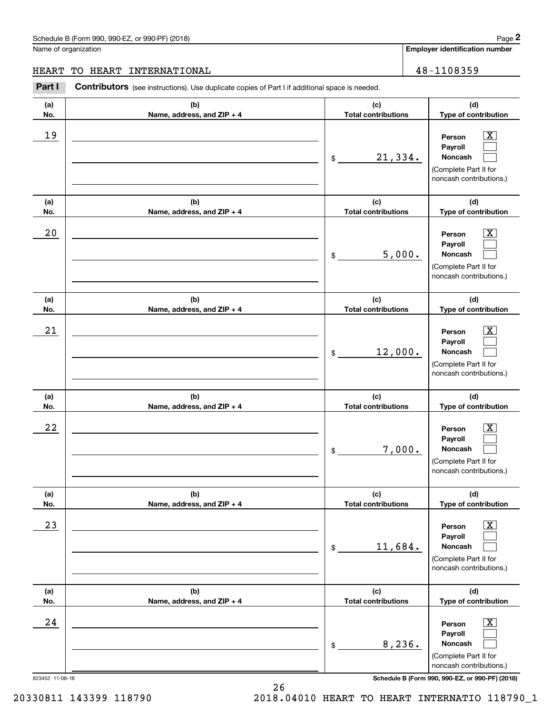# Schedule B (Form 990, 990-EZ, or 990-PF) (2018) **Page 2**

Name of organization

**Employer identification number**

**(d)**

 $\boxed{\text{X}}$  $\mathcal{L}^{\text{max}}$  $\mathcal{L}^{\text{max}}$ 

**(d)**

**(a) No.(b) Name, address, and ZIP + 4 (c) Total contributions Type of contribution Person PayrollNoncash (a) No.(b) Name, address, and ZIP + 4 (c) Total contributions Type of contribution Contributors** (see instructions). Use duplicate copies of Part I if additional space is needed. \$(Complete Part II for noncash contributions.) \$Chedule B (Form 990, 990-EZ, or 990-PF) (2018)<br>Iame of organization<br>**IEART TO HEART INTERNATIONAL**<br>**Part I** Contributors (see instructions). Use duplicate copies of Part I if additional space is needed.<br>**Part I** Contributo 19 X 21,334. 5,000. HEART TO HEART INTERNATIONAL 48-1108359

| 20                                                                       |                                   | 5,000.<br>$\mathsf{\$}$           | X.<br>Person<br>Payroll<br>Noncash<br>(Complete Part II for<br>noncash contributions.)                 |
|--------------------------------------------------------------------------|-----------------------------------|-----------------------------------|--------------------------------------------------------------------------------------------------------|
| (a)<br>No.                                                               | (b)<br>Name, address, and ZIP + 4 | (c)<br><b>Total contributions</b> | (d)<br>Type of contribution                                                                            |
| 21                                                                       |                                   | 12,000.<br>\$                     | x<br>Person<br>Payroll<br>Noncash<br>(Complete Part II for<br>noncash contributions.)                  |
| (a)<br>No.                                                               | (b)<br>Name, address, and ZIP + 4 | (c)<br><b>Total contributions</b> | (d)<br>Type of contribution                                                                            |
| 22                                                                       |                                   | 7,000.<br>$\frac{1}{2}$           | X.<br>Person<br>Payroll<br>Noncash<br>(Complete Part II for<br>noncash contributions.)                 |
| (a)<br>No.                                                               | (b)<br>Name, address, and ZIP + 4 | (c)<br><b>Total contributions</b> | (d)<br>Type of contribution                                                                            |
| 23                                                                       |                                   | 11,684.<br>$\mathsf{\$}$          | X<br>Person<br>Payroll<br>Noncash<br>(Complete Part II for<br>noncash contributions.)                  |
| (a)<br>No.                                                               | (b)<br>Name, address, and ZIP + 4 | (c)<br><b>Total contributions</b> | (d)<br>Type of contribution                                                                            |
| 24                                                                       |                                   | 8,236.<br>\$                      | $\boxed{\text{X}}$<br>Person<br>Payroll<br>Noncash<br>(Complete Part II for<br>noncash contributions.) |
| Schedule B (Form 990, 990-EZ, or 990-PF) (2018)<br>823452 11-08-18<br>26 |                                   |                                   |                                                                                                        |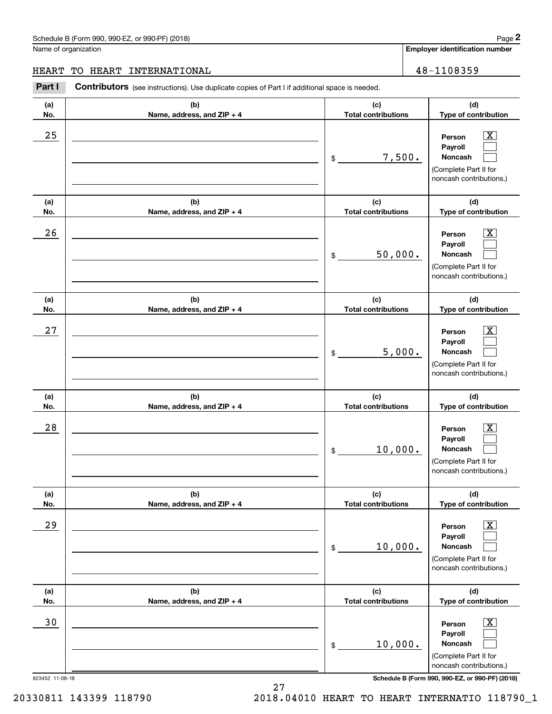#### Schedule B (Form 990, 990-EZ, or 990-PF) (2018) **Page 2** Page 1 and the state of the state of the state of the state of the state of the state of the state of the state of the state of the state of the state of the state o

Name of organization

**Employer identification number**

**(a)No.(b)Name, address, and ZIP + 4 (c)Total contributions (d)Type of contribution PersonPayrollNoncash (a)No.(b)Name, address, and ZIP + 4 (c)Total contributions (d)Type of contribution PersonPayrollNoncash (a)No.(b)Name, address, and ZIP + 4 (c)Total contributions (d)Type of contribution PersonPayrollNoncash (a) No.(b) Name, address, and ZIP + 4 (c) Total contributions (d) Type of contribution PersonPayrollNoncash (a) No.(b) Name, address, and ZIP + 4 (c) Total contributions (d) Type of contribution PersonPayrollNoncash (a) No.(b)Name, address, and ZIP + 4 (c) Total contributions (d)Type of contribution PersonPayrollNoncash Contributors** (see instructions). Use duplicate copies of Part I if additional space is needed. \$(Complete Part II for noncash contributions.) \$(Complete Part II for noncash contributions.) \$(Complete Part II for noncash contributions.) \$(Complete Part II for noncash contributions.) \$(Complete Part II for noncash contributions.) \$(Complete Part II for Chedule B (Form 990, 990-EZ, or 990-PF) (2018)<br>Iame of organization<br>**IEART TO HEART INTERNATIONAL**<br>**Part I** Contributors (see instructions). Use duplicate copies of Part I if additional space is needed.<br>**Part I** Contributo  $|X|$  $\mathcal{L}^{\text{max}}$  $\mathcal{L}^{\text{max}}$  $\boxed{\text{X}}$  $\mathcal{L}^{\text{max}}$  $\mathcal{L}^{\text{max}}$  $|X|$  $\mathcal{L}^{\text{max}}$  $\mathcal{L}^{\text{max}}$  $\boxed{\text{X}}$  $\mathcal{L}^{\text{max}}$  $\mathcal{L}^{\text{max}}$  $\boxed{\text{X}}$  $\mathcal{L}^{\text{max}}$  $\mathcal{L}^{\text{max}}$  $\boxed{\text{X}}$  $\mathcal{L}^{\text{max}}$  $\mathcal{L}^{\text{max}}$  $25$  | Person  $\overline{\text{X}}$ 7,500.  $26$  Person  $\overline{\text{X}}$ 50,000.  $27$  | Person  $\overline{\text{X}}$ 5,000.  $28$  | Person  $\overline{\text{X}}$ 10,000.  $29$  | Person  $\overline{\text{X}}$ 10,000. 30 Person X 10,000. HEART TO HEART INTERNATIONAL 48-1108359

823452 11-08-18 **Schedule B (Form 990, 990-EZ, or 990-PF) (2018)**

noncash contributions.)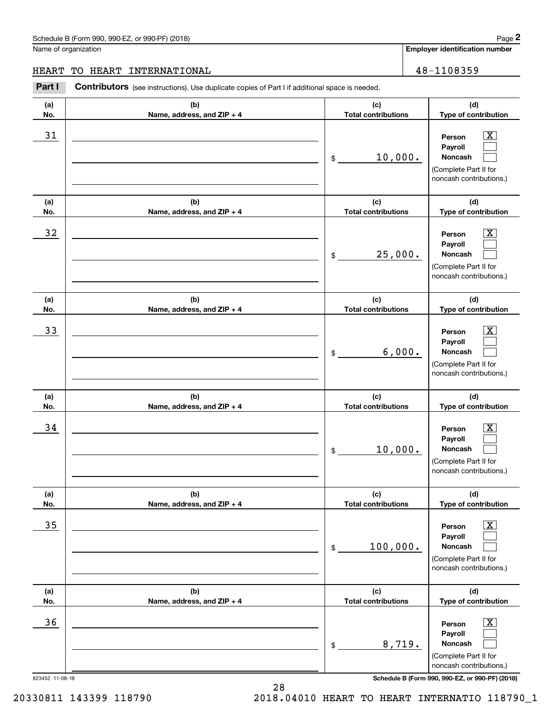#### Schedule B (Form 990, 990-EZ, or 990-PF) (2018) **Page 2** Page 1 and 2018 Page 2

**Employer identification number (a)No.(b)Name, address, and ZIP + 4 (c)Total contributions (d)Type of contribution PersonPayrollNoncash (a)No.(b)Name, address, and ZIP + 4 (c)Total contributions (d)Type of contribution PersonPayrollNoncash (a)No.(b)Name, address, and ZIP + 4 (c)Total contributions (d)Type of contribution PersonPayrollNoncash (a) No.(b) Name, address, and ZIP + 4 (c) Total contributions (d) Type of contribution PersonPayrollNoncash (a) No.(b) Name, address, and ZIP + 4 (c) Total contributions (d) Type of contribution PersonPayrollNoncash (a) No.(b)Name, address, and ZIP + 4 (c) Total contributions (d)Type of contribution PersonPayroll**Name of organization **Contributors** (see instructions). Use duplicate copies of Part I if additional space is needed. \$(Complete Part II for noncash contributions.) \$(Complete Part II for noncash contributions.) \$(Complete Part II for noncash contributions.) \$(Complete Part II for noncash contributions.) \$(Complete Part II for noncash contributions.) Chedule B (Form 990, 990-EZ, or 990-PF) (2018)<br>Iame of organization<br>**IEART TO HEART INTERNATIONAL**<br>**Part I** Contributors (see instructions). Use duplicate copies of Part I if additional space is needed.<br>**Part I** Contributo  $|X|$  $\mathcal{L}^{\text{max}}$  $\mathcal{L}^{\text{max}}$  $\boxed{\text{X}}$  $\mathcal{L}^{\text{max}}$  $\mathcal{L}^{\text{max}}$  $|X|$  $\mathcal{L}^{\text{max}}$  $\mathcal{L}^{\text{max}}$  $\boxed{\text{X}}$  $\mathcal{L}^{\text{max}}$  $\mathcal{L}^{\text{max}}$  $\boxed{\text{X}}$  $\mathcal{L}^{\text{max}}$  $\mathcal{L}^{\text{max}}$  $\boxed{\text{X}}$  $\mathcal{L}^{\text{max}}$ 31 Person X 10,000.  $32$  | Person  $\overline{\text{X}}$ 25,000. 33 Person X 6,000.  $34$  | Person  $\overline{\text{X}}$ 10,000.  $35$  | Person  $\overline{\text{X}}$ 100,000.  $36$  Person X HEART TO HEART INTERNATIONAL 48-1108359

823452 11-08-18 **Schedule B (Form 990, 990-EZ, or 990-PF) (2018)** noncash contributions.)

**Noncash**

(Complete Part II for

 $\mathcal{L}^{\text{max}}$ 

20330811 143399 118790 2018.04010 HEART TO HEART INTERNATIO 118790\_1

8,719.

\$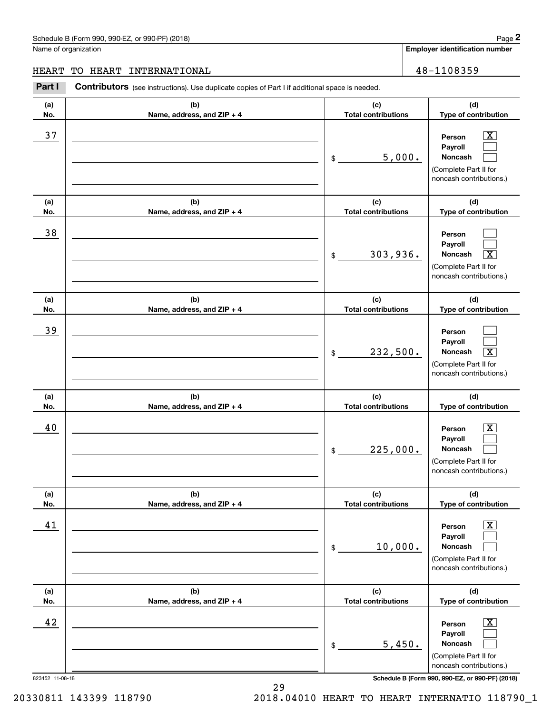# Schedule B (Form 990, 990-EZ, or 990-PF) (2018) **Page 2** Page 2

Name of organization

**Employer identification number**

**(d)**

 $\boxed{\text{X}}$  $\mathcal{L}^{\text{max}}$  $\mathcal{L}^{\text{max}}$ 

 $\mathcal{L}^{\text{max}}$ 

**(d)**

**(a) No.(b) Name, address, and ZIP + 4 (c) Total contributions Type of contribution Person PayrollNoncash (a) No.(b) Name, address, and ZIP + 4 (c) Total contributions Type of contribution Person(a)No.(b)Name, address, and ZIP + 4 (c)Total contributions Contributors** (see instructions). Use duplicate copies of Part I if additional space is needed. \$(Complete Part II for noncash contributions.) \$Chedule B (Form 990, 990-EZ, or 990-PF) (2018)<br>Iame of organization<br>**IEART TO HEART INTERNATIONAL**<br>**Part I** Contributors (see instructions). Use duplicate copies of Part I if additional space is needed.<br>**Part I** Contributo 37 X 5,000. 38 39 HEART TO HEART INTERNATIONAL 48-1108359

|                 |                                     | Payroll<br>303,936.<br><b>Noncash</b><br>$\overline{\text{x}}$<br>$\$\$<br>(Complete Part II for<br>noncash contributions.)               |
|-----------------|-------------------------------------|-------------------------------------------------------------------------------------------------------------------------------------------|
| (a)<br>No.      | (b)<br>Name, address, and ZIP + 4   | (c)<br>(d)<br><b>Total contributions</b><br>Type of contribution                                                                          |
| 39              |                                     | Person<br>Payroll<br>232,500.<br>$\overline{\texttt{X}}$<br>Noncash<br>$$\mathbb{S}$$<br>(Complete Part II for<br>noncash contributions.) |
| (a)<br>No.      | (b)<br>Name, address, and $ZIP + 4$ | (c)<br>(d)<br><b>Total contributions</b><br>Type of contribution                                                                          |
| 40              |                                     | Person<br>X.<br>Payroll<br>225,000.<br><b>Noncash</b><br>\$<br>(Complete Part II for<br>noncash contributions.)                           |
| (a)<br>No.      | (b)<br>Name, address, and ZIP + 4   | (c)<br>(d)<br><b>Total contributions</b><br>Type of contribution                                                                          |
| 41              |                                     | х<br>Person<br>Payroll<br>10,000.<br>Noncash<br>\$<br>(Complete Part II for<br>noncash contributions.)                                    |
| (a)<br>No.      | (b)<br>Name, address, and ZIP + 4   | (c)<br>(d)<br><b>Total contributions</b><br>Type of contribution                                                                          |
| 42              |                                     | $\overline{\mathbf{x}}$<br>Person<br>Payroll<br>5,450.<br>Noncash<br>\$<br>(Complete Part II for<br>noncash contributions.)               |
| 823452 11-08-18 | 29                                  | Schedule B (Form 990, 990-EZ, or 990-PF) (2018)                                                                                           |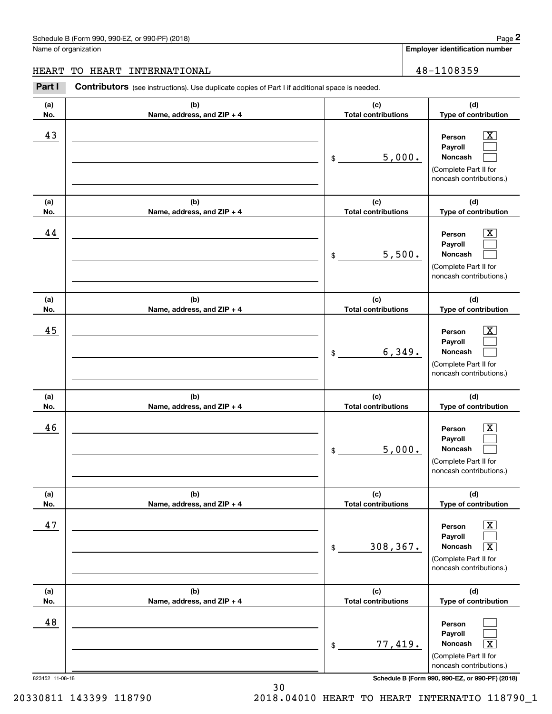**(d)**

 $\boxed{\text{X}}$  $\mathcal{L}^{\text{max}}$  $\mathcal{L}^{\text{max}}$ 

 $\boxed{\text{X}}$  $\mathcal{L}^{\text{max}}$  $\mathcal{L}^{\text{max}}$ 

 $|X|$  $\mathcal{L}^{\text{max}}$  $\mathcal{L}^{\text{max}}$ 

 $\boxed{\text{X}}$  $\mathcal{L}^{\text{max}}$  $\mathcal{L}^{\text{max}}$ 

**(d)**

**(d)**

**(d)**

**Employer identification number (a)No.(b)Name, address, and ZIP + 4 (c)Total contributions Type of contribution PersonPayrollNoncash (a)No.(b)Name, address, and ZIP + 4 (c)Total contributions Type of contribution PersonPayrollNoncash (a)No.(b)Name, address, and ZIP + 4 (c)Total contributions Type of contribution PersonPayrollNoncash (a) No.(b) Name, address, and ZIP + 4 (c) Total contributions Type of contribution PersonPayrollNoncash** Schedule B (Form 990, 990-EZ, or 990-PF) (2018) **Page 2** Name of organization Contributors (see instructions). Use duplicate copies of Part I if additional space is needed. \$(Complete Part II for noncash contributions.) \$(Complete Part II for noncash contributions.) \$(Complete Part II for noncash contributions.) \$Chedule B (Form 990, 990-EZ, or 990-PF) (2018)<br>Iame of organization<br>**IEART TO HEART INTERNATIONAL**<br>**Part I** Contributors (see instructions). Use duplicate copies of Part I if additional space is needed.<br>**Part I** Contributo 43 Person X 5,000. 44 X 5,500. 45 X 6,349. 46 X 5,000. HEART TO HEART INTERNATIONAL 48-1108359

|     |                              |                            | (Complete Part II for<br>noncash contributions.)                                                                                   |
|-----|------------------------------|----------------------------|------------------------------------------------------------------------------------------------------------------------------------|
| (a) | (b)                          | (c)                        | (d)                                                                                                                                |
| No. | Name, address, and $ZIP + 4$ | <b>Total contributions</b> | Type of contribution                                                                                                               |
| 47  |                              | 308, 367.<br>\$            | $\overline{\text{x}}$<br>Person<br>Payroll<br>$\overline{\text{X}}$<br>Noncash<br>(Complete Part II for<br>noncash contributions.) |
| (a) | (b)                          | (c)                        | (d)                                                                                                                                |
| No. | Name, address, and $ZIP + 4$ | <b>Total contributions</b> | Type of contribution                                                                                                               |
| 48  |                              | 77,419.<br>\$              | Person<br><b>Payroll</b><br>$\vert X \vert$<br>Noncash<br>(Complete Part II for<br>noncash contributions.)                         |

823452 11-08-18 **Schedule B (Form 990, 990-EZ, or 990-PF) (2018)**

20330811 143399 118790 2018.04010 HEART TO HEART INTERNATIO 118790\_1

30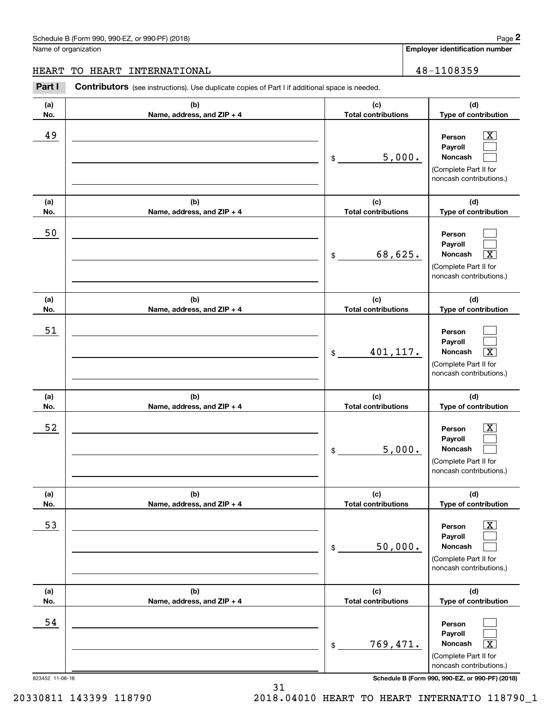$\mathcal{L}^{\text{max}}$  $\mathcal{L}^{\text{max}}$ 

 $\mathcal{L}^{\text{max}}$  $\mathcal{L}^{\text{max}}$ 

 $\mathcal{L}^{\text{max}}$  $\mathcal{L}^{\text{max}}$ 

 $\mathcal{L}^{\text{max}}$  $\mathcal{L}^{\text{max}}$ 

 $\mathcal{L}^{\text{max}}$  $\mathcal{L}^{\text{max}}$ 

 $\mathcal{L}^{\text{max}}$  $\mathcal{L}^{\text{max}}$  $\mathbf{X}$ 

**Employer identification number (a)No.(b)Name, address, and ZIP + 4 (c)Total contributions (d)Type of contribution PersonPayrollNoncash (a)No.(b)Name, address, and ZIP + 4 (c)Total contributions (d)Type of contribution PersonPayrollNoncash (a)No.(b)Name, address, and ZIP + 4 (c)Total contributions (d)Type of contribution PersonPayrollNoncash (a) No.(b) Name, address, and ZIP + 4 (c) Total contributions (d) Type of contribution PersonPayrollNoncash (a) No.(b) Name, address, and ZIP + 4 (c) Total contributions (d) Type of contribution PersonPayrollNoncash (a) No.(b)Name, address, and ZIP + 4 (c) Total contributions (d)Type of contribution Person**Schedule B (Form 990, 990-EZ, or 990-PF) (2018) **Page 2** Page 1 and the state of the state of the state of the state of the state of the state of the state of the state of the state of the state of the state of the state o Name of organization **Contributors** (see instructions). Use duplicate copies of Part I if additional space is needed. \$(Complete Part II for noncash contributions.) \$(Complete Part II for noncash contributions.) \$(Complete Part II for noncash contributions.) \$(Complete Part II for noncash contributions.) \$(Complete Part II for noncash contributions.) Chedule B (Form 990, 990-EZ, or 990-PF) (2018)<br>Iame of organization<br>**IEART TO HEART INTERNATIONAL**<br>**Part I** Contributors (see instructions). Use duplicate copies of Part I if additional space is needed.<br>**Part I** Contributo  $|X|$  $\mathbf{X}$  $\boxed{\text{X}}$  $\boxed{\text{X}}$  $\boxed{\text{X}}$ 49 X 5,000. 50 68,625. X 51 401,117. X 52 | Person X 5,000. 53 | Person X 50,000. 54 HEART TO HEART INTERNATIONAL 48-1108359

823452 11-08-18 **Schedule B (Form 990, 990-EZ, or 990-PF) (2018)**

**PayrollNoncash**

(Complete Part II for noncash contributions.)

31

20330811 143399 118790 2018.04010 HEART TO HEART INTERNATIO 118790\_1

769,471. X

\$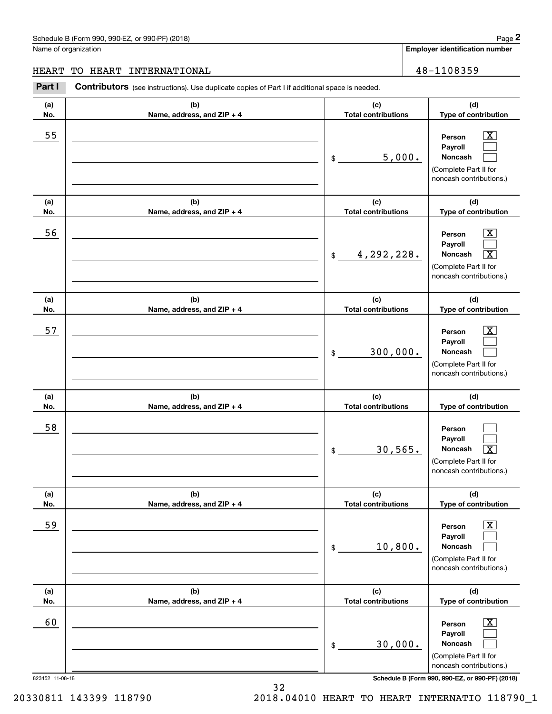# Schedule B (Form 990, 990-EZ, or 990-PF) (2018) Page 2

Name of organization

**Employer identification number**

**(d)**

# HEART TO HEART INTERNATIONAL 28-1108359

**(a) No.(b) Name, address, and ZIP + 4 (c) Total contributions** Contributors (see instructions). Use duplicate copies of Part I if additional space is needed. Chedule B (Form 990, 990-EZ, or 990-PF) (2018)<br>Iame of organization<br>**IEART TO HEART INTERNATIONAL**<br>**Part I** Contributors (see instructions). Use duplicate copies of Part I if additional space is needed.<br>**Part I** Contributo

| No.                   | Name, address, and ZIP + 4        | <b>Total contributions</b>        | Type of contribution                                                                                                                                                |
|-----------------------|-----------------------------------|-----------------------------------|---------------------------------------------------------------------------------------------------------------------------------------------------------------------|
| 55                    |                                   | 5,000.<br>\$                      | $\overline{\text{X}}$<br>Person<br>Payroll<br>Noncash<br>(Complete Part II for<br>noncash contributions.)                                                           |
| (a)                   | (b)                               | (c)                               | (d)                                                                                                                                                                 |
| No.                   | Name, address, and ZIP + 4        | <b>Total contributions</b>        | Type of contribution                                                                                                                                                |
| 56                    |                                   | 4,292,228.<br>$\frac{1}{2}$       | $\overline{\text{X}}$<br>Person<br>Payroll<br>$\overline{\mathbf{X}}$<br>Noncash<br>(Complete Part II for<br>noncash contributions.)                                |
| (a)                   | (b)                               | (c)                               | (d)                                                                                                                                                                 |
| No.                   | Name, address, and ZIP + 4        | <b>Total contributions</b>        | Type of contribution                                                                                                                                                |
| 57                    |                                   | 300,000.<br>$$\mathbb{S}$$        | $\overline{\text{X}}$<br>Person<br>Payroll<br>Noncash<br>(Complete Part II for<br>noncash contributions.)                                                           |
| (a)                   | (b)                               | (c)                               | (d)                                                                                                                                                                 |
| No.                   | Name, address, and ZIP + 4        | <b>Total contributions</b>        | Type of contribution                                                                                                                                                |
| 58                    |                                   | 30,565.<br>$$\mathbb{S}$$         | Person<br>Payroll<br>$\overline{\mathbf{X}}$<br>Noncash<br>(Complete Part II for<br>noncash contributions.)                                                         |
| (a)<br>No.            | (b)<br>Name, address, and ZIP + 4 | (c)<br><b>Total contributions</b> | (d)<br>Type of contribution                                                                                                                                         |
| 59                    |                                   | 10,800.<br>\$                     | $\overline{\text{X}}$<br>Person<br>Payroll<br><b>Noncash</b><br>(Complete Part II for<br>noncash contributions.)                                                    |
| (a)<br>No.            | (b)<br>Name, address, and ZIP + 4 | (c)<br><b>Total contributions</b> | (d)<br>Type of contribution                                                                                                                                         |
| 60<br>823452 11-08-18 |                                   | 30,000.<br>\$                     | $\overline{\text{X}}$<br>Person<br>Payroll<br><b>Noncash</b><br>(Complete Part II for<br>noncash contributions.)<br>Schedule B (Form 990, 990-EZ, or 990-PF) (2018) |
|                       |                                   |                                   |                                                                                                                                                                     |

32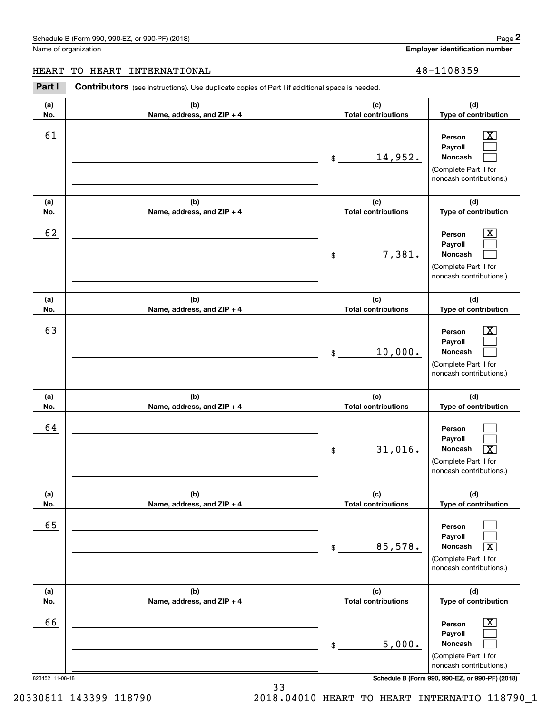#### Schedule B (Form 990, 990-EZ, or 990-PF) (2018) **Page 2** Page 1 and the state of the state of the state of the state of the state of the state of the state of the state of the state of the state of the state of the state o

Name of organization

**Employer identification number (a)No.(b)Name, address, and ZIP + 4 (c)Total contributions (d)Type of contribution PersonPayrollNoncash (a)No.(b)Name, address, and ZIP + 4 (c)Total contributions (d)Type of contribution PersonPayrollNoncash (a)No.(b)Name, address, and ZIP + 4 (c)Total contributions (d)Type of contribution PersonPayrollNoncash (a) No.(b) Name, address, and ZIP + 4 (c) Total contributions (d) Type of contribution PersonPayrollNoncash (a) No.(b) Name, address, and ZIP + 4 (c) Total contributions (d) Type of contribution PersonPayrollNoncash (a) No.(b)Name, address, and ZIP + 4 (c) Total contributions (d)Type of contribution PersonPayrollNoncash Contributors** (see instructions). Use duplicate copies of Part I if additional space is needed. \$(Complete Part II for noncash contributions.) \$(Complete Part II for noncash contributions.) \$(Complete Part II for noncash contributions.) \$(Complete Part II for noncash contributions.) \$(Complete Part II for noncash contributions.) \$Chedule B (Form 990, 990-EZ, or 990-PF) (2018)<br>Iame of organization<br>**IEART TO HEART INTERNATIONAL**<br>**Part I** Contributors (see instructions). Use duplicate copies of Part I if additional space is needed.<br>**Part I** Contributo  $|X|$  $\mathcal{L}^{\text{max}}$  $\mathcal{L}^{\text{max}}$  $\boxed{\text{X}}$  $\mathcal{L}^{\text{max}}$  $\mathcal{L}^{\text{max}}$  $|X|$  $\mathcal{L}^{\text{max}}$  $\mathcal{L}^{\text{max}}$  $\mathcal{L}^{\text{max}}$  $\mathcal{L}^{\text{max}}$  $\lceil \text{X} \rceil$  $\mathcal{L}^{\text{max}}$  $\mathcal{L}^{\text{max}}$  $\sqrt{X}$  $\boxed{\text{X}}$  $\mathcal{L}^{\text{max}}$  $\mathcal{L}^{\text{max}}$ 61 X 14,952. 62 X 7,381. 63 | Person X 10,000. 64  $31,016$ . 65 85,578. X 66 X 5,000. HEART TO HEART INTERNATIONAL 48-1108359

823452 11-08-18 **Schedule B (Form 990, 990-EZ, or 990-PF) (2018)**

(Complete Part II for noncash contributions.)

33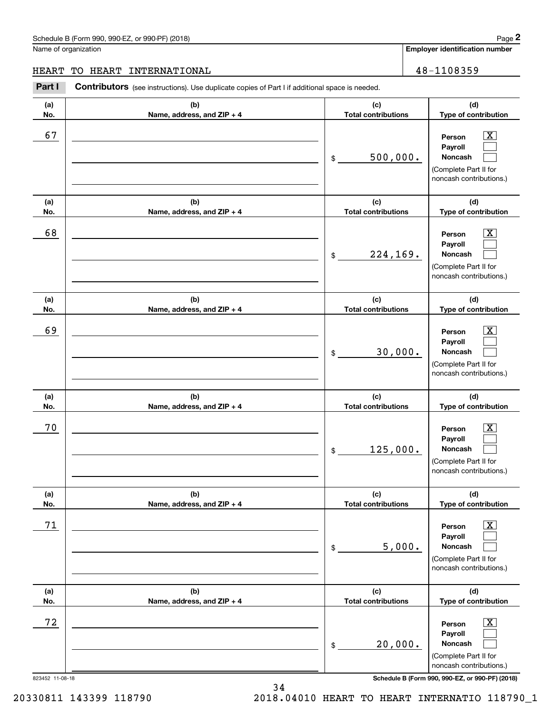$\boxed{\text{X}}$  $\mathcal{L}^{\text{max}}$  $\mathcal{L}^{\text{max}}$ 

 $\boxed{\text{X}}$  $\mathcal{L}^{\text{max}}$  $\mathcal{L}^{\text{max}}$ 

 $|X|$  $\mathcal{L}^{\text{max}}$  $\mathcal{L}^{\text{max}}$ 

 $\boxed{\text{X}}$  $\mathcal{L}^{\text{max}}$  $\mathcal{L}^{\text{max}}$ 

**(d)**

**Employer identification number (a)No.(b)Name, address, and ZIP + 4 (c)Total contributions (d)Type of contribution PersonPayrollNoncash (a)No.(b)Name, address, and ZIP + 4 (c)Total contributions (d)Type of contribution PersonPayrollNoncash (a)No.(b)Name, address, and ZIP + 4 (c)Total contributions (d)Type of contribution PersonPayrollNoncash (a) No.(b) Name, address, and ZIP + 4 (c) Total contributions Type of contribution PersonPayrollNoncash** Schedule B (Form 990, 990-EZ, or 990-PF) (2018) **Page 2** Name of organization Contributors (see instructions). Use duplicate copies of Part I if additional space is needed. \$(Complete Part II for noncash contributions.) \$(Complete Part II for noncash contributions.) \$(Complete Part II for noncash contributions.) \$(Complete Part II for Chedule B (Form 990, 990-EZ, or 990-PF) (2018)<br>Iame of organization<br>**IEART TO HEART INTERNATIONAL**<br>**Part I** Contributors (see instructions). Use duplicate copies of Part I if additional space is needed.<br>**Part I** Contributo 67 X 500,000. 68 X 224,169. 69 X 30,000. 70 X 125,000. HEART TO HEART INTERNATIONAL 48-1108359

|     |                              |                            | noncash contributions.)                                                                                   |
|-----|------------------------------|----------------------------|-----------------------------------------------------------------------------------------------------------|
| (a) | (b)                          | (c)                        | (d)                                                                                                       |
| No. | Name, address, and $ZIP + 4$ | <b>Total contributions</b> | Type of contribution                                                                                      |
| 71  |                              | 5,000.<br>\$               | $\overline{\text{X}}$<br>Person<br>Payroll<br>Noncash<br>(Complete Part II for<br>noncash contributions.) |
| (a) | (b)                          | (c)                        | (d)                                                                                                       |
| No. | Name, address, and ZIP + 4   | <b>Total contributions</b> | Type of contribution                                                                                      |
| 72  |                              | 20,000.<br>\$              | $\overline{\text{X}}$<br>Person<br>Payroll<br>Noncash<br>(Complete Part II for<br>noncash contributions.) |

823452 11-08-18 **Schedule B (Form 990, 990-EZ, or 990-PF) (2018)**

20330811 143399 118790 2018.04010 HEART TO HEART INTERNATIO 118790\_1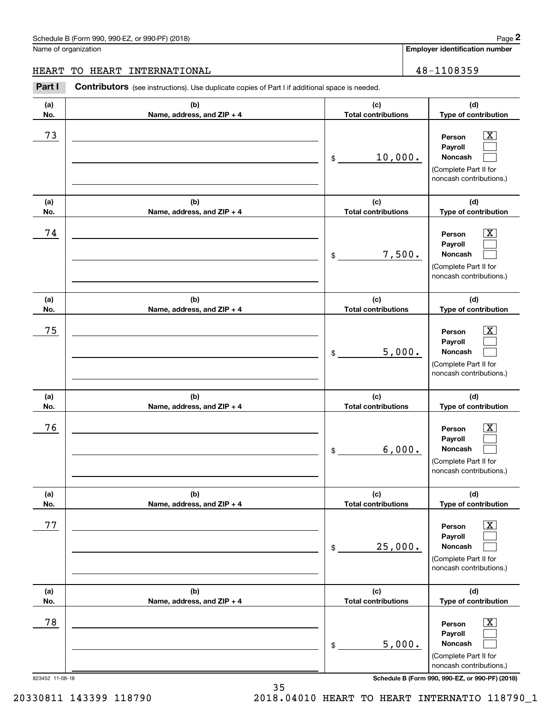# Schedule B (Form 990, 990-EZ, or 990-PF) (2018) **Page 2**

Name of organization

**Employer identification number**

**(d)**

 $\boxed{\text{X}}$  $\mathcal{L}^{\text{max}}$  $\mathcal{L}^{\text{max}}$ 

 $\boxed{\text{X}}$  $\mathcal{L}^{\text{max}}$  $\mathcal{L}^{\text{max}}$ 

 $\lfloor x \rfloor$ 

**(d)**

**(d)**

**(a) No.(b)Name, address, and ZIP + 4 (c) Total contributions Type of contribution Person PayrollNoncash (a) No.(b)Name, address, and ZIP + 4 (c)Total contributions Type of contribution PersonPayrollNoncash (a)No.(b)Name, address, and ZIP + 4 (c)Total contributions Type of contribution Person Payroll**Contributors (see instructions). Use duplicate copies of Part I if additional space is needed. \$(Complete Part II for noncash contributions.) \$(Complete Part II for noncash contributions.) \$Chedule B (Form 990, 990-EZ, or 990-PF) (2018)<br>Iame of organization<br>**IEART TO HEART INTERNATIONAL**<br>**Part I** Contributors (see instructions). Use duplicate copies of Part I if additional space is needed.<br>**Part I** Contributo 73 X 10,000. 74 X 7,500. 75 X 5,000. HEART TO HEART INTERNATIONAL 48-1108359

|            |                                   | 5,000.<br>$\frac{1}{2}$           | Payroll<br><b>Noncash</b><br>(Complete Part II for<br>noncash contributions.)                                                                                  |
|------------|-----------------------------------|-----------------------------------|----------------------------------------------------------------------------------------------------------------------------------------------------------------|
| (a)<br>No. | (b)<br>Name, address, and ZIP + 4 | (c)<br><b>Total contributions</b> | (d)<br>Type of contribution                                                                                                                                    |
| 76         |                                   | 6,000.<br>\$                      | $\overline{\text{X}}$<br>Person<br>Payroll<br><b>Noncash</b><br>(Complete Part II for<br>noncash contributions.)                                               |
| (a)<br>No. | (b)<br>Name, address, and ZIP + 4 | (c)<br><b>Total contributions</b> | (d)<br>Type of contribution                                                                                                                                    |
| 77         |                                   | 25,000.<br>\$                     | $\overline{\texttt{X}}$<br>Person<br>Payroll<br><b>Noncash</b><br>(Complete Part II for<br>noncash contributions.)                                             |
| (a)<br>No. | (b)<br>Name, address, and ZIP + 4 | (c)<br><b>Total contributions</b> | (d)<br>Type of contribution                                                                                                                                    |
| 78         |                                   | 5,000.<br>\$                      | $\overline{\texttt{X}}$<br>Person<br>Payroll<br>Noncash<br>(Complete Part II for<br>noncash contributions.)<br>Schedule B (Form 990, 990-EZ, or 990-PF) (2018) |

35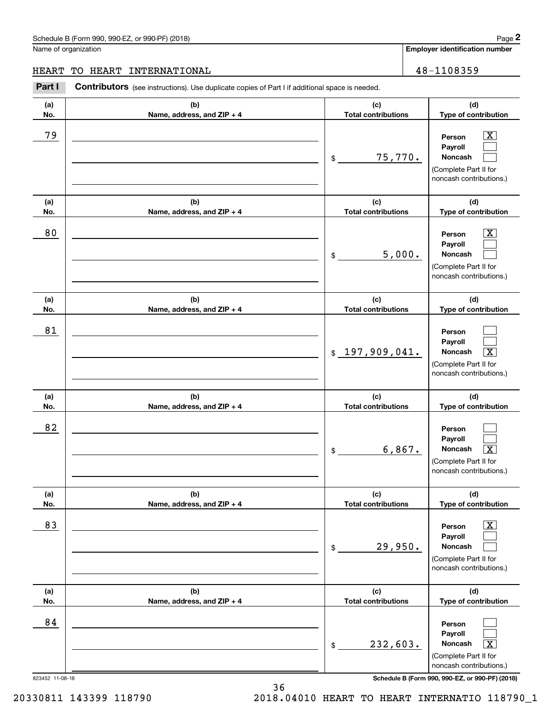# Schedule B (Form 990, 990-EZ, or 990-PF) (2018) **Page 2**

Name of organization

**Employer identification number**

**(d)**

 $\boxed{\text{X}}$ 

#### HEART TO HEART INTERNATIONAL 48-1108359

**(a) No.(b) Name, address, and ZIP + 4 (c) Total contributions Type of contribution Person**Contributors (see instructions). Use duplicate copies of Part I if additional space is needed. Chedule B (Form 990, 990-EZ, or 990-PF) (2018)<br>Iame of organization<br>**IEART TO HEART INTERNATIONAL**<br>**Part I** Contributors (see instructions). Use duplicate copies of Part I if additional space is needed.<br>**Part I** Contributo 79 X

|                       |                                   | 75,770.<br>\$                     | Payroll<br>Noncash<br>(Complete Part II for<br>noncash contributions.)                                                                                         |
|-----------------------|-----------------------------------|-----------------------------------|----------------------------------------------------------------------------------------------------------------------------------------------------------------|
| (a)<br>No.            | (b)<br>Name, address, and ZIP + 4 | (c)<br><b>Total contributions</b> | (d)<br>Type of contribution                                                                                                                                    |
| 80                    |                                   | 5,000.<br>\$                      | x<br>Person<br>Payroll<br>Noncash<br>(Complete Part II for<br>noncash contributions.)                                                                          |
| (a)<br>No.            | (b)<br>Name, address, and ZIP + 4 | (c)<br><b>Total contributions</b> | (d)<br>Type of contribution                                                                                                                                    |
| 81                    |                                   | \$197,909,041.                    | Person<br>Payroll<br>$\overline{\mathtt{x}}$<br>Noncash<br>(Complete Part II for<br>noncash contributions.)                                                    |
| (a)<br>No.            | (b)<br>Name, address, and ZIP + 4 | (c)<br><b>Total contributions</b> | (d)<br>Type of contribution                                                                                                                                    |
| 82                    |                                   | 6,867.<br>\$                      | Person<br>Payroll<br>$\overline{\mathtt{x}}$<br>Noncash<br>(Complete Part II for<br>noncash contributions.)                                                    |
| (a)<br>No.            | (b)<br>Name, address, and ZIP + 4 | (c)<br><b>Total contributions</b> | (d)<br>Type of contribution                                                                                                                                    |
| 83                    |                                   | 29,950.<br>\$                     | x<br>Person<br>Payroll<br>Noncash<br>لسيا<br>(Complete Part II for<br>noncash contributions.)                                                                  |
| (a)<br>No.            | (b)<br>Name, address, and ZIP + 4 | (c)<br><b>Total contributions</b> | (d)<br>Type of contribution                                                                                                                                    |
| 84<br>823452 11-08-18 |                                   | 232,603.<br>\$                    | Person<br>Payroll<br>$\overline{\mathbf{X}}$<br>Noncash<br>(Complete Part II for<br>noncash contributions.)<br>Schedule B (Form 990, 990-EZ, or 990-PF) (2018) |

# 20330811 143399 118790 2018.04010 HEART TO HEART INTERNATIO 118790\_1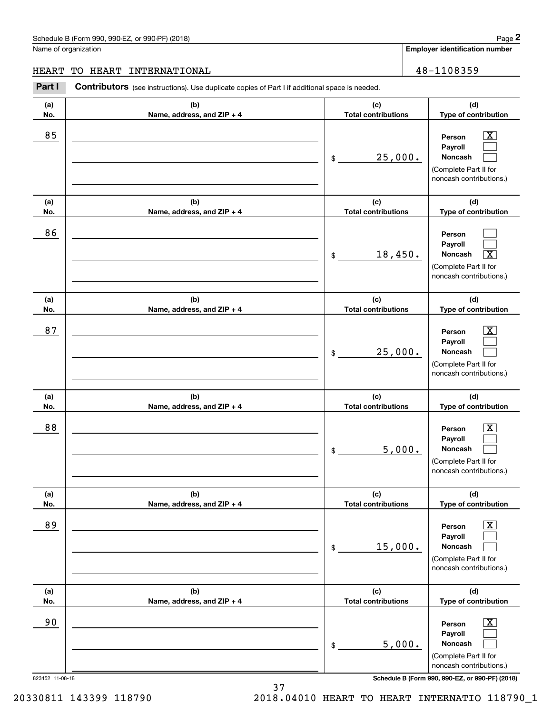**Employer identification number (a)No.(b)Name, address, and ZIP + 4 (c)Total contributions (d)Type of contribution PersonPayrollNoncash (a)No.(b)Name, address, and ZIP + 4 (c)Total contributions (d)Type of contribution PersonPayrollNoncash (a)No.(b)Name, address, and ZIP + 4 (c)Total contributions (d)Type of contribution PersonPayrollNoncash (a) No.(b) Name, address, and ZIP + 4 (c) Total contributions (d) Type of contribution PersonPayrollNoncash (a) No.(b) Name, address, and ZIP + 4 (c) Total contributions (d) Type of contribution PersonPayrollNoncash(a) No.(b)Name, address, and ZIP + 4 (c) Total contributions (d)Type of contribution PersonPayroll**Schedule B (Form 990, 990-EZ, or 990-PF) (2018) **Page 2** Page 1 and the state of the state of the state of the state of the state of the state of the state of the state of the state of the state of the state of the state o Name of organization **Contributors** (see instructions). Use duplicate copies of Part I if additional space is needed. \$(Complete Part II for noncash contributions.) \$(Complete Part II for noncash contributions.) \$(Complete Part II for noncash contributions.) \$(Complete Part II for noncash contributions.) \$(Complete Part II for noncash contributions.) Chedule B (Form 990, 990-EZ, or 990-PF) (2018)<br>Iame of organization<br>**IEART TO HEART INTERNATIONAL**<br>**Part I** Contributors (see instructions). Use duplicate copies of Part I if additional space is needed.<br>**Part I** Contributo  $|X|$  $\mathcal{L}^{\text{max}}$  $\mathcal{L}^{\text{max}}$  $\mathcal{L}^{\text{max}}$  $\mathcal{L}^{\text{max}}$  $\overline{\mathbf{X}}$  $|X|$  $\mathcal{L}^{\text{max}}$  $\mathcal{L}^{\text{max}}$  $\boxed{\text{X}}$  $\mathcal{L}^{\text{max}}$  $\mathcal{L}^{\text{max}}$  $\boxed{\text{X}}$  $\mathcal{L}^{\text{max}}$  $\mathcal{L}^{\text{max}}$  $\boxed{\text{X}}$  $\mathcal{L}^{\text{max}}$ 85 X 25,000. 86 18,450. X 87 X 25,000. 88 X 5,000. 89 X 15,000. 90 X HEART TO HEART INTERNATIONAL 48-1108359

> (Complete Part II for noncash contributions.)

**Noncash**

 $\mathcal{L}^{\text{max}}$ 

37 20330811 143399 118790 2018.04010 HEART TO HEART INTERNATIO 118790\_1

5,000.

\$

823452 11-08-18 **Schedule B (Form 990, 990-EZ, or 990-PF) (2018)**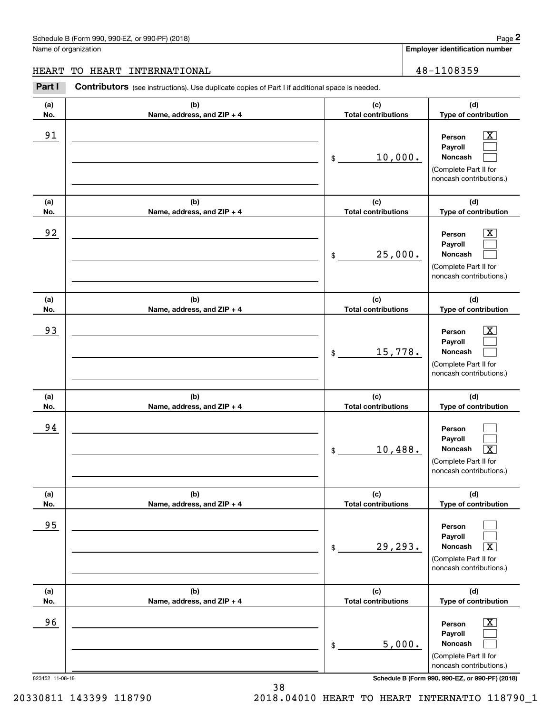#### Schedule B (Form 990, 990-EZ, or 990-PF) (2018) **Page 2** Page 1 and the state of the state of the state of the state of the state of the state of the state of the state of the state of the state of the state of the state o

 $|X|$  $\mathcal{L}^{\text{max}}$  $\mathcal{L}^{\text{max}}$ 

 $\boxed{\text{X}}$  $\mathcal{L}^{\text{max}}$  $\mathcal{L}^{\text{max}}$ 

 $|X|$  $\mathcal{L}^{\text{max}}$  $\mathcal{L}^{\text{max}}$ 

**Employer identification number (a)No.(b)Name, address, and ZIP + 4 (c)Total contributions (d)Type of contribution PersonPayrollNoncash (a)No.(b)Name, address, and ZIP + 4 (c)Total contributions (d)Type of contribution PersonPayrollNoncash (a)No.(b)Name, address, and ZIP + 4 (c)Total contributions (d)Type of contribution PersonPayrollNoncash (a) No.(b) Name, address, and ZIP + 4 (c) Total contributions (d) Type of contribution** Name of organization **Contributors** (see instructions). Use duplicate copies of Part I if additional space is needed. \$(Complete Part II for noncash contributions.) \$(Complete Part II for noncash contributions.) \$(Complete Part II for noncash contributions.) Chedule B (Form 990, 990-EZ, or 990-PF) (2018)<br>Iame of organization<br>**IEART TO HEART INTERNATIONAL**<br>**Part I** Contributors (see instructions). Use duplicate copies of Part I if additional space is needed.<br>**Part I** Contributo 91 X 10,000. 92 X 25,000. 93 | Person X 15,778. HEART TO HEART INTERNATIONAL 48-1108359

**PersonPayrollNoncash (a) No.(b) Name, address, and ZIP + 4 (c) Total contributions (d) Type of contribution PersonPayrollNoncash (a) No.(b)Name, address, and ZIP + 4 (c) Total contributions (d)Type of contribution PersonPayrollNoncash** \$(Complete Part II for noncash contributions.) \$(Complete Part II for noncash contributions.) \$(Complete Part II for  $\mathcal{L}^{\text{max}}$  $\mathcal{L}^{\text{max}}$  $\lceil \text{X} \rceil$  $\mathcal{L}^{\text{max}}$  $\mathcal{L}^{\text{max}}$  $\sqrt{X}$  $\boxed{\text{X}}$  $\mathcal{L}^{\text{max}}$  $\mathcal{L}^{\text{max}}$ 94 10,488. X 95 29,293. X 96 X 5,000.

823452 11-08-18 **Schedule B (Form 990, 990-EZ, or 990-PF) (2018)**

noncash contributions.)

20330811 143399 118790 2018.04010 HEART TO HEART INTERNATIO 118790\_1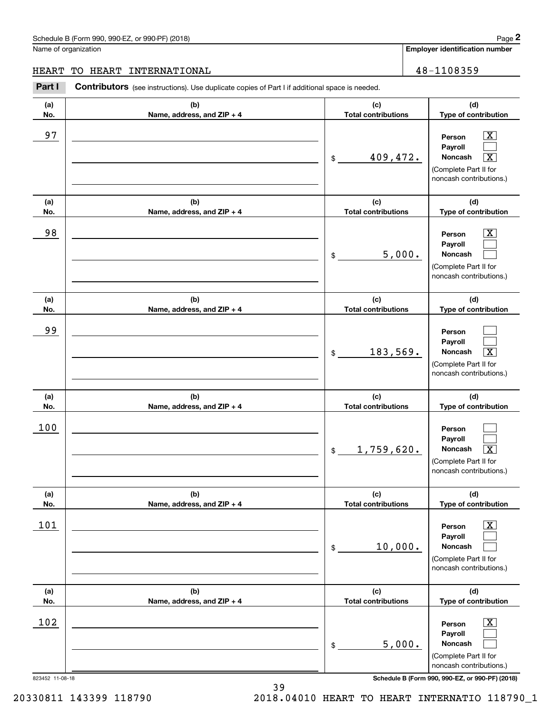#### Schedule B (Form 990, 990-EZ, or 990-PF) (2018) **Page 2** Page 1 and the state of the state of the state of the state of the state of the state of the state of the state of the state of the state of the state of the state o

Name of organization

**Employer identification number**

#### HEART TO HEART INTERNATIONAL 48-1108359

**(a)No.(b)Name, address, and ZIP + 4 (c)Total contributions (d)Type of contribution PersonPayrollNoncash (a)No.(b)Name, address, and ZIP + 4 (c)Total contributions (d)Type of contribution PersonPayrollNoncash (a)No.(b)Name, address, and ZIP + 4 (c)Total contributions (d)Type of contribution PersonPayrollNoncash (a) No.(b) Name, address, and ZIP + 4 (c) Total contributions (d) Type of contribution PersonPayrollNoncash(a) No.(b) Name, address, and ZIP + 4 (c) Total contributions (d) Type of contribution PersonPayrollNoncash(a) No.(b)Name, address, and ZIP + 4 (c) Total contributions (d)Type of contribution PersonPayrollNoncash Contributors** (see instructions). Use duplicate copies of Part I if additional space is needed. \$(Complete Part II for noncash contributions.) \$(Complete Part II for noncash contributions.) \$(Complete Part II for noncash contributions.) \$(Complete Part II for noncash contributions.) \$(Complete Part II for noncash contributions.) \$(Complete Part II for noncash contributions.) Chedule B (Form 990, 990-EZ, or 990-PF) (2018)<br>Iame of organization<br>**IEART TO HEART INTERNATIONAL**<br>**Part I** Contributors (see instructions). Use duplicate copies of Part I if additional space is needed.<br>**Part I** Contributo  $|X|$  $\mathcal{L}^{\text{max}}$  $\boxed{\text{X}}$  $\boxed{\text{X}}$  $\mathcal{L}^{\text{max}}$  $\mathcal{L}^{\text{max}}$  $\mathcal{L}^{\text{max}}$  $\mathcal{L}^{\text{max}}$  $\boxed{\text{X}}$  $\mathcal{L}^{\text{max}}$  $\mathcal{L}^{\text{max}}$  $\lceil \text{X} \rceil$  $\boxed{\text{X}}$  $\mathcal{L}^{\text{max}}$  $\mathcal{L}^{\text{max}}$  $\lfloor x \rfloor$  $\mathcal{L}^{\text{max}}$  $\mathcal{L}^{\text{max}}$ 97 X <u>409,472.</u> 98 X 5,000. 99 183,569. X 100 1,759,620. X 101 X 10,000.  $102$  Person  $\overline{\text{X}}$ 5,000.

823452 11-08-18 **Schedule B (Form 990, 990-EZ, or 990-PF) (2018)**

20330811 143399 118790 2018.04010 HEART TO HEART INTERNATIO 118790\_1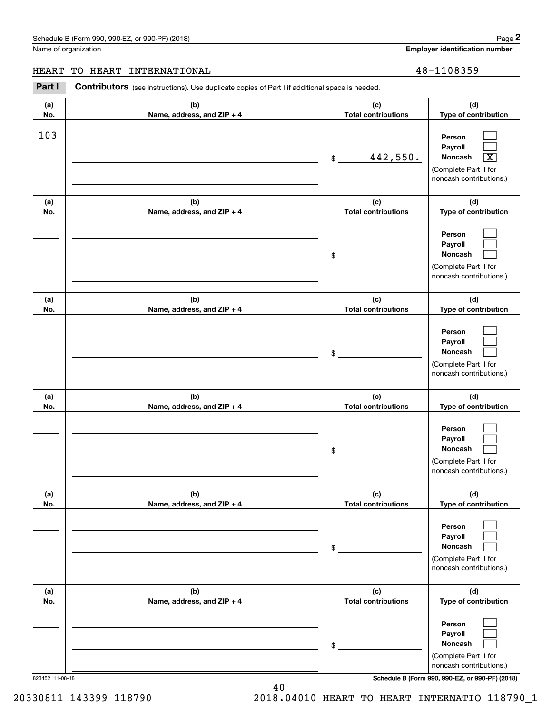#### Schedule B (Form 990, 990-EZ, or 990-PF) (2018) **Page 2** Page 1 and the state of the state of the state of the state of the state of the state of the state of the state of the state of the state of the state of the state o

Name of organization

**Employer identification number**

### HEART TO HEART INTERNATIONAL 48-1108359

**(a)No.(b)Name, address, and ZIP + 4 (c)Total contributions (d)Type of contribution PersonPayrollNoncash (a)No.(b)Name, address, and ZIP + 4 (c)Total contributions (d)Type of contribution PersonPayrollNoncash (a)No.(b)Name, address, and ZIP + 4 (c)Total contributions (d)Type of contribution PersonPayrollNoncash (a) No.(b) Name, address, and ZIP + 4 (c) Total contributions (d) Type of contribution PersonPayrollNoncash (a) No.(b) Name, address, and ZIP + 4 (c) Total contributions (d) Type of contribution PersonPayrollNoncash(a) No.(b)Name, address, and ZIP + 4 (c) Total contributions (d)Type of contribution PersonPayrollNoncash** Contributors (see instructions). Use duplicate copies of Part I if additional space is needed. \$(Complete Part II for noncash contributions.) \$(Complete Part II for noncash contributions.) \$(Complete Part II for noncash contributions.) \$(Complete Part II for noncash contributions.) \$(Complete Part II for noncash contributions.) \$(Complete Part II for noncash contributions.) Chedule B (Form 990, 990-EZ, or 990-PF) (2018)<br>Iame of organization<br>**IEART TO HEART INTERNATIONAL**<br>**Part I** Contributors (see instructions). Use duplicate copies of Part I if additional space is needed.<br>**Part I** Contributo  $\mathcal{L}^{\text{max}}$  $\mathcal{L}^{\text{max}}$  $\boxed{\text{X}}$  $\mathcal{L}^{\text{max}}$  $\mathcal{L}^{\text{max}}$  $\mathcal{L}^{\text{max}}$  $\mathcal{L}^{\text{max}}$  $\mathcal{L}^{\text{max}}$  $\mathcal{L}^{\text{max}}$  $\mathcal{L}^{\text{max}}$  $\mathcal{L}^{\text{max}}$  $\mathcal{L}^{\text{max}}$  $\mathcal{L}^{\text{max}}$  $\mathcal{L}^{\text{max}}$  $\mathcal{L}^{\text{max}}$  $\mathcal{L}^{\text{max}}$  $\mathcal{L}^{\text{max}}$  $\mathcal{L}^{\text{max}}$ 103  $442,550.$ 

823452 11-08-18 **Schedule B (Form 990, 990-EZ, or 990-PF) (2018)**

20330811 143399 118790 2018.04010 HEART TO HEART INTERNATIO 118790\_1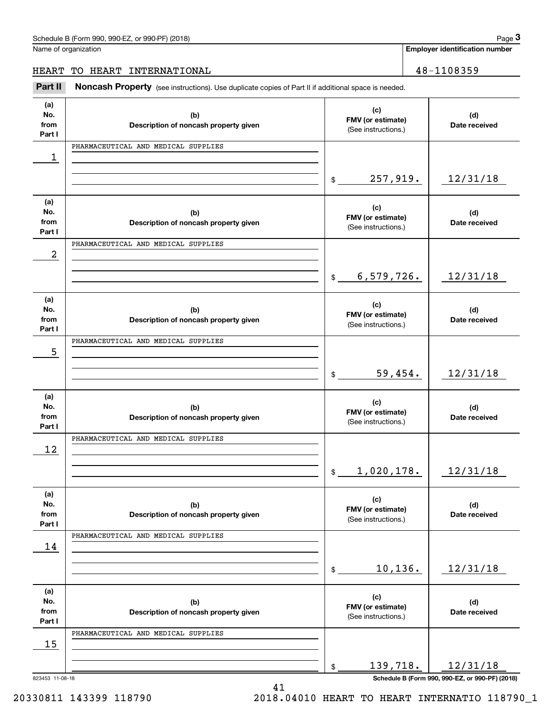| Schedule B (Form 990, 990-EZ, or 990-PF) (2018) | Page |
|-------------------------------------------------|------|
|-------------------------------------------------|------|

**Employer identification number**

# HEART TO HEART INTERNATIONAL 28-1108359

Fage 3 Employer identification pumber<br>
Idme of organization<br> **18 Employer identification number**<br> **18 ART TO HEART INTERNATIONAL**<br> **Part II Noncash Property** (see instructions). Use duplicate copies of Part II if additio

| (a)<br>No.      | (b)                                          | (c)<br>FMV (or estimate)    | (d)                                             |
|-----------------|----------------------------------------------|-----------------------------|-------------------------------------------------|
| from<br>Part I  | Description of noncash property given        | (See instructions.)         | Date received                                   |
|                 | PHARMACEUTICAL AND MEDICAL SUPPLIES          |                             |                                                 |
| 1               |                                              |                             |                                                 |
|                 |                                              | 257,919.<br>\$              | 12/31/18                                        |
| (a)             |                                              | (c)                         |                                                 |
| No.<br>from     | (b)<br>Description of noncash property given | FMV (or estimate)           | (d)<br>Date received                            |
| Part I          |                                              | (See instructions.)         |                                                 |
|                 | PHARMACEUTICAL AND MEDICAL SUPPLIES          |                             |                                                 |
| 2               |                                              |                             |                                                 |
|                 |                                              | 6,579,726.<br>\$            | 12/31/18                                        |
| (a)             |                                              | (c)                         |                                                 |
| No.<br>from     | (b)                                          | FMV (or estimate)           | (d)                                             |
| Part I          | Description of noncash property given        | (See instructions.)         | Date received                                   |
|                 | PHARMACEUTICAL AND MEDICAL SUPPLIES          |                             |                                                 |
| 5               |                                              |                             |                                                 |
|                 |                                              | 59,454.<br>\$               | 12/31/18                                        |
|                 |                                              |                             |                                                 |
| (a)             |                                              | (c)                         |                                                 |
| No.<br>from     | (b)                                          | FMV (or estimate)           | (d)<br>Date received                            |
| Part I          | Description of noncash property given        | (See instructions.)         |                                                 |
|                 | PHARMACEUTICAL AND MEDICAL SUPPLIES          |                             |                                                 |
| 12              |                                              |                             |                                                 |
|                 |                                              | 1,020,178.<br>$\mathsf{\$}$ | 12/31/18                                        |
|                 |                                              |                             |                                                 |
| (a)             |                                              | (c)                         |                                                 |
| No.<br>from     | (b)<br>Description of noncash property given | FMV (or estimate)           | (d)<br>Date received                            |
| Part I          |                                              | (See instructions.)         |                                                 |
|                 | PHARMACEUTICAL AND MEDICAL SUPPLIES          |                             |                                                 |
| 14              |                                              |                             |                                                 |
|                 |                                              | 10,136.<br>\$               | 12/31/18                                        |
|                 |                                              |                             |                                                 |
| (a)             |                                              | (c)                         |                                                 |
| No.<br>from     | (b)<br>Description of noncash property given | FMV (or estimate)           | (d)<br>Date received                            |
| Part I          |                                              | (See instructions.)         |                                                 |
|                 | PHARMACEUTICAL AND MEDICAL SUPPLIES          |                             |                                                 |
| 15              |                                              |                             |                                                 |
|                 |                                              | 139,718.<br>\$              | 12/31/18                                        |
| 823453 11-08-18 |                                              |                             | Schedule B (Form 990, 990-EZ, or 990-PF) (2018) |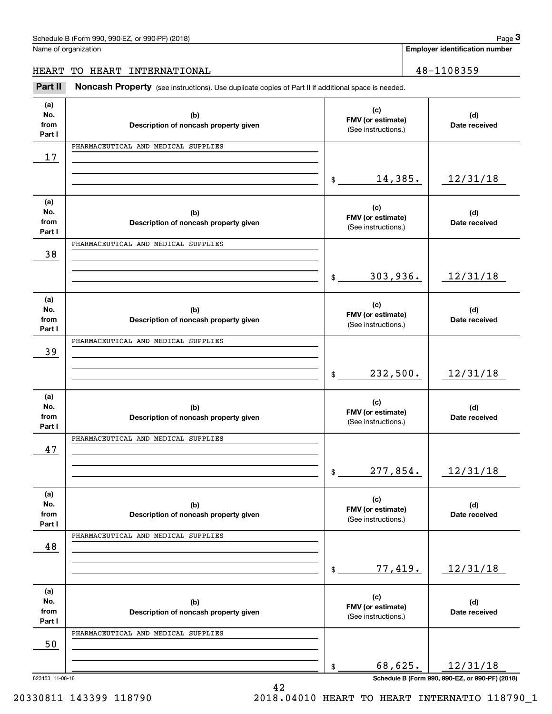| Schedule B (Form 990, 990-EZ, or 990-PF) (2018) | Page |
|-------------------------------------------------|------|
|-------------------------------------------------|------|

**Employer identification number**

# HEART TO HEART INTERNATIONAL 48-1108359

Fage 3 Employer identification pumber<br>
Idme of organization<br> **18 Employer identification number**<br> **18 ART TO HEART INTERNATIONAL**<br> **Part II Noncash Property** (see instructions). Use duplicate copies of Part II if additio

| (a)             |                                              | (c)                                      |                                                 |
|-----------------|----------------------------------------------|------------------------------------------|-------------------------------------------------|
| No.<br>from     | (b)<br>Description of noncash property given | FMV (or estimate)                        | (d)<br>Date received                            |
| Part I          |                                              | (See instructions.)                      |                                                 |
|                 | PHARMACEUTICAL AND MEDICAL SUPPLIES          |                                          |                                                 |
| 17              |                                              |                                          |                                                 |
|                 |                                              | 14,385.<br>$\frac{1}{2}$                 | 12/31/18                                        |
|                 |                                              |                                          |                                                 |
| (a)<br>No.      | (b)                                          | (c)                                      | (d)                                             |
| from            | Description of noncash property given        | FMV (or estimate)<br>(See instructions.) | Date received                                   |
| Part I          | PHARMACEUTICAL AND MEDICAL SUPPLIES          |                                          |                                                 |
| 38              |                                              |                                          |                                                 |
|                 |                                              |                                          |                                                 |
|                 |                                              | 303,936.<br>$\frac{1}{2}$                | 12/31/18                                        |
| (a)             |                                              |                                          |                                                 |
| No.             | (b)                                          | (c)<br>FMV (or estimate)                 | (d)                                             |
| from<br>Part I  | Description of noncash property given        | (See instructions.)                      | Date received                                   |
|                 | PHARMACEUTICAL AND MEDICAL SUPPLIES          |                                          |                                                 |
| 39              |                                              |                                          |                                                 |
|                 |                                              | 232,500.<br>$\frac{1}{2}$                | 12/31/18                                        |
|                 |                                              |                                          |                                                 |
| (a)             |                                              | (c)                                      |                                                 |
| No.<br>from     | (b)<br>Description of noncash property given | FMV (or estimate)                        | (d)<br>Date received                            |
| Part I          |                                              | (See instructions.)                      |                                                 |
|                 | PHARMACEUTICAL AND MEDICAL SUPPLIES          |                                          |                                                 |
| 47              |                                              |                                          |                                                 |
|                 |                                              | 277,854.<br>$\frac{1}{2}$                | 12/31/18                                        |
|                 |                                              |                                          |                                                 |
| (a)<br>No.      | (b)                                          | (c)                                      | (d)                                             |
| from            | Description of noncash property given        | FMV (or estimate)<br>(See instructions.) | Date received                                   |
| Part I          |                                              |                                          |                                                 |
| 48              | PHARMACEUTICAL AND MEDICAL SUPPLIES          |                                          |                                                 |
|                 |                                              |                                          |                                                 |
|                 |                                              | 77,419.<br>\$                            | 12/31/18                                        |
| (a)             |                                              |                                          |                                                 |
| No.             | (b)                                          | (c)<br>FMV (or estimate)                 | (d)                                             |
| from<br>Part I  | Description of noncash property given        | (See instructions.)                      | Date received                                   |
|                 | PHARMACEUTICAL AND MEDICAL SUPPLIES          |                                          |                                                 |
| 50              |                                              |                                          |                                                 |
|                 |                                              | 68,625.                                  | 12/31/18                                        |
| 823453 11-08-18 |                                              | \$                                       | Schedule B (Form 990, 990-EZ, or 990-PF) (2018) |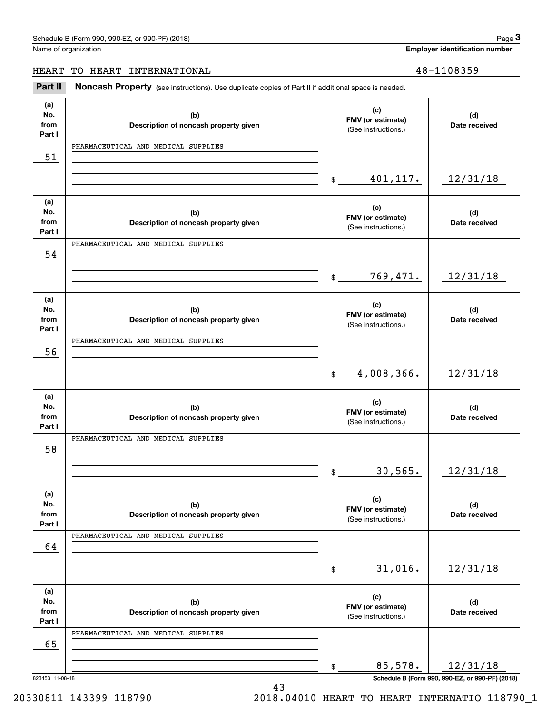| Schedule B (Form 990, 990-EZ, or 990-PF) (2018) | Page |
|-------------------------------------------------|------|
|-------------------------------------------------|------|

**Employer identification number**

# HEART TO HEART INTERNATIONAL 28-1108359

Fage 3 Employer identification pumber<br>
Idme of organization<br> **18 Employer identification number**<br> **18 ART TO HEART INTERNATIONAL**<br> **Part II Noncash Property** (see instructions). Use duplicate copies of Part II if additio

| (a)            |                                              |                                          |                                                             |
|----------------|----------------------------------------------|------------------------------------------|-------------------------------------------------------------|
| No.            | (b)                                          | (c)<br>FMV (or estimate)                 | (d)                                                         |
| from<br>Part I | Description of noncash property given        | (See instructions.)                      | Date received                                               |
|                | PHARMACEUTICAL AND MEDICAL SUPPLIES          |                                          |                                                             |
| 51             |                                              |                                          |                                                             |
|                |                                              |                                          |                                                             |
|                |                                              | 401,117.<br>\$                           | 12/31/18                                                    |
| (a)            |                                              |                                          |                                                             |
| No.            | (b)                                          | (c)                                      | (d)                                                         |
| from           | Description of noncash property given        | FMV (or estimate)<br>(See instructions.) | Date received                                               |
| Part I         | PHARMACEUTICAL AND MEDICAL SUPPLIES          |                                          |                                                             |
| 54             |                                              |                                          |                                                             |
|                |                                              |                                          |                                                             |
|                |                                              | 769,471.<br>\$                           | 12/31/18                                                    |
|                |                                              |                                          |                                                             |
| (a)<br>No.     | (b)                                          | (c)                                      | (d)                                                         |
| from           | Description of noncash property given        | FMV (or estimate)                        | Date received                                               |
| Part I         |                                              | (See instructions.)                      |                                                             |
|                | PHARMACEUTICAL AND MEDICAL SUPPLIES          |                                          |                                                             |
| 56             |                                              |                                          |                                                             |
|                |                                              | 4,008,366.<br>$\frac{1}{2}$              | 12/31/18                                                    |
|                |                                              |                                          |                                                             |
| (a)            |                                              | (c)                                      |                                                             |
| No.<br>from    | (b)<br>Description of noncash property given | FMV (or estimate)                        | (d)<br>Date received                                        |
| Part I         |                                              | (See instructions.)                      |                                                             |
|                | PHARMACEUTICAL AND MEDICAL SUPPLIES          |                                          |                                                             |
| 58             |                                              |                                          |                                                             |
|                |                                              |                                          |                                                             |
|                |                                              |                                          |                                                             |
|                |                                              | 30,565.<br>$\frac{1}{2}$                 | 12/31/18                                                    |
| (a)            |                                              |                                          |                                                             |
| No.            | (b)                                          | (c)                                      | (d)                                                         |
| from           | Description of noncash property given        | FMV (or estimate)<br>(See instructions.) | Date received                                               |
| Part I         | PHARMACEUTICAL AND MEDICAL SUPPLIES          |                                          |                                                             |
| 64             |                                              |                                          |                                                             |
|                |                                              |                                          |                                                             |
|                |                                              | 31,016.<br>\$                            | 12/31/18                                                    |
|                |                                              |                                          |                                                             |
| (a)<br>No.     | (b)                                          | (c)                                      | (d)                                                         |
| from           | Description of noncash property given        | FMV (or estimate)<br>(See instructions.) | Date received                                               |
| Part I         |                                              |                                          |                                                             |
|                | PHARMACEUTICAL AND MEDICAL SUPPLIES          |                                          |                                                             |
| 65             |                                              |                                          |                                                             |
|                |                                              | 85,578.<br>\$                            | 12/31/18<br>Schedule B (Form 990, 990-EZ, or 990-PF) (2018) |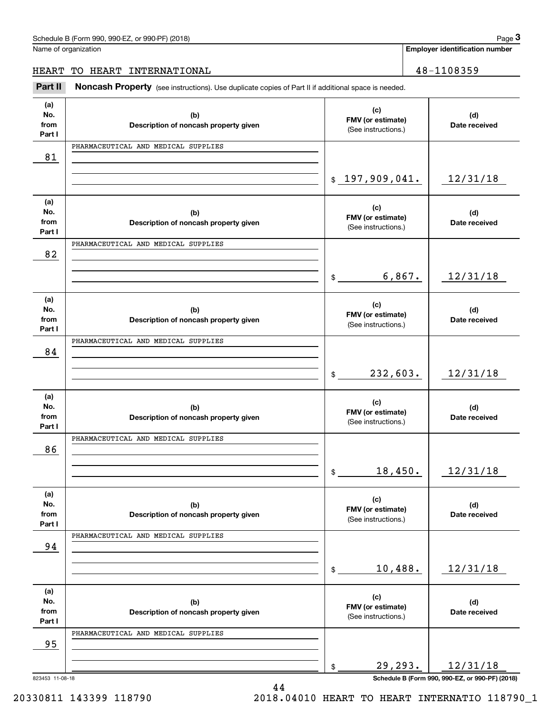| Schedule B (Form 990, 990-EZ, or 990-PF) (2018) | Page |
|-------------------------------------------------|------|
|-------------------------------------------------|------|

**Employer identification number**

HEART TO HEART INTERNATIONAL 28-1108359

Fage 3 Employer identification pumber<br>
Idme of organization<br> **18 Employer identification number**<br> **18 ART TO HEART INTERNATIONAL**<br> **Part II Noncash Property** (see instructions). Use duplicate copies of Part II if additio

| (a)<br>(c)<br>No.<br>(b)<br>(d)<br>FMV (or estimate)<br>from<br>Description of noncash property given<br>Date received<br>(See instructions.)<br>Part I<br>PHARMACEUTICAL AND MEDICAL SUPPLIES<br>81<br>\$197,909,041.<br>12/31/18<br>(a)<br>(c)<br>No.<br>(d)<br>(b)<br>FMV (or estimate)<br>from<br>Date received<br>Description of noncash property given<br>(See instructions.)<br>Part I<br>PHARMACEUTICAL AND MEDICAL SUPPLIES<br>82<br>6,867.<br>12/31/18<br>$\frac{1}{2}$<br>(a)<br>(c)<br>No.<br>(d)<br>(b)<br>FMV (or estimate)<br>from<br>Description of noncash property given<br>Date received<br>(See instructions.)<br>Part I<br>PHARMACEUTICAL AND MEDICAL SUPPLIES<br>84<br>232,603.<br>12/31/18<br>$\frac{1}{2}$<br>(a)<br>(c)<br>No.<br>(d)<br>(b)<br>FMV (or estimate)<br>from<br>Description of noncash property given<br>Date received<br>(See instructions.)<br>Part I<br>PHARMACEUTICAL AND MEDICAL SUPPLIES<br>86<br>18,450.<br>12/31/18<br>\$<br>(a)<br>(c)<br>No.<br>(b)<br>(d)<br>FMV (or estimate)<br>from<br>Description of noncash property given<br>Date received<br>(See instructions.)<br>Part I<br>PHARMACEUTICAL AND MEDICAL SUPPLIES<br>94<br>10,488.<br>12/31/18<br>\$<br>(a)<br>(c)<br>No.<br>(d)<br>(b)<br>FMV (or estimate)<br>from<br>Description of noncash property given<br>Date received<br>(See instructions.)<br>Part I<br>PHARMACEUTICAL AND MEDICAL SUPPLIES<br>95<br>29,293.<br>12/31/18<br>\$<br>Schedule B (Form 990, 990-EZ, or 990-PF) (2018)<br>823453 11-08-18 |  |  |
|-------------------------------------------------------------------------------------------------------------------------------------------------------------------------------------------------------------------------------------------------------------------------------------------------------------------------------------------------------------------------------------------------------------------------------------------------------------------------------------------------------------------------------------------------------------------------------------------------------------------------------------------------------------------------------------------------------------------------------------------------------------------------------------------------------------------------------------------------------------------------------------------------------------------------------------------------------------------------------------------------------------------------------------------------------------------------------------------------------------------------------------------------------------------------------------------------------------------------------------------------------------------------------------------------------------------------------------------------------------------------------------------------------------------------------------------------------------------------------------------------------------------------|--|--|
|                                                                                                                                                                                                                                                                                                                                                                                                                                                                                                                                                                                                                                                                                                                                                                                                                                                                                                                                                                                                                                                                                                                                                                                                                                                                                                                                                                                                                                                                                                                         |  |  |
|                                                                                                                                                                                                                                                                                                                                                                                                                                                                                                                                                                                                                                                                                                                                                                                                                                                                                                                                                                                                                                                                                                                                                                                                                                                                                                                                                                                                                                                                                                                         |  |  |
|                                                                                                                                                                                                                                                                                                                                                                                                                                                                                                                                                                                                                                                                                                                                                                                                                                                                                                                                                                                                                                                                                                                                                                                                                                                                                                                                                                                                                                                                                                                         |  |  |
|                                                                                                                                                                                                                                                                                                                                                                                                                                                                                                                                                                                                                                                                                                                                                                                                                                                                                                                                                                                                                                                                                                                                                                                                                                                                                                                                                                                                                                                                                                                         |  |  |
|                                                                                                                                                                                                                                                                                                                                                                                                                                                                                                                                                                                                                                                                                                                                                                                                                                                                                                                                                                                                                                                                                                                                                                                                                                                                                                                                                                                                                                                                                                                         |  |  |
|                                                                                                                                                                                                                                                                                                                                                                                                                                                                                                                                                                                                                                                                                                                                                                                                                                                                                                                                                                                                                                                                                                                                                                                                                                                                                                                                                                                                                                                                                                                         |  |  |
|                                                                                                                                                                                                                                                                                                                                                                                                                                                                                                                                                                                                                                                                                                                                                                                                                                                                                                                                                                                                                                                                                                                                                                                                                                                                                                                                                                                                                                                                                                                         |  |  |
|                                                                                                                                                                                                                                                                                                                                                                                                                                                                                                                                                                                                                                                                                                                                                                                                                                                                                                                                                                                                                                                                                                                                                                                                                                                                                                                                                                                                                                                                                                                         |  |  |
|                                                                                                                                                                                                                                                                                                                                                                                                                                                                                                                                                                                                                                                                                                                                                                                                                                                                                                                                                                                                                                                                                                                                                                                                                                                                                                                                                                                                                                                                                                                         |  |  |
|                                                                                                                                                                                                                                                                                                                                                                                                                                                                                                                                                                                                                                                                                                                                                                                                                                                                                                                                                                                                                                                                                                                                                                                                                                                                                                                                                                                                                                                                                                                         |  |  |
|                                                                                                                                                                                                                                                                                                                                                                                                                                                                                                                                                                                                                                                                                                                                                                                                                                                                                                                                                                                                                                                                                                                                                                                                                                                                                                                                                                                                                                                                                                                         |  |  |
|                                                                                                                                                                                                                                                                                                                                                                                                                                                                                                                                                                                                                                                                                                                                                                                                                                                                                                                                                                                                                                                                                                                                                                                                                                                                                                                                                                                                                                                                                                                         |  |  |
|                                                                                                                                                                                                                                                                                                                                                                                                                                                                                                                                                                                                                                                                                                                                                                                                                                                                                                                                                                                                                                                                                                                                                                                                                                                                                                                                                                                                                                                                                                                         |  |  |
|                                                                                                                                                                                                                                                                                                                                                                                                                                                                                                                                                                                                                                                                                                                                                                                                                                                                                                                                                                                                                                                                                                                                                                                                                                                                                                                                                                                                                                                                                                                         |  |  |
|                                                                                                                                                                                                                                                                                                                                                                                                                                                                                                                                                                                                                                                                                                                                                                                                                                                                                                                                                                                                                                                                                                                                                                                                                                                                                                                                                                                                                                                                                                                         |  |  |
|                                                                                                                                                                                                                                                                                                                                                                                                                                                                                                                                                                                                                                                                                                                                                                                                                                                                                                                                                                                                                                                                                                                                                                                                                                                                                                                                                                                                                                                                                                                         |  |  |
|                                                                                                                                                                                                                                                                                                                                                                                                                                                                                                                                                                                                                                                                                                                                                                                                                                                                                                                                                                                                                                                                                                                                                                                                                                                                                                                                                                                                                                                                                                                         |  |  |
|                                                                                                                                                                                                                                                                                                                                                                                                                                                                                                                                                                                                                                                                                                                                                                                                                                                                                                                                                                                                                                                                                                                                                                                                                                                                                                                                                                                                                                                                                                                         |  |  |
|                                                                                                                                                                                                                                                                                                                                                                                                                                                                                                                                                                                                                                                                                                                                                                                                                                                                                                                                                                                                                                                                                                                                                                                                                                                                                                                                                                                                                                                                                                                         |  |  |
|                                                                                                                                                                                                                                                                                                                                                                                                                                                                                                                                                                                                                                                                                                                                                                                                                                                                                                                                                                                                                                                                                                                                                                                                                                                                                                                                                                                                                                                                                                                         |  |  |
|                                                                                                                                                                                                                                                                                                                                                                                                                                                                                                                                                                                                                                                                                                                                                                                                                                                                                                                                                                                                                                                                                                                                                                                                                                                                                                                                                                                                                                                                                                                         |  |  |
|                                                                                                                                                                                                                                                                                                                                                                                                                                                                                                                                                                                                                                                                                                                                                                                                                                                                                                                                                                                                                                                                                                                                                                                                                                                                                                                                                                                                                                                                                                                         |  |  |
|                                                                                                                                                                                                                                                                                                                                                                                                                                                                                                                                                                                                                                                                                                                                                                                                                                                                                                                                                                                                                                                                                                                                                                                                                                                                                                                                                                                                                                                                                                                         |  |  |
|                                                                                                                                                                                                                                                                                                                                                                                                                                                                                                                                                                                                                                                                                                                                                                                                                                                                                                                                                                                                                                                                                                                                                                                                                                                                                                                                                                                                                                                                                                                         |  |  |
|                                                                                                                                                                                                                                                                                                                                                                                                                                                                                                                                                                                                                                                                                                                                                                                                                                                                                                                                                                                                                                                                                                                                                                                                                                                                                                                                                                                                                                                                                                                         |  |  |
|                                                                                                                                                                                                                                                                                                                                                                                                                                                                                                                                                                                                                                                                                                                                                                                                                                                                                                                                                                                                                                                                                                                                                                                                                                                                                                                                                                                                                                                                                                                         |  |  |
|                                                                                                                                                                                                                                                                                                                                                                                                                                                                                                                                                                                                                                                                                                                                                                                                                                                                                                                                                                                                                                                                                                                                                                                                                                                                                                                                                                                                                                                                                                                         |  |  |
|                                                                                                                                                                                                                                                                                                                                                                                                                                                                                                                                                                                                                                                                                                                                                                                                                                                                                                                                                                                                                                                                                                                                                                                                                                                                                                                                                                                                                                                                                                                         |  |  |
|                                                                                                                                                                                                                                                                                                                                                                                                                                                                                                                                                                                                                                                                                                                                                                                                                                                                                                                                                                                                                                                                                                                                                                                                                                                                                                                                                                                                                                                                                                                         |  |  |
|                                                                                                                                                                                                                                                                                                                                                                                                                                                                                                                                                                                                                                                                                                                                                                                                                                                                                                                                                                                                                                                                                                                                                                                                                                                                                                                                                                                                                                                                                                                         |  |  |
|                                                                                                                                                                                                                                                                                                                                                                                                                                                                                                                                                                                                                                                                                                                                                                                                                                                                                                                                                                                                                                                                                                                                                                                                                                                                                                                                                                                                                                                                                                                         |  |  |
|                                                                                                                                                                                                                                                                                                                                                                                                                                                                                                                                                                                                                                                                                                                                                                                                                                                                                                                                                                                                                                                                                                                                                                                                                                                                                                                                                                                                                                                                                                                         |  |  |
|                                                                                                                                                                                                                                                                                                                                                                                                                                                                                                                                                                                                                                                                                                                                                                                                                                                                                                                                                                                                                                                                                                                                                                                                                                                                                                                                                                                                                                                                                                                         |  |  |
|                                                                                                                                                                                                                                                                                                                                                                                                                                                                                                                                                                                                                                                                                                                                                                                                                                                                                                                                                                                                                                                                                                                                                                                                                                                                                                                                                                                                                                                                                                                         |  |  |
|                                                                                                                                                                                                                                                                                                                                                                                                                                                                                                                                                                                                                                                                                                                                                                                                                                                                                                                                                                                                                                                                                                                                                                                                                                                                                                                                                                                                                                                                                                                         |  |  |
|                                                                                                                                                                                                                                                                                                                                                                                                                                                                                                                                                                                                                                                                                                                                                                                                                                                                                                                                                                                                                                                                                                                                                                                                                                                                                                                                                                                                                                                                                                                         |  |  |
|                                                                                                                                                                                                                                                                                                                                                                                                                                                                                                                                                                                                                                                                                                                                                                                                                                                                                                                                                                                                                                                                                                                                                                                                                                                                                                                                                                                                                                                                                                                         |  |  |
|                                                                                                                                                                                                                                                                                                                                                                                                                                                                                                                                                                                                                                                                                                                                                                                                                                                                                                                                                                                                                                                                                                                                                                                                                                                                                                                                                                                                                                                                                                                         |  |  |
|                                                                                                                                                                                                                                                                                                                                                                                                                                                                                                                                                                                                                                                                                                                                                                                                                                                                                                                                                                                                                                                                                                                                                                                                                                                                                                                                                                                                                                                                                                                         |  |  |
|                                                                                                                                                                                                                                                                                                                                                                                                                                                                                                                                                                                                                                                                                                                                                                                                                                                                                                                                                                                                                                                                                                                                                                                                                                                                                                                                                                                                                                                                                                                         |  |  |
|                                                                                                                                                                                                                                                                                                                                                                                                                                                                                                                                                                                                                                                                                                                                                                                                                                                                                                                                                                                                                                                                                                                                                                                                                                                                                                                                                                                                                                                                                                                         |  |  |
|                                                                                                                                                                                                                                                                                                                                                                                                                                                                                                                                                                                                                                                                                                                                                                                                                                                                                                                                                                                                                                                                                                                                                                                                                                                                                                                                                                                                                                                                                                                         |  |  |
|                                                                                                                                                                                                                                                                                                                                                                                                                                                                                                                                                                                                                                                                                                                                                                                                                                                                                                                                                                                                                                                                                                                                                                                                                                                                                                                                                                                                                                                                                                                         |  |  |
|                                                                                                                                                                                                                                                                                                                                                                                                                                                                                                                                                                                                                                                                                                                                                                                                                                                                                                                                                                                                                                                                                                                                                                                                                                                                                                                                                                                                                                                                                                                         |  |  |
|                                                                                                                                                                                                                                                                                                                                                                                                                                                                                                                                                                                                                                                                                                                                                                                                                                                                                                                                                                                                                                                                                                                                                                                                                                                                                                                                                                                                                                                                                                                         |  |  |
|                                                                                                                                                                                                                                                                                                                                                                                                                                                                                                                                                                                                                                                                                                                                                                                                                                                                                                                                                                                                                                                                                                                                                                                                                                                                                                                                                                                                                                                                                                                         |  |  |

44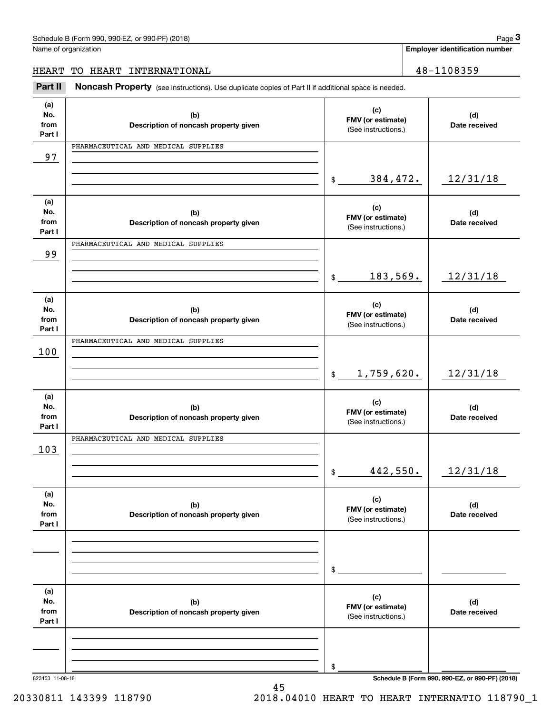| Schedule B (Form 990, 990-EZ, or 990-PF) (2018) | Page |
|-------------------------------------------------|------|
|-------------------------------------------------|------|

**Employer identification number**

# HEART TO HEART INTERNATIONAL 28-1108359

Fage 3 Employer identification pumber<br>
Idme of organization<br> **18 Employer identification number**<br> **18 ART TO HEART INTERNATIONAL**<br> **Part II Noncash Property** (see instructions). Use duplicate copies of Part II if additio

| (a)             |                                              | (c)                          |                                                 |
|-----------------|----------------------------------------------|------------------------------|-------------------------------------------------|
| No.             | (b)                                          | FMV (or estimate)            | (d)                                             |
| from            | Description of noncash property given        | (See instructions.)          | Date received                                   |
| Part I          |                                              |                              |                                                 |
|                 | PHARMACEUTICAL AND MEDICAL SUPPLIES          |                              |                                                 |
| 97              |                                              |                              |                                                 |
|                 |                                              |                              |                                                 |
|                 |                                              | 384,472.<br>$\mathbf{\$}$    | 12/31/18                                        |
|                 |                                              |                              |                                                 |
| (a)             |                                              |                              |                                                 |
| No.             |                                              | (c)                          | (d)                                             |
| from            | (b)<br>Description of noncash property given | FMV (or estimate)            | Date received                                   |
| Part I          |                                              | (See instructions.)          |                                                 |
|                 |                                              |                              |                                                 |
|                 | PHARMACEUTICAL AND MEDICAL SUPPLIES          |                              |                                                 |
| 99              |                                              |                              |                                                 |
|                 |                                              |                              |                                                 |
|                 |                                              | 183,569.<br>$$\mathbb{S}$$   | 12/31/18                                        |
|                 |                                              |                              |                                                 |
| (a)             |                                              |                              |                                                 |
| No.             | (b)                                          | (c)                          | (d)                                             |
| from            | Description of noncash property given        | FMV (or estimate)            | Date received                                   |
| Part I          |                                              | (See instructions.)          |                                                 |
|                 | PHARMACEUTICAL AND MEDICAL SUPPLIES          |                              |                                                 |
| 100             |                                              |                              |                                                 |
|                 |                                              |                              |                                                 |
|                 |                                              | 1,759,620.<br>$\mathfrak{S}$ | 12/31/18                                        |
|                 |                                              |                              |                                                 |
|                 |                                              |                              |                                                 |
| (a)             |                                              | (c)                          |                                                 |
| No.             | (b)                                          | FMV (or estimate)            | (d)                                             |
| from<br>Part I  | Description of noncash property given        | (See instructions.)          | Date received                                   |
|                 |                                              |                              |                                                 |
|                 | PHARMACEUTICAL AND MEDICAL SUPPLIES          |                              |                                                 |
| 103             |                                              |                              |                                                 |
|                 |                                              |                              |                                                 |
|                 |                                              | 442,550.<br>$$\mathbb{S}$$   | 12/31/18                                        |
|                 |                                              |                              |                                                 |
| (a)             |                                              |                              |                                                 |
| No.             | (b)                                          | (c)                          | (d)                                             |
| from            | Description of noncash property given        | FMV (or estimate)            | Date received                                   |
| Part I          |                                              | (See instructions.)          |                                                 |
|                 |                                              |                              |                                                 |
|                 |                                              |                              |                                                 |
|                 |                                              |                              |                                                 |
|                 |                                              |                              |                                                 |
|                 |                                              | \$                           |                                                 |
|                 |                                              |                              |                                                 |
| (a)             |                                              | (c)                          |                                                 |
| No.             | (b)                                          | FMV (or estimate)            | (d)                                             |
| from            | Description of noncash property given        | (See instructions.)          | Date received                                   |
| Part I          |                                              |                              |                                                 |
|                 |                                              |                              |                                                 |
|                 |                                              |                              |                                                 |
|                 |                                              |                              |                                                 |
|                 |                                              | \$                           |                                                 |
| 823453 11-08-18 |                                              |                              | Schedule B (Form 990, 990-EZ, or 990-PF) (2018) |

45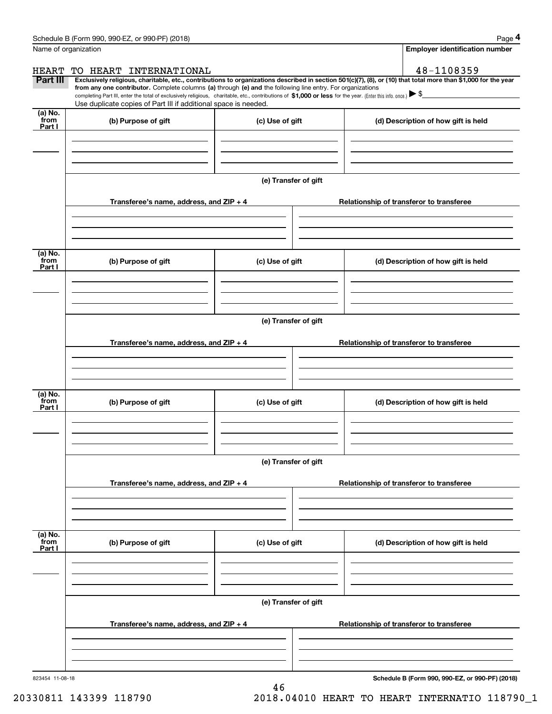|                 | Schedule B (Form 990, 990-EZ, or 990-PF) (2018)                                                                                                                                                                                                                              |                      |  | Page 4                                          |  |  |
|-----------------|------------------------------------------------------------------------------------------------------------------------------------------------------------------------------------------------------------------------------------------------------------------------------|----------------------|--|-------------------------------------------------|--|--|
|                 | Name of organization                                                                                                                                                                                                                                                         |                      |  | <b>Employer identification number</b>           |  |  |
| <b>HEART</b>    | TO HEART INTERNATIONAL                                                                                                                                                                                                                                                       |                      |  | 48-1108359                                      |  |  |
| Part III        | Exclusively religious, charitable, etc., contributions to organizations described in section 501(c)(7), (8), or (10) that total more than \$1,000 for the year<br>from any one contributor. Complete columns (a) through (e) and the following line entry. For organizations |                      |  |                                                 |  |  |
|                 | completing Part III, enter the total of exclusively religious, charitable, etc., contributions of \$1,000 or less for the year. (Enter this info. once.) $\blacktriangleright$ \$                                                                                            |                      |  |                                                 |  |  |
| (a) No.         | Use duplicate copies of Part III if additional space is needed.                                                                                                                                                                                                              |                      |  |                                                 |  |  |
| from<br>Part I  | (b) Purpose of gift                                                                                                                                                                                                                                                          | (c) Use of gift      |  | (d) Description of how gift is held             |  |  |
|                 |                                                                                                                                                                                                                                                                              |                      |  |                                                 |  |  |
|                 |                                                                                                                                                                                                                                                                              |                      |  |                                                 |  |  |
|                 |                                                                                                                                                                                                                                                                              |                      |  |                                                 |  |  |
|                 |                                                                                                                                                                                                                                                                              | (e) Transfer of gift |  |                                                 |  |  |
|                 |                                                                                                                                                                                                                                                                              |                      |  |                                                 |  |  |
|                 | Transferee's name, address, and ZIP + 4                                                                                                                                                                                                                                      |                      |  | Relationship of transferor to transferee        |  |  |
|                 |                                                                                                                                                                                                                                                                              |                      |  |                                                 |  |  |
|                 |                                                                                                                                                                                                                                                                              |                      |  |                                                 |  |  |
|                 |                                                                                                                                                                                                                                                                              |                      |  |                                                 |  |  |
| (a) No.<br>from | (b) Purpose of gift                                                                                                                                                                                                                                                          | (c) Use of gift      |  | (d) Description of how gift is held             |  |  |
| Part I          |                                                                                                                                                                                                                                                                              |                      |  |                                                 |  |  |
|                 |                                                                                                                                                                                                                                                                              |                      |  |                                                 |  |  |
|                 |                                                                                                                                                                                                                                                                              |                      |  |                                                 |  |  |
|                 |                                                                                                                                                                                                                                                                              |                      |  |                                                 |  |  |
|                 | (e) Transfer of gift                                                                                                                                                                                                                                                         |                      |  |                                                 |  |  |
|                 | Transferee's name, address, and ZIP + 4                                                                                                                                                                                                                                      |                      |  | Relationship of transferor to transferee        |  |  |
|                 |                                                                                                                                                                                                                                                                              |                      |  |                                                 |  |  |
|                 |                                                                                                                                                                                                                                                                              |                      |  |                                                 |  |  |
|                 |                                                                                                                                                                                                                                                                              |                      |  |                                                 |  |  |
| (a) No.<br>from | (b) Purpose of gift                                                                                                                                                                                                                                                          | (c) Use of gift      |  | (d) Description of how gift is held             |  |  |
| Part I          |                                                                                                                                                                                                                                                                              |                      |  |                                                 |  |  |
|                 |                                                                                                                                                                                                                                                                              |                      |  |                                                 |  |  |
|                 |                                                                                                                                                                                                                                                                              |                      |  |                                                 |  |  |
|                 |                                                                                                                                                                                                                                                                              |                      |  |                                                 |  |  |
|                 |                                                                                                                                                                                                                                                                              | (e) Transfer of gift |  |                                                 |  |  |
|                 | Transferee's name, address, and ZIP + 4                                                                                                                                                                                                                                      |                      |  | Relationship of transferor to transferee        |  |  |
|                 |                                                                                                                                                                                                                                                                              |                      |  |                                                 |  |  |
|                 |                                                                                                                                                                                                                                                                              |                      |  |                                                 |  |  |
|                 |                                                                                                                                                                                                                                                                              |                      |  |                                                 |  |  |
| (a) No.<br>from |                                                                                                                                                                                                                                                                              |                      |  |                                                 |  |  |
| Part I          | (b) Purpose of gift                                                                                                                                                                                                                                                          | (c) Use of gift      |  | (d) Description of how gift is held             |  |  |
|                 |                                                                                                                                                                                                                                                                              |                      |  |                                                 |  |  |
|                 |                                                                                                                                                                                                                                                                              |                      |  |                                                 |  |  |
|                 |                                                                                                                                                                                                                                                                              |                      |  |                                                 |  |  |
|                 | (e) Transfer of gift                                                                                                                                                                                                                                                         |                      |  |                                                 |  |  |
|                 | Transferee's name, address, and ZIP + 4                                                                                                                                                                                                                                      |                      |  | Relationship of transferor to transferee        |  |  |
|                 |                                                                                                                                                                                                                                                                              |                      |  |                                                 |  |  |
|                 |                                                                                                                                                                                                                                                                              |                      |  |                                                 |  |  |
|                 |                                                                                                                                                                                                                                                                              |                      |  |                                                 |  |  |
| 823454 11-08-18 |                                                                                                                                                                                                                                                                              |                      |  | Schedule B (Form 990, 990-EZ, or 990-PF) (2018) |  |  |

46

**Schedule B (Form 990, 990-EZ, or 990-PF) (2018)**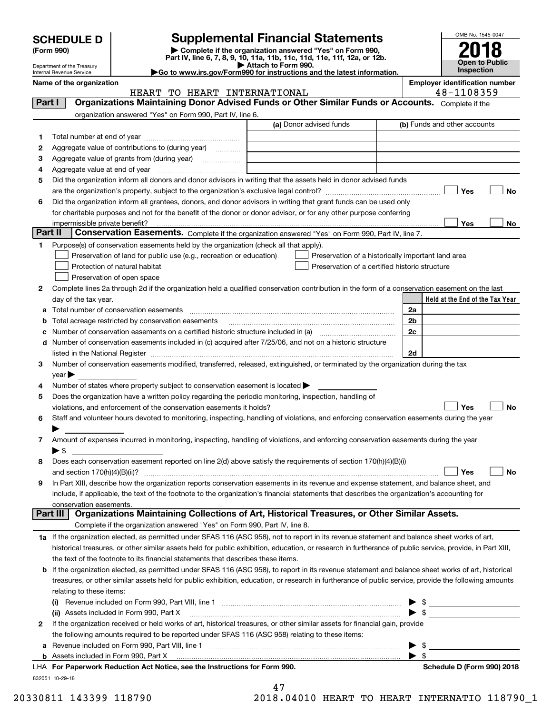| <b>SCHEDULE D</b> |  |
|-------------------|--|
|-------------------|--|

# **SCHEDULE D Supplemental Financial Statements**

(Form 990)<br>
Pepartment of the Treasury<br>
Department of the Treasury<br>
Department of the Treasury<br>
Department of the Treasury<br> **Co to www.irs.gov/Form990 for instructions and the latest information.**<br> **Co to www.irs.gov/Form9** 

Department of the Treasury Internal Revenue Service

**Name of the organization**<br>**Name of the organization ELEANE INCORPRETATION INTO THE ONLY THE OF THE ORIGINAL TEAMER DESCRIPTION ASSESSED.** 

|         | HEART TO HEART INTERNATIONAL                                                                                                                               |                                                | 48-1108359                                         |
|---------|------------------------------------------------------------------------------------------------------------------------------------------------------------|------------------------------------------------|----------------------------------------------------|
| Part I  | Organizations Maintaining Donor Advised Funds or Other Similar Funds or Accounts. Complete if the                                                          |                                                |                                                    |
|         | organization answered "Yes" on Form 990, Part IV, line 6.                                                                                                  |                                                |                                                    |
|         |                                                                                                                                                            | (a) Donor advised funds                        | (b) Funds and other accounts                       |
| 1       |                                                                                                                                                            |                                                |                                                    |
| 2       | Aggregate value of contributions to (during year)                                                                                                          |                                                |                                                    |
| з       | Aggregate value of grants from (during year)                                                                                                               |                                                |                                                    |
| 4       |                                                                                                                                                            |                                                |                                                    |
| 5       | Did the organization inform all donors and donor advisors in writing that the assets held in donor advised funds                                           |                                                |                                                    |
|         |                                                                                                                                                            |                                                | Yes<br>No                                          |
| 6       | Did the organization inform all grantees, donors, and donor advisors in writing that grant funds can be used only                                          |                                                |                                                    |
|         | for charitable purposes and not for the benefit of the donor or donor advisor, or for any other purpose conferring                                         |                                                |                                                    |
|         | impermissible private benefit?                                                                                                                             |                                                | Yes<br>No                                          |
| Part II | Conservation Easements. Complete if the organization answered "Yes" on Form 990, Part IV, line 7.                                                          |                                                |                                                    |
| 1       | Purpose(s) of conservation easements held by the organization (check all that apply).                                                                      |                                                |                                                    |
|         | Preservation of land for public use (e.g., recreation or education)                                                                                        |                                                | Preservation of a historically important land area |
|         | Protection of natural habitat                                                                                                                              | Preservation of a certified historic structure |                                                    |
|         | Preservation of open space                                                                                                                                 |                                                |                                                    |
| 2       | Complete lines 2a through 2d if the organization held a qualified conservation contribution in the form of a conservation easement on the last             |                                                |                                                    |
|         | day of the tax year.                                                                                                                                       |                                                | Held at the End of the Tax Year                    |
|         |                                                                                                                                                            |                                                | 2a                                                 |
|         | <b>b</b> Total acreage restricted by conservation easements                                                                                                |                                                | 2b                                                 |
|         |                                                                                                                                                            |                                                | 2c                                                 |
|         | d Number of conservation easements included in (c) acquired after 7/25/06, and not on a historic structure                                                 |                                                |                                                    |
|         |                                                                                                                                                            |                                                | 2d                                                 |
| 3       | Number of conservation easements modified, transferred, released, extinguished, or terminated by the organization during the tax                           |                                                |                                                    |
|         | $year \blacktriangleright$                                                                                                                                 |                                                |                                                    |
| 4       | Number of states where property subject to conservation easement is located >                                                                              |                                                |                                                    |
| 5       | Does the organization have a written policy regarding the periodic monitoring, inspection, handling of                                                     |                                                |                                                    |
|         | violations, and enforcement of the conservation easements it holds?                                                                                        |                                                | Yes<br><b>No</b>                                   |
| 6       | Staff and volunteer hours devoted to monitoring, inspecting, handling of violations, and enforcing conservation easements during the year                  |                                                |                                                    |
|         |                                                                                                                                                            |                                                |                                                    |
| 7       | Amount of expenses incurred in monitoring, inspecting, handling of violations, and enforcing conservation easements during the year                        |                                                |                                                    |
|         | $\blacktriangleright$ \$                                                                                                                                   |                                                |                                                    |
| 8       | Does each conservation easement reported on line 2(d) above satisfy the requirements of section 170(h)(4)(B)(i)                                            |                                                |                                                    |
|         |                                                                                                                                                            |                                                | Yes<br>No                                          |
| 9       | In Part XIII, describe how the organization reports conservation easements in its revenue and expense statement, and balance sheet, and                    |                                                |                                                    |
|         | include, if applicable, the text of the footnote to the organization's financial statements that describes the organization's accounting for               |                                                |                                                    |
|         | conservation easements.                                                                                                                                    |                                                |                                                    |
|         | Organizations Maintaining Collections of Art, Historical Treasures, or Other Similar Assets.<br>Part III                                                   |                                                |                                                    |
|         | Complete if the organization answered "Yes" on Form 990, Part IV, line 8.                                                                                  |                                                |                                                    |
|         | 1a If the organization elected, as permitted under SFAS 116 (ASC 958), not to report in its revenue statement and balance sheet works of art,              |                                                |                                                    |
|         | historical treasures, or other similar assets held for public exhibition, education, or research in furtherance of public service, provide, in Part XIII,  |                                                |                                                    |
|         | the text of the footnote to its financial statements that describes these items.                                                                           |                                                |                                                    |
|         | <b>b</b> If the organization elected, as permitted under SFAS 116 (ASC 958), to report in its revenue statement and balance sheet works of art, historical |                                                |                                                    |
|         | treasures, or other similar assets held for public exhibition, education, or research in furtherance of public service, provide the following amounts      |                                                |                                                    |
|         | relating to these items:                                                                                                                                   |                                                |                                                    |
|         |                                                                                                                                                            |                                                |                                                    |
|         | (ii) Assets included in Form 990, Part X                                                                                                                   |                                                |                                                    |
| 2       | If the organization received or held works of art, historical treasures, or other similar assets for financial gain, provide                               |                                                |                                                    |
|         | the following amounts required to be reported under SFAS 116 (ASC 958) relating to these items:                                                            |                                                |                                                    |
| a       | Revenue included on Form 990, Part VIII, line 1 [2000] [2000] [2000] [2000] [3000] [3000] [3000] [3000] [3000                                              |                                                | -\$<br>▶                                           |
|         | <b>b</b> Assets included in Form 990, Part X                                                                                                               |                                                | $\blacktriangleright$ \$                           |
|         | LHA For Paperwork Reduction Act Notice, see the Instructions for Form 990.                                                                                 |                                                | Schedule D (Form 990) 2018                         |
|         | 832051 10-29-18                                                                                                                                            |                                                |                                                    |

47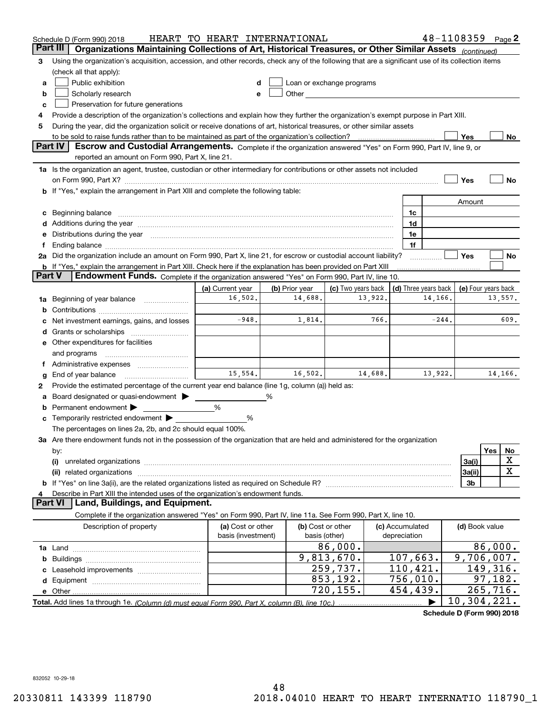|    | Schedule D (Form 990) 2018                                                                                                                                                                                                     | HEART TO HEART INTERNATIONAL |                |                                                                                                                                                                                                                               |                 |                      | 48-1108359 Page 2 |                     |
|----|--------------------------------------------------------------------------------------------------------------------------------------------------------------------------------------------------------------------------------|------------------------------|----------------|-------------------------------------------------------------------------------------------------------------------------------------------------------------------------------------------------------------------------------|-----------------|----------------------|-------------------|---------------------|
|    | Part III<br>Organizations Maintaining Collections of Art, Historical Treasures, or Other Similar Assets (continued)                                                                                                            |                              |                |                                                                                                                                                                                                                               |                 |                      |                   |                     |
| з  | Using the organization's acquisition, accession, and other records, check any of the following that are a significant use of its collection items                                                                              |                              |                |                                                                                                                                                                                                                               |                 |                      |                   |                     |
|    | (check all that apply):                                                                                                                                                                                                        |                              |                |                                                                                                                                                                                                                               |                 |                      |                   |                     |
| a  | Public exhibition                                                                                                                                                                                                              |                              |                | Loan or exchange programs                                                                                                                                                                                                     |                 |                      |                   |                     |
| b  | Scholarly research                                                                                                                                                                                                             |                              |                | Other and the contract of the contract of the contract of the contract of the contract of the contract of the contract of the contract of the contract of the contract of the contract of the contract of the contract of the |                 |                      |                   |                     |
| c  | Preservation for future generations                                                                                                                                                                                            |                              |                |                                                                                                                                                                                                                               |                 |                      |                   |                     |
| 4  | Provide a description of the organization's collections and explain how they further the organization's exempt purpose in Part XIII.                                                                                           |                              |                |                                                                                                                                                                                                                               |                 |                      |                   |                     |
| 5  | During the year, did the organization solicit or receive donations of art, historical treasures, or other similar assets                                                                                                       |                              |                |                                                                                                                                                                                                                               |                 |                      |                   |                     |
|    | to be sold to raise funds rather than to be maintained as part of the organization's collection?                                                                                                                               |                              |                |                                                                                                                                                                                                                               |                 |                      | Yes               | No                  |
|    | <b>Part IV</b><br>Escrow and Custodial Arrangements. Complete if the organization answered "Yes" on Form 990, Part IV, line 9, or                                                                                              |                              |                |                                                                                                                                                                                                                               |                 |                      |                   |                     |
|    | reported an amount on Form 990, Part X, line 21.                                                                                                                                                                               |                              |                |                                                                                                                                                                                                                               |                 |                      |                   |                     |
|    | 1a Is the organization an agent, trustee, custodian or other intermediary for contributions or other assets not included                                                                                                       |                              |                |                                                                                                                                                                                                                               |                 |                      |                   |                     |
|    | on Form 990, Part X? <b>Process Constitution Construction Construction</b> Construction Construction Construction Cons                                                                                                         |                              |                |                                                                                                                                                                                                                               |                 |                      | Yes               | No                  |
|    | b If "Yes," explain the arrangement in Part XIII and complete the following table:                                                                                                                                             |                              |                |                                                                                                                                                                                                                               |                 |                      |                   |                     |
|    |                                                                                                                                                                                                                                |                              |                |                                                                                                                                                                                                                               |                 |                      | Amount            |                     |
| c  | Beginning balance material continuum contracts and contact the contract of the contract of the contract of the                                                                                                                 |                              |                |                                                                                                                                                                                                                               | 1c              |                      |                   |                     |
|    | Additions during the year manufactured and an according to the year manufactured and according the year manufactured and according the year manufactured and according the year manufactured and according the year manufactur |                              |                |                                                                                                                                                                                                                               | 1d              |                      |                   |                     |
| е  | Distributions during the year manufactured and an account of the year manufactured and the year manufactured and the year manufactured and the year manufactured and the year manufactured and the year manufactured and the y |                              |                |                                                                                                                                                                                                                               | 1e              |                      |                   |                     |
| Ť. | Ending balance manufactured and contact the contract of the contract of the contract of the contract of the contract of the contract of the contract of the contract of the contract of the contract of the contract of the co |                              |                |                                                                                                                                                                                                                               | 1f              |                      |                   |                     |
|    | 2a Did the organization include an amount on Form 990, Part X, line 21, for escrow or custodial account liability?                                                                                                             |                              |                |                                                                                                                                                                                                                               |                 |                      | Yes               | No                  |
|    | <b>b</b> If "Yes," explain the arrangement in Part XIII. Check here if the explanation has been provided on Part XIII<br>Part V                                                                                                |                              |                |                                                                                                                                                                                                                               |                 |                      |                   |                     |
|    | Endowment Funds. Complete if the organization answered "Yes" on Form 990, Part IV, line 10.                                                                                                                                    |                              |                |                                                                                                                                                                                                                               |                 |                      |                   |                     |
|    |                                                                                                                                                                                                                                | (a) Current year             | (b) Prior year | (c) Two years back                                                                                                                                                                                                            |                 | (d) Three years back |                   | (e) Four years back |
| 1a | Beginning of year balance                                                                                                                                                                                                      | 16,502.                      | 14,688.        | 13,922.                                                                                                                                                                                                                       |                 | 14,166.              |                   | 13,557.             |
|    |                                                                                                                                                                                                                                | $-948.$                      |                | 766.                                                                                                                                                                                                                          |                 | $-244.$              |                   | 609.                |
|    | Net investment earnings, gains, and losses                                                                                                                                                                                     |                              | 1,814.         |                                                                                                                                                                                                                               |                 |                      |                   |                     |
| d  |                                                                                                                                                                                                                                |                              |                |                                                                                                                                                                                                                               |                 |                      |                   |                     |
|    | e Other expenditures for facilities                                                                                                                                                                                            |                              |                |                                                                                                                                                                                                                               |                 |                      |                   |                     |
|    | and programs                                                                                                                                                                                                                   |                              |                |                                                                                                                                                                                                                               |                 |                      |                   |                     |
|    |                                                                                                                                                                                                                                | 15,554.                      | 16,502.        | 14,688.                                                                                                                                                                                                                       |                 | 13,922.              |                   | 14,166.             |
| g  | End of year balance<br>Provide the estimated percentage of the current year end balance (line 1g, column (a)) held as:                                                                                                         |                              |                |                                                                                                                                                                                                                               |                 |                      |                   |                     |
| 2  | Board designated or quasi-endowment                                                                                                                                                                                            |                              | %              |                                                                                                                                                                                                                               |                 |                      |                   |                     |
| а  | Permanent endowment ▶                                                                                                                                                                                                          | %                            |                |                                                                                                                                                                                                                               |                 |                      |                   |                     |
|    | Temporarily restricted endowment                                                                                                                                                                                               | %                            |                |                                                                                                                                                                                                                               |                 |                      |                   |                     |
|    | The percentages on lines 2a, 2b, and 2c should equal 100%.                                                                                                                                                                     |                              |                |                                                                                                                                                                                                                               |                 |                      |                   |                     |
|    | 3a Are there endowment funds not in the possession of the organization that are held and administered for the organization                                                                                                     |                              |                |                                                                                                                                                                                                                               |                 |                      |                   |                     |
|    | by:                                                                                                                                                                                                                            |                              |                |                                                                                                                                                                                                                               |                 |                      |                   | Yes<br>No           |
|    | (i)                                                                                                                                                                                                                            |                              |                |                                                                                                                                                                                                                               |                 |                      | 3a(i)             | X                   |
|    |                                                                                                                                                                                                                                |                              |                |                                                                                                                                                                                                                               |                 |                      | 3a(ii)            | $\mathbf X$         |
|    |                                                                                                                                                                                                                                |                              |                |                                                                                                                                                                                                                               |                 |                      | 3b                |                     |
| 4  | Describe in Part XIII the intended uses of the organization's endowment funds.                                                                                                                                                 |                              |                |                                                                                                                                                                                                                               |                 |                      |                   |                     |
|    | Land, Buildings, and Equipment.<br>Part VI                                                                                                                                                                                     |                              |                |                                                                                                                                                                                                                               |                 |                      |                   |                     |
|    | Complete if the organization answered "Yes" on Form 990, Part IV, line 11a. See Form 990, Part X, line 10.                                                                                                                     |                              |                |                                                                                                                                                                                                                               |                 |                      |                   |                     |
|    | Description of property                                                                                                                                                                                                        | (a) Cost or other            |                | (b) Cost or other                                                                                                                                                                                                             | (c) Accumulated |                      | (d) Book value    |                     |
|    |                                                                                                                                                                                                                                | basis (investment)           | basis (other)  |                                                                                                                                                                                                                               | depreciation    |                      |                   |                     |
|    |                                                                                                                                                                                                                                |                              |                | 86,000.                                                                                                                                                                                                                       |                 |                      |                   | 86,000.             |
| b  |                                                                                                                                                                                                                                |                              |                | 9,813,670.                                                                                                                                                                                                                    | 107,663.        |                      | 9,706,007.        |                     |
|    |                                                                                                                                                                                                                                |                              |                | 259,737.                                                                                                                                                                                                                      | 110,421.        |                      |                   | 149,316.            |
|    |                                                                                                                                                                                                                                |                              |                | 853,192.                                                                                                                                                                                                                      | 756,010.        |                      |                   | 97,182.             |
|    |                                                                                                                                                                                                                                |                              |                | 720,155.                                                                                                                                                                                                                      | 454,439.        |                      |                   | 265,716.            |
|    | Total. Add lines 1a through 1e. (Column (d) must equal Form 990. Part X, column (B), line 10c.)                                                                                                                                |                              |                |                                                                                                                                                                                                                               |                 |                      | 10,304,221.       |                     |

**Schedule D (Form 990) 2018**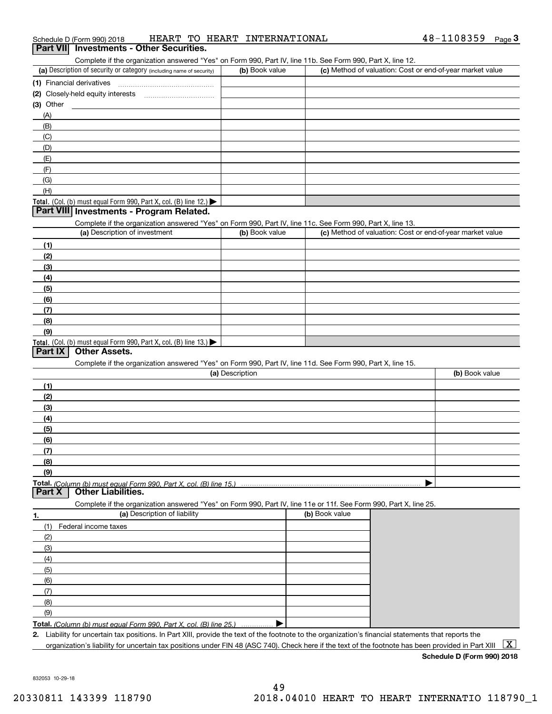| Schedule D (Form 990) 2018<br>Part VII Investments - Other Securities.                                                                                                             | HEART TO HEART INTERNATIONAL |                                                           | $48 - 1108359$ Page 3 |
|------------------------------------------------------------------------------------------------------------------------------------------------------------------------------------|------------------------------|-----------------------------------------------------------|-----------------------|
|                                                                                                                                                                                    |                              |                                                           |                       |
| Complete if the organization answered "Yes" on Form 990, Part IV, line 11b. See Form 990, Part X, line 12.<br>(a) Description of security or category (including name of security) | (b) Book value               | (c) Method of valuation: Cost or end-of-year market value |                       |
| (1) Financial derivatives                                                                                                                                                          |                              |                                                           |                       |
|                                                                                                                                                                                    |                              |                                                           |                       |
| $(3)$ Other                                                                                                                                                                        |                              |                                                           |                       |
| (A)                                                                                                                                                                                |                              |                                                           |                       |
| (B)                                                                                                                                                                                |                              |                                                           |                       |
| (C)                                                                                                                                                                                |                              |                                                           |                       |
| (D)                                                                                                                                                                                |                              |                                                           |                       |
| (E)                                                                                                                                                                                |                              |                                                           |                       |
| (F)                                                                                                                                                                                |                              |                                                           |                       |
| (G)                                                                                                                                                                                |                              |                                                           |                       |
| (H)                                                                                                                                                                                |                              |                                                           |                       |
| Total. (Col. (b) must equal Form 990, Part X, col. (B) line 12.)                                                                                                                   |                              |                                                           |                       |
| Part VIII Investments - Program Related.                                                                                                                                           |                              |                                                           |                       |
| Complete if the organization answered "Yes" on Form 990, Part IV, line 11c. See Form 990, Part X, line 13.                                                                         |                              |                                                           |                       |
| (a) Description of investment                                                                                                                                                      | (b) Book value               | (c) Method of valuation: Cost or end-of-year market value |                       |
| (1)                                                                                                                                                                                |                              |                                                           |                       |
| (2)                                                                                                                                                                                |                              |                                                           |                       |
| (3)                                                                                                                                                                                |                              |                                                           |                       |
| (4)                                                                                                                                                                                |                              |                                                           |                       |
| (5)<br>(6)                                                                                                                                                                         |                              |                                                           |                       |
| (7)                                                                                                                                                                                |                              |                                                           |                       |
| (8)                                                                                                                                                                                |                              |                                                           |                       |
| (9)                                                                                                                                                                                |                              |                                                           |                       |
| Total. (Col. (b) must equal Form 990, Part X, col. (B) line 13.)                                                                                                                   |                              |                                                           |                       |
| <b>Other Assets.</b><br>Part IX                                                                                                                                                    |                              |                                                           |                       |
| Complete if the organization answered "Yes" on Form 990, Part IV, line 11d. See Form 990, Part X, line 15.                                                                         |                              |                                                           |                       |
|                                                                                                                                                                                    | (a) Description              |                                                           | (b) Book value        |
| (1)                                                                                                                                                                                |                              |                                                           |                       |
| (2)                                                                                                                                                                                |                              |                                                           |                       |
| (3)                                                                                                                                                                                |                              |                                                           |                       |
| (4)                                                                                                                                                                                |                              |                                                           |                       |
| (5)                                                                                                                                                                                |                              |                                                           |                       |
| (6)                                                                                                                                                                                |                              |                                                           |                       |
| (7)                                                                                                                                                                                |                              |                                                           |                       |
| (8)                                                                                                                                                                                |                              |                                                           |                       |
| (9)                                                                                                                                                                                |                              |                                                           |                       |
| <b>Other Liabilities.</b><br>Part X                                                                                                                                                |                              |                                                           |                       |
| Complete if the organization answered "Yes" on Form 990, Part IV, line 11e or 11f. See Form 990, Part X, line 25.                                                                  |                              |                                                           |                       |
| (a) Description of liability                                                                                                                                                       |                              | (b) Book value                                            |                       |
|                                                                                                                                                                                    |                              |                                                           |                       |
| Federal income taxes<br>(1)                                                                                                                                                        |                              |                                                           |                       |
| (2)                                                                                                                                                                                |                              |                                                           |                       |
| (3)                                                                                                                                                                                |                              |                                                           |                       |
| (4)<br>(5)                                                                                                                                                                         |                              |                                                           |                       |

**Total.**  *(Column (b) must equal Form 990, Part X, col. (B) line 25.)* . . . . . . . . . . . . . . .  $\blacktriangleright$ 

**2.**Liability for uncertain tax positions. In Part XIII, provide the text of the footnote to the organization's financial statements that reports the

organization's liability for uncertain tax positions under FIN 48 (ASC 740). Check here if the text of the footnote has been provided in Part XIII  $~\boxed{\rm X}$ 

(7) (8)(9)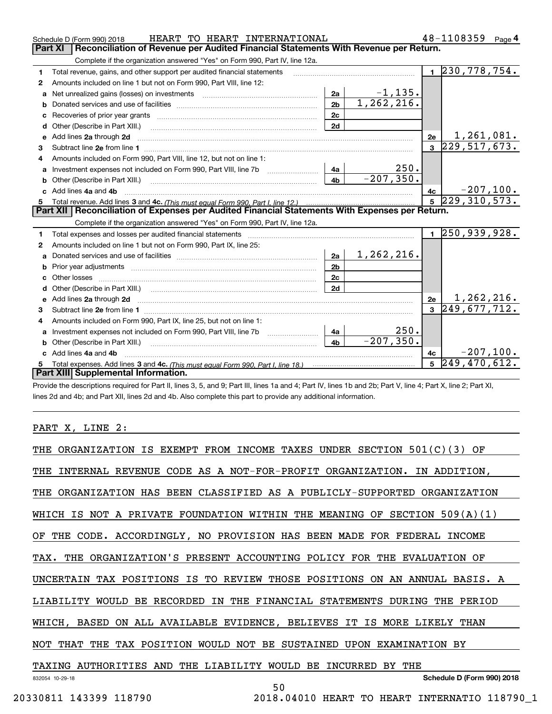|    | HEART TO HEART INTERNATIONAL<br>Schedule D (Form 990) 2018                                                                                                                                                                          |                |              |                         | $48 - 1108359$ Page 4        |             |
|----|-------------------------------------------------------------------------------------------------------------------------------------------------------------------------------------------------------------------------------------|----------------|--------------|-------------------------|------------------------------|-------------|
|    | Reconciliation of Revenue per Audited Financial Statements With Revenue per Return.<br><b>Part XI</b>                                                                                                                               |                |              |                         |                              |             |
|    | Complete if the organization answered "Yes" on Form 990, Part IV, line 12a.                                                                                                                                                         |                |              |                         |                              |             |
| 1  | Total revenue, gains, and other support per audited financial statements                                                                                                                                                            |                |              |                         | $1 \overline{230,778,754}$ . |             |
| 2  | Amounts included on line 1 but not on Form 990, Part VIII, line 12:                                                                                                                                                                 |                |              |                         |                              |             |
| a  | Net unrealized gains (losses) on investments [11] [12] [12] [13] [14] [14] [15] [16] [16] [16] [16] [16] [16] [                                                                                                                     | 2a             | $-1, 135.$   |                         |                              |             |
| b  |                                                                                                                                                                                                                                     | 2 <sub>b</sub> | 1, 262, 216. |                         |                              |             |
| c  |                                                                                                                                                                                                                                     | 2c             |              |                         |                              |             |
| d  | Other (Describe in Part XIII.)                                                                                                                                                                                                      | 2d             |              |                         |                              |             |
| е  | Add lines 2a through 2d                                                                                                                                                                                                             |                |              | 2e                      | 1,261,081.                   |             |
| З. |                                                                                                                                                                                                                                     |                |              |                         | $3 \vert 229, 517, 673.$     |             |
|    | Amounts included on Form 990, Part VIII, line 12, but not on line 1:                                                                                                                                                                |                |              |                         |                              |             |
| a  | Investment expenses not included on Form 990, Part VIII, line 7b                                                                                                                                                                    | 4a             | 250.         |                         |                              |             |
| b  | Other (Describe in Part XIII.) [100] [100] [100] [100] [100] [100] [100] [100] [100] [100] [100] [100] [100] [                                                                                                                      | 4b             | $-207, 350.$ |                         |                              |             |
|    | Add lines 4a and 4b                                                                                                                                                                                                                 |                |              | 4c                      |                              | $-207,100.$ |
|    |                                                                                                                                                                                                                                     |                |              |                         |                              |             |
| 5  |                                                                                                                                                                                                                                     |                |              | $5\phantom{a}$          | 229, 310, 573.               |             |
|    | Part XII   Reconciliation of Expenses per Audited Financial Statements With Expenses per Return.                                                                                                                                    |                |              |                         |                              |             |
|    | Complete if the organization answered "Yes" on Form 990, Part IV, line 12a.                                                                                                                                                         |                |              |                         |                              |             |
| 1  |                                                                                                                                                                                                                                     |                |              |                         | $1 \overline{250,939,928}$   |             |
| 2  | Amounts included on line 1 but not on Form 990, Part IX, line 25:                                                                                                                                                                   |                |              |                         |                              |             |
| a  |                                                                                                                                                                                                                                     | 2a             | 1,262,216.   |                         |                              |             |
|    |                                                                                                                                                                                                                                     | 2 <sub>b</sub> |              |                         |                              |             |
| c  |                                                                                                                                                                                                                                     | 2c             |              |                         |                              |             |
| d  |                                                                                                                                                                                                                                     | 2d             |              |                         |                              |             |
| е  | Add lines 2a through 2d <b>manufactures</b> and contract the contract of the contract of the contract of the contract of the contract of the contract of the contract of the contract of the contract of the contract of the contra |                |              | 2e                      | <u>1,262,216.</u>            |             |
| 3  |                                                                                                                                                                                                                                     |                |              | $\overline{\mathbf{3}}$ | 249,677,712.                 |             |
| 4  | Amounts included on Form 990, Part IX, line 25, but not on line 1:                                                                                                                                                                  |                |              |                         |                              |             |
| a  |                                                                                                                                                                                                                                     | 4a             | 250.         |                         |                              |             |
|    | Other (Describe in Part XIII.)                                                                                                                                                                                                      | 4 <sub>b</sub> | $-207, 350.$ |                         |                              |             |
|    | Add lines 4a and 4b                                                                                                                                                                                                                 |                |              | 4c                      |                              | $-207,100.$ |
|    | Part XIII Supplemental Information.                                                                                                                                                                                                 |                |              | 5                       | 249,470,612.                 |             |

Provide the descriptions required for Part II, lines 3, 5, and 9; Part III, lines 1a and 4; Part IV, lines 1b and 2b; Part V, line 4; Part X, line 2; Part XI, lines 2d and 4b; and Part XII, lines 2d and 4b. Also complete this part to provide any additional information.

# PART X, LINE 2:

| THE ORGANIZATION IS EXEMPT FROM INCOME TAXES UNDER SECTION 501(C)(3) OF    |
|----------------------------------------------------------------------------|
| THE INTERNAL REVENUE CODE AS A NOT-FOR-PROFIT ORGANIZATION. IN ADDITION,   |
| THE ORGANIZATION HAS BEEN CLASSIFIED AS A PUBLICLY-SUPPORTED ORGANIZATION  |
| WHICH IS NOT A PRIVATE FOUNDATION WITHIN THE MEANING OF SECTION 509(A)(1)  |
| OF THE CODE. ACCORDINGLY, NO PROVISION HAS BEEN MADE FOR FEDERAL INCOME    |
| TAX. THE ORGANIZATION'S PRESENT ACCOUNTING POLICY FOR THE EVALUATION OF    |
| UNCERTAIN TAX POSITIONS IS TO REVIEW THOSE POSITIONS ON AN ANNUAL BASIS. A |
| LIABILITY WOULD BE RECORDED IN THE FINANCIAL STATEMENTS DURING THE PERIOD  |
| WHICH, BASED ON ALL AVAILABLE EVIDENCE, BELIEVES IT IS MORE LIKELY THAN    |
| NOT THAT THE TAX POSITION WOULD NOT BE SUSTAINED UPON EXAMINATION BY       |
| TAXING AUTHORITIES AND THE LIABILITY WOULD BE INCURRED BY THE              |
| Schedule D (Form 990) 2018<br>832054 10-29-18<br>50                        |
| 20330811 143399 118790<br>2018.04010 HEART TO HEART INTERNATIO 118790 1    |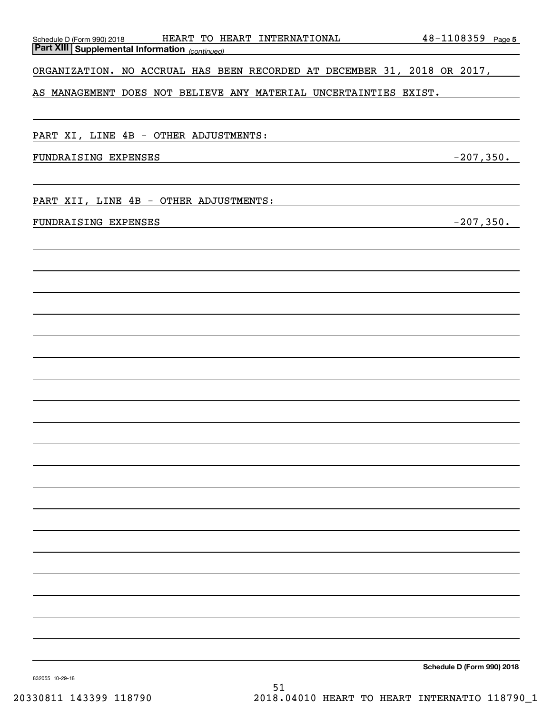| Schedule D (Form 990) 2018 HEART TO HEART INTERNATIONAL<br><b>Part XIII   Supplemental Information</b> (continued) | $48 - 1108359$ Page 5 |
|--------------------------------------------------------------------------------------------------------------------|-----------------------|
|                                                                                                                    |                       |
| ORGANIZATION. NO ACCRUAL HAS BEEN RECORDED AT DECEMBER 31, 2018 OR 2017,                                           |                       |
| AS MANAGEMENT DOES NOT BELIEVE ANY MATERIAL UNCERTAINTIES EXIST.                                                   |                       |
|                                                                                                                    |                       |
| PART XI, LINE 4B - OTHER ADJUSTMENTS:                                                                              |                       |
| FUNDRAISING EXPENSES                                                                                               | $-207,350.$           |
|                                                                                                                    |                       |
| PART XII, LINE 4B - OTHER ADJUSTMENTS:                                                                             |                       |
| FUNDRAISING EXPENSES                                                                                               | $-207,350.$           |
|                                                                                                                    |                       |
|                                                                                                                    |                       |
|                                                                                                                    |                       |
|                                                                                                                    |                       |
|                                                                                                                    |                       |
|                                                                                                                    |                       |
|                                                                                                                    |                       |
|                                                                                                                    |                       |
|                                                                                                                    |                       |
|                                                                                                                    |                       |
|                                                                                                                    |                       |
|                                                                                                                    |                       |
|                                                                                                                    |                       |
|                                                                                                                    |                       |
|                                                                                                                    |                       |
|                                                                                                                    |                       |
|                                                                                                                    |                       |
|                                                                                                                    |                       |
|                                                                                                                    |                       |
|                                                                                                                    |                       |
|                                                                                                                    |                       |
|                                                                                                                    |                       |

**Schedule D (Form 990) 2018**

832055 10-29-18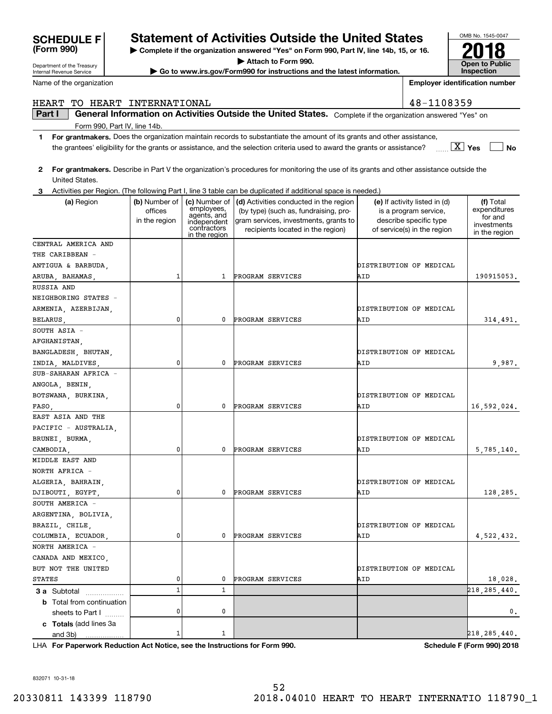# HEART TO HEART INTERNATIONAL 48-1108359

**Part I**  $\parallel$  General Information on Activities Outside the United States. Complete if the organization answered "Yes" on Form 990, Part IV, line 14b.

- **1For grantmakers.**  Does the organization maintain records to substantiate the amount of its grants and other assistance, **Yes No** X the grantees' eligibility for the grants or assistance, and the selection criteria used to award the grants or assistance?
- **2For grantmakers.**  Describe in Part V the organization's procedures for monitoring the use of its grants and other assistance outside the United States.
- **3** Activities per Region. (The following Part I, line 3 table can be duplicated if additional space is needed.)

| (a) Region                                       | (b) Number of<br>offices<br>in the region | (c) Number of<br>employees,<br>agents, and<br>independent<br>contractors<br>in the region | (d) Activities conducted in the region<br>(by type) (such as, fundraising, pro-<br>gram services, investments, grants to<br>recipients located in the region) | (e) If activity listed in (d)<br>is a program service,<br>describe specific type<br>of service(s) in the region | (f) Total<br>expenditures<br>for and<br>investments<br>in the region |
|--------------------------------------------------|-------------------------------------------|-------------------------------------------------------------------------------------------|---------------------------------------------------------------------------------------------------------------------------------------------------------------|-----------------------------------------------------------------------------------------------------------------|----------------------------------------------------------------------|
| CENTRAL AMERICA AND                              |                                           |                                                                                           |                                                                                                                                                               |                                                                                                                 |                                                                      |
| THE CARIBBEAN -                                  |                                           |                                                                                           |                                                                                                                                                               |                                                                                                                 |                                                                      |
| ANTIGUA & BARBUDA,                               |                                           |                                                                                           |                                                                                                                                                               | DISTRIBUTION OF MEDICAL                                                                                         |                                                                      |
| ARUBA, BAHAMAS,                                  | $\mathbf{1}$                              | $\mathbf{1}$                                                                              | PROGRAM SERVICES                                                                                                                                              | AID                                                                                                             | 190915053.                                                           |
| RUSSIA AND                                       |                                           |                                                                                           |                                                                                                                                                               |                                                                                                                 |                                                                      |
| NEIGHBORING STATES -                             |                                           |                                                                                           |                                                                                                                                                               |                                                                                                                 |                                                                      |
| ARMENIA, AZERBIJAN,                              |                                           |                                                                                           |                                                                                                                                                               | DISTRIBUTION OF MEDICAL                                                                                         |                                                                      |
| BELARUS,                                         | 0                                         | 0                                                                                         | PROGRAM SERVICES                                                                                                                                              | AID                                                                                                             | 314,491.                                                             |
| SOUTH ASIA -                                     |                                           |                                                                                           |                                                                                                                                                               |                                                                                                                 |                                                                      |
| AFGHANISTAN,                                     |                                           |                                                                                           |                                                                                                                                                               |                                                                                                                 |                                                                      |
| BANGLADESH, BHUTAN,                              |                                           |                                                                                           |                                                                                                                                                               | DISTRIBUTION OF MEDICAL                                                                                         |                                                                      |
| INDIA, MALDIVES,                                 | 0                                         | 0                                                                                         | PROGRAM SERVICES                                                                                                                                              | AID                                                                                                             | 9,987.                                                               |
| SUB-SAHARAN AFRICA -                             |                                           |                                                                                           |                                                                                                                                                               |                                                                                                                 |                                                                      |
| ANGOLA, BENIN,                                   |                                           |                                                                                           |                                                                                                                                                               |                                                                                                                 |                                                                      |
| BOTSWANA, BURKINA,                               |                                           |                                                                                           |                                                                                                                                                               | DISTRIBUTION OF MEDICAL                                                                                         |                                                                      |
| FASO,                                            | 0                                         | 0                                                                                         | PROGRAM SERVICES                                                                                                                                              | AID                                                                                                             | 16,592,024.                                                          |
| EAST ASIA AND THE                                |                                           |                                                                                           |                                                                                                                                                               |                                                                                                                 |                                                                      |
| PACIFIC - AUSTRALIA,                             |                                           |                                                                                           |                                                                                                                                                               |                                                                                                                 |                                                                      |
| BRUNEI, BURMA,                                   |                                           |                                                                                           |                                                                                                                                                               | DISTRIBUTION OF MEDICAL                                                                                         |                                                                      |
| CAMBODIA,                                        | 0                                         | 0                                                                                         | PROGRAM SERVICES                                                                                                                                              | AID                                                                                                             | 5,785,140.                                                           |
| MIDDLE EAST AND                                  |                                           |                                                                                           |                                                                                                                                                               |                                                                                                                 |                                                                      |
| NORTH AFRICA -                                   |                                           |                                                                                           |                                                                                                                                                               |                                                                                                                 |                                                                      |
| ALGERIA, BAHRAIN,                                |                                           |                                                                                           |                                                                                                                                                               | DISTRIBUTION OF MEDICAL                                                                                         |                                                                      |
| DJIBOUTI, EGYPT,                                 | 0                                         | 0                                                                                         | PROGRAM SERVICES                                                                                                                                              | AID                                                                                                             | 128,285.                                                             |
| SOUTH AMERICA -                                  |                                           |                                                                                           |                                                                                                                                                               |                                                                                                                 |                                                                      |
| ARGENTINA, BOLIVIA,                              |                                           |                                                                                           |                                                                                                                                                               |                                                                                                                 |                                                                      |
| BRAZIL, CHILE,                                   |                                           |                                                                                           |                                                                                                                                                               | DISTRIBUTION OF MEDICAL                                                                                         |                                                                      |
| COLUMBIA, ECUADOR,                               | 0                                         | 0                                                                                         | PROGRAM SERVICES                                                                                                                                              | AID                                                                                                             | 4,522,432.                                                           |
| NORTH AMERICA -                                  |                                           |                                                                                           |                                                                                                                                                               |                                                                                                                 |                                                                      |
| CANADA AND MEXICO,                               |                                           |                                                                                           |                                                                                                                                                               |                                                                                                                 |                                                                      |
| BUT NOT THE UNITED                               |                                           |                                                                                           |                                                                                                                                                               | DISTRIBUTION OF MEDICAL                                                                                         |                                                                      |
| <b>STATES</b>                                    | 0                                         | 0                                                                                         | PROGRAM SERVICES                                                                                                                                              | AID                                                                                                             | 18,028.                                                              |
|                                                  | $\mathbf 1$                               | $\mathbf{1}$                                                                              |                                                                                                                                                               |                                                                                                                 | 218, 285, 440.                                                       |
| 3 a Subtotal<br><b>b</b> Total from continuation |                                           |                                                                                           |                                                                                                                                                               |                                                                                                                 |                                                                      |
|                                                  | 0                                         | 0                                                                                         |                                                                                                                                                               |                                                                                                                 | 0.                                                                   |
| sheets to Part I                                 |                                           |                                                                                           |                                                                                                                                                               |                                                                                                                 |                                                                      |
| c Totals (add lines 3a                           | $\mathbf 1$                               | 1                                                                                         |                                                                                                                                                               |                                                                                                                 | 218,285,440.                                                         |
| and 3b)<br>.                                     |                                           |                                                                                           |                                                                                                                                                               |                                                                                                                 |                                                                      |

**For Paperwork Reduction Act Notice, see the Instructions for Form 990. Schedule F (Form 990) 2018** LHA

# **| Complete if the organization answered "Yes" on Form 990, Part IV, line 14b, 15, or 16. | Attach to Form 990.**

**| Go to www.irs.gov/Form990 for instructions and the latest information.**

**(Form 990) SCHEDULE F Statement of Activities Outside the United States**

Department of the Treasury Internal Revenue Service

Name of the organization



**Employer identification number**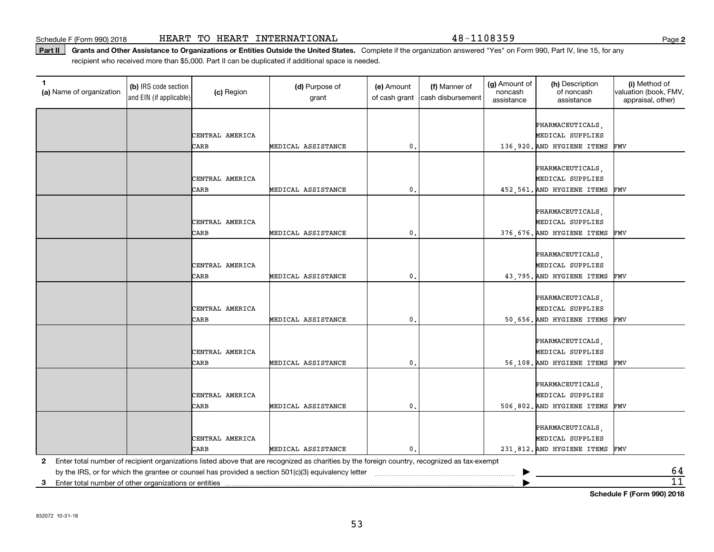Schedule F (Form 990) 2018 Page HEART TO HEART INTERNATIONAL 48-1108359

Part II | Grants and Other Assistance to Organizations or Entities Outside the United States. Complete if the organization answered "Yes" on Form 990, Part IV, line 15, for any recipient who received more than \$5,000. Part II can be duplicated if additional space is needed.

| 1.<br>(a) Name of organization                                                                                                                                                                                                                      | (b) IRS code section<br>and EIN (if applicable) | (c) Region      | (d) Purpose of<br>grant | (e) Amount<br>of cash grant | (f) Manner of<br>cash disbursement | (g) Amount of<br>noncash<br>assistance | (h) Description<br>of noncash<br>assistance | (i) Method of<br>valuation (book, FMV,<br>appraisal, other) |
|-----------------------------------------------------------------------------------------------------------------------------------------------------------------------------------------------------------------------------------------------------|-------------------------------------------------|-----------------|-------------------------|-----------------------------|------------------------------------|----------------------------------------|---------------------------------------------|-------------------------------------------------------------|
|                                                                                                                                                                                                                                                     |                                                 |                 |                         |                             |                                    |                                        |                                             |                                                             |
|                                                                                                                                                                                                                                                     |                                                 |                 |                         |                             |                                    |                                        | PHARMACEUTICALS,                            |                                                             |
|                                                                                                                                                                                                                                                     |                                                 | CENTRAL AMERICA |                         |                             |                                    |                                        | MEDICAL SUPPLIES                            |                                                             |
|                                                                                                                                                                                                                                                     |                                                 | CARB            | MEDICAL ASSISTANCE      | 0.                          |                                    |                                        | 136,920. AND HYGIENE ITEMS                  | FMV                                                         |
|                                                                                                                                                                                                                                                     |                                                 |                 |                         |                             |                                    |                                        |                                             |                                                             |
|                                                                                                                                                                                                                                                     |                                                 | CENTRAL AMERICA |                         |                             |                                    |                                        | PHARMACEUTICALS,<br>MEDICAL SUPPLIES        |                                                             |
|                                                                                                                                                                                                                                                     |                                                 | CARB            | MEDICAL ASSISTANCE      | 0.                          |                                    |                                        |                                             |                                                             |
|                                                                                                                                                                                                                                                     |                                                 |                 |                         |                             |                                    |                                        | 452,561. AND HYGIENE ITEMS                  | FMV                                                         |
|                                                                                                                                                                                                                                                     |                                                 |                 |                         |                             |                                    |                                        | PHARMACEUTICALS,                            |                                                             |
|                                                                                                                                                                                                                                                     |                                                 | CENTRAL AMERICA |                         |                             |                                    |                                        | MEDICAL SUPPLIES                            |                                                             |
|                                                                                                                                                                                                                                                     |                                                 | CARB            | MEDICAL ASSISTANCE      | 0.                          |                                    |                                        | 376,676. AND HYGIENE ITEMS                  | FMV                                                         |
|                                                                                                                                                                                                                                                     |                                                 |                 |                         |                             |                                    |                                        |                                             |                                                             |
|                                                                                                                                                                                                                                                     |                                                 |                 |                         |                             |                                    |                                        | PHARMACEUTICALS,                            |                                                             |
|                                                                                                                                                                                                                                                     |                                                 | CENTRAL AMERICA |                         |                             |                                    |                                        | MEDICAL SUPPLIES                            |                                                             |
|                                                                                                                                                                                                                                                     |                                                 | CARB            | MEDICAL ASSISTANCE      | 0.                          |                                    |                                        | 43,795. AND HYGIENE ITEMS                   | FMV                                                         |
|                                                                                                                                                                                                                                                     |                                                 |                 |                         |                             |                                    |                                        |                                             |                                                             |
|                                                                                                                                                                                                                                                     |                                                 |                 |                         |                             |                                    |                                        | PHARMACEUTICALS,                            |                                                             |
|                                                                                                                                                                                                                                                     |                                                 | CENTRAL AMERICA |                         |                             |                                    |                                        | MEDICAL SUPPLIES                            |                                                             |
|                                                                                                                                                                                                                                                     |                                                 | CARB            | MEDICAL ASSISTANCE      | $\mathfrak o$ .             |                                    |                                        | 50,656. AND HYGIENE ITEMS FMV               |                                                             |
|                                                                                                                                                                                                                                                     |                                                 |                 |                         |                             |                                    |                                        |                                             |                                                             |
|                                                                                                                                                                                                                                                     |                                                 |                 |                         |                             |                                    |                                        | PHARMACEUTICALS,                            |                                                             |
|                                                                                                                                                                                                                                                     |                                                 | CENTRAL AMERICA |                         |                             |                                    |                                        | MEDICAL SUPPLIES                            |                                                             |
|                                                                                                                                                                                                                                                     |                                                 | CARB            | MEDICAL ASSISTANCE      | 0,                          |                                    |                                        | 56,108. AND HYGIENE ITEMS                   | FMV                                                         |
|                                                                                                                                                                                                                                                     |                                                 |                 |                         |                             |                                    |                                        |                                             |                                                             |
|                                                                                                                                                                                                                                                     |                                                 |                 |                         |                             |                                    |                                        | PHARMACEUTICALS,                            |                                                             |
|                                                                                                                                                                                                                                                     |                                                 | CENTRAL AMERICA |                         |                             |                                    |                                        | MEDICAL SUPPLIES                            |                                                             |
|                                                                                                                                                                                                                                                     |                                                 | CARB            | MEDICAL ASSISTANCE      | 0                           |                                    |                                        | 506,802. AND HYGIENE ITEMS                  | FMV                                                         |
|                                                                                                                                                                                                                                                     |                                                 |                 |                         |                             |                                    |                                        |                                             |                                                             |
|                                                                                                                                                                                                                                                     |                                                 |                 |                         |                             |                                    |                                        | PHARMACEUTICALS,                            |                                                             |
|                                                                                                                                                                                                                                                     |                                                 | CENTRAL AMERICA |                         |                             |                                    |                                        | MEDICAL SUPPLIES                            |                                                             |
|                                                                                                                                                                                                                                                     |                                                 | CARB            | MEDICAL ASSISTANCE      | 0.                          |                                    |                                        | 231,812. AND HYGIENE ITEMS FMV              |                                                             |
| 2                                                                                                                                                                                                                                                   |                                                 |                 |                         |                             |                                    |                                        |                                             |                                                             |
| Enter total number of recipient organizations listed above that are recognized as charities by the foreign country, recognized as tax-exempt<br>by the IRS, or for which the grantee or counsel has provided a section 501(c)(3) equivalency letter |                                                 |                 |                         |                             |                                    | <u>64</u>                              |                                             |                                                             |
| Enter total number of other organizations or entities<br>3                                                                                                                                                                                          |                                                 |                 |                         |                             |                                    |                                        |                                             | $\overline{11}$                                             |
|                                                                                                                                                                                                                                                     |                                                 |                 |                         |                             |                                    |                                        |                                             |                                                             |

**Schedule F (Form 990) 2018**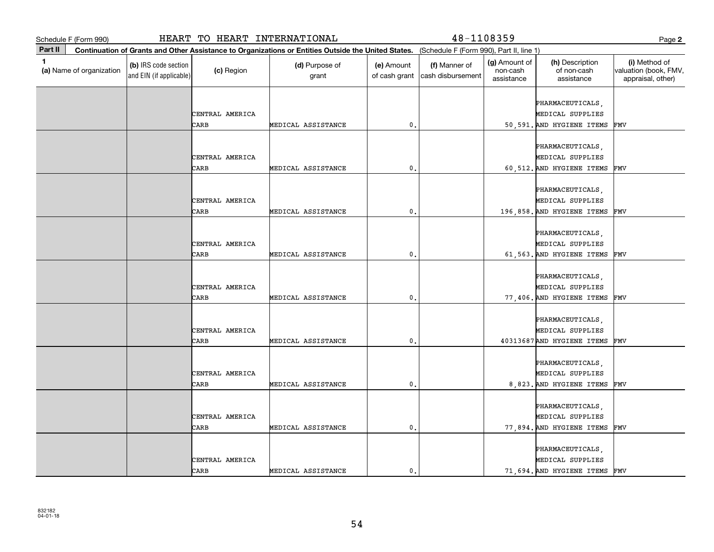|              | Schedule F (Form 990)                                                                                                                        |                                                 | HEART TO HEART INTERNATIONAL |                         |                             | 48-1108359                         |                                         |                                                                       | Page 2                                                      |  |
|--------------|----------------------------------------------------------------------------------------------------------------------------------------------|-------------------------------------------------|------------------------------|-------------------------|-----------------------------|------------------------------------|-----------------------------------------|-----------------------------------------------------------------------|-------------------------------------------------------------|--|
| Part II      | Continuation of Grants and Other Assistance to Organizations or Entities Outside the United States. (Schedule F (Form 990), Part II, line 1) |                                                 |                              |                         |                             |                                    |                                         |                                                                       |                                                             |  |
| $\mathbf{1}$ | (a) Name of organization                                                                                                                     | (b) IRS code section<br>and EIN (if applicable) | (c) Region                   | (d) Purpose of<br>grant | (e) Amount<br>of cash grant | (f) Manner of<br>cash disbursement | (g) Amount of<br>non-cash<br>assistance | (h) Description<br>of non-cash<br>assistance                          | (i) Method of<br>valuation (book, FMV,<br>appraisal, other) |  |
|              |                                                                                                                                              |                                                 | CENTRAL AMERICA              |                         |                             |                                    |                                         | PHARMACEUTICALS,<br>MEDICAL SUPPLIES                                  |                                                             |  |
|              |                                                                                                                                              |                                                 | CARB                         | MEDICAL ASSISTANCE      | 0                           |                                    |                                         | 50,591. AND HYGIENE ITEMS                                             | FMV                                                         |  |
|              |                                                                                                                                              |                                                 | CENTRAL AMERICA<br>CARB      | MEDICAL ASSISTANCE      | 0.                          |                                    |                                         | PHARMACEUTICALS,<br>MEDICAL SUPPLIES<br>60,512. AND HYGIENE ITEMS     | FMV                                                         |  |
|              |                                                                                                                                              |                                                 |                              |                         |                             |                                    |                                         |                                                                       |                                                             |  |
|              |                                                                                                                                              |                                                 | CENTRAL AMERICA              |                         |                             |                                    |                                         | PHARMACEUTICALS,<br>MEDICAL SUPPLIES                                  |                                                             |  |
|              |                                                                                                                                              |                                                 | CARB                         | MEDICAL ASSISTANCE      | 0.                          |                                    |                                         | 196,858. AND HYGIENE ITEMS                                            | FMV                                                         |  |
|              |                                                                                                                                              |                                                 | CENTRAL AMERICA              |                         |                             |                                    |                                         | PHARMACEUTICALS,<br>MEDICAL SUPPLIES                                  |                                                             |  |
|              |                                                                                                                                              |                                                 | CARB                         | MEDICAL ASSISTANCE      | 0                           |                                    |                                         | 61,563. AND HYGIENE ITEMS                                             | FMV                                                         |  |
|              |                                                                                                                                              |                                                 | CENTRAL AMERICA<br>CARB      | MEDICAL ASSISTANCE      | 0.                          |                                    |                                         | PHARMACEUTICALS,<br>MEDICAL SUPPLIES<br>77,406. AND HYGIENE ITEMS     | FMV                                                         |  |
|              |                                                                                                                                              |                                                 | CENTRAL AMERICA<br>CARB      | MEDICAL ASSISTANCE      | $\mathbf{0}$ .              |                                    |                                         | PHARMACEUTICALS,<br>MEDICAL SUPPLIES<br>40313687 AND HYGIENE ITEMS    | FMV                                                         |  |
|              |                                                                                                                                              |                                                 | CENTRAL AMERICA<br>CARB      | MEDICAL ASSISTANCE      | 0                           |                                    |                                         | PHARMACEUTICALS,<br>MEDICAL SUPPLIES<br>8,823. AND HYGIENE ITEMS      | FMV                                                         |  |
|              |                                                                                                                                              |                                                 | CENTRAL AMERICA<br>CARB      | MEDICAL ASSISTANCE      | 0.                          |                                    |                                         | PHARMACEUTICALS,<br>MEDICAL SUPPLIES<br>77,894. AND HYGIENE ITEMS     | FMV                                                         |  |
|              |                                                                                                                                              |                                                 | CENTRAL AMERICA<br>CARB      | MEDICAL ASSISTANCE      | $\mathbf{0}$ .              |                                    |                                         | PHARMACEUTICALS,<br>MEDICAL SUPPLIES<br>71,694. AND HYGIENE ITEMS FMV |                                                             |  |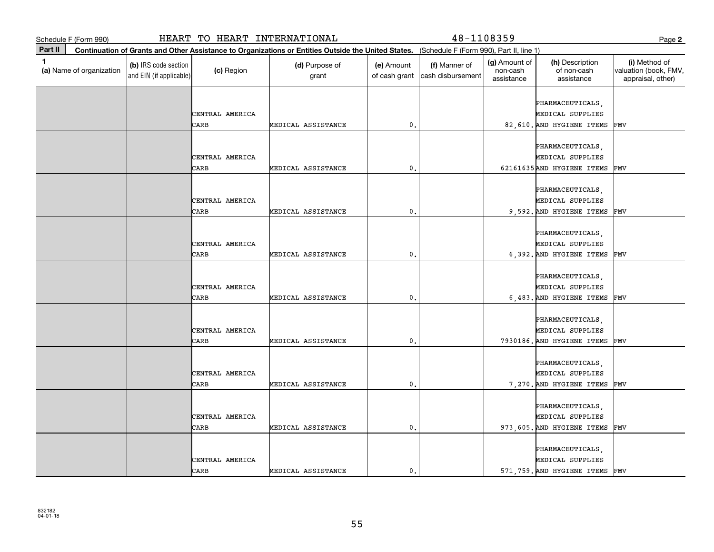| Schedule F (Form 990)                                                                                                                                   |                                                 | HEART TO HEART INTERNATIONAL |                         |                             | 48-1108359                         |                                         |                                                                    | Page 2                                                      |
|---------------------------------------------------------------------------------------------------------------------------------------------------------|-------------------------------------------------|------------------------------|-------------------------|-----------------------------|------------------------------------|-----------------------------------------|--------------------------------------------------------------------|-------------------------------------------------------------|
| Part II<br>Continuation of Grants and Other Assistance to Organizations or Entities Outside the United States. (Schedule F (Form 990), Part II, line 1) |                                                 |                              |                         |                             |                                    |                                         |                                                                    |                                                             |
| 1.<br>(a) Name of organization                                                                                                                          | (b) IRS code section<br>and EIN (if applicable) | (c) Region                   | (d) Purpose of<br>grant | (e) Amount<br>of cash grant | (f) Manner of<br>cash disbursement | (g) Amount of<br>non-cash<br>assistance | (h) Description<br>of non-cash<br>assistance                       | (i) Method of<br>valuation (book, FMV,<br>appraisal, other) |
|                                                                                                                                                         |                                                 | CENTRAL AMERICA<br>CARB      | MEDICAL ASSISTANCE      | $\mathbf{0}$                |                                    |                                         | PHARMACEUTICALS,<br>MEDICAL SUPPLIES<br>82,610. AND HYGIENE ITEMS  | FMV                                                         |
|                                                                                                                                                         |                                                 |                              |                         |                             |                                    |                                         | PHARMACEUTICALS,                                                   |                                                             |
|                                                                                                                                                         |                                                 | CENTRAL AMERICA<br>CARB      | MEDICAL ASSISTANCE      | 0.                          |                                    |                                         | MEDICAL SUPPLIES<br>62161635 AND HYGIENE ITEMS                     | FMV                                                         |
|                                                                                                                                                         |                                                 | CENTRAL AMERICA              |                         |                             |                                    |                                         | PHARMACEUTICALS,<br>MEDICAL SUPPLIES                               |                                                             |
|                                                                                                                                                         |                                                 | CARB                         | MEDICAL ASSISTANCE      | $\mathfrak o$ .             |                                    |                                         | 9,592. AND HYGIENE ITEMS<br>PHARMACEUTICALS,                       | FMV                                                         |
|                                                                                                                                                         |                                                 | CENTRAL AMERICA<br>CARB      | MEDICAL ASSISTANCE      | $\mathbf{0}$                |                                    |                                         | MEDICAL SUPPLIES<br>6,392. AND HYGIENE ITEMS                       | FMV                                                         |
|                                                                                                                                                         |                                                 | CENTRAL AMERICA<br>CARB      | MEDICAL ASSISTANCE      | 0.                          |                                    |                                         | PHARMACEUTICALS,<br>MEDICAL SUPPLIES<br>6,483. AND HYGIENE ITEMS   | FMV                                                         |
|                                                                                                                                                         |                                                 | CENTRAL AMERICA<br>CARB      | MEDICAL ASSISTANCE      | $\mathfrak o$ .             |                                    |                                         | PHARMACEUTICALS,<br>MEDICAL SUPPLIES<br>7930186. AND HYGIENE ITEMS | FMV                                                         |
|                                                                                                                                                         |                                                 | CENTRAL AMERICA<br>CARB      | MEDICAL ASSISTANCE      | $\mathbf{0}$                |                                    |                                         | PHARMACEUTICALS,<br>MEDICAL SUPPLIES<br>7,270. AND HYGIENE ITEMS   | FMV                                                         |
|                                                                                                                                                         |                                                 | CENTRAL AMERICA<br>CARB      | MEDICAL ASSISTANCE      | $\mathbf{0}$ .              |                                    |                                         | PHARMACEUTICALS,<br>MEDICAL SUPPLIES<br>973,605. AND HYGIENE ITEMS | FMV                                                         |
|                                                                                                                                                         |                                                 | CENTRAL AMERICA<br>CARB      | MEDICAL ASSISTANCE      | $\mathbf{0}$ .              |                                    |                                         | PHARMACEUTICALS,<br>MEDICAL SUPPLIES<br>571,759. AND HYGIENE ITEMS | FMV                                                         |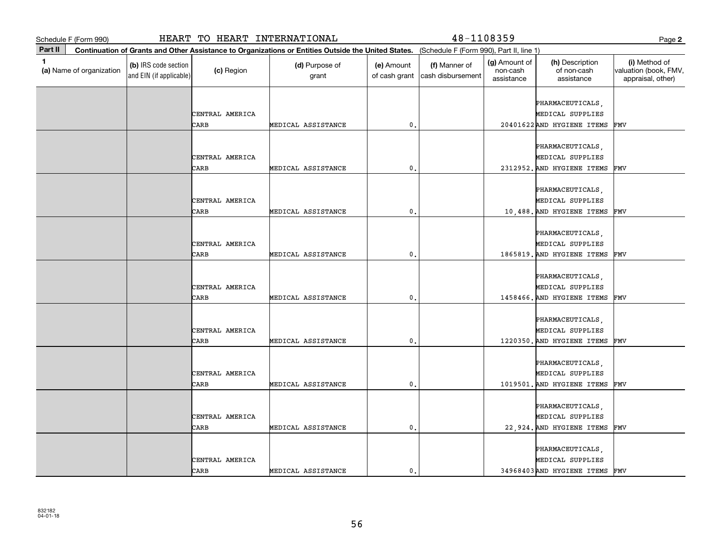|              | Schedule F (Form 990)                                                                                                                        |                                                 | HEART TO HEART INTERNATIONAL |                         |                             | 48-1108359                         |                                         |                                                                        | Page 2                                                      |  |
|--------------|----------------------------------------------------------------------------------------------------------------------------------------------|-------------------------------------------------|------------------------------|-------------------------|-----------------------------|------------------------------------|-----------------------------------------|------------------------------------------------------------------------|-------------------------------------------------------------|--|
| Part II      | Continuation of Grants and Other Assistance to Organizations or Entities Outside the United States. (Schedule F (Form 990), Part II, line 1) |                                                 |                              |                         |                             |                                    |                                         |                                                                        |                                                             |  |
| $\mathbf{1}$ | (a) Name of organization                                                                                                                     | (b) IRS code section<br>and EIN (if applicable) | (c) Region                   | (d) Purpose of<br>grant | (e) Amount<br>of cash grant | (f) Manner of<br>cash disbursement | (g) Amount of<br>non-cash<br>assistance | (h) Description<br>of non-cash<br>assistance                           | (i) Method of<br>valuation (book, FMV,<br>appraisal, other) |  |
|              |                                                                                                                                              |                                                 | CENTRAL AMERICA<br>CARB      | MEDICAL ASSISTANCE      | 0                           |                                    |                                         | PHARMACEUTICALS,<br>MEDICAL SUPPLIES<br>20401622AND HYGIENE ITEMS      | FMV                                                         |  |
|              |                                                                                                                                              |                                                 | CENTRAL AMERICA<br>CARB      | MEDICAL ASSISTANCE      | 0.                          |                                    |                                         | PHARMACEUTICALS,<br>MEDICAL SUPPLIES<br>2312952. AND HYGIENE ITEMS     | FMV                                                         |  |
|              |                                                                                                                                              |                                                 | CENTRAL AMERICA<br>CARB      | MEDICAL ASSISTANCE      | 0.                          |                                    |                                         | PHARMACEUTICALS,<br>MEDICAL SUPPLIES<br>10,488. AND HYGIENE ITEMS      | FMV                                                         |  |
|              |                                                                                                                                              |                                                 | CENTRAL AMERICA<br>CARB      | MEDICAL ASSISTANCE      | 0                           |                                    |                                         | PHARMACEUTICALS,<br>MEDICAL SUPPLIES<br>1865819. AND HYGIENE ITEMS     | FMV                                                         |  |
|              |                                                                                                                                              |                                                 | CENTRAL AMERICA<br>CARB      | MEDICAL ASSISTANCE      | $\mathbf{0}$ .              |                                    |                                         | PHARMACEUTICALS,<br>MEDICAL SUPPLIES<br>1458466. AND HYGIENE ITEMS     | FMV                                                         |  |
|              |                                                                                                                                              |                                                 | CENTRAL AMERICA<br>CARB      | MEDICAL ASSISTANCE      | 0.                          |                                    |                                         | PHARMACEUTICALS,<br>MEDICAL SUPPLIES<br>1220350. AND HYGIENE ITEMS     | FMV                                                         |  |
|              |                                                                                                                                              |                                                 | CENTRAL AMERICA<br>CARB      | MEDICAL ASSISTANCE      | $\mathbf{0}$                |                                    |                                         | PHARMACEUTICALS,<br>MEDICAL SUPPLIES<br>1019501. AND HYGIENE ITEMS     | FMV                                                         |  |
|              |                                                                                                                                              |                                                 | CENTRAL AMERICA<br>CARB      | MEDICAL ASSISTANCE      | 0.                          |                                    |                                         | PHARMACEUTICALS,<br>MEDICAL SUPPLIES<br>22,924. AND HYGIENE ITEMS      | FMV                                                         |  |
|              |                                                                                                                                              |                                                 | CENTRAL AMERICA<br>CARB      | MEDICAL ASSISTANCE      | $\mathbf{0}$ .              |                                    |                                         | PHARMACEUTICALS,<br>MEDICAL SUPPLIES<br>34968403 AND HYGIENE ITEMS FMV |                                                             |  |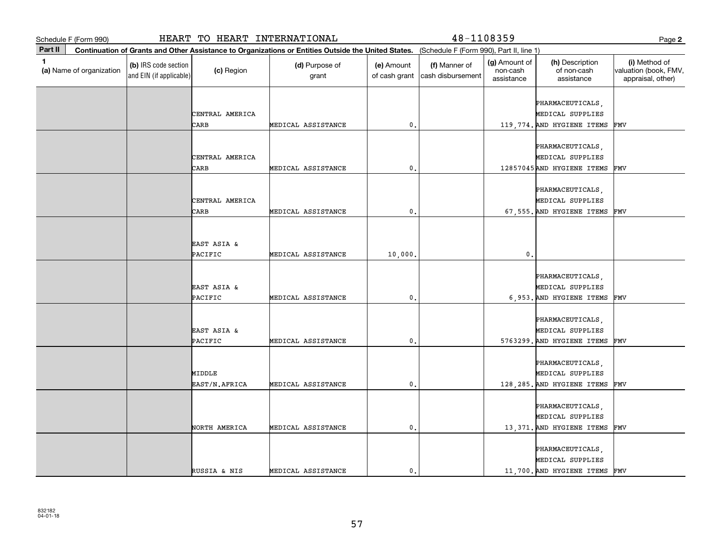|              | Schedule F (Form 990)                                                                                                                        |                                                 | HEART TO HEART INTERNATIONAL |                         |                             | 48-1108359                         |                                         |                                                                       | Page 2                                                      |
|--------------|----------------------------------------------------------------------------------------------------------------------------------------------|-------------------------------------------------|------------------------------|-------------------------|-----------------------------|------------------------------------|-----------------------------------------|-----------------------------------------------------------------------|-------------------------------------------------------------|
| Part II      | Continuation of Grants and Other Assistance to Organizations or Entities Outside the United States. (Schedule F (Form 990), Part II, line 1) |                                                 |                              |                         |                             |                                    |                                         |                                                                       |                                                             |
| $\mathbf{1}$ | (a) Name of organization                                                                                                                     | (b) IRS code section<br>and EIN (if applicable) | (c) Region                   | (d) Purpose of<br>grant | (e) Amount<br>of cash grant | (f) Manner of<br>cash disbursement | (g) Amount of<br>non-cash<br>assistance | (h) Description<br>of non-cash<br>assistance                          | (i) Method of<br>valuation (book, FMV,<br>appraisal, other) |
|              |                                                                                                                                              |                                                 | CENTRAL AMERICA<br>CARB      | MEDICAL ASSISTANCE      | 0                           |                                    |                                         | PHARMACEUTICALS,<br>MEDICAL SUPPLIES<br>119,774. AND HYGIENE ITEMS    | FMV                                                         |
|              |                                                                                                                                              |                                                 | CENTRAL AMERICA<br>CARB      | MEDICAL ASSISTANCE      | 0.                          |                                    |                                         | PHARMACEUTICALS,<br>MEDICAL SUPPLIES<br>12857045 AND HYGIENE ITEMS    | FMV                                                         |
|              |                                                                                                                                              |                                                 | CENTRAL AMERICA<br>CARB      | MEDICAL ASSISTANCE      | 0.                          |                                    |                                         | PHARMACEUTICALS,<br>MEDICAL SUPPLIES<br>67,555. AND HYGIENE ITEMS     | FMV                                                         |
|              |                                                                                                                                              |                                                 | EAST ASIA &<br>PACIFIC       | MEDICAL ASSISTANCE      | 10,000                      |                                    | $\mathbf 0$ .                           |                                                                       |                                                             |
|              |                                                                                                                                              |                                                 | EAST ASIA &<br>PACIFIC       | MEDICAL ASSISTANCE      | $\mathbf{0}$ .              |                                    |                                         | PHARMACEUTICALS,<br>MEDICAL SUPPLIES<br>6,953. AND HYGIENE ITEMS      | FMV                                                         |
|              |                                                                                                                                              |                                                 | EAST ASIA &<br>PACIFIC       | MEDICAL ASSISTANCE      | 0.                          |                                    |                                         | PHARMACEUTICALS,<br>MEDICAL SUPPLIES<br>5763299. AND HYGIENE ITEMS    | FMV                                                         |
|              |                                                                                                                                              |                                                 | MIDDLE<br>EAST/N.AFRICA      | MEDICAL ASSISTANCE      | $\mathbf{0}$                |                                    |                                         | PHARMACEUTICALS,<br>MEDICAL SUPPLIES<br>128, 285. AND HYGIENE ITEMS   | FMV                                                         |
|              |                                                                                                                                              |                                                 | NORTH AMERICA                | MEDICAL ASSISTANCE      | $\mathbf{0}$ .              |                                    |                                         | PHARMACEUTICALS,<br>MEDICAL SUPPLIES<br>13,371. AND HYGIENE ITEMS     | FMV                                                         |
|              |                                                                                                                                              |                                                 | RUSSIA & NIS                 | MEDICAL ASSISTANCE      | 0.                          |                                    |                                         | PHARMACEUTICALS,<br>MEDICAL SUPPLIES<br>11,700. AND HYGIENE ITEMS FMV |                                                             |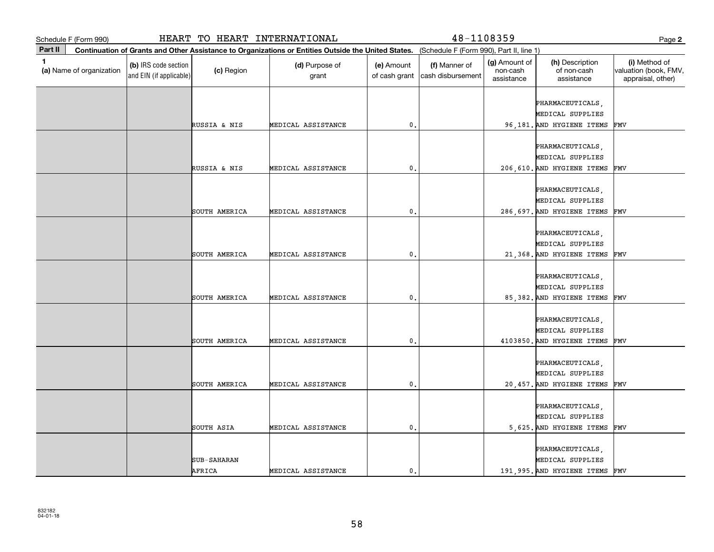|         | Schedule F (Form 990)    |                                                 | HEART TO HEART INTERNATIONAL |                                                                                                                                              |                             | 48-1108359                         |                                         |                                                                     | Page 2                                                      |
|---------|--------------------------|-------------------------------------------------|------------------------------|----------------------------------------------------------------------------------------------------------------------------------------------|-----------------------------|------------------------------------|-----------------------------------------|---------------------------------------------------------------------|-------------------------------------------------------------|
| Part II |                          |                                                 |                              | Continuation of Grants and Other Assistance to Organizations or Entities Outside the United States. (Schedule F (Form 990), Part II, line 1) |                             |                                    |                                         |                                                                     |                                                             |
| 1       | (a) Name of organization | (b) IRS code section<br>and EIN (if applicable) | (c) Region                   | (d) Purpose of<br>grant                                                                                                                      | (e) Amount<br>of cash grant | (f) Manner of<br>cash disbursement | (g) Amount of<br>non-cash<br>assistance | (h) Description<br>of non-cash<br>assistance                        | (i) Method of<br>valuation (book, FMV,<br>appraisal, other) |
|         |                          |                                                 |                              |                                                                                                                                              |                             |                                    |                                         | PHARMACEUTICALS,<br>MEDICAL SUPPLIES                                |                                                             |
|         |                          |                                                 | RUSSIA & NIS                 | MEDICAL ASSISTANCE                                                                                                                           | $\mathbf 0$ .               |                                    |                                         | 96,181. AND HYGIENE ITEMS                                           | FMV                                                         |
|         |                          |                                                 | RUSSIA & NIS                 | MEDICAL ASSISTANCE                                                                                                                           | 0.                          |                                    |                                         | PHARMACEUTICALS,<br>MEDICAL SUPPLIES<br>206, 610. AND HYGIENE ITEMS | FMV                                                         |
|         |                          |                                                 | SOUTH AMERICA                | MEDICAL ASSISTANCE                                                                                                                           | $\mathbf{0}$ .              |                                    |                                         | PHARMACEUTICALS,<br>MEDICAL SUPPLIES<br>286, 697. AND HYGIENE ITEMS | FMV                                                         |
|         |                          |                                                 |                              |                                                                                                                                              |                             |                                    |                                         | PHARMACEUTICALS,                                                    |                                                             |
|         |                          |                                                 | SOUTH AMERICA                | MEDICAL ASSISTANCE                                                                                                                           | $\mathbf{0}$                |                                    |                                         | MEDICAL SUPPLIES<br>21,368. AND HYGIENE ITEMS                       | FMV                                                         |
|         |                          |                                                 | SOUTH AMERICA                | MEDICAL ASSISTANCE                                                                                                                           | $\mathfrak{o}$ .            |                                    |                                         | PHARMACEUTICALS,<br>MEDICAL SUPPLIES<br>85,382. AND HYGIENE ITEMS   | FMV                                                         |
|         |                          |                                                 | SOUTH AMERICA                | MEDICAL ASSISTANCE                                                                                                                           | $\mathfrak{o}$ .            |                                    |                                         | PHARMACEUTICALS,<br>MEDICAL SUPPLIES<br>4103850. AND HYGIENE ITEMS  | FMV                                                         |
|         |                          |                                                 | SOUTH AMERICA                | MEDICAL ASSISTANCE                                                                                                                           | $\mathbf{0}$                |                                    |                                         | PHARMACEUTICALS,<br>MEDICAL SUPPLIES<br>20,457. AND HYGIENE ITEMS   | FMV                                                         |
|         |                          |                                                 | SOUTH ASIA                   | MEDICAL ASSISTANCE                                                                                                                           | $\mathbf{0}$ .              |                                    |                                         | PHARMACEUTICALS,<br>MEDICAL SUPPLIES<br>5,625. AND HYGIENE ITEMS    | FMV                                                         |
|         |                          |                                                 | SUB-SAHARAN<br>AFRICA        | MEDICAL ASSISTANCE                                                                                                                           | $\mathfrak o$ .             |                                    |                                         | PHARMACEUTICALS,<br>MEDICAL SUPPLIES<br>191,995. AND HYGIENE ITEMS  | FMV                                                         |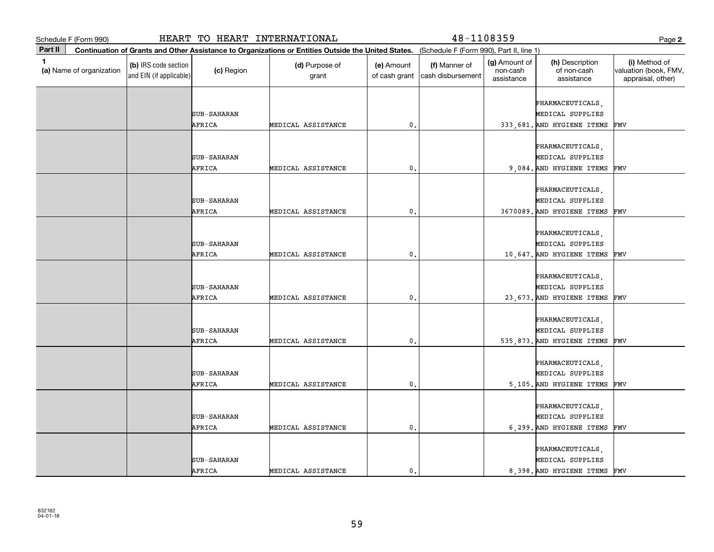| Schedule F (Form 990)                    |                                                                                                                                              | HEART TO HEART INTERNATIONAL |                         |                             | 48-1108359                         |                                         |                                                                    | Page 2                                                      |  |  |
|------------------------------------------|----------------------------------------------------------------------------------------------------------------------------------------------|------------------------------|-------------------------|-----------------------------|------------------------------------|-----------------------------------------|--------------------------------------------------------------------|-------------------------------------------------------------|--|--|
| Part II                                  | Continuation of Grants and Other Assistance to Organizations or Entities Outside the United States. (Schedule F (Form 990), Part II, line 1) |                              |                         |                             |                                    |                                         |                                                                    |                                                             |  |  |
| $\mathbf{1}$<br>(a) Name of organization | (b) IRS code section<br>and EIN (if applicable)                                                                                              | (c) Region                   | (d) Purpose of<br>grant | (e) Amount<br>of cash grant | (f) Manner of<br>cash disbursement | (g) Amount of<br>non-cash<br>assistance | (h) Description<br>of non-cash<br>assistance                       | (i) Method of<br>valuation (book, FMV,<br>appraisal, other) |  |  |
|                                          |                                                                                                                                              |                              |                         |                             |                                    |                                         | PHARMACEUTICALS,                                                   |                                                             |  |  |
|                                          |                                                                                                                                              | <b>SUB-SAHARAN</b><br>AFRICA | MEDICAL ASSISTANCE      | 0                           |                                    |                                         | MEDICAL SUPPLIES<br>333,681. AND HYGIENE ITEMS                     | FMV                                                         |  |  |
|                                          |                                                                                                                                              |                              |                         |                             |                                    |                                         |                                                                    |                                                             |  |  |
|                                          |                                                                                                                                              | <b>SUB-SAHARAN</b>           |                         |                             |                                    |                                         | PHARMACEUTICALS,<br>MEDICAL SUPPLIES                               |                                                             |  |  |
|                                          |                                                                                                                                              | AFRICA                       | MEDICAL ASSISTANCE      | 0.                          |                                    |                                         | 9,084. AND HYGIENE ITEMS                                           | FMV                                                         |  |  |
|                                          |                                                                                                                                              | <b>SUB-SAHARAN</b>           |                         |                             |                                    |                                         | PHARMACEUTICALS,<br>MEDICAL SUPPLIES                               |                                                             |  |  |
|                                          |                                                                                                                                              | AFRICA                       | MEDICAL ASSISTANCE      | $\mathbf{0}$ .              |                                    |                                         | 3670089. AND HYGIENE ITEMS                                         | FMV                                                         |  |  |
|                                          |                                                                                                                                              |                              |                         |                             |                                    |                                         | PHARMACEUTICALS,                                                   |                                                             |  |  |
|                                          |                                                                                                                                              | <b>SUB-SAHARAN</b><br>AFRICA | MEDICAL ASSISTANCE      | 0                           |                                    |                                         | MEDICAL SUPPLIES<br>10,647. AND HYGIENE ITEMS                      | FMV                                                         |  |  |
|                                          |                                                                                                                                              | <b>SUB-SAHARAN</b>           |                         |                             |                                    |                                         | PHARMACEUTICALS,<br>MEDICAL SUPPLIES                               |                                                             |  |  |
|                                          |                                                                                                                                              | AFRICA                       | MEDICAL ASSISTANCE      | 0.                          |                                    |                                         | 23, 673. AND HYGIENE ITEMS                                         | FMV                                                         |  |  |
|                                          |                                                                                                                                              | <b>SUB-SAHARAN</b><br>AFRICA | MEDICAL ASSISTANCE      | $\mathbf{0}$ .              |                                    |                                         | PHARMACEUTICALS,<br>MEDICAL SUPPLIES<br>535,873. AND HYGIENE ITEMS | FMV                                                         |  |  |
|                                          |                                                                                                                                              | <b>SUB-SAHARAN</b><br>AFRICA | MEDICAL ASSISTANCE      | $\mathbf{0}$                |                                    |                                         | PHARMACEUTICALS,<br>MEDICAL SUPPLIES<br>5,105. AND HYGIENE ITEMS   | FMV                                                         |  |  |
|                                          |                                                                                                                                              | <b>SUB-SAHARAN</b>           |                         |                             |                                    |                                         | PHARMACEUTICALS,<br>MEDICAL SUPPLIES                               |                                                             |  |  |
|                                          |                                                                                                                                              | AFRICA                       | MEDICAL ASSISTANCE      | 0.                          |                                    |                                         | 6,299. AND HYGIENE ITEMS                                           | FMV                                                         |  |  |
|                                          |                                                                                                                                              | <b>SUB-SAHARAN</b>           |                         |                             |                                    |                                         | PHARMACEUTICALS,<br>MEDICAL SUPPLIES                               |                                                             |  |  |
|                                          |                                                                                                                                              | AFRICA                       | MEDICAL ASSISTANCE      | $\mathbf{0}$ .              |                                    |                                         | 8,398. AND HYGIENE ITEMS FMV                                       |                                                             |  |  |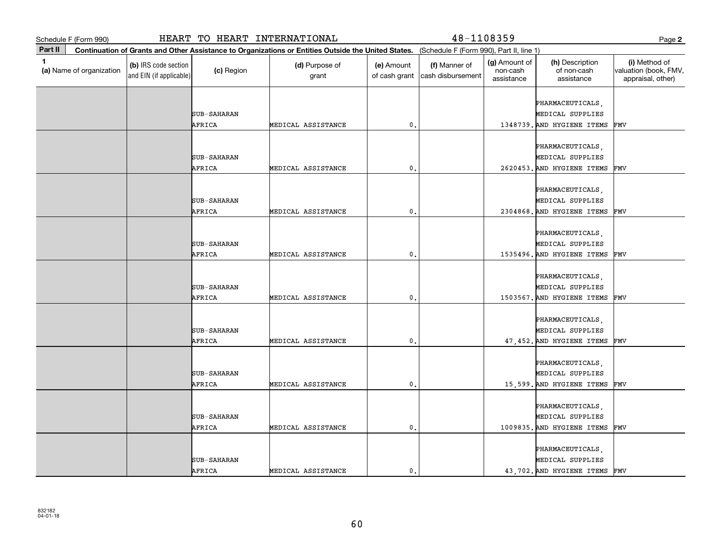|              | Schedule F (Form 990)                                                                                                                        |                                                 | HEART TO HEART INTERNATIONAL |                         |                             | 48-1108359                         |                                         |                                                                       | Page 2                                                      |  |
|--------------|----------------------------------------------------------------------------------------------------------------------------------------------|-------------------------------------------------|------------------------------|-------------------------|-----------------------------|------------------------------------|-----------------------------------------|-----------------------------------------------------------------------|-------------------------------------------------------------|--|
| Part II      | Continuation of Grants and Other Assistance to Organizations or Entities Outside the United States. (Schedule F (Form 990), Part II, line 1) |                                                 |                              |                         |                             |                                    |                                         |                                                                       |                                                             |  |
| $\mathbf{1}$ | (a) Name of organization                                                                                                                     | (b) IRS code section<br>and EIN (if applicable) | (c) Region                   | (d) Purpose of<br>grant | (e) Amount<br>of cash grant | (f) Manner of<br>cash disbursement | (g) Amount of<br>non-cash<br>assistance | (h) Description<br>of non-cash<br>assistance                          | (i) Method of<br>valuation (book, FMV,<br>appraisal, other) |  |
|              |                                                                                                                                              |                                                 | <b>SUB-SAHARAN</b><br>AFRICA | MEDICAL ASSISTANCE      | 0                           |                                    |                                         | PHARMACEUTICALS,<br>MEDICAL SUPPLIES<br>1348739. AND HYGIENE ITEMS    | FMV                                                         |  |
|              |                                                                                                                                              |                                                 | <b>SUB-SAHARAN</b><br>AFRICA | MEDICAL ASSISTANCE      | 0.                          |                                    |                                         | PHARMACEUTICALS,<br>MEDICAL SUPPLIES<br>2620453. AND HYGIENE ITEMS    | FMV                                                         |  |
|              |                                                                                                                                              |                                                 | <b>SUB-SAHARAN</b><br>AFRICA | MEDICAL ASSISTANCE      | 0.                          |                                    |                                         | PHARMACEUTICALS,<br>MEDICAL SUPPLIES<br>2304868. AND HYGIENE ITEMS    | FMV                                                         |  |
|              |                                                                                                                                              |                                                 | <b>SUB-SAHARAN</b><br>AFRICA | MEDICAL ASSISTANCE      | $\mathbf{0}$                |                                    |                                         | PHARMACEUTICALS,<br>MEDICAL SUPPLIES<br>1535496. AND HYGIENE ITEMS    | FMV                                                         |  |
|              |                                                                                                                                              |                                                 | <b>SUB-SAHARAN</b><br>AFRICA | MEDICAL ASSISTANCE      | $\mathbf{0}$ .              |                                    |                                         | PHARMACEUTICALS,<br>MEDICAL SUPPLIES<br>1503567. AND HYGIENE ITEMS    | FMV                                                         |  |
|              |                                                                                                                                              |                                                 | <b>SUB-SAHARAN</b><br>AFRICA | MEDICAL ASSISTANCE      | 0.                          |                                    |                                         | PHARMACEUTICALS,<br>MEDICAL SUPPLIES<br>47, 452. AND HYGIENE ITEMS    | FMV                                                         |  |
|              |                                                                                                                                              |                                                 | <b>SUB-SAHARAN</b><br>AFRICA | MEDICAL ASSISTANCE      | $\mathbf{0}$                |                                    |                                         | PHARMACEUTICALS,<br>MEDICAL SUPPLIES<br>15,599. AND HYGIENE ITEMS     | FMV                                                         |  |
|              |                                                                                                                                              |                                                 | <b>SUB-SAHARAN</b><br>AFRICA | MEDICAL ASSISTANCE      | 0.                          |                                    |                                         | PHARMACEUTICALS,<br>MEDICAL SUPPLIES<br>1009835. AND HYGIENE ITEMS    | FMV                                                         |  |
|              |                                                                                                                                              |                                                 | <b>SUB-SAHARAN</b><br>AFRICA | MEDICAL ASSISTANCE      | $\mathsf{o}\,$ .            |                                    |                                         | PHARMACEUTICALS,<br>MEDICAL SUPPLIES<br>43,702. AND HYGIENE ITEMS FMV |                                                             |  |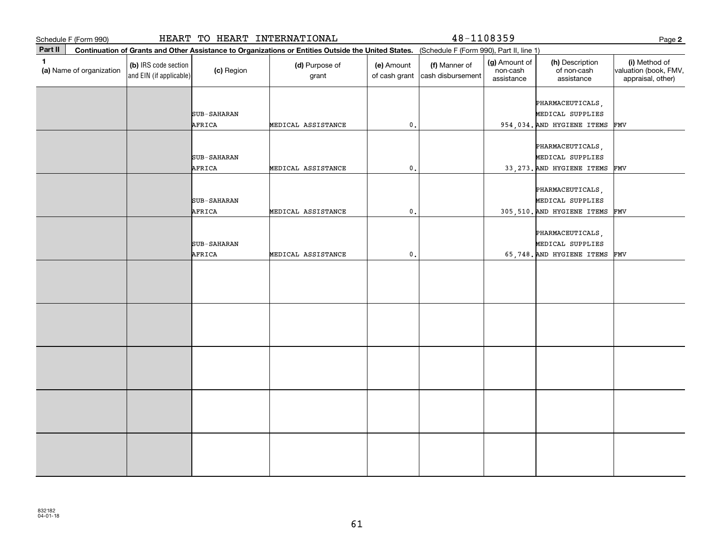| Schedule F (Form 990)                    |                                                 | HEART TO HEART INTERNATIONAL |                                                                                                                                              |                             | 48-1108359                         |                                         |                                                                    | Page 2                                                      |
|------------------------------------------|-------------------------------------------------|------------------------------|----------------------------------------------------------------------------------------------------------------------------------------------|-----------------------------|------------------------------------|-----------------------------------------|--------------------------------------------------------------------|-------------------------------------------------------------|
| Part II                                  |                                                 |                              | Continuation of Grants and Other Assistance to Organizations or Entities Outside the United States. (Schedule F (Form 990), Part II, line 1) |                             |                                    |                                         |                                                                    |                                                             |
| $\mathbf{1}$<br>(a) Name of organization | (b) IRS code section<br>and EIN (if applicable) | (c) Region                   | (d) Purpose of<br>grant                                                                                                                      | (e) Amount<br>of cash grant | (f) Manner of<br>cash disbursement | (g) Amount of<br>non-cash<br>assistance | (h) Description<br>of non-cash<br>assistance                       | (i) Method of<br>valuation (book, FMV,<br>appraisal, other) |
|                                          |                                                 | <b>SUB-SAHARAN</b><br>AFRICA | MEDICAL ASSISTANCE                                                                                                                           | $\mathbf{0}$                |                                    |                                         | PHARMACEUTICALS,<br>MEDICAL SUPPLIES<br>954,034. AND HYGIENE ITEMS | FMV                                                         |
|                                          |                                                 | <b>SUB-SAHARAN</b><br>AFRICA | MEDICAL ASSISTANCE                                                                                                                           | $\mathfrak o$ .             |                                    |                                         | PHARMACEUTICALS,<br>MEDICAL SUPPLIES<br>33, 273. AND HYGIENE ITEMS | FMV                                                         |
|                                          |                                                 | <b>SUB-SAHARAN</b><br>AFRICA | MEDICAL ASSISTANCE                                                                                                                           | 0.                          |                                    |                                         | PHARMACEUTICALS,<br>MEDICAL SUPPLIES<br>305,510. AND HYGIENE ITEMS | FMV                                                         |
|                                          |                                                 | SUB-SAHARAN<br>AFRICA        | MEDICAL ASSISTANCE                                                                                                                           | $\mathbf{0}$ .              |                                    |                                         | PHARMACEUTICALS,<br>MEDICAL SUPPLIES<br>65,748. AND HYGIENE ITEMS  | FMV                                                         |
|                                          |                                                 |                              |                                                                                                                                              |                             |                                    |                                         |                                                                    |                                                             |
|                                          |                                                 |                              |                                                                                                                                              |                             |                                    |                                         |                                                                    |                                                             |
|                                          |                                                 |                              |                                                                                                                                              |                             |                                    |                                         |                                                                    |                                                             |
|                                          |                                                 |                              |                                                                                                                                              |                             |                                    |                                         |                                                                    |                                                             |
|                                          |                                                 |                              |                                                                                                                                              |                             |                                    |                                         |                                                                    |                                                             |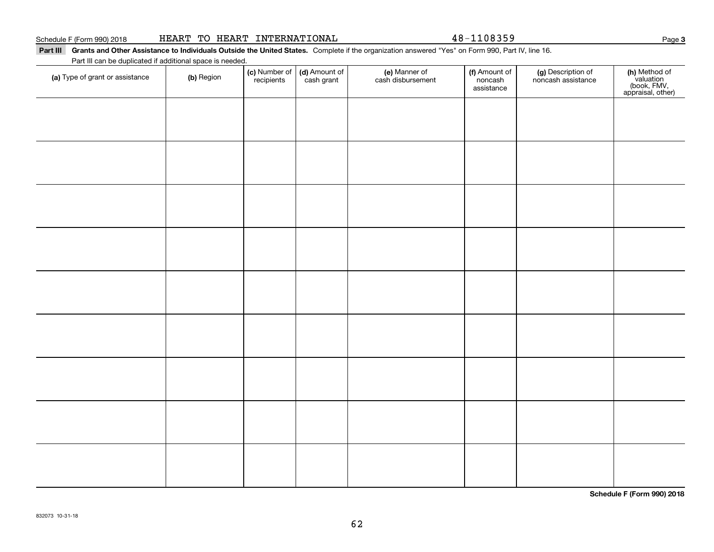| HEART TO HEART INTERNATIONAL |  |  |
|------------------------------|--|--|
|------------------------------|--|--|

48-1108359

#### Part III Grants and Other Assistance to Individuals Outside the United States. Complete if the organization answered "Yes" on Form 990, Part IV, line 16.

Part III can be duplicated if additional space is needed.

| (a) Type of grant or assistance | (b) Region | (c) Number of<br>recipients | (d) Amount of<br>cash grant | (e) Manner of<br>cash disbursement | (f) Amount of<br>noncash<br>assistance | (g) Description of<br>noncash assistance | (h) Method of<br>valuation<br>(book, FMV,<br>appraisal, other) |
|---------------------------------|------------|-----------------------------|-----------------------------|------------------------------------|----------------------------------------|------------------------------------------|----------------------------------------------------------------|
|                                 |            |                             |                             |                                    |                                        |                                          |                                                                |
|                                 |            |                             |                             |                                    |                                        |                                          |                                                                |
|                                 |            |                             |                             |                                    |                                        |                                          |                                                                |
|                                 |            |                             |                             |                                    |                                        |                                          |                                                                |
|                                 |            |                             |                             |                                    |                                        |                                          |                                                                |
|                                 |            |                             |                             |                                    |                                        |                                          |                                                                |
|                                 |            |                             |                             |                                    |                                        |                                          |                                                                |
|                                 |            |                             |                             |                                    |                                        |                                          |                                                                |
|                                 |            |                             |                             |                                    |                                        |                                          |                                                                |
|                                 |            |                             |                             |                                    |                                        |                                          |                                                                |
|                                 |            |                             |                             |                                    |                                        |                                          |                                                                |
|                                 |            |                             |                             |                                    |                                        |                                          |                                                                |
|                                 |            |                             |                             |                                    |                                        |                                          |                                                                |
|                                 |            |                             |                             |                                    |                                        |                                          |                                                                |
|                                 |            |                             |                             |                                    |                                        |                                          |                                                                |

**Schedule F (Form 990) 2018**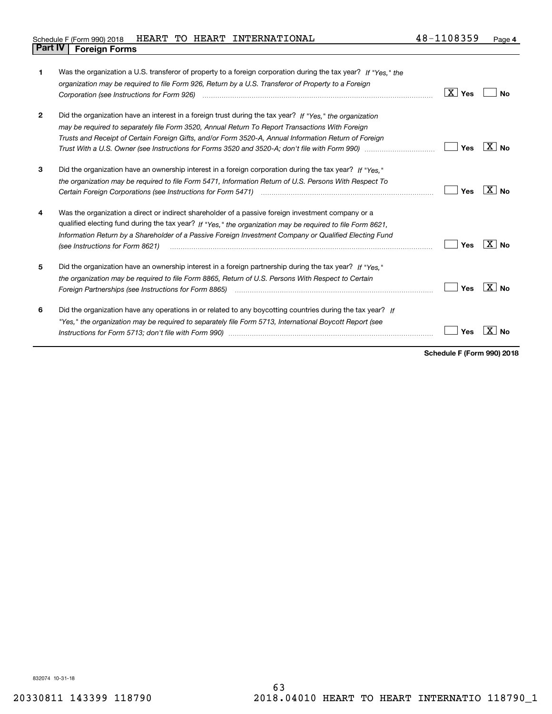| 1            | Was the organization a U.S. transferor of property to a foreign corporation during the tax year? If "Yes." the<br>organization may be required to file Form 926, Return by a U.S. Transferor of Property to a Foreign<br>Corporation (see Instructions for Form 926) (and the content of the corporation of the international content of                       | $\boxed{\text{X}}$ Yes | Nο           |
|--------------|----------------------------------------------------------------------------------------------------------------------------------------------------------------------------------------------------------------------------------------------------------------------------------------------------------------------------------------------------------------|------------------------|--------------|
| $\mathbf{2}$ | Did the organization have an interest in a foreign trust during the tax year? If "Yes." the organization<br>may be required to separately file Form 3520, Annual Return To Report Transactions With Foreign<br>Trusts and Receipt of Certain Foreign Gifts, and/or Form 3520-A, Annual Information Return of Foreign                                           | Yes                    | $X \mid N_0$ |
| 3            | Did the organization have an ownership interest in a foreign corporation during the tax year? If "Yes."<br>the organization may be required to file Form 5471, Information Return of U.S. Persons With Respect To                                                                                                                                              | Yes                    | $X $ No      |
| 4            | Was the organization a direct or indirect shareholder of a passive foreign investment company or a<br>qualified electing fund during the tax year? If "Yes," the organization may be required to file Form 8621.<br>Information Return by a Shareholder of a Passive Foreign Investment Company or Qualified Electing Fund<br>(see Instructions for Form 8621) | Yes                    | X∣No         |
| 5            | Did the organization have an ownership interest in a foreign partnership during the tax year? If "Yes."<br>the organization may be required to file Form 8865, Return of U.S. Persons With Respect to Certain<br>Foreign Partnerships (see Instructions for Form 8865) <i>manual content content content content content content</i> co                        | Yes                    | X∣No         |
| 6            | Did the organization have any operations in or related to any boycotting countries during the tax year? If<br>"Yes," the organization may be required to separately file Form 5713, International Boycott Report (see                                                                                                                                          | Yes                    |              |

**Schedule F (Form 990) 2018**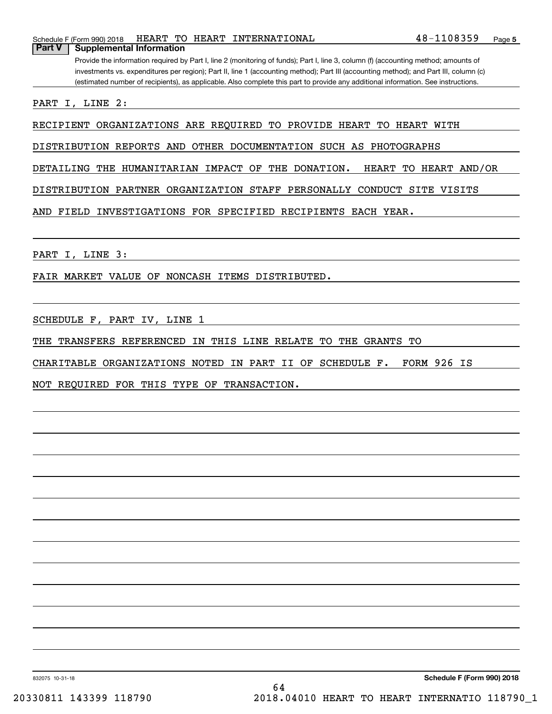PART I, LINE 3:

FAIR MARKET VALUE OF NONCASH ITEMS DISTRIBUTED.

SCHEDULE F, PART IV, LINE 1

THE TRANSFERS REFERENCED IN THIS LINE RELATE TO THE GRANTS TO

CHARITABLE ORGANIZATIONS NOTED IN PART II OF SCHEDULE F. FORM 926 IS

NOT REQUIRED FOR THIS TYPE OF TRANSACTION.

#### Schedule F (Form 990) 2018 HEART TO HEART INTERNATIONAL 4 8-1108359 Page **Part V Supplemental Information**

Provide the information required by Part I, line 2 (monitoring of funds); Part I, line 3, column (f) (accounting method; amounts of investments vs. expenditures per region); Part II, line 1 (accounting method); Part III (accounting method); and Part III, column (c) (estimated number of recipients), as applicable. Also complete this part to provide any additional information. See instructions.

PART I, LINE 2:

RECIPIENT ORGANIZATIONS ARE REQUIRED TO PROVIDE HEART TO HEART WITH

DISTRIBUTION REPORTS AND OTHER DOCUMENTATION SUCH AS PHOTOGRAPHS

DETAILING THE HUMANITARIAN IMPACT OF THE DONATION. HEART TO HEART AND/OR

DISTRIBUTION PARTNER ORGANIZATION STAFF PERSONALLY CONDUCT SITE VISITS

AND FIELD INVESTIGATIONS FOR SPECIFIED RECIPIENTS EACH YEAR.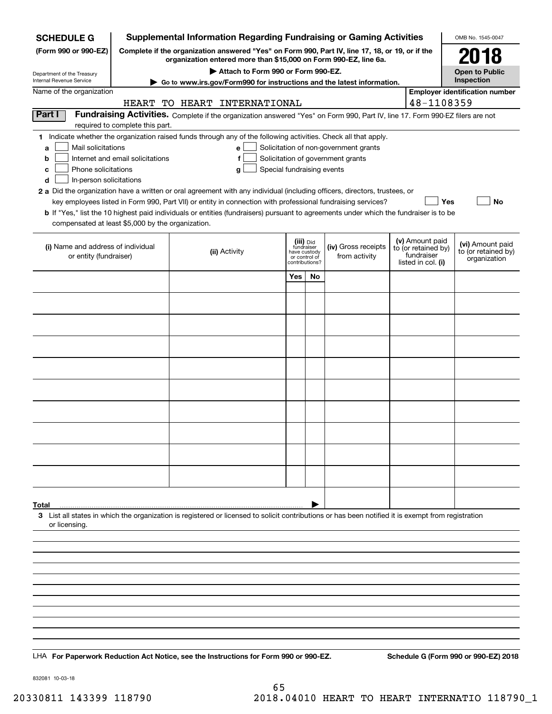| <b>SCHEDULE G</b>                                        | <b>Supplemental Information Regarding Fundraising or Gaming Activities</b>                                                                                          |                                                                                                                                                                                                                                           |     |                                                 |                                                                            | OMB No. 1545-0047                |            |                                                     |  |
|----------------------------------------------------------|---------------------------------------------------------------------------------------------------------------------------------------------------------------------|-------------------------------------------------------------------------------------------------------------------------------------------------------------------------------------------------------------------------------------------|-----|-------------------------------------------------|----------------------------------------------------------------------------|----------------------------------|------------|-----------------------------------------------------|--|
| (Form 990 or 990-EZ)                                     | Complete if the organization answered "Yes" on Form 990, Part IV, line 17, 18, or 19, or if the<br>organization entered more than \$15,000 on Form 990-EZ, line 6a. |                                                                                                                                                                                                                                           |     |                                                 |                                                                            |                                  |            | 2018                                                |  |
| Department of the Treasury                               | Attach to Form 990 or Form 990-EZ.                                                                                                                                  |                                                                                                                                                                                                                                           |     |                                                 |                                                                            |                                  |            | <b>Open to Public</b>                               |  |
| Internal Revenue Service<br>Name of the organization     | Go to www.irs.gov/Form990 for instructions and the latest information.                                                                                              |                                                                                                                                                                                                                                           |     |                                                 |                                                                            |                                  |            | Inspection<br><b>Employer identification number</b> |  |
|                                                          |                                                                                                                                                                     | HEART TO HEART INTERNATIONAL                                                                                                                                                                                                              |     |                                                 |                                                                            |                                  | 48-1108359 |                                                     |  |
| Part I                                                   |                                                                                                                                                                     | Fundraising Activities. Complete if the organization answered "Yes" on Form 990, Part IV, line 17. Form 990-EZ filers are not                                                                                                             |     |                                                 |                                                                            |                                  |            |                                                     |  |
|                                                          | required to complete this part.                                                                                                                                     |                                                                                                                                                                                                                                           |     |                                                 |                                                                            |                                  |            |                                                     |  |
| Mail solicitations<br>a<br>b                             | Internet and email solicitations                                                                                                                                    | 1 Indicate whether the organization raised funds through any of the following activities. Check all that apply.<br>e<br>f                                                                                                                 |     |                                                 | Solicitation of non-government grants<br>Solicitation of government grants |                                  |            |                                                     |  |
| Phone solicitations<br>c<br>In-person solicitations<br>d |                                                                                                                                                                     | Special fundraising events<br>g                                                                                                                                                                                                           |     |                                                 |                                                                            |                                  |            |                                                     |  |
|                                                          |                                                                                                                                                                     | 2 a Did the organization have a written or oral agreement with any individual (including officers, directors, trustees, or<br>key employees listed in Form 990, Part VII) or entity in connection with professional fundraising services? |     |                                                 |                                                                            |                                  | Yes        | No                                                  |  |
| compensated at least \$5,000 by the organization.        |                                                                                                                                                                     | <b>b</b> If "Yes," list the 10 highest paid individuals or entities (fundraisers) pursuant to agreements under which the fundraiser is to be                                                                                              |     |                                                 |                                                                            |                                  |            |                                                     |  |
|                                                          | (iii) Did<br>fundraiser<br>(iv) Gross receipts<br>(i) Name and address of individual                                                                                |                                                                                                                                                                                                                                           |     |                                                 | (v) Amount paid<br>to (or retained by)                                     | (vi) Amount paid                 |            |                                                     |  |
| or entity (fundraiser)                                   |                                                                                                                                                                     | (ii) Activity                                                                                                                                                                                                                             |     | have custody<br>or control of<br>contributions? | from activity                                                              | fundraiser<br>listed in col. (i) |            | to (or retained by)<br>organization                 |  |
|                                                          |                                                                                                                                                                     |                                                                                                                                                                                                                                           | Yes | No                                              |                                                                            |                                  |            |                                                     |  |
|                                                          |                                                                                                                                                                     |                                                                                                                                                                                                                                           |     |                                                 |                                                                            |                                  |            |                                                     |  |
|                                                          |                                                                                                                                                                     |                                                                                                                                                                                                                                           |     |                                                 |                                                                            |                                  |            |                                                     |  |
|                                                          |                                                                                                                                                                     |                                                                                                                                                                                                                                           |     |                                                 |                                                                            |                                  |            |                                                     |  |
|                                                          |                                                                                                                                                                     |                                                                                                                                                                                                                                           |     |                                                 |                                                                            |                                  |            |                                                     |  |
|                                                          |                                                                                                                                                                     |                                                                                                                                                                                                                                           |     |                                                 |                                                                            |                                  |            |                                                     |  |
|                                                          |                                                                                                                                                                     |                                                                                                                                                                                                                                           |     |                                                 |                                                                            |                                  |            |                                                     |  |
|                                                          |                                                                                                                                                                     |                                                                                                                                                                                                                                           |     |                                                 |                                                                            |                                  |            |                                                     |  |
|                                                          |                                                                                                                                                                     |                                                                                                                                                                                                                                           |     |                                                 |                                                                            |                                  |            |                                                     |  |
|                                                          |                                                                                                                                                                     |                                                                                                                                                                                                                                           |     |                                                 |                                                                            |                                  |            |                                                     |  |
|                                                          |                                                                                                                                                                     |                                                                                                                                                                                                                                           |     |                                                 |                                                                            |                                  |            |                                                     |  |
|                                                          |                                                                                                                                                                     |                                                                                                                                                                                                                                           |     |                                                 |                                                                            |                                  |            |                                                     |  |
| Total                                                    |                                                                                                                                                                     | 3 List all states in which the organization is registered or licensed to solicit contributions or has been notified it is exempt from registration                                                                                        |     |                                                 |                                                                            |                                  |            |                                                     |  |
| or licensing.                                            |                                                                                                                                                                     |                                                                                                                                                                                                                                           |     |                                                 |                                                                            |                                  |            |                                                     |  |
|                                                          |                                                                                                                                                                     |                                                                                                                                                                                                                                           |     |                                                 |                                                                            |                                  |            |                                                     |  |
|                                                          |                                                                                                                                                                     |                                                                                                                                                                                                                                           |     |                                                 |                                                                            |                                  |            |                                                     |  |
|                                                          |                                                                                                                                                                     |                                                                                                                                                                                                                                           |     |                                                 |                                                                            |                                  |            |                                                     |  |
|                                                          |                                                                                                                                                                     |                                                                                                                                                                                                                                           |     |                                                 |                                                                            |                                  |            |                                                     |  |
|                                                          |                                                                                                                                                                     |                                                                                                                                                                                                                                           |     |                                                 |                                                                            |                                  |            |                                                     |  |
|                                                          |                                                                                                                                                                     |                                                                                                                                                                                                                                           |     |                                                 |                                                                            |                                  |            |                                                     |  |
|                                                          |                                                                                                                                                                     | LHA For Paperwork Reduction Act Notice, see the Instructions for Form 990 or 990-EZ.                                                                                                                                                      |     |                                                 |                                                                            |                                  |            | Schedule G (Form 990 or 990-EZ) 2018                |  |

832081 10-03-18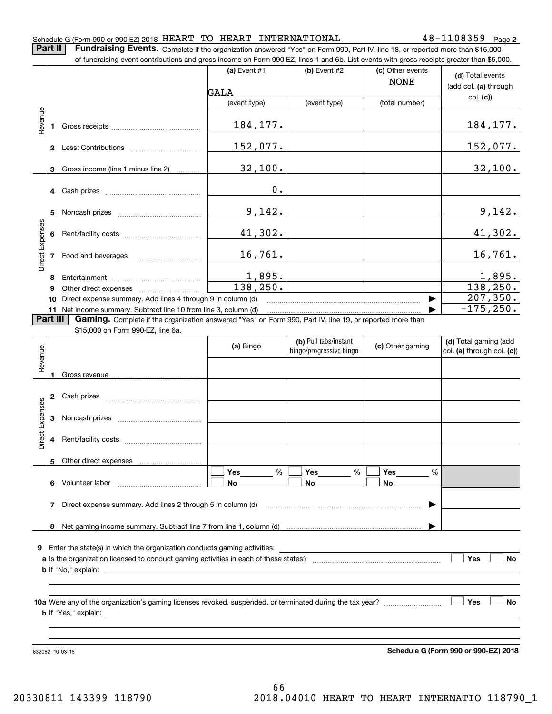#### Schedule G (Form 990 or 990-EZ) 2018  $\rm HEART$   $\rm TO$   $\rm HEART$   $\rm INTERNATIONAL$   $\rm 48-1108359$   $\rm Page$

**2**

**Part II** | Fundraising Events. Complete if the organization answered "Yes" on Form 990, Part IV, line 18, or reported more than \$15,000

|                |          | of fundraising event contributions and gross income on Form 990-EZ, lines 1 and 6b. List events with gross receipts greater than \$5,000. |                                          |                                                  |                                 |                                                     |
|----------------|----------|-------------------------------------------------------------------------------------------------------------------------------------------|------------------------------------------|--------------------------------------------------|---------------------------------|-----------------------------------------------------|
|                |          |                                                                                                                                           | (a) Event $#1$<br>$(b)$ Event #2<br>GALA |                                                  | (c) Other events<br><b>NONE</b> | (d) Total events<br>(add col. (a) through           |
|                |          |                                                                                                                                           | (event type)                             | (event type)                                     | (total number)                  | col. (c)                                            |
|                |          |                                                                                                                                           |                                          |                                                  |                                 |                                                     |
| Revenue        |          |                                                                                                                                           | 184, 177.                                |                                                  |                                 | <u>184, 177.</u>                                    |
|                |          |                                                                                                                                           | 152,077.                                 |                                                  |                                 | <u> 152,077.</u>                                    |
|                |          | 3 Gross income (line 1 minus line 2)                                                                                                      | 32,100.                                  |                                                  |                                 | 32,100.                                             |
|                |          |                                                                                                                                           | 0.                                       |                                                  |                                 |                                                     |
|                | 5        |                                                                                                                                           | 9,142.                                   |                                                  |                                 | 9,142.                                              |
|                |          |                                                                                                                                           | 41,302.                                  |                                                  |                                 | 41,302.                                             |
| Direct Expense |          | 7 Food and beverages                                                                                                                      | 16,761.                                  |                                                  |                                 | 16,761.                                             |
|                |          |                                                                                                                                           | 1,895.                                   |                                                  |                                 | 1,895.                                              |
|                | 9        |                                                                                                                                           | 138, 250.                                |                                                  |                                 | 138, 250.                                           |
|                | 10       | Direct expense summary. Add lines 4 through 9 in column (d)                                                                               |                                          |                                                  |                                 | 207,350.                                            |
|                |          | 11 Net income summary. Subtract line 10 from line 3, column (d)                                                                           |                                          |                                                  |                                 | $-175, 250.$                                        |
|                | Part III | Gaming. Complete if the organization answered "Yes" on Form 990, Part IV, line 19, or reported more than                                  |                                          |                                                  |                                 |                                                     |
|                |          | \$15,000 on Form 990-EZ, line 6a.                                                                                                         |                                          |                                                  |                                 |                                                     |
| Revenue        |          |                                                                                                                                           | (a) Bingo                                | (b) Pull tabs/instant<br>bingo/progressive bingo | (c) Other gaming                | (d) Total gaming (add<br>col. (a) through col. (c)) |
|                |          |                                                                                                                                           |                                          |                                                  |                                 |                                                     |
|                |          |                                                                                                                                           |                                          |                                                  |                                 |                                                     |
|                |          |                                                                                                                                           |                                          |                                                  |                                 |                                                     |
| Expenses       |          |                                                                                                                                           |                                          |                                                  |                                 |                                                     |
| Direct         |          |                                                                                                                                           |                                          |                                                  |                                 |                                                     |
|                |          | 5 Other direct expenses                                                                                                                   |                                          |                                                  |                                 |                                                     |
|                | 6        | Volunteer labor                                                                                                                           | %<br>Yes<br>No                           | %<br>Yes<br>No                                   | %<br>Yes<br>No                  |                                                     |
|                | 7        |                                                                                                                                           |                                          |                                                  |                                 |                                                     |
|                |          |                                                                                                                                           |                                          |                                                  |                                 |                                                     |
|                |          |                                                                                                                                           |                                          |                                                  |                                 |                                                     |
|                |          | 9 Enter the state(s) in which the organization conducts gaming activities:                                                                |                                          |                                                  |                                 |                                                     |
| Yes            |          |                                                                                                                                           |                                          |                                                  |                                 |                                                     |
|                |          |                                                                                                                                           |                                          |                                                  |                                 |                                                     |
|                |          | <b>b</b> If "Yes," explain:                                                                                                               |                                          |                                                  |                                 | Yes<br>No                                           |

832082 10-03-18

**Schedule G (Form 990 or 990-EZ) 2018**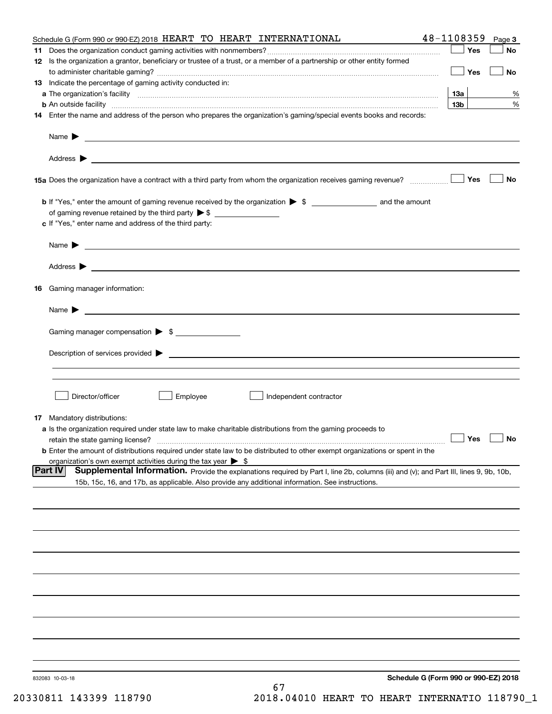|    | Schedule G (Form 990 or 990-EZ) 2018 HEART TO HEART INTERNATIONAL                                                                                                                                                   | 48-1108359      | Page 3    |
|----|---------------------------------------------------------------------------------------------------------------------------------------------------------------------------------------------------------------------|-----------------|-----------|
|    |                                                                                                                                                                                                                     | Yes             | No        |
|    | 12 Is the organization a grantor, beneficiary or trustee of a trust, or a member of a partnership or other entity formed                                                                                            |                 |           |
|    |                                                                                                                                                                                                                     | Yes             | No        |
|    | 13 Indicate the percentage of gaming activity conducted in:                                                                                                                                                         |                 |           |
|    |                                                                                                                                                                                                                     | 13а             | %         |
|    | <b>b</b> An outside facility <i>www.communicality www.communicality.communicality www.communicality www.communicality.communicality www.communicality.com</i>                                                       | 13 <sub>b</sub> | %         |
|    | 14 Enter the name and address of the person who prepares the organization's gaming/special events books and records:                                                                                                |                 |           |
|    | Name $\triangleright$ $\square$                                                                                                                                                                                     |                 |           |
|    |                                                                                                                                                                                                                     |                 |           |
|    | 15a Does the organization have a contract with a third party from whom the organization receives gaming revenue?                                                                                                    | Yes             | <b>No</b> |
|    |                                                                                                                                                                                                                     |                 |           |
|    |                                                                                                                                                                                                                     |                 |           |
|    | c If "Yes," enter name and address of the third party:                                                                                                                                                              |                 |           |
|    |                                                                                                                                                                                                                     |                 |           |
|    |                                                                                                                                                                                                                     |                 |           |
|    |                                                                                                                                                                                                                     |                 |           |
| 16 | Gaming manager information:                                                                                                                                                                                         |                 |           |
|    | Name $\blacktriangleright$                                                                                                                                                                                          |                 |           |
|    | Gaming manager compensation > \$                                                                                                                                                                                    |                 |           |
|    |                                                                                                                                                                                                                     |                 |           |
|    | $Description of services provided$ $\triangleright$                                                                                                                                                                 |                 |           |
|    |                                                                                                                                                                                                                     |                 |           |
|    |                                                                                                                                                                                                                     |                 |           |
|    | Director/officer<br>Employee<br>Independent contractor                                                                                                                                                              |                 |           |
|    |                                                                                                                                                                                                                     |                 |           |
|    | 17 Mandatory distributions:                                                                                                                                                                                         |                 |           |
|    | a Is the organization required under state law to make charitable distributions from the gaming proceeds to                                                                                                         |                 |           |
|    | retain the state gaming license?                                                                                                                                                                                    | $\Box$ Yes      | $\Box$ No |
|    | <b>b</b> Enter the amount of distributions required under state law to be distributed to other exempt organizations or spent in the<br>organization's own exempt activities during the tax year $\triangleright$ \$ |                 |           |
|    | Supplemental Information. Provide the explanations required by Part I, line 2b, columns (iii) and (v); and Part III, lines 9, 9b, 10b,<br> Part IV                                                                  |                 |           |
|    | 15b, 15c, 16, and 17b, as applicable. Also provide any additional information. See instructions.                                                                                                                    |                 |           |
|    |                                                                                                                                                                                                                     |                 |           |
|    |                                                                                                                                                                                                                     |                 |           |
|    |                                                                                                                                                                                                                     |                 |           |
|    |                                                                                                                                                                                                                     |                 |           |
|    |                                                                                                                                                                                                                     |                 |           |
|    |                                                                                                                                                                                                                     |                 |           |
|    |                                                                                                                                                                                                                     |                 |           |
|    |                                                                                                                                                                                                                     |                 |           |
|    |                                                                                                                                                                                                                     |                 |           |
|    |                                                                                                                                                                                                                     |                 |           |
|    |                                                                                                                                                                                                                     |                 |           |
|    |                                                                                                                                                                                                                     |                 |           |
|    |                                                                                                                                                                                                                     |                 |           |
|    |                                                                                                                                                                                                                     |                 |           |
|    | Schedule G (Form 990 or 990-EZ) 2018<br>832083 10-03-18                                                                                                                                                             |                 |           |
|    | 67                                                                                                                                                                                                                  |                 |           |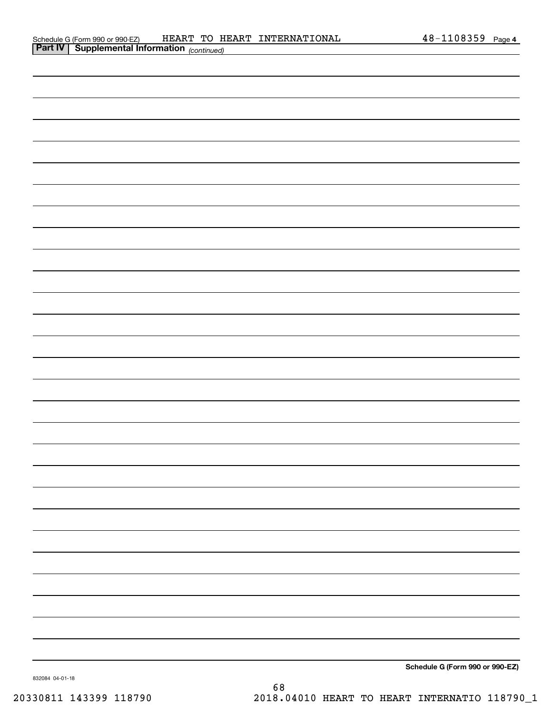| <b>Part IV   Supplemental Information</b> (continued) |
|-------------------------------------------------------|
|                                                       |
|                                                       |
|                                                       |
|                                                       |
|                                                       |
|                                                       |
|                                                       |
|                                                       |
|                                                       |
|                                                       |
|                                                       |
|                                                       |
|                                                       |
|                                                       |
|                                                       |
|                                                       |
|                                                       |
|                                                       |
|                                                       |
|                                                       |
|                                                       |
|                                                       |
|                                                       |
|                                                       |
|                                                       |
|                                                       |
|                                                       |
|                                                       |
| Schedule G (Form 990 or 990-F7)                       |

**Schedule G (Form 990 or 990-EZ)**

832084 04-01-18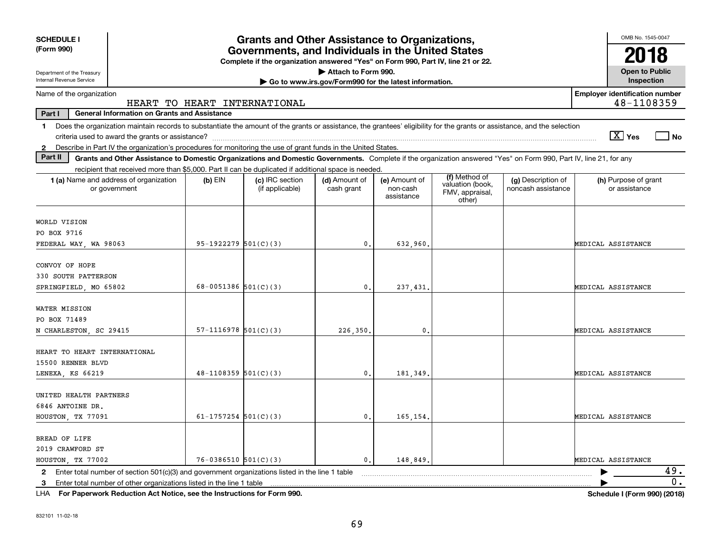| <b>SCHEDULE I</b><br>(Form 990)                                                                                                                                                | <b>Grants and Other Assistance to Organizations,</b><br>Governments, and Individuals in the United States |                                                                                  |                             |                                         |                                               |                                          |                                                       |
|--------------------------------------------------------------------------------------------------------------------------------------------------------------------------------|-----------------------------------------------------------------------------------------------------------|----------------------------------------------------------------------------------|-----------------------------|-----------------------------------------|-----------------------------------------------|------------------------------------------|-------------------------------------------------------|
|                                                                                                                                                                                |                                                                                                           | Complete if the organization answered "Yes" on Form 990, Part IV, line 21 or 22. |                             |                                         |                                               |                                          |                                                       |
| Attach to Form 990.<br>Department of the Treasury<br>Internal Revenue Service                                                                                                  |                                                                                                           |                                                                                  |                             |                                         |                                               | <b>Open to Public</b><br>Inspection      |                                                       |
| Go to www.irs.gov/Form990 for the latest information.                                                                                                                          |                                                                                                           |                                                                                  |                             |                                         |                                               |                                          | <b>Employer identification number</b>                 |
| Name of the organization<br>48-1108359<br>HEART TO HEART INTERNATIONAL                                                                                                         |                                                                                                           |                                                                                  |                             |                                         |                                               |                                          |                                                       |
| <b>General Information on Grants and Assistance</b><br>Part I                                                                                                                  |                                                                                                           |                                                                                  |                             |                                         |                                               |                                          |                                                       |
| Does the organization maintain records to substantiate the amount of the grants or assistance, the grantees' eligibility for the grants or assistance, and the selection<br>1. |                                                                                                           |                                                                                  |                             |                                         |                                               |                                          |                                                       |
|                                                                                                                                                                                |                                                                                                           |                                                                                  |                             |                                         |                                               |                                          | $\boxed{\text{X}}$ Yes<br>$\overline{\phantom{a}}$ No |
| 2 Describe in Part IV the organization's procedures for monitoring the use of grant funds in the United States.                                                                |                                                                                                           |                                                                                  |                             |                                         |                                               |                                          |                                                       |
| Part II<br>Grants and Other Assistance to Domestic Organizations and Domestic Governments. Complete if the organization answered "Yes" on Form 990, Part IV, line 21, for any  |                                                                                                           |                                                                                  |                             |                                         |                                               |                                          |                                                       |
| recipient that received more than \$5,000. Part II can be duplicated if additional space is needed.                                                                            |                                                                                                           |                                                                                  |                             |                                         | (f) Method of                                 |                                          |                                                       |
| 1 (a) Name and address of organization<br>or government                                                                                                                        | $(b)$ EIN                                                                                                 | (c) IRC section<br>(if applicable)                                               | (d) Amount of<br>cash grant | (e) Amount of<br>non-cash<br>assistance | valuation (book,<br>FMV, appraisal,<br>other) | (g) Description of<br>noncash assistance | (h) Purpose of grant<br>or assistance                 |
| WORLD VISION                                                                                                                                                                   |                                                                                                           |                                                                                  |                             |                                         |                                               |                                          |                                                       |
| PO BOX 9716                                                                                                                                                                    |                                                                                                           |                                                                                  |                             |                                         |                                               |                                          |                                                       |
| FEDERAL WAY, WA 98063                                                                                                                                                          | $95-1922279$ $501(C)(3)$                                                                                  |                                                                                  | 0.                          | 632,960                                 |                                               |                                          | MEDICAL ASSISTANCE                                    |
|                                                                                                                                                                                |                                                                                                           |                                                                                  |                             |                                         |                                               |                                          |                                                       |
| CONVOY OF HOPE                                                                                                                                                                 |                                                                                                           |                                                                                  |                             |                                         |                                               |                                          |                                                       |
| 330 SOUTH PATTERSON                                                                                                                                                            |                                                                                                           |                                                                                  |                             |                                         |                                               |                                          |                                                       |
| SPRINGFIELD, MO 65802                                                                                                                                                          | 68-0051386 501(C)(3)                                                                                      |                                                                                  | $\mathbf{0}$ .              | 237,431                                 |                                               |                                          | MEDICAL ASSISTANCE                                    |
| WATER MISSION                                                                                                                                                                  |                                                                                                           |                                                                                  |                             |                                         |                                               |                                          |                                                       |
| PO BOX 71489                                                                                                                                                                   |                                                                                                           |                                                                                  |                             |                                         |                                               |                                          |                                                       |
| N CHARLESTON, SC 29415                                                                                                                                                         | $57-1116978$ $501(C)(3)$                                                                                  |                                                                                  | 226,350.                    | $\mathbf{0}$ .                          |                                               |                                          | MEDICAL ASSISTANCE                                    |
|                                                                                                                                                                                |                                                                                                           |                                                                                  |                             |                                         |                                               |                                          |                                                       |
| HEART TO HEART INTERNATIONAL                                                                                                                                                   |                                                                                                           |                                                                                  |                             |                                         |                                               |                                          |                                                       |
| 15500 RENNER BLVD                                                                                                                                                              |                                                                                                           |                                                                                  |                             |                                         |                                               |                                          |                                                       |
| LENEXA, KS 66219                                                                                                                                                               | $48-1108359$ 501(C)(3)                                                                                    |                                                                                  | $\mathfrak{o}$ .            | 181,349                                 |                                               |                                          | MEDICAL ASSISTANCE                                    |
|                                                                                                                                                                                |                                                                                                           |                                                                                  |                             |                                         |                                               |                                          |                                                       |
| UNITED HEALTH PARTNERS                                                                                                                                                         |                                                                                                           |                                                                                  |                             |                                         |                                               |                                          |                                                       |
| 6846 ANTOINE DR.<br>HOUSTON, TX 77091                                                                                                                                          | 61-1757254 $501(C)(3)$                                                                                    |                                                                                  | 0.                          |                                         |                                               |                                          | MEDICAL ASSISTANCE                                    |
|                                                                                                                                                                                |                                                                                                           |                                                                                  |                             | 165,154                                 |                                               |                                          |                                                       |
| BREAD OF LIFE                                                                                                                                                                  |                                                                                                           |                                                                                  |                             |                                         |                                               |                                          |                                                       |
| 2019 CRAWFORD ST                                                                                                                                                               |                                                                                                           |                                                                                  |                             |                                         |                                               |                                          |                                                       |
| HOUSTON, TX 77002                                                                                                                                                              | $76 - 0386510$ $501(C)(3)$                                                                                |                                                                                  | $\mathfrak{o}$ .            | 148,849.                                |                                               |                                          | MEDICAL ASSISTANCE                                    |
| Enter total number of section 501(c)(3) and government organizations listed in the line 1 table<br>$\mathbf{2}$                                                                |                                                                                                           |                                                                                  |                             |                                         |                                               |                                          | 49.                                                   |
| 3                                                                                                                                                                              |                                                                                                           |                                                                                  |                             |                                         |                                               |                                          | 0.                                                    |
|                                                                                                                                                                                | .                                                                                                         |                                                                                  |                             |                                         |                                               |                                          |                                                       |

**For Paperwork Reduction Act Notice, see the Instructions for Form 990. Schedule I (Form 990) (2018)** LHA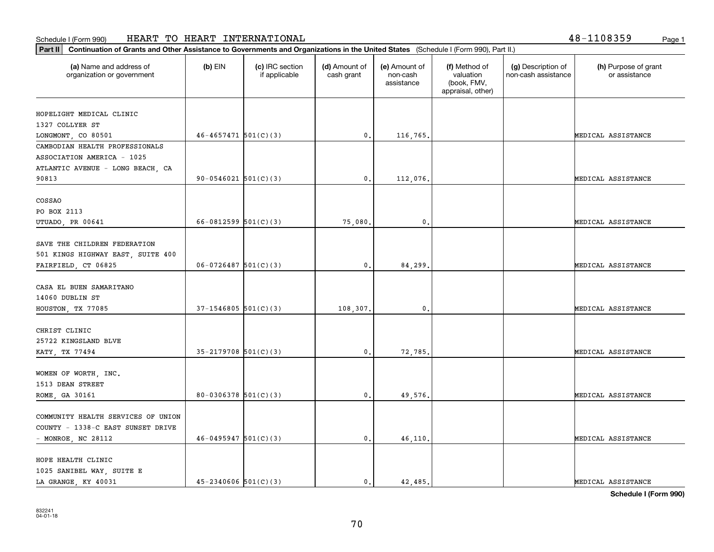| Part II   Continuation of Grants and Other Assistance to Governments and Organizations in the United States (Schedule I (Form 990), Part II.) |                            |                                  |                             |                                         |                                                                |                                           |                                       |
|-----------------------------------------------------------------------------------------------------------------------------------------------|----------------------------|----------------------------------|-----------------------------|-----------------------------------------|----------------------------------------------------------------|-------------------------------------------|---------------------------------------|
| (a) Name and address of<br>organization or government                                                                                         | $(b)$ EIN                  | (c) IRC section<br>if applicable | (d) Amount of<br>cash grant | (e) Amount of<br>non-cash<br>assistance | (f) Method of<br>valuation<br>(book, FMV,<br>appraisal, other) | (g) Description of<br>non-cash assistance | (h) Purpose of grant<br>or assistance |
|                                                                                                                                               |                            |                                  |                             |                                         |                                                                |                                           |                                       |
| HOPELIGHT MEDICAL CLINIC                                                                                                                      |                            |                                  |                             |                                         |                                                                |                                           |                                       |
| 1327 COLLYER ST                                                                                                                               |                            |                                  |                             |                                         |                                                                |                                           |                                       |
| LONGMONT, CO 80501                                                                                                                            | $46 - 4657471$ 501(C)(3)   |                                  | 0.                          | 116,765.                                |                                                                |                                           | MEDICAL ASSISTANCE                    |
| CAMBODIAN HEALTH PROFESSIONALS                                                                                                                |                            |                                  |                             |                                         |                                                                |                                           |                                       |
| ASSOCIATION AMERICA - 1025                                                                                                                    |                            |                                  |                             |                                         |                                                                |                                           |                                       |
| ATLANTIC AVENUE - LONG BEACH, CA                                                                                                              |                            |                                  |                             |                                         |                                                                |                                           |                                       |
| 90813                                                                                                                                         | $90-0546021$ $501(C)(3)$   |                                  | 0.                          | 112,076.                                |                                                                |                                           | MEDICAL ASSISTANCE                    |
|                                                                                                                                               |                            |                                  |                             |                                         |                                                                |                                           |                                       |
| COSSAO                                                                                                                                        |                            |                                  |                             |                                         |                                                                |                                           |                                       |
| PO BOX 2113                                                                                                                                   |                            |                                  |                             |                                         |                                                                |                                           |                                       |
| UTUADO, PR 00641                                                                                                                              | 66-0812599 $501(C)(3)$     |                                  | 75,080.                     | $\mathbf{0}$                            |                                                                |                                           | MEDICAL ASSISTANCE                    |
|                                                                                                                                               |                            |                                  |                             |                                         |                                                                |                                           |                                       |
| SAVE THE CHILDREN FEDERATION                                                                                                                  |                            |                                  |                             |                                         |                                                                |                                           |                                       |
| 501 KINGS HIGHWAY EAST, SUITE 400                                                                                                             |                            |                                  |                             |                                         |                                                                |                                           |                                       |
| FAIRFIELD, CT 06825                                                                                                                           | $06 - 0726487$ 501(C)(3)   |                                  | $\mathbf{0}$ .              | 84,299.                                 |                                                                |                                           | MEDICAL ASSISTANCE                    |
|                                                                                                                                               |                            |                                  |                             |                                         |                                                                |                                           |                                       |
| CASA EL BUEN SAMARITANO                                                                                                                       |                            |                                  |                             |                                         |                                                                |                                           |                                       |
| 14060 DUBLIN ST                                                                                                                               |                            |                                  |                             |                                         |                                                                |                                           |                                       |
| HOUSTON, TX 77085                                                                                                                             | $37-1546805$ 501(C)(3)     |                                  | 108,307.                    | $\mathbf{0}$ .                          |                                                                |                                           | MEDICAL ASSISTANCE                    |
|                                                                                                                                               |                            |                                  |                             |                                         |                                                                |                                           |                                       |
| CHRIST CLINIC                                                                                                                                 |                            |                                  |                             |                                         |                                                                |                                           |                                       |
| 25722 KINGSLAND BLVE                                                                                                                          |                            |                                  |                             |                                         |                                                                |                                           |                                       |
| KATY, TX 77494                                                                                                                                | $35 - 2179708$ $501(C)(3)$ |                                  | 0.                          | 72,785.                                 |                                                                |                                           | MEDICAL ASSISTANCE                    |
|                                                                                                                                               |                            |                                  |                             |                                         |                                                                |                                           |                                       |
| WOMEN OF WORTH, INC.                                                                                                                          |                            |                                  |                             |                                         |                                                                |                                           |                                       |
| 1513 DEAN STREET                                                                                                                              |                            |                                  |                             |                                         |                                                                |                                           |                                       |
| ROME, GA 30161                                                                                                                                | $80-0306378$ $501(C)(3)$   |                                  | 0.                          | 49,576.                                 |                                                                |                                           | MEDICAL ASSISTANCE                    |
|                                                                                                                                               |                            |                                  |                             |                                         |                                                                |                                           |                                       |
| COMMUNITY HEALTH SERVICES OF UNION                                                                                                            |                            |                                  |                             |                                         |                                                                |                                           |                                       |

| COMMUNITY HEALTH SERVICES OF UNION |                            |  |         |  |                    |
|------------------------------------|----------------------------|--|---------|--|--------------------|
| COUNTY - 1338-C EAST SUNSET DRIVE  |                            |  |         |  |                    |
| - MONROE, NC 28112                 | $46 - 0495947$ $501(C)(3)$ |  | 46.110. |  | MEDICAL ASSISTANCE |
|                                    |                            |  |         |  |                    |
| HOPE HEALTH CLINIC                 |                            |  |         |  |                    |
| 1025 SANIBEL WAY SUITE E           |                            |  |         |  |                    |
| LA GRANGE, KY 40031                | $45 - 2340606$ $501(C)(3)$ |  | 42,485. |  | MEDICAL ASSISTANCE |

**Schedule I (Form 990)**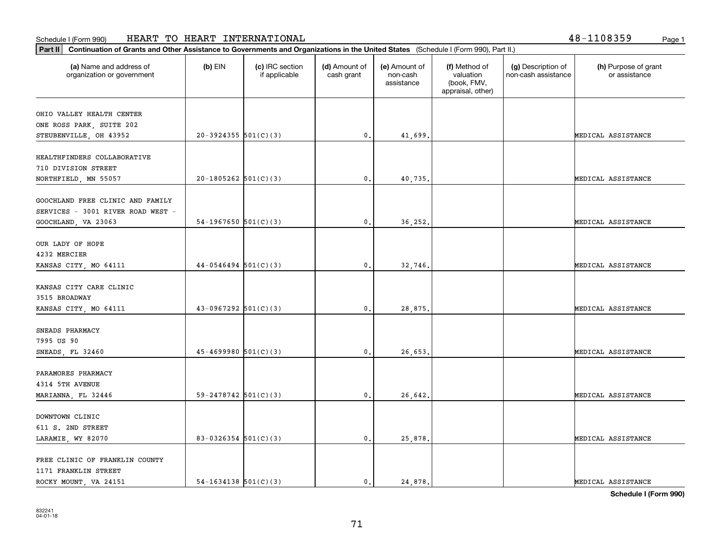**Part II Continuation of Grants and Other Assistance to Governments and Organizations in the United States**  (Schedule I (Form 990), Part II.)

1171 FRANKLIN STREET

| (a) Name and address of<br>organization or government | $(b)$ EIN                | (c) IRC section<br>if applicable | (d) Amount of<br>cash grant | (e) Amount of<br>non-cash<br>assistance | (f) Method of<br>valuation<br>(book, FMV,<br>appraisal, other) | (g) Description of<br>non-cash assistance | (h) Purpose of grant<br>or assistance |
|-------------------------------------------------------|--------------------------|----------------------------------|-----------------------------|-----------------------------------------|----------------------------------------------------------------|-------------------------------------------|---------------------------------------|
| OHIO VALLEY HEALTH CENTER                             |                          |                                  |                             |                                         |                                                                |                                           |                                       |
| ONE ROSS PARK, SUITE 202                              |                          |                                  |                             |                                         |                                                                |                                           |                                       |
| STEUBENVILLE, OH 43952                                | $20-3924355$ $501(C)(3)$ |                                  | 0.                          | 41,699.                                 |                                                                |                                           | MEDICAL ASSISTANCE                    |
|                                                       |                          |                                  |                             |                                         |                                                                |                                           |                                       |
| HEALTHFINDERS COLLABORATIVE                           |                          |                                  |                             |                                         |                                                                |                                           |                                       |
| 710 DIVISION STREET                                   |                          |                                  |                             |                                         |                                                                |                                           |                                       |
| NORTHFIELD, MN 55057                                  | $20-1805262$ 501(C)(3)   |                                  | 0.                          | 40,735.                                 |                                                                |                                           | MEDICAL ASSISTANCE                    |
|                                                       |                          |                                  |                             |                                         |                                                                |                                           |                                       |
| GOOCHLAND FREE CLINIC AND FAMILY                      |                          |                                  |                             |                                         |                                                                |                                           |                                       |
| SERVICES - 3001 RIVER ROAD WEST -                     |                          |                                  |                             |                                         |                                                                |                                           |                                       |
| GOOCHLAND, VA 23063                                   | 54-1967650 $501(C)(3)$   |                                  | 0.                          | 36,252.                                 |                                                                |                                           | MEDICAL ASSISTANCE                    |
|                                                       |                          |                                  |                             |                                         |                                                                |                                           |                                       |
| OUR LADY OF HOPE                                      |                          |                                  |                             |                                         |                                                                |                                           |                                       |
| 4232 MERCIER                                          |                          |                                  |                             |                                         |                                                                |                                           |                                       |
| KANSAS CITY, MO 64111                                 | $44-0546494$ 501(C)(3)   |                                  | 0.                          | 32,746.                                 |                                                                |                                           | MEDICAL ASSISTANCE                    |
|                                                       |                          |                                  |                             |                                         |                                                                |                                           |                                       |
| KANSAS CITY CARE CLINIC                               |                          |                                  |                             |                                         |                                                                |                                           |                                       |
| 3515 BROADWAY                                         |                          |                                  |                             |                                         |                                                                |                                           |                                       |
| KANSAS CITY, MO 64111                                 | $43-0967292$ $501(C)(3)$ |                                  | 0.                          | 28,875.                                 |                                                                |                                           | MEDICAL ASSISTANCE                    |
| SNEADS PHARMACY                                       |                          |                                  |                             |                                         |                                                                |                                           |                                       |
| 7995 US 90                                            |                          |                                  |                             |                                         |                                                                |                                           |                                       |
| SNEADS, FL 32460                                      | $45 - 4699980$ 501(C)(3) |                                  | 0.                          | 26,653.                                 |                                                                |                                           | MEDICAL ASSISTANCE                    |
|                                                       |                          |                                  |                             |                                         |                                                                |                                           |                                       |
| PARAMORES PHARMACY                                    |                          |                                  |                             |                                         |                                                                |                                           |                                       |
| 4314 5TH AVENUE                                       |                          |                                  |                             |                                         |                                                                |                                           |                                       |
| MARIANNA, FL 32446                                    | 59-2478742 $501(C)(3)$   |                                  | 0.                          | 26,642.                                 |                                                                |                                           | MEDICAL ASSISTANCE                    |
|                                                       |                          |                                  |                             |                                         |                                                                |                                           |                                       |
| DOWNTOWN CLINIC                                       |                          |                                  |                             |                                         |                                                                |                                           |                                       |
| 611 S. 2ND STREET                                     |                          |                                  |                             |                                         |                                                                |                                           |                                       |
| LARAMIE, WY 82070                                     | 83-0326354 $501(C)(3)$   |                                  | 0.                          | 25,878.                                 |                                                                |                                           | MEDICAL ASSISTANCE                    |
|                                                       |                          |                                  |                             |                                         |                                                                |                                           |                                       |
| FREE CLINIC OF FRANKLIN COUNTY                        |                          |                                  |                             |                                         |                                                                |                                           |                                       |
|                                                       |                          |                                  |                             |                                         |                                                                |                                           |                                       |

**Schedule I (Form 990)**

ROCKY MOUNT, VA 24151  $\begin{vmatrix} 54-1634138 & 501(C)(3) \end{vmatrix}$  0. 24,878.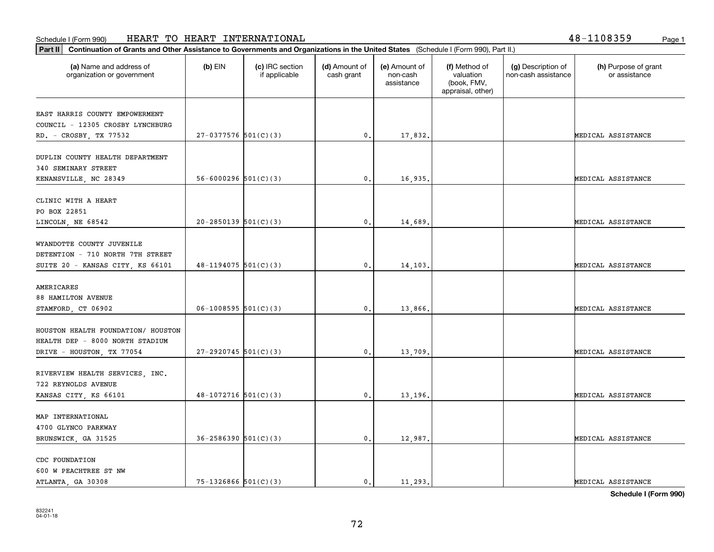**Part II Continuation of Grants and Other Assistance to Governments and Organizations in the United States**  (Schedule I (Form 990), Part II.)

| (a) Name and address of<br>organization or government                                              | (b) EIN                    | (c) IRC section<br>if applicable | (d) Amount of<br>cash grant | (e) Amount of<br>non-cash<br>assistance | (f) Method of<br>valuation<br>(book, FMV,<br>appraisal, other) | (g) Description of<br>non-cash assistance | (h) Purpose of grant<br>or assistance |
|----------------------------------------------------------------------------------------------------|----------------------------|----------------------------------|-----------------------------|-----------------------------------------|----------------------------------------------------------------|-------------------------------------------|---------------------------------------|
| EAST HARRIS COUNTY EMPOWERMENT                                                                     |                            |                                  |                             |                                         |                                                                |                                           |                                       |
| COUNCIL - 12305 CROSBY LYNCHBURG                                                                   |                            |                                  |                             |                                         |                                                                |                                           |                                       |
| RD. - CROSBY, TX 77532                                                                             | $27-0377576$ 501(C)(3)     |                                  | $\mathfrak o$ .             | 17,832.                                 |                                                                |                                           | MEDICAL ASSISTANCE                    |
| DUPLIN COUNTY HEALTH DEPARTMENT<br>340 SEMINARY STREET                                             |                            |                                  |                             |                                         |                                                                |                                           |                                       |
| KENANSVILLE, NC 28349                                                                              | $56 - 6000296$ $501(C)(3)$ |                                  | $\mathbf{0}$                | 16,935.                                 |                                                                |                                           | MEDICAL ASSISTANCE                    |
| CLINIC WITH A HEART<br>PO BOX 22851                                                                |                            |                                  |                             |                                         |                                                                |                                           |                                       |
| LINCOLN, NE 68542                                                                                  | $20-2850139$ $501(C)(3)$   |                                  | $\mathbf{0}$ .              | 14,689                                  |                                                                |                                           | MEDICAL ASSISTANCE                    |
| WYANDOTTE COUNTY JUVENILE<br>DETENTION - 710 NORTH 7TH STREET<br>SUITE 20 - KANSAS CITY, KS 66101  | $48 - 1194075$ 501(C)(3)   |                                  | $\mathfrak{o}$ .            | 14,103                                  |                                                                |                                           | MEDICAL ASSISTANCE                    |
| <b>AMERICARES</b><br>88 HAMILTON AVENUE                                                            |                            |                                  |                             |                                         |                                                                |                                           |                                       |
| STAMFORD, CT 06902                                                                                 | $06-1008595$ 501(C)(3)     |                                  | $\mathbf{0}$ .              | 13,866.                                 |                                                                |                                           | MEDICAL ASSISTANCE                    |
| HOUSTON HEALTH FOUNDATION/ HOUSTON<br>HEALTH DEP - 8000 NORTH STADIUM<br>DRIVE - HOUSTON, TX 77054 | $27-2920745$ 501(C)(3)     |                                  | $\mathfrak o$ .             | 13,709                                  |                                                                |                                           | MEDICAL ASSISTANCE                    |
|                                                                                                    |                            |                                  |                             |                                         |                                                                |                                           |                                       |
| RIVERVIEW HEALTH SERVICES, INC.<br>722 REYNOLDS AVENUE<br>KANSAS CITY, KS 66101                    | $48-1072716$ 501(C)(3)     |                                  | $\mathbf{0}$ .              | 13,196.                                 |                                                                |                                           | MEDICAL ASSISTANCE                    |
| MAP INTERNATIONAL<br>4700 GLYNCO PARKWAY<br>BRUNSWICK, GA 31525                                    | $36 - 2586390$ $501(C)(3)$ |                                  | $\mathfrak{o}$ .            | 12,987                                  |                                                                |                                           | MEDICAL ASSISTANCE                    |
|                                                                                                    |                            |                                  |                             |                                         |                                                                |                                           |                                       |
| CDC FOUNDATION<br>600 W PEACHTREE ST NW                                                            |                            |                                  |                             |                                         |                                                                |                                           |                                       |

**Schedule I (Form 990)**

ATLANTA, GA 30308  $\begin{vmatrix} 75-1326866 & 501(C)(3) \end{vmatrix}$  0. 11,293.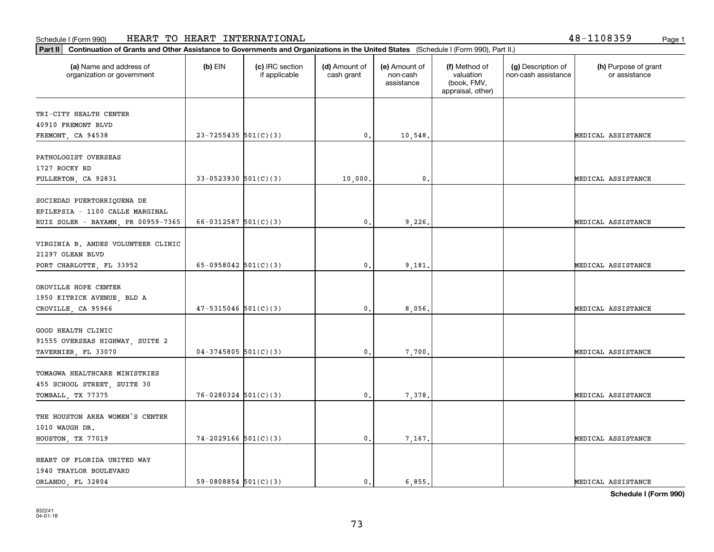**Part II Continuation of Grants and Other Assistance to Governments and Organizations in the United States**  (Schedule I (Form 990), Part II.)

1940 TRAYLOR BOULEVARD

| (a) Name and address of<br>organization or government                                               | $(b)$ EIN                  | (c) IRC section<br>if applicable | (d) Amount of<br>cash grant | (e) Amount of<br>non-cash<br>assistance | (f) Method of<br>valuation<br>(book, FMV,<br>appraisal, other) | (g) Description of<br>non-cash assistance | (h) Purpose of grant<br>or assistance |
|-----------------------------------------------------------------------------------------------------|----------------------------|----------------------------------|-----------------------------|-----------------------------------------|----------------------------------------------------------------|-------------------------------------------|---------------------------------------|
| TRI-CITY HEALTH CENTER<br>40910 FREMONT BLVD<br>FREMONT, CA 94538                                   | $23 - 7255435$ 501(C)(3)   |                                  | $\mathbf{0}$ .              | 10,548                                  |                                                                |                                           | MEDICAL ASSISTANCE                    |
| PATHOLOGIST OVERSEAS<br>1727 ROCKY RD<br>FULLERTON, CA 92831                                        | $33-0523930$ $501(C)(3)$   |                                  | 10,000.                     | $\mathbf{0}$ .                          |                                                                |                                           | MEDICAL ASSISTANCE                    |
| SOCIEDAD PUERTORRIQUENA DE<br>EPILEPSIA - 1100 CALLE MARGINAL<br>RUIZ SOLER - BAYAMN, PR 00959-7365 | $66 - 0312587$ 501(C)(3)   |                                  | $\mathbf{0}$ .              | 9,226.                                  |                                                                |                                           | MEDICAL ASSISTANCE                    |
| VIRGINIA B. ANDES VOLUNTEER CLINIC<br>21297 OLEAN BLVD<br>PORT CHARLOTTE, FL 33952                  | 65-0958042 $501(C)(3)$     |                                  | $\mathbf{0}$ .              | 9,181.                                  |                                                                |                                           | MEDICAL ASSISTANCE                    |
| OROVILLE HOPE CENTER<br>1950 KITRICK AVENUE, BLD A<br>CROVILLE, CA 95966                            | $47 - 5315046$ 501(C)(3)   |                                  | $\mathbf{0}$ .              | 8,056,                                  |                                                                |                                           | MEDICAL ASSISTANCE                    |
| GOOD HEALTH CLINIC<br>91555 OVERSEAS HIGHWAY, SUITE 2<br>TAVERNIER, FL 33070                        | $04-3745805$ 501(C)(3)     |                                  | $\mathbf{0}$ .              | 7,700.                                  |                                                                |                                           | MEDICAL ASSISTANCE                    |
| TOMAGWA HEALTHCARE MINISTRIES<br>455 SCHOOL STREET, SUITE 30<br>TOMBALL, TX 77375                   | $76 - 0280324$ $501(C)(3)$ |                                  | $\mathbf{0}$ .              | 7,378.                                  |                                                                |                                           | MEDICAL ASSISTANCE                    |
| THE HOUSTON AREA WOMEN'S CENTER<br>1010 WAUGH DR.<br>HOUSTON, TX 77019                              | $74 - 2029166$ $501(C)(3)$ |                                  | $\mathbf{0}$ .              | 7,167                                   |                                                                |                                           | MEDICAL ASSISTANCE                    |
| HEART OF FLORIDA UNITED WAY                                                                         |                            |                                  |                             |                                         |                                                                |                                           |                                       |

**Schedule I (Form 990)**

ORLANDO, FL 32804 59-0808854 501(C)(3) (0. 6,855.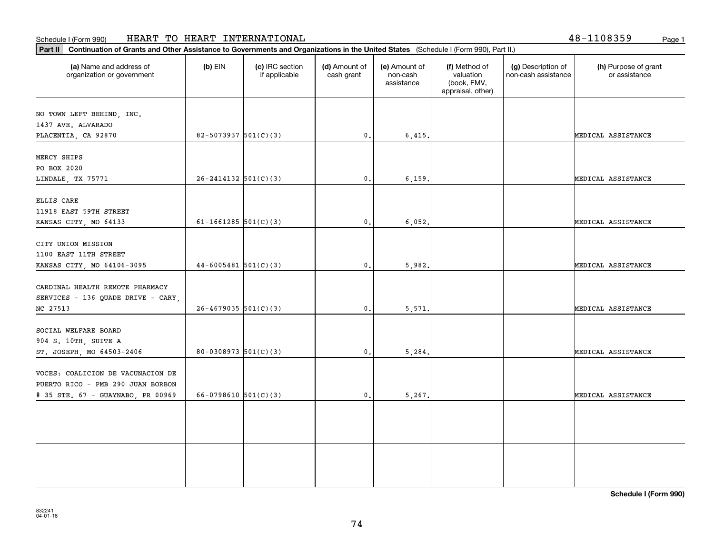⊤

**Part II Continuation of Grants and Other Assistance to Governments and Organizations in the United States**  (Schedule I (Form 990), Part II.)

т

| (a) Name and address of<br>organization or government                                                       | $(b)$ EIN                  | (c) IRC section<br>if applicable | (d) Amount of<br>cash grant | (e) Amount of<br>non-cash<br>assistance | (f) Method of<br>valuation<br>(book, FMV,<br>appraisal, other) | (g) Description of<br>non-cash assistance | (h) Purpose of grant<br>or assistance |
|-------------------------------------------------------------------------------------------------------------|----------------------------|----------------------------------|-----------------------------|-----------------------------------------|----------------------------------------------------------------|-------------------------------------------|---------------------------------------|
| NO TOWN LEFT BEHIND, INC.<br>1437 AVE. ALVARADO                                                             |                            |                                  |                             |                                         |                                                                |                                           |                                       |
| PLACENTIA, CA 92870                                                                                         | $82 - 5073937$ $501(C)(3)$ |                                  | $\mathbf{0}$ .              | 6,415.                                  |                                                                |                                           | MEDICAL ASSISTANCE                    |
| MERCY SHIPS<br>PO BOX 2020                                                                                  |                            |                                  |                             |                                         |                                                                |                                           |                                       |
| LINDALE, TX 75771                                                                                           | $26 - 2414132$ 501(C)(3)   |                                  | $\mathbf{0}$ .              | 6, 159.                                 |                                                                |                                           | MEDICAL ASSISTANCE                    |
| ELLIS CARE<br>11918 EAST 59TH STREET<br>KANSAS CITY, MO 64133                                               | $61-1661285$ 501(C)(3)     |                                  | 0.                          | 6,052.                                  |                                                                |                                           | MEDICAL ASSISTANCE                    |
| CITY UNION MISSION<br>1100 EAST 11TH STREET<br>KANSAS CITY, MO 64106-3095                                   | $44 - 6005481$ 501(C)(3)   |                                  | $\mathbf{0}$                | 5,982.                                  |                                                                |                                           | MEDICAL ASSISTANCE                    |
| CARDINAL HEALTH REMOTE PHARMACY<br>SERVICES - 136 QUADE DRIVE - CARY,<br>NC 27513                           | $26 - 4679035$ 501(C)(3)   |                                  | 0.                          | 5,571.                                  |                                                                |                                           | MEDICAL ASSISTANCE                    |
| SOCIAL WELFARE BOARD<br>904 S. 10TH, SUITE A<br>ST. JOSEPH, MO 64503-2406                                   | $80 - 0308973$ $501(C)(3)$ |                                  | 0.                          | 5,284.                                  |                                                                |                                           | MEDICAL ASSISTANCE                    |
| VOCES: COALICION DE VACUNACION DE<br>PUERTO RICO - PMB 290 JUAN BORBON<br># 35 STE. 67 - GUAYNABO, PR 00969 | $66-0798610$ 501(C)(3)     |                                  | $\mathbf{0}$ .              | 5,267.                                  |                                                                |                                           | MEDICAL ASSISTANCE                    |
|                                                                                                             |                            |                                  |                             |                                         |                                                                |                                           |                                       |
|                                                                                                             |                            |                                  |                             |                                         |                                                                |                                           |                                       |

48-1108359

Т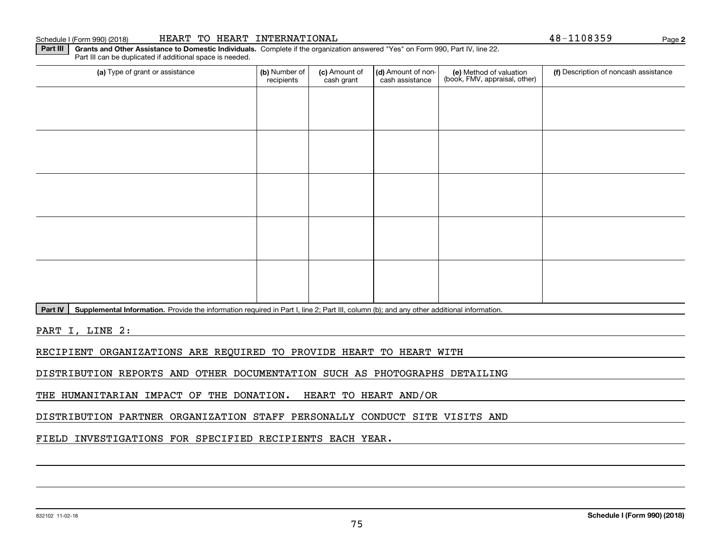#### 832102 11-02-18

#### Schedule I (Form 990) (2018) Page HEART TO HEART INTERNATIONAL 48-1108359

Part III can be duplicated if additional space is needed.

(a) Type of grant or assistance **Audity Commet Audio Commet Commet Commet Commet Commet Commet Commet Commet Comme** (e) Method of valuation (book, FMV, appraisal, other) recipients(c) Amount of cash grant (d) Amount of noncash assistance (f) Description of noncash assistance

Part IV | Supplemental Information. Provide the information required in Part I, line 2; Part III, column (b); and any other additional information.

**Part III | Grants and Other Assistance to Domestic Individuals. Complete if the organization answered "Yes" on Form 990, Part IV, line 22.** 

PART I, LINE 2:

RECIPIENT ORGANIZATIONS ARE REQUIRED TO PROVIDE HEART TO HEART WITH

DISTRIBUTION REPORTS AND OTHER DOCUMENTATION SUCH AS PHOTOGRAPHS DETAILING

THE HUMANITARIAN IMPACT OF THE DONATION. HEART TO HEART AND/OR

DISTRIBUTION PARTNER ORGANIZATION STAFF PERSONALLY CONDUCT SITE VISITS AND

FIELD INVESTIGATIONS FOR SPECIFIED RECIPIENTS EACH YEAR.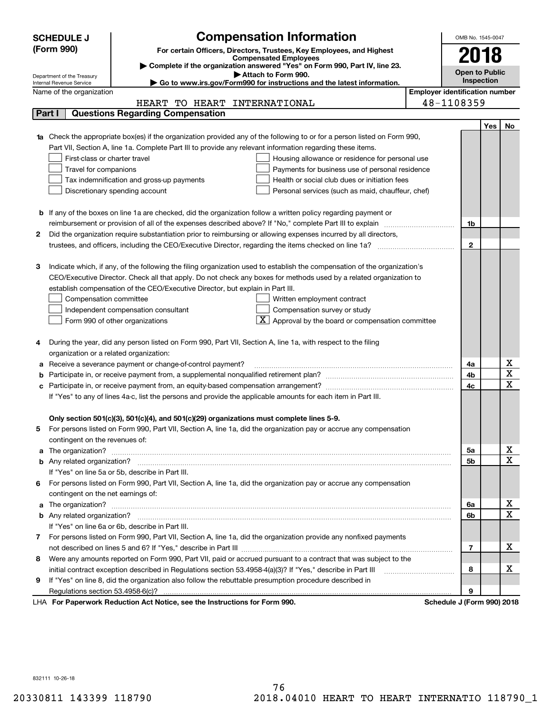|    | <b>SCHEDULE J</b>                                                                                                               | <b>Compensation Information</b>                                                                                                                                                                                              |                                       | OMB No. 1545-0047             |            |                                     |  |  |  |
|----|---------------------------------------------------------------------------------------------------------------------------------|------------------------------------------------------------------------------------------------------------------------------------------------------------------------------------------------------------------------------|---------------------------------------|-------------------------------|------------|-------------------------------------|--|--|--|
|    | (Form 990)                                                                                                                      | For certain Officers, Directors, Trustees, Key Employees, and Highest                                                                                                                                                        |                                       | 2018                          |            |                                     |  |  |  |
|    |                                                                                                                                 | <b>Compensated Employees</b>                                                                                                                                                                                                 |                                       |                               |            |                                     |  |  |  |
|    | Complete if the organization answered "Yes" on Form 990, Part IV, line 23.<br>Attach to Form 990.<br>Department of the Treasury |                                                                                                                                                                                                                              |                                       |                               |            |                                     |  |  |  |
|    | Go to www.irs.gov/Form990 for instructions and the latest information.<br>Internal Revenue Service                              |                                                                                                                                                                                                                              |                                       |                               |            |                                     |  |  |  |
|    | Name of the organization                                                                                                        |                                                                                                                                                                                                                              | <b>Employer identification number</b> |                               |            |                                     |  |  |  |
|    |                                                                                                                                 | TO HEART INTERNATIONAL<br>HEART                                                                                                                                                                                              |                                       | 48-1108359                    |            |                                     |  |  |  |
|    | Part I                                                                                                                          | <b>Questions Regarding Compensation</b>                                                                                                                                                                                      |                                       |                               |            |                                     |  |  |  |
|    |                                                                                                                                 |                                                                                                                                                                                                                              |                                       |                               | <b>Yes</b> | No                                  |  |  |  |
|    |                                                                                                                                 | <b>1a</b> Check the appropriate box(es) if the organization provided any of the following to or for a person listed on Form 990,                                                                                             |                                       |                               |            |                                     |  |  |  |
|    |                                                                                                                                 | Part VII, Section A, line 1a. Complete Part III to provide any relevant information regarding these items.                                                                                                                   |                                       |                               |            |                                     |  |  |  |
|    | First-class or charter travel                                                                                                   | Housing allowance or residence for personal use                                                                                                                                                                              |                                       |                               |            |                                     |  |  |  |
|    | Travel for companions                                                                                                           | Payments for business use of personal residence                                                                                                                                                                              |                                       |                               |            |                                     |  |  |  |
|    |                                                                                                                                 | Tax indemnification and gross-up payments<br>Health or social club dues or initiation fees                                                                                                                                   |                                       |                               |            |                                     |  |  |  |
|    |                                                                                                                                 | Discretionary spending account<br>Personal services (such as maid, chauffeur, chef)                                                                                                                                          |                                       |                               |            |                                     |  |  |  |
|    |                                                                                                                                 |                                                                                                                                                                                                                              |                                       |                               |            |                                     |  |  |  |
|    |                                                                                                                                 | <b>b</b> If any of the boxes on line 1a are checked, did the organization follow a written policy regarding payment or                                                                                                       |                                       |                               |            |                                     |  |  |  |
| 2  |                                                                                                                                 | reimbursement or provision of all of the expenses described above? If "No," complete Part III to explain<br>Did the organization require substantiation prior to reimbursing or allowing expenses incurred by all directors, |                                       | 1b                            |            |                                     |  |  |  |
|    |                                                                                                                                 |                                                                                                                                                                                                                              |                                       | $\mathbf{2}$                  |            |                                     |  |  |  |
|    |                                                                                                                                 |                                                                                                                                                                                                                              |                                       |                               |            |                                     |  |  |  |
| з  |                                                                                                                                 | Indicate which, if any, of the following the filing organization used to establish the compensation of the organization's                                                                                                    |                                       |                               |            |                                     |  |  |  |
|    |                                                                                                                                 | CEO/Executive Director. Check all that apply. Do not check any boxes for methods used by a related organization to                                                                                                           |                                       |                               |            |                                     |  |  |  |
|    |                                                                                                                                 | establish compensation of the CEO/Executive Director, but explain in Part III.                                                                                                                                               |                                       |                               |            |                                     |  |  |  |
|    | Compensation committee                                                                                                          | Written employment contract                                                                                                                                                                                                  |                                       |                               |            |                                     |  |  |  |
|    |                                                                                                                                 | Compensation survey or study<br>Independent compensation consultant                                                                                                                                                          |                                       |                               |            |                                     |  |  |  |
|    |                                                                                                                                 | Approval by the board or compensation committee<br>Form 990 of other organizations                                                                                                                                           |                                       |                               |            |                                     |  |  |  |
|    |                                                                                                                                 |                                                                                                                                                                                                                              |                                       |                               |            |                                     |  |  |  |
|    |                                                                                                                                 | During the year, did any person listed on Form 990, Part VII, Section A, line 1a, with respect to the filing                                                                                                                 |                                       |                               |            |                                     |  |  |  |
|    | organization or a related organization:                                                                                         |                                                                                                                                                                                                                              |                                       |                               |            |                                     |  |  |  |
|    |                                                                                                                                 | Receive a severance payment or change-of-control payment?                                                                                                                                                                    |                                       | 4a                            |            | x                                   |  |  |  |
| b  |                                                                                                                                 |                                                                                                                                                                                                                              |                                       | 4b                            |            | $\overline{\mathbf{x}}$             |  |  |  |
|    |                                                                                                                                 | Participate in, or receive payment from, an equity-based compensation arrangement?                                                                                                                                           |                                       | 4c                            |            | $\overline{\text{x}}$               |  |  |  |
|    |                                                                                                                                 | If "Yes" to any of lines 4a-c, list the persons and provide the applicable amounts for each item in Part III.                                                                                                                |                                       |                               |            |                                     |  |  |  |
|    |                                                                                                                                 |                                                                                                                                                                                                                              |                                       |                               |            |                                     |  |  |  |
|    |                                                                                                                                 | Only section 501(c)(3), 501(c)(4), and 501(c)(29) organizations must complete lines 5-9.                                                                                                                                     |                                       |                               |            |                                     |  |  |  |
| 5. |                                                                                                                                 | For persons listed on Form 990, Part VII, Section A, line 1a, did the organization pay or accrue any compensation                                                                                                            |                                       |                               |            |                                     |  |  |  |
|    | contingent on the revenues of:                                                                                                  |                                                                                                                                                                                                                              |                                       |                               |            |                                     |  |  |  |
|    |                                                                                                                                 | a The organization? <b>Manual Community Community</b> Community Community Community Community Community Community Community                                                                                                  |                                       | 5a                            |            | <u>x</u><br>$\overline{\mathbf{x}}$ |  |  |  |
|    |                                                                                                                                 |                                                                                                                                                                                                                              |                                       | 5b                            |            |                                     |  |  |  |
|    |                                                                                                                                 | If "Yes" on line 5a or 5b, describe in Part III.                                                                                                                                                                             |                                       |                               |            |                                     |  |  |  |
| 6. |                                                                                                                                 | For persons listed on Form 990, Part VII, Section A, line 1a, did the organization pay or accrue any compensation                                                                                                            |                                       |                               |            |                                     |  |  |  |
|    | contingent on the net earnings of:                                                                                              |                                                                                                                                                                                                                              |                                       |                               |            |                                     |  |  |  |
|    |                                                                                                                                 |                                                                                                                                                                                                                              |                                       | 6a                            |            | <u>x</u><br>$\overline{\mathbf{x}}$ |  |  |  |
|    |                                                                                                                                 |                                                                                                                                                                                                                              |                                       | 6b                            |            |                                     |  |  |  |
|    |                                                                                                                                 | If "Yes" on line 6a or 6b, describe in Part III.                                                                                                                                                                             |                                       |                               |            |                                     |  |  |  |
|    |                                                                                                                                 | 7 For persons listed on Form 990, Part VII, Section A, line 1a, did the organization provide any nonfixed payments                                                                                                           |                                       |                               |            | х                                   |  |  |  |
|    |                                                                                                                                 |                                                                                                                                                                                                                              |                                       | 7                             |            |                                     |  |  |  |
| 8  |                                                                                                                                 | Were any amounts reported on Form 990, Part VII, paid or accrued pursuant to a contract that was subject to the                                                                                                              |                                       |                               |            | х                                   |  |  |  |
|    |                                                                                                                                 |                                                                                                                                                                                                                              |                                       | 8                             |            |                                     |  |  |  |
| 9  |                                                                                                                                 | If "Yes" on line 8, did the organization also follow the rebuttable presumption procedure described in                                                                                                                       |                                       | 9                             |            |                                     |  |  |  |
|    |                                                                                                                                 | erwork Reduction Act Notice, see the Instructions for Form 000                                                                                                                                                               |                                       | Cabadula, L. (Earm 000), 2010 |            |                                     |  |  |  |

LHA For Paperwork Reduction Act Notice, see the Instructions for Form 990. Schedule J (Form 990) 2018

832111 10-26-18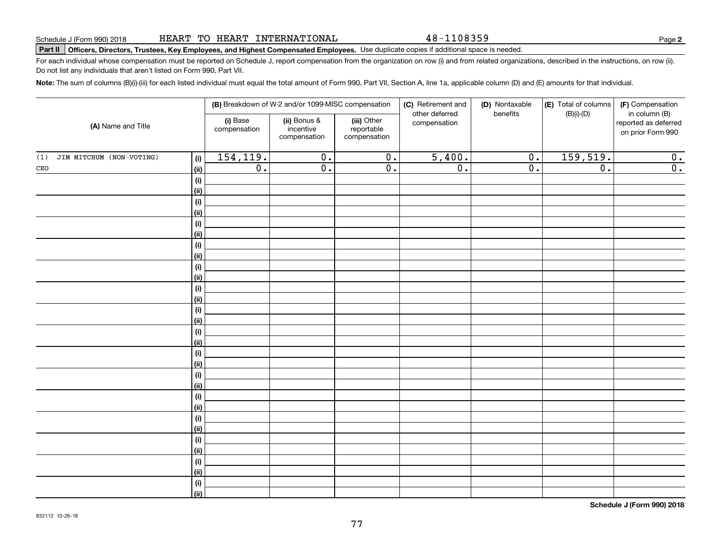**Note:**  The sum of columns (B)(i)-(iii) for each listed individual must equal the total amount of Form 990, Part VII, Section A, line 1a, applicable column (D) and (E) amounts for that individual.

HEART TO HEART INTERNATIONAL

|                                 |             |                             | (B) Breakdown of W-2 and/or 1099-MISC compensation |                                           | (C) Retirement and             | (D) Nontaxable              | (E) Total of columns | (F) Compensation                                           |
|---------------------------------|-------------|-----------------------------|----------------------------------------------------|-------------------------------------------|--------------------------------|-----------------------------|----------------------|------------------------------------------------------------|
| (A) Name and Title              |             | (i) Base<br>compensation    | (ii) Bonus &<br>incentive<br>compensation          | (iii) Other<br>reportable<br>compensation | other deferred<br>compensation | benefits                    | $(B)(i)-(D)$         | in column (B)<br>reported as deferred<br>on prior Form 990 |
| (1)<br>JIM MITCHUM (NON-VOTING) | (i)         | 154,119.                    | $\overline{0}$ .                                   | $\overline{0}$ .                          | 5,400.                         | $\overline{0}$ .            | 159,519.             | 0.                                                         |
| $\mathtt{CEO}$                  | (ii)        | $\overline{\mathfrak{o}}$ . | $\overline{0}$ .                                   | $\overline{0}$ .                          | $\overline{0}$ .               | $\overline{\mathfrak{o}}$ . | $\overline{0}$ .     | $\overline{0}$ .                                           |
|                                 | (i)         |                             |                                                    |                                           |                                |                             |                      |                                                            |
|                                 | (ii)        |                             |                                                    |                                           |                                |                             |                      |                                                            |
|                                 | (i)         |                             |                                                    |                                           |                                |                             |                      |                                                            |
|                                 | (ii)        |                             |                                                    |                                           |                                |                             |                      |                                                            |
|                                 | (i)         |                             |                                                    |                                           |                                |                             |                      |                                                            |
|                                 | (ii)        |                             |                                                    |                                           |                                |                             |                      |                                                            |
|                                 | $(\sf{i})$  |                             |                                                    |                                           |                                |                             |                      |                                                            |
|                                 | (ii)        |                             |                                                    |                                           |                                |                             |                      |                                                            |
|                                 | (i)         |                             |                                                    |                                           |                                |                             |                      |                                                            |
|                                 | (ii)        |                             |                                                    |                                           |                                |                             |                      |                                                            |
|                                 | (i)         |                             |                                                    |                                           |                                |                             |                      |                                                            |
|                                 | (ii)        |                             |                                                    |                                           |                                |                             |                      |                                                            |
|                                 | (i)         |                             |                                                    |                                           |                                |                             |                      |                                                            |
|                                 | (ii)        |                             |                                                    |                                           |                                |                             |                      |                                                            |
|                                 | (i)         |                             |                                                    |                                           |                                |                             |                      |                                                            |
|                                 | (ii)        |                             |                                                    |                                           |                                |                             |                      |                                                            |
|                                 | (i)         |                             |                                                    |                                           |                                |                             |                      |                                                            |
|                                 | (ii)        |                             |                                                    |                                           |                                |                             |                      |                                                            |
|                                 | (i)         |                             |                                                    |                                           |                                |                             |                      |                                                            |
|                                 | (ii)        |                             |                                                    |                                           |                                |                             |                      |                                                            |
|                                 | (i)         |                             |                                                    |                                           |                                |                             |                      |                                                            |
|                                 | (ii)        |                             |                                                    |                                           |                                |                             |                      |                                                            |
|                                 | (i)         |                             |                                                    |                                           |                                |                             |                      |                                                            |
|                                 | (ii)        |                             |                                                    |                                           |                                |                             |                      |                                                            |
|                                 | (i)         |                             |                                                    |                                           |                                |                             |                      |                                                            |
|                                 | (ii)        |                             |                                                    |                                           |                                |                             |                      |                                                            |
|                                 | (i)         |                             |                                                    |                                           |                                |                             |                      |                                                            |
|                                 | (ii)        |                             |                                                    |                                           |                                |                             |                      |                                                            |
|                                 | (i)<br>(ii) |                             |                                                    |                                           |                                |                             |                      |                                                            |
|                                 |             |                             |                                                    |                                           |                                |                             |                      |                                                            |

**Schedule J (Form 990) 2018**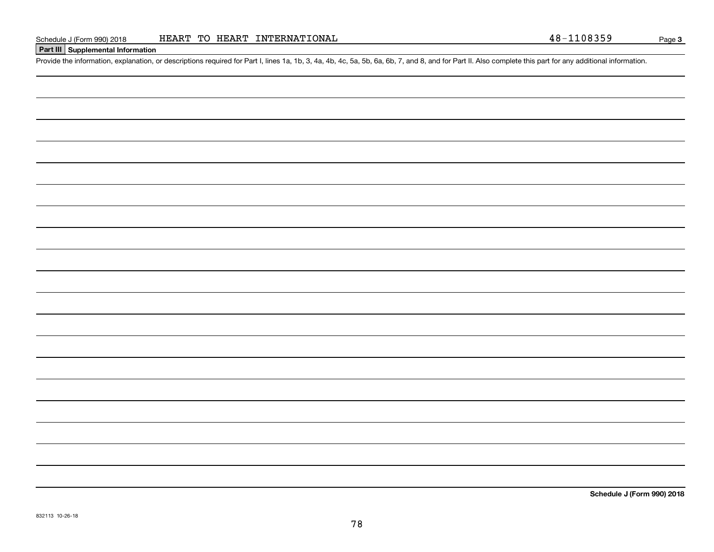### **Part III Supplemental Information**

Schedule J (Form 990) 2018 HEART TO HEART INTERNATIONAL 48-1108359<br>Part III Supplemental Information<br>Provide the information, explanation, or descriptions required for Part I, lines 1a, 1b, 3, 4a, 4b, 4c, 5a, 5b, 6a, 6b, 7

**Schedule J (Form 990) 2018**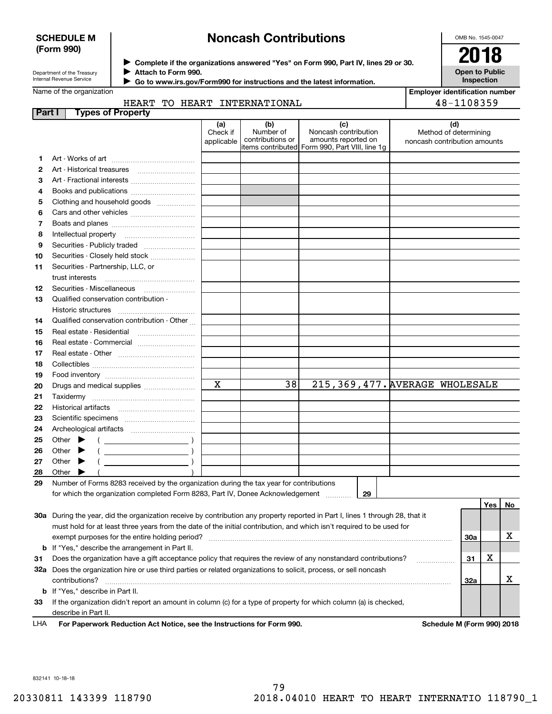### **SCHEDULE M (Form 990)**

# **Noncash Contributions**

OMB No. 1545-0047

| Department of the Treasury      |  |
|---------------------------------|--|
| <b>Internal Revenue Service</b> |  |

**Complete if the organizations answered "Yes" on Form 990, Part IV, lines 29 or 30.** <sup>J</sup>**2018 Attach to Form 990.** J

**Open to Public Inspection**

| Go to www.irs.gov/Form990 for instructions and the latest information. |
|------------------------------------------------------------------------|
|------------------------------------------------------------------------|

#### Name of the organization

 $\blacktriangleright$ 

| <b>Employer identification number</b> |
|---------------------------------------|
| 48-1108359                            |

|           |                   |  | HEART TO HEART INTERNATIONAL |
|-----------|-------------------|--|------------------------------|
| $3 - + 1$ | Tungo of Dronochu |  |                              |

| Part I | Types of Property                                                                                                                                                                                                                                                                                                                                                                                                                                                   |                         |                               |                                                |                                                       |     |     |    |
|--------|---------------------------------------------------------------------------------------------------------------------------------------------------------------------------------------------------------------------------------------------------------------------------------------------------------------------------------------------------------------------------------------------------------------------------------------------------------------------|-------------------------|-------------------------------|------------------------------------------------|-------------------------------------------------------|-----|-----|----|
|        |                                                                                                                                                                                                                                                                                                                                                                                                                                                                     | (a)                     | (b)                           | (c)                                            | (d)                                                   |     |     |    |
|        |                                                                                                                                                                                                                                                                                                                                                                                                                                                                     | Check if<br>applicable  | Number of<br>contributions or | Noncash contribution<br>amounts reported on    | Method of determining<br>noncash contribution amounts |     |     |    |
|        |                                                                                                                                                                                                                                                                                                                                                                                                                                                                     |                         |                               | items contributed Form 990, Part VIII, line 1g |                                                       |     |     |    |
| 1.     |                                                                                                                                                                                                                                                                                                                                                                                                                                                                     |                         |                               |                                                |                                                       |     |     |    |
| 2      |                                                                                                                                                                                                                                                                                                                                                                                                                                                                     |                         |                               |                                                |                                                       |     |     |    |
| з      | Art - Fractional interests                                                                                                                                                                                                                                                                                                                                                                                                                                          |                         |                               |                                                |                                                       |     |     |    |
| 4      | Books and publications                                                                                                                                                                                                                                                                                                                                                                                                                                              |                         |                               |                                                |                                                       |     |     |    |
| 5      | Clothing and household goods                                                                                                                                                                                                                                                                                                                                                                                                                                        |                         |                               |                                                |                                                       |     |     |    |
| 6      |                                                                                                                                                                                                                                                                                                                                                                                                                                                                     |                         |                               |                                                |                                                       |     |     |    |
| 7      |                                                                                                                                                                                                                                                                                                                                                                                                                                                                     |                         |                               |                                                |                                                       |     |     |    |
| 8      |                                                                                                                                                                                                                                                                                                                                                                                                                                                                     |                         |                               |                                                |                                                       |     |     |    |
| 9      | Securities - Publicly traded                                                                                                                                                                                                                                                                                                                                                                                                                                        |                         |                               |                                                |                                                       |     |     |    |
| 10     | Securities - Closely held stock                                                                                                                                                                                                                                                                                                                                                                                                                                     |                         |                               |                                                |                                                       |     |     |    |
| 11     | Securities - Partnership, LLC, or                                                                                                                                                                                                                                                                                                                                                                                                                                   |                         |                               |                                                |                                                       |     |     |    |
|        |                                                                                                                                                                                                                                                                                                                                                                                                                                                                     |                         |                               |                                                |                                                       |     |     |    |
| 12     |                                                                                                                                                                                                                                                                                                                                                                                                                                                                     |                         |                               |                                                |                                                       |     |     |    |
| 13     | Qualified conservation contribution -                                                                                                                                                                                                                                                                                                                                                                                                                               |                         |                               |                                                |                                                       |     |     |    |
|        | Historic structures                                                                                                                                                                                                                                                                                                                                                                                                                                                 |                         |                               |                                                |                                                       |     |     |    |
| 14     | Qualified conservation contribution - Other                                                                                                                                                                                                                                                                                                                                                                                                                         |                         |                               |                                                |                                                       |     |     |    |
| 15     | Real estate - Residential                                                                                                                                                                                                                                                                                                                                                                                                                                           |                         |                               |                                                |                                                       |     |     |    |
| 16     | Real estate - Commercial                                                                                                                                                                                                                                                                                                                                                                                                                                            |                         |                               |                                                |                                                       |     |     |    |
| 17     |                                                                                                                                                                                                                                                                                                                                                                                                                                                                     |                         |                               |                                                |                                                       |     |     |    |
| 18     |                                                                                                                                                                                                                                                                                                                                                                                                                                                                     |                         |                               |                                                |                                                       |     |     |    |
| 19     |                                                                                                                                                                                                                                                                                                                                                                                                                                                                     |                         |                               |                                                |                                                       |     |     |    |
| 20     | Drugs and medical supplies                                                                                                                                                                                                                                                                                                                                                                                                                                          | $\overline{\mathbf{x}}$ | 38                            | 215, 369, 477. AVERAGE WHOLESALE               |                                                       |     |     |    |
| 21     |                                                                                                                                                                                                                                                                                                                                                                                                                                                                     |                         |                               |                                                |                                                       |     |     |    |
| 22     |                                                                                                                                                                                                                                                                                                                                                                                                                                                                     |                         |                               |                                                |                                                       |     |     |    |
| 23     |                                                                                                                                                                                                                                                                                                                                                                                                                                                                     |                         |                               |                                                |                                                       |     |     |    |
| 24     |                                                                                                                                                                                                                                                                                                                                                                                                                                                                     |                         |                               |                                                |                                                       |     |     |    |
| 25     | Other $\blacktriangleright$<br>$($ )                                                                                                                                                                                                                                                                                                                                                                                                                                |                         |                               |                                                |                                                       |     |     |    |
| 26     | $(\begin{array}{cccccccccc} \textbf{0} & \textbf{0} & \textbf{0} & \textbf{0} & \textbf{0} & \textbf{0} & \textbf{0} & \textbf{0} & \textbf{0} & \textbf{0} & \textbf{0} & \textbf{0} & \textbf{0} & \textbf{0} & \textbf{0} & \textbf{0} & \textbf{0} & \textbf{0} & \textbf{0} & \textbf{0} & \textbf{0} & \textbf{0} & \textbf{0} & \textbf{0} & \textbf{0} & \textbf{0} & \textbf{0} & \textbf{0} & \textbf{0} & \textbf{0} & \$<br>Other $\blacktriangleright$ |                         |                               |                                                |                                                       |     |     |    |
| 27     | $($ $)$<br>Other $\blacktriangleright$                                                                                                                                                                                                                                                                                                                                                                                                                              |                         |                               |                                                |                                                       |     |     |    |
| 28     | Other $\blacktriangleright$                                                                                                                                                                                                                                                                                                                                                                                                                                         |                         |                               |                                                |                                                       |     |     |    |
| 29     | Number of Forms 8283 received by the organization during the tax year for contributions                                                                                                                                                                                                                                                                                                                                                                             |                         |                               |                                                |                                                       |     |     |    |
|        | for which the organization completed Form 8283, Part IV, Donee Acknowledgement<br>29                                                                                                                                                                                                                                                                                                                                                                                |                         |                               |                                                |                                                       |     |     |    |
|        |                                                                                                                                                                                                                                                                                                                                                                                                                                                                     |                         |                               |                                                |                                                       |     | Yes | No |
|        | 30a During the year, did the organization receive by contribution any property reported in Part I, lines 1 through 28, that it                                                                                                                                                                                                                                                                                                                                      |                         |                               |                                                |                                                       |     |     |    |
|        | must hold for at least three years from the date of the initial contribution, and which isn't required to be used for                                                                                                                                                                                                                                                                                                                                               |                         |                               |                                                |                                                       |     |     |    |
|        |                                                                                                                                                                                                                                                                                                                                                                                                                                                                     |                         |                               |                                                |                                                       | 30a |     | х  |
|        | <b>b</b> If "Yes," describe the arrangement in Part II.                                                                                                                                                                                                                                                                                                                                                                                                             |                         |                               |                                                |                                                       |     | х   |    |
| 31     | Does the organization have a gift acceptance policy that requires the review of any nonstandard contributions?<br>31                                                                                                                                                                                                                                                                                                                                                |                         |                               |                                                |                                                       |     |     |    |
|        | 32a Does the organization hire or use third parties or related organizations to solicit, process, or sell noncash                                                                                                                                                                                                                                                                                                                                                   |                         |                               |                                                |                                                       |     |     |    |
|        | contributions?                                                                                                                                                                                                                                                                                                                                                                                                                                                      |                         |                               |                                                |                                                       | 32a |     | х  |
| b      | If "Yes," describe in Part II.                                                                                                                                                                                                                                                                                                                                                                                                                                      |                         |                               |                                                |                                                       |     |     |    |
| 33     | If the organization didn't report an amount in column (c) for a type of property for which column (a) is checked,                                                                                                                                                                                                                                                                                                                                                   |                         |                               |                                                |                                                       |     |     |    |
|        | describe in Part II.                                                                                                                                                                                                                                                                                                                                                                                                                                                |                         |                               |                                                |                                                       |     |     |    |

**For Paperwork Reduction Act Notice, see the Instructions for Form 990. Schedule M (Form 990) 2018** LHA

832141 10-18-18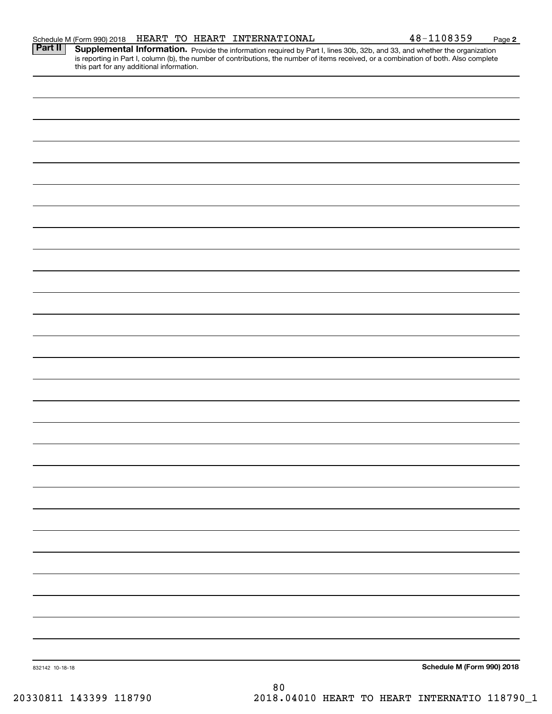| this part for any additional information. |    |                                            |
|-------------------------------------------|----|--------------------------------------------|
|                                           |    |                                            |
|                                           |    |                                            |
|                                           |    |                                            |
|                                           |    |                                            |
|                                           |    |                                            |
|                                           |    |                                            |
|                                           |    |                                            |
|                                           |    |                                            |
|                                           |    |                                            |
|                                           |    |                                            |
|                                           |    |                                            |
|                                           |    |                                            |
|                                           |    |                                            |
|                                           |    |                                            |
|                                           |    |                                            |
|                                           |    |                                            |
|                                           |    |                                            |
|                                           |    |                                            |
|                                           |    |                                            |
|                                           |    |                                            |
|                                           |    |                                            |
|                                           |    |                                            |
|                                           |    |                                            |
|                                           |    |                                            |
|                                           |    |                                            |
|                                           |    |                                            |
|                                           |    |                                            |
|                                           |    |                                            |
|                                           |    |                                            |
|                                           |    |                                            |
|                                           |    |                                            |
| 832142 10-18-18                           |    | Schedule M (Form 990) 2018                 |
| 30811 143399 118790                       | 80 | 2018 04010 HEART TO HEART INTERNATIO 11879 |
|                                           |    |                                            |

Part II | Supplemental Information. Provide the information required by Part I, lines 30b, 32b, and 33, and whether the organization is reporting in Part I, column (b), the number of contributions, the number of items received, or a combination of both. Also complete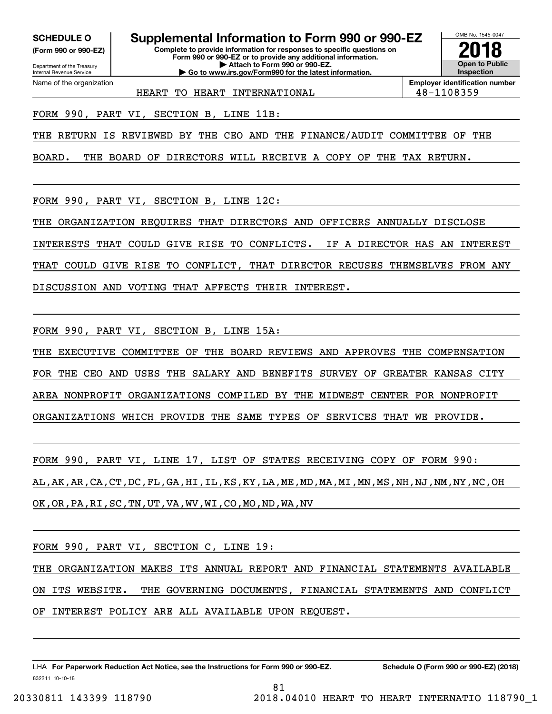**(Form 990 or 990-EZ)**

Department of the Treasury Internal Revenue Service Name of the organization

**SCHEDULE O Supplemental Information to Form 990 or 990-EZ**

**Complete to provide information for responses to specific questions on Form 990 or 990-EZ or to provide any additional information. | Attach to Form 990 or 990-EZ. | Go to www.irs.gov/Form990 for the latest information.**

OMB No. 1545-0047 **Open to Public Inspection2018**

**Employer identification number**

HEART TO HEART INTERNATIONAL  $\vert$  48-1108359

FORM 990, PART VI, SECTION B, LINE 11B:

THE RETURN IS REVIEWED BY THE CEO AND THE FINANCE/AUDIT COMMITTEE OF THE

BOARD. THE BOARD OF DIRECTORS WILL RECEIVE A COPY OF THE TAX RETURN.

FORM 990, PART VI, SECTION B, LINE 12C:

THE ORGANIZATION REQUIRES THAT DIRECTORS AND OFFICERS ANNUALLY DISCLOSE

INTERESTS THAT COULD GIVE RISE TO CONFLICTS. IF A DIRECTOR HAS AN INTEREST

THAT COULD GIVE RISE TO CONFLICT, THAT DIRECTOR RECUSES THEMSELVES FROM ANY

DISCUSSION AND VOTING THAT AFFECTS THEIR INTEREST.

FORM 990, PART VI, SECTION B, LINE 15A:

THE EXECUTIVE COMMITTEE OF THE BOARD REVIEWS AND APPROVES THE COMPENSATION FOR THE CEO AND USES THE SALARY AND BENEFITS SURVEY OF GREATER KANSAS CITY AREA NONPROFIT ORGANIZATIONS COMPILED BY THE MIDWEST CENTER FOR NONPROFIT ORGANIZATIONS WHICH PROVIDE THE SAME TYPES OF SERVICES THAT WE PROVIDE.

FORM 990, PART VI, LINE 17, LIST OF STATES RECEIVING COPY OF FORM 990: AL,AK,AR,CA,CT,DC,FL,GA,HI,IL,KS,KY,LA,ME,MD,MA,MI,MN,MS,NH,NJ,NM,NY,NC,OH OK,OR,PA,RI,SC,TN,UT,VA,WV,WI,CO,MO,ND,WA,NV

FORM 990, PART VI, SECTION C, LINE 19:

THE ORGANIZATION MAKES ITS ANNUAL REPORT AND FINANCIAL STATEMENTS AVAILABLE ON ITS WEBSITE. THE GOVERNING DOCUMENTS, FINANCIAL STATEMENTS AND CONFLICT OF INTEREST POLICY ARE ALL AVAILABLE UPON REQUEST.

81

832211 10-10-18 LHA For Paperwork Reduction Act Notice, see the Instructions for Form 990 or 990-EZ. Schedule O (Form 990 or 990-EZ) (2018)